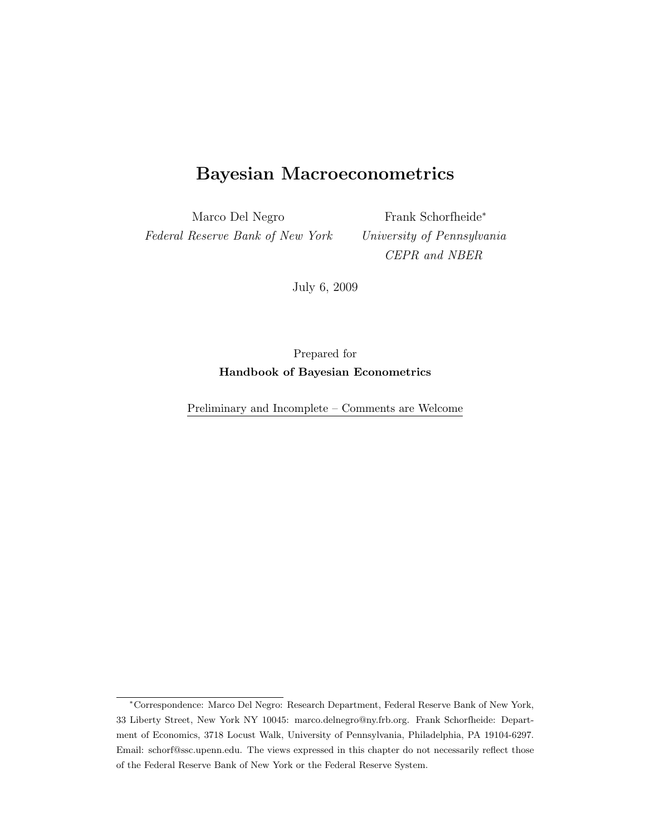# Bayesian Macroeconometrics

Marco Del Negro Federal Reserve Bank of New York

Frank Schorfheide<sup>∗</sup> University of Pennsylvania CEPR and NBER

July 6, 2009

Prepared for Handbook of Bayesian Econometrics

Preliminary and Incomplete – Comments are Welcome

<sup>∗</sup>Correspondence: Marco Del Negro: Research Department, Federal Reserve Bank of New York, 33 Liberty Street, New York NY 10045: marco.delnegro@ny.frb.org. Frank Schorfheide: Department of Economics, 3718 Locust Walk, University of Pennsylvania, Philadelphia, PA 19104-6297. Email: schorf@ssc.upenn.edu. The views expressed in this chapter do not necessarily reflect those of the Federal Reserve Bank of New York or the Federal Reserve System.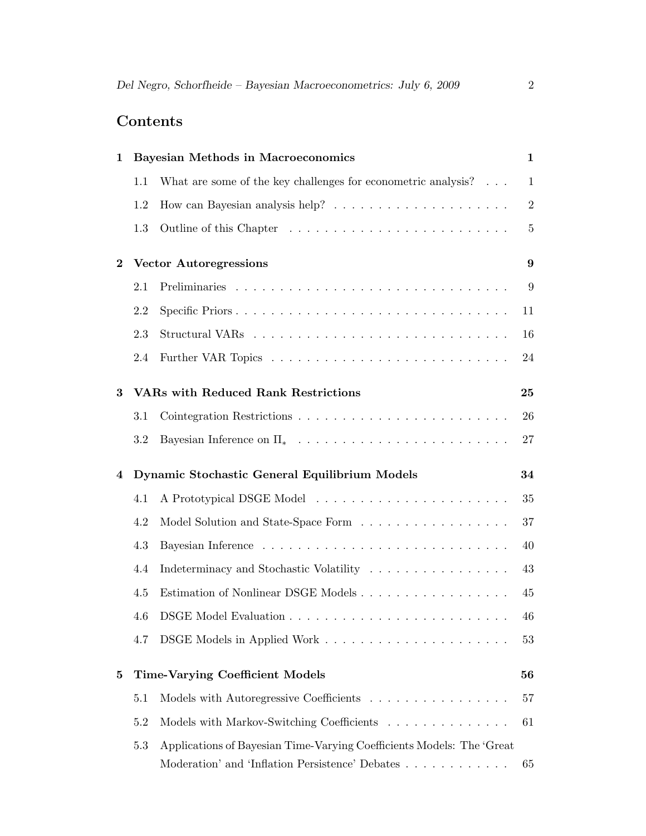# Contents

| 1        |                                                     | <b>Bayesian Methods in Macroeconomics</b>                                           | $\mathbf 1$    |
|----------|-----------------------------------------------------|-------------------------------------------------------------------------------------|----------------|
|          | 1.1                                                 | What are some of the key challenges for econometric analysis? $\ldots$              | $\mathbf{1}$   |
|          | 1.2                                                 |                                                                                     | $\overline{2}$ |
|          | 1.3                                                 |                                                                                     | 5              |
| $\bf{2}$ | <b>Vector Autoregressions</b>                       |                                                                                     |                |
|          | 2.1                                                 |                                                                                     | 9              |
|          | 2.2                                                 | Specific Priors                                                                     | 11             |
|          | 2.3                                                 |                                                                                     | 16             |
|          | 2.4                                                 |                                                                                     | 24             |
| 3        |                                                     | <b>VARs with Reduced Rank Restrictions</b>                                          | 25             |
|          | 3.1                                                 |                                                                                     | 26             |
|          | 3.2                                                 | Bayesian Inference on $\Pi_* \dots \dots \dots \dots \dots \dots \dots \dots \dots$ | 27             |
| 4        | Dynamic Stochastic General Equilibrium Models<br>34 |                                                                                     |                |
|          | 4.1                                                 |                                                                                     | 35             |
|          | 4.2                                                 | Model Solution and State-Space Form                                                 | 37             |
|          | 4.3                                                 |                                                                                     | 40             |
|          | 4.4                                                 | Indeterminacy and Stochastic Volatility                                             | 43             |
|          | 4.5                                                 | Estimation of Nonlinear DSGE Models                                                 | 45             |
|          | 4.6                                                 |                                                                                     | 46             |
|          | 4.7                                                 |                                                                                     | 53             |
| 5        | <b>Time-Varying Coefficient Models</b><br>56        |                                                                                     |                |
|          | 5.1                                                 | Models with Autoregressive Coefficients                                             | 57             |
|          | 5.2                                                 | Models with Markov-Switching Coefficients                                           | 61             |
|          | 5.3                                                 | Applications of Bayesian Time-Varying Coefficients Models: The 'Great               |                |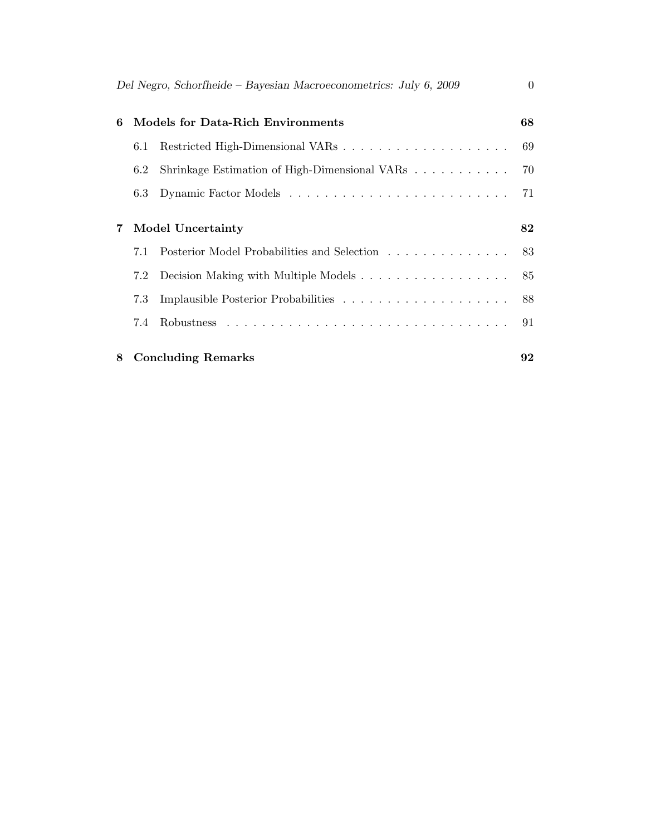| Del Negro, Schorfheide – Bayesian Macroeconometrics: July 6, 2009<br>$\Omega$ |     |                                               |    |  |  |
|-------------------------------------------------------------------------------|-----|-----------------------------------------------|----|--|--|
| Models for Data-Rich Environments<br>6                                        |     |                                               | 68 |  |  |
|                                                                               | 6.1 |                                               | 69 |  |  |
|                                                                               | 6.2 | Shrinkage Estimation of High-Dimensional VARs | 70 |  |  |
|                                                                               | 6.3 |                                               | 71 |  |  |
|                                                                               |     |                                               |    |  |  |
| 7                                                                             |     | <b>Model Uncertainty</b>                      | 82 |  |  |
|                                                                               | 7.1 | Posterior Model Probabilities and Selection   | 83 |  |  |
|                                                                               | 7.2 |                                               | 85 |  |  |
|                                                                               | 7.3 |                                               | 88 |  |  |
|                                                                               | 7.4 |                                               | 91 |  |  |
| 8                                                                             |     | <b>Concluding Remarks</b>                     | 92 |  |  |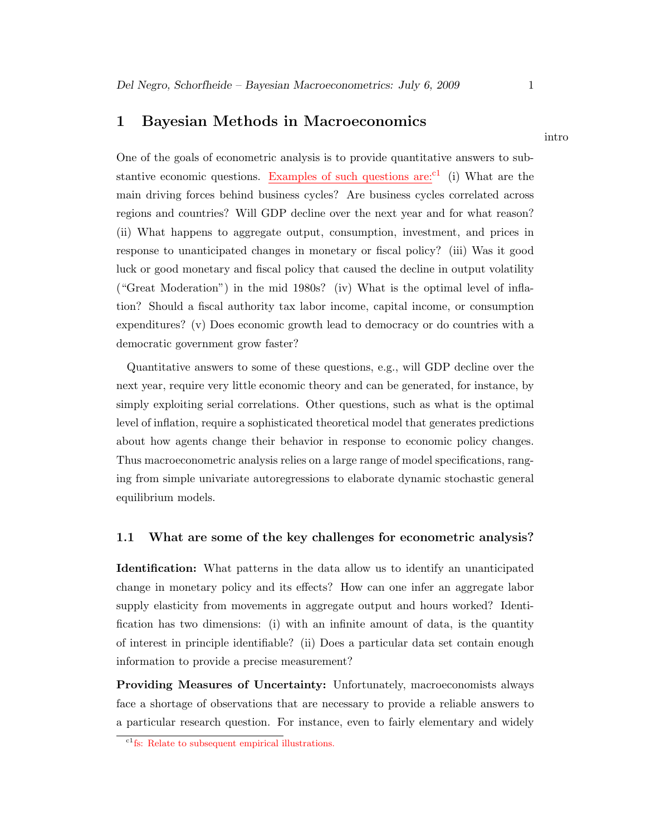# 1 Bayesian Methods in Macroeconomics

One of the goals of econometric analysis is to provide quantitative answers to substantive economic questions. Examples of such questions are: <sup>c1</sup> (i) What are the main driving forces behind business cycles? Are business cycles correlated across regions and countries? Will GDP decline over the next year and for what reason? (ii) What happens to aggregate output, consumption, investment, and prices in response to unanticipated changes in monetary or fiscal policy? (iii) Was it good luck or good monetary and fiscal policy that caused the decline in output volatility ("Great Moderation") in the mid 1980s? (iv) What is the optimal level of inflation? Should a fiscal authority tax labor income, capital income, or consumption expenditures? (v) Does economic growth lead to democracy or do countries with a democratic government grow faster?

Quantitative answers to some of these questions, e.g., will GDP decline over the next year, require very little economic theory and can be generated, for instance, by simply exploiting serial correlations. Other questions, such as what is the optimal level of inflation, require a sophisticated theoretical model that generates predictions about how agents change their behavior in response to economic policy changes. Thus macroeconometric analysis relies on a large range of model specifications, ranging from simple univariate autoregressions to elaborate dynamic stochastic general equilibrium models.

### 1.1 What are some of the key challenges for econometric analysis?

Identification: What patterns in the data allow us to identify an unanticipated change in monetary policy and its effects? How can one infer an aggregate labor supply elasticity from movements in aggregate output and hours worked? Identification has two dimensions: (i) with an infinite amount of data, is the quantity of interest in principle identifiable? (ii) Does a particular data set contain enough information to provide a precise measurement?

Providing Measures of Uncertainty: Unfortunately, macroeconomists always face a shortage of observations that are necessary to provide a reliable answers to a particular research question. For instance, even to fairly elementary and widely

intro

<sup>&</sup>lt;sup>c1</sup>fs: Relate to subsequent empirical illustrations.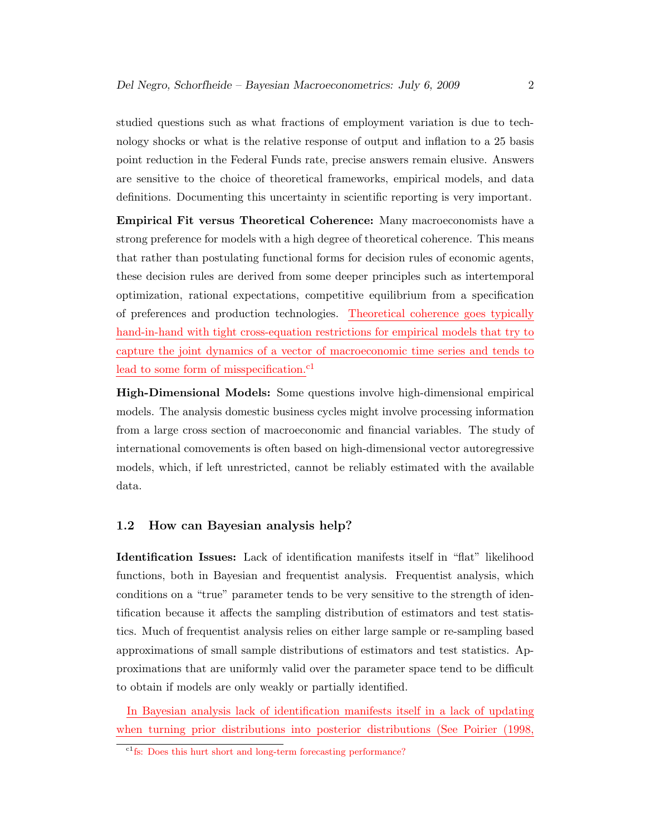studied questions such as what fractions of employment variation is due to technology shocks or what is the relative response of output and inflation to a 25 basis point reduction in the Federal Funds rate, precise answers remain elusive. Answers are sensitive to the choice of theoretical frameworks, empirical models, and data definitions. Documenting this uncertainty in scientific reporting is very important.

Empirical Fit versus Theoretical Coherence: Many macroeconomists have a strong preference for models with a high degree of theoretical coherence. This means that rather than postulating functional forms for decision rules of economic agents, these decision rules are derived from some deeper principles such as intertemporal optimization, rational expectations, competitive equilibrium from a specification of preferences and production technologies. Theoretical coherence goes typically hand-in-hand with tight cross-equation restrictions for empirical models that try to capture the joint dynamics of a vector of macroeconomic time series and tends to lead to some form of misspecification.<sup>c1</sup>

High-Dimensional Models: Some questions involve high-dimensional empirical models. The analysis domestic business cycles might involve processing information from a large cross section of macroeconomic and financial variables. The study of international comovements is often based on high-dimensional vector autoregressive models, which, if left unrestricted, cannot be reliably estimated with the available data.

# 1.2 How can Bayesian analysis help?

Identification Issues: Lack of identification manifests itself in "flat" likelihood functions, both in Bayesian and frequentist analysis. Frequentist analysis, which conditions on a "true" parameter tends to be very sensitive to the strength of identification because it affects the sampling distribution of estimators and test statistics. Much of frequentist analysis relies on either large sample or re-sampling based approximations of small sample distributions of estimators and test statistics. Approximations that are uniformly valid over the parameter space tend to be difficult to obtain if models are only weakly or partially identified.

In Bayesian analysis lack of identification manifests itself in a lack of updating when turning prior distributions into posterior distributions (See Poirier (1998,

 $\overline{c_1}$  fs: Does this hurt short and long-term forecasting performance?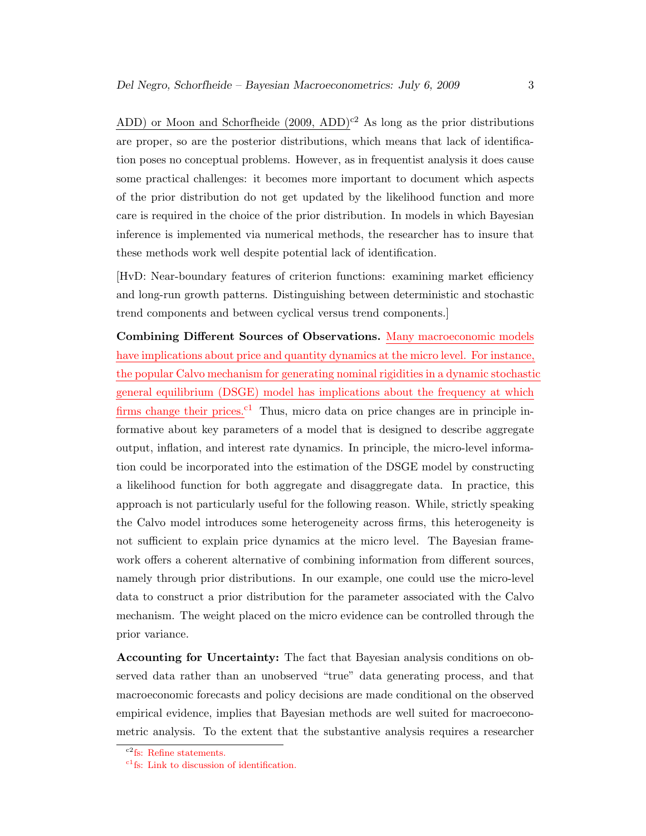ADD) or Moon and Schorfheide (2009, ADD)<sup>c2</sup> As long as the prior distributions are proper, so are the posterior distributions, which means that lack of identification poses no conceptual problems. However, as in frequentist analysis it does cause some practical challenges: it becomes more important to document which aspects of the prior distribution do not get updated by the likelihood function and more care is required in the choice of the prior distribution. In models in which Bayesian inference is implemented via numerical methods, the researcher has to insure that these methods work well despite potential lack of identification.

[HvD: Near-boundary features of criterion functions: examining market efficiency and long-run growth patterns. Distinguishing between deterministic and stochastic trend components and between cyclical versus trend components.]

Combining Different Sources of Observations. Many macroeconomic models have implications about price and quantity dynamics at the micro level. For instance, the popular Calvo mechanism for generating nominal rigidities in a dynamic stochastic general equilibrium (DSGE) model has implications about the frequency at which firms change their prices.<sup>c1</sup> Thus, micro data on price changes are in principle informative about key parameters of a model that is designed to describe aggregate output, inflation, and interest rate dynamics. In principle, the micro-level information could be incorporated into the estimation of the DSGE model by constructing a likelihood function for both aggregate and disaggregate data. In practice, this approach is not particularly useful for the following reason. While, strictly speaking the Calvo model introduces some heterogeneity across firms, this heterogeneity is not sufficient to explain price dynamics at the micro level. The Bayesian framework offers a coherent alternative of combining information from different sources, namely through prior distributions. In our example, one could use the micro-level data to construct a prior distribution for the parameter associated with the Calvo mechanism. The weight placed on the micro evidence can be controlled through the prior variance.

Accounting for Uncertainty: The fact that Bayesian analysis conditions on observed data rather than an unobserved "true" data generating process, and that macroeconomic forecasts and policy decisions are made conditional on the observed empirical evidence, implies that Bayesian methods are well suited for macroeconometric analysis. To the extent that the substantive analysis requires a researcher

 ${}^{c2}$ fs: Refine statements.

 $c_1$ fs: Link to discussion of identification.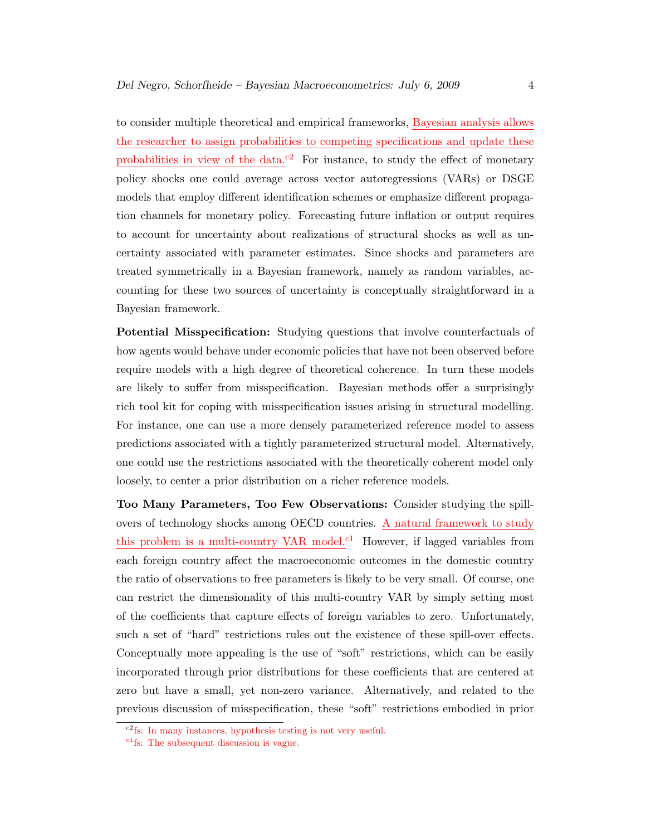to consider multiple theoretical and empirical frameworks, Bayesian analysis allows the researcher to assign probabilities to competing specifications and update these probabilities in view of the data.<sup>c2</sup> For instance, to study the effect of monetary policy shocks one could average across vector autoregressions (VARs) or DSGE models that employ different identification schemes or emphasize different propagation channels for monetary policy. Forecasting future inflation or output requires to account for uncertainty about realizations of structural shocks as well as uncertainty associated with parameter estimates. Since shocks and parameters are treated symmetrically in a Bayesian framework, namely as random variables, accounting for these two sources of uncertainty is conceptually straightforward in a Bayesian framework.

Potential Misspecification: Studying questions that involve counterfactuals of how agents would behave under economic policies that have not been observed before require models with a high degree of theoretical coherence. In turn these models are likely to suffer from misspecification. Bayesian methods offer a surprisingly rich tool kit for coping with misspecification issues arising in structural modelling. For instance, one can use a more densely parameterized reference model to assess predictions associated with a tightly parameterized structural model. Alternatively, one could use the restrictions associated with the theoretically coherent model only loosely, to center a prior distribution on a richer reference models.

Too Many Parameters, Too Few Observations: Consider studying the spillovers of technology shocks among OECD countries. A natural framework to study this problem is a multi-country VAR model.<sup>c1</sup> However, if lagged variables from each foreign country affect the macroeconomic outcomes in the domestic country the ratio of observations to free parameters is likely to be very small. Of course, one can restrict the dimensionality of this multi-country VAR by simply setting most of the coefficients that capture effects of foreign variables to zero. Unfortunately, such a set of "hard" restrictions rules out the existence of these spill-over effects. Conceptually more appealing is the use of "soft" restrictions, which can be easily incorporated through prior distributions for these coefficients that are centered at zero but have a small, yet non-zero variance. Alternatively, and related to the previous discussion of misspecification, these "soft" restrictions embodied in prior

c2fs: In many instances, hypothesis testing is not very useful.

<sup>&</sup>lt;sup>c1</sup>fs: The subsequent discussion is vague.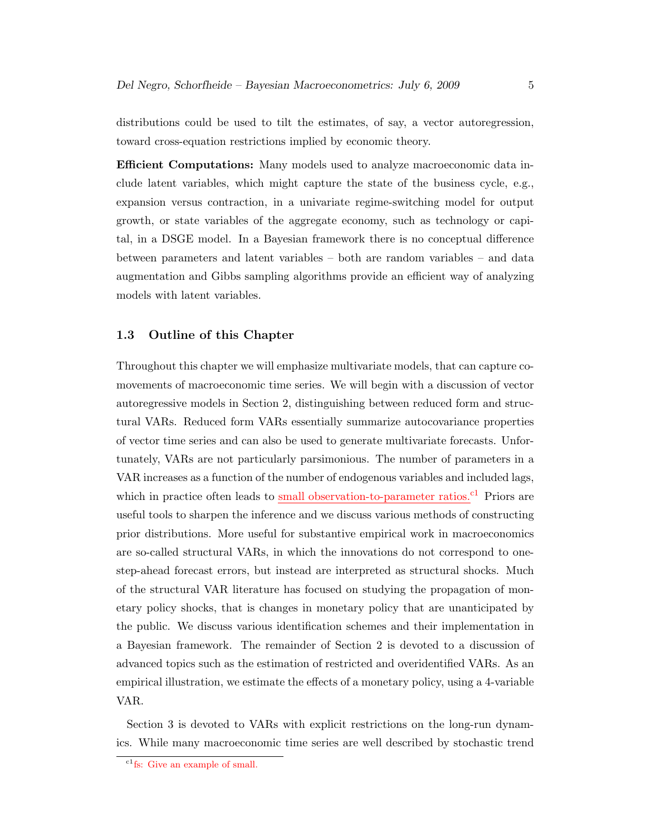distributions could be used to tilt the estimates, of say, a vector autoregression, toward cross-equation restrictions implied by economic theory.

Efficient Computations: Many models used to analyze macroeconomic data include latent variables, which might capture the state of the business cycle, e.g., expansion versus contraction, in a univariate regime-switching model for output growth, or state variables of the aggregate economy, such as technology or capital, in a DSGE model. In a Bayesian framework there is no conceptual difference between parameters and latent variables – both are random variables – and data augmentation and Gibbs sampling algorithms provide an efficient way of analyzing models with latent variables.

## 1.3 Outline of this Chapter

Throughout this chapter we will emphasize multivariate models, that can capture comovements of macroeconomic time series. We will begin with a discussion of vector autoregressive models in Section 2, distinguishing between reduced form and structural VARs. Reduced form VARs essentially summarize autocovariance properties of vector time series and can also be used to generate multivariate forecasts. Unfortunately, VARs are not particularly parsimonious. The number of parameters in a VAR increases as a function of the number of endogenous variables and included lags, which in practice often leads to small observation-to-parameter ratios.<sup>c1</sup> Priors are useful tools to sharpen the inference and we discuss various methods of constructing prior distributions. More useful for substantive empirical work in macroeconomics are so-called structural VARs, in which the innovations do not correspond to onestep-ahead forecast errors, but instead are interpreted as structural shocks. Much of the structural VAR literature has focused on studying the propagation of monetary policy shocks, that is changes in monetary policy that are unanticipated by the public. We discuss various identification schemes and their implementation in a Bayesian framework. The remainder of Section 2 is devoted to a discussion of advanced topics such as the estimation of restricted and overidentified VARs. As an empirical illustration, we estimate the effects of a monetary policy, using a 4-variable VAR.

Section 3 is devoted to VARs with explicit restrictions on the long-run dynamics. While many macroeconomic time series are well described by stochastic trend

<sup>&</sup>lt;sup>c1</sup>fs: Give an example of small.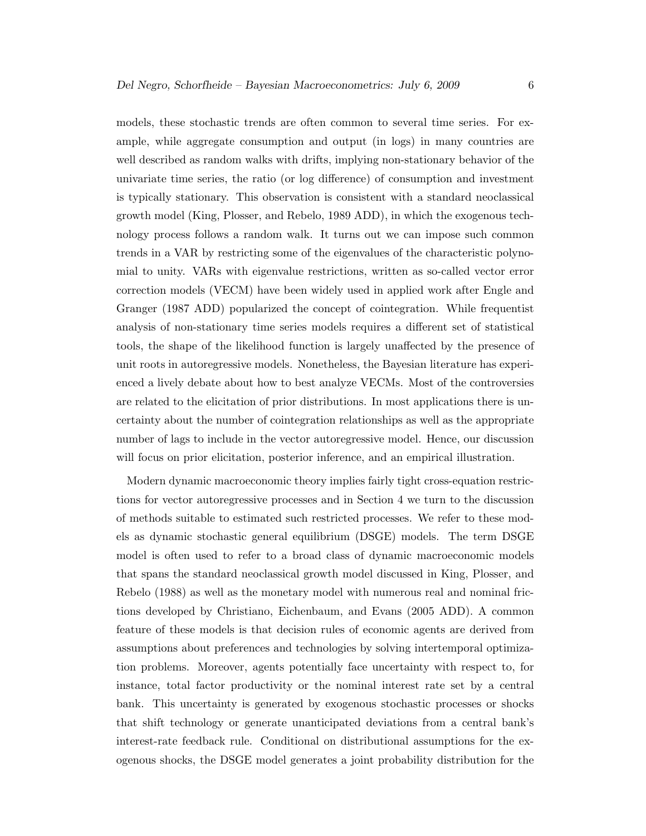models, these stochastic trends are often common to several time series. For example, while aggregate consumption and output (in logs) in many countries are well described as random walks with drifts, implying non-stationary behavior of the univariate time series, the ratio (or log difference) of consumption and investment is typically stationary. This observation is consistent with a standard neoclassical growth model (King, Plosser, and Rebelo, 1989 ADD), in which the exogenous technology process follows a random walk. It turns out we can impose such common trends in a VAR by restricting some of the eigenvalues of the characteristic polynomial to unity. VARs with eigenvalue restrictions, written as so-called vector error correction models (VECM) have been widely used in applied work after Engle and Granger (1987 ADD) popularized the concept of cointegration. While frequentist analysis of non-stationary time series models requires a different set of statistical tools, the shape of the likelihood function is largely unaffected by the presence of unit roots in autoregressive models. Nonetheless, the Bayesian literature has experienced a lively debate about how to best analyze VECMs. Most of the controversies are related to the elicitation of prior distributions. In most applications there is uncertainty about the number of cointegration relationships as well as the appropriate number of lags to include in the vector autoregressive model. Hence, our discussion will focus on prior elicitation, posterior inference, and an empirical illustration.

Modern dynamic macroeconomic theory implies fairly tight cross-equation restrictions for vector autoregressive processes and in Section 4 we turn to the discussion of methods suitable to estimated such restricted processes. We refer to these models as dynamic stochastic general equilibrium (DSGE) models. The term DSGE model is often used to refer to a broad class of dynamic macroeconomic models that spans the standard neoclassical growth model discussed in King, Plosser, and Rebelo (1988) as well as the monetary model with numerous real and nominal frictions developed by Christiano, Eichenbaum, and Evans (2005 ADD). A common feature of these models is that decision rules of economic agents are derived from assumptions about preferences and technologies by solving intertemporal optimization problems. Moreover, agents potentially face uncertainty with respect to, for instance, total factor productivity or the nominal interest rate set by a central bank. This uncertainty is generated by exogenous stochastic processes or shocks that shift technology or generate unanticipated deviations from a central bank's interest-rate feedback rule. Conditional on distributional assumptions for the exogenous shocks, the DSGE model generates a joint probability distribution for the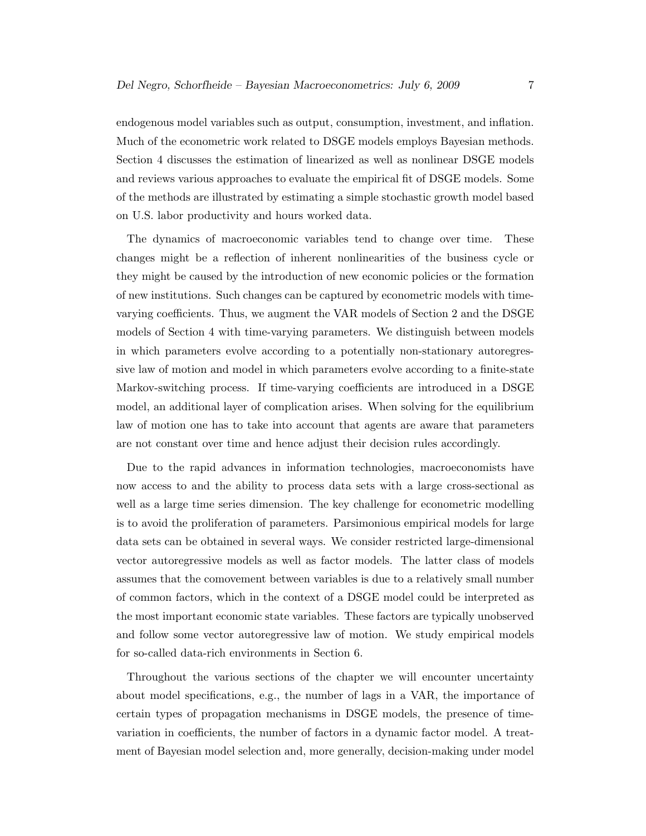endogenous model variables such as output, consumption, investment, and inflation. Much of the econometric work related to DSGE models employs Bayesian methods. Section 4 discusses the estimation of linearized as well as nonlinear DSGE models and reviews various approaches to evaluate the empirical fit of DSGE models. Some of the methods are illustrated by estimating a simple stochastic growth model based on U.S. labor productivity and hours worked data.

The dynamics of macroeconomic variables tend to change over time. These changes might be a reflection of inherent nonlinearities of the business cycle or they might be caused by the introduction of new economic policies or the formation of new institutions. Such changes can be captured by econometric models with timevarying coefficients. Thus, we augment the VAR models of Section 2 and the DSGE models of Section 4 with time-varying parameters. We distinguish between models in which parameters evolve according to a potentially non-stationary autoregressive law of motion and model in which parameters evolve according to a finite-state Markov-switching process. If time-varying coefficients are introduced in a DSGE model, an additional layer of complication arises. When solving for the equilibrium law of motion one has to take into account that agents are aware that parameters are not constant over time and hence adjust their decision rules accordingly.

Due to the rapid advances in information technologies, macroeconomists have now access to and the ability to process data sets with a large cross-sectional as well as a large time series dimension. The key challenge for econometric modelling is to avoid the proliferation of parameters. Parsimonious empirical models for large data sets can be obtained in several ways. We consider restricted large-dimensional vector autoregressive models as well as factor models. The latter class of models assumes that the comovement between variables is due to a relatively small number of common factors, which in the context of a DSGE model could be interpreted as the most important economic state variables. These factors are typically unobserved and follow some vector autoregressive law of motion. We study empirical models for so-called data-rich environments in Section 6.

Throughout the various sections of the chapter we will encounter uncertainty about model specifications, e.g., the number of lags in a VAR, the importance of certain types of propagation mechanisms in DSGE models, the presence of timevariation in coefficients, the number of factors in a dynamic factor model. A treatment of Bayesian model selection and, more generally, decision-making under model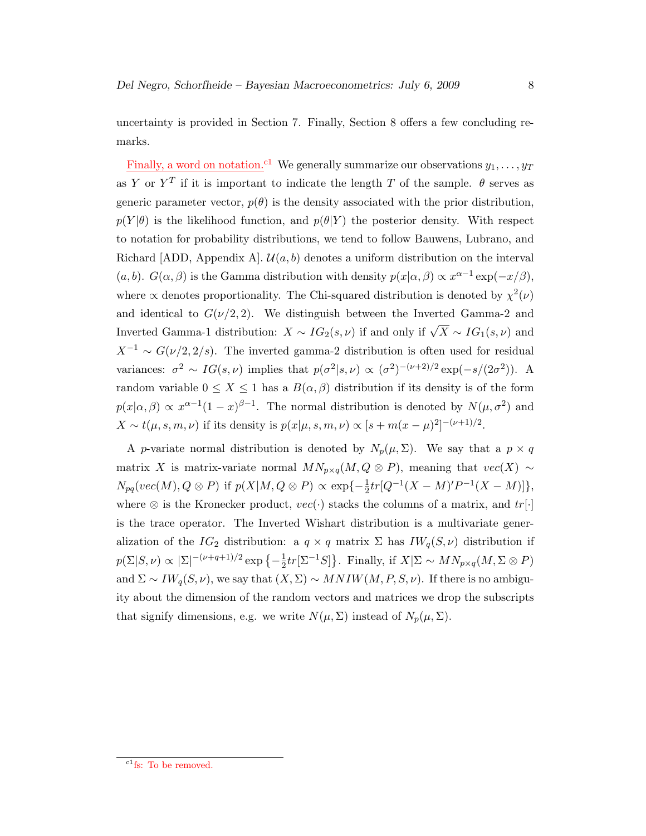uncertainty is provided in Section 7. Finally, Section 8 offers a few concluding remarks.

Finally, a word on notation.<sup>c1</sup> We generally summarize our observations  $y_1, \ldots, y_T$ as Y or  $Y^T$  if it is important to indicate the length T of the sample.  $\theta$  serves as generic parameter vector,  $p(\theta)$  is the density associated with the prior distribution,  $p(Y|\theta)$  is the likelihood function, and  $p(\theta|Y)$  the posterior density. With respect to notation for probability distributions, we tend to follow Bauwens, Lubrano, and Richard [ADD, Appendix A].  $\mathcal{U}(a, b)$  denotes a uniform distribution on the interval  $(a, b)$ .  $G(\alpha, \beta)$  is the Gamma distribution with density  $p(x|\alpha, \beta) \propto x^{\alpha-1} \exp(-x/\beta)$ , where  $\alpha$  denotes proportionality. The Chi-squared distribution is denoted by  $\chi^2(\nu)$ and identical to  $G(\nu/2, 2)$ . We distinguish between the Inverted Gamma-2 and Inverted Gamma-1 distribution:  $X \sim IG_2(s, \nu)$  if and only if  $\sqrt{X} \sim IG_1(s, \nu)$  and  $X^{-1} \sim G(\nu/2, 2/s)$ . The inverted gamma-2 distribution is often used for residual variances:  $\sigma^2 \sim IG(s, \nu)$  implies that  $p(\sigma^2|s, \nu) \propto (\sigma^2)^{-(\nu+2)/2} \exp(-s/(2\sigma^2))$ . A random variable  $0 \leq X \leq 1$  has a  $B(\alpha, \beta)$  distribution if its density is of the form  $p(x|\alpha, \beta) \propto x^{\alpha-1}(1-x)^{\beta-1}$ . The normal distribution is denoted by  $N(\mu, \sigma^2)$  and  $X \sim t(\mu, s, m, \nu)$  if its density is  $p(x|\mu, s, m, \nu) \propto [s + m(x - \mu)^2]^{-(\nu+1)/2}$ .

A p-variate normal distribution is denoted by  $N_p(\mu, \Sigma)$ . We say that a  $p \times q$ matrix X is matrix-variate normal  $MN_{p\times q}(M, Q \otimes P)$ , meaning that  $vec(X) \sim$  $N_{pq}(vec(M), Q \otimes P)$  if  $p(X|M, Q \otimes P) \propto \exp\{-\frac{1}{2}tr[Q^{-1}(X-M)'P^{-1}(X-M)]\},$ where  $\otimes$  is the Kronecker product,  $vec(\cdot)$  stacks the columns of a matrix, and  $tr[\cdot]$ is the trace operator. The Inverted Wishart distribution is a multivariate generalization of the IG<sub>2</sub> distribution: a  $q \times q$  matrix  $\Sigma$  has I $W_q(S, \nu)$  distribution if  $p(\Sigma|S,\nu) \propto |\Sigma|^{-(\nu+q+1)/2} \exp\{-\frac{1}{2}$  $\frac{1}{2}tr[\Sigma^{-1}S]$ . Finally, if  $X|\Sigma \sim MN_{p\times q}(M, \Sigma \otimes P)$ and  $\Sigma \sim I W_q(S, \nu)$ , we say that  $(X, \Sigma) \sim MNIW(M, P, S, \nu)$ . If there is no ambiguity about the dimension of the random vectors and matrices we drop the subscripts that signify dimensions, e.g. we write  $N(\mu, \Sigma)$  instead of  $N_p(\mu, \Sigma)$ .

<sup>&</sup>lt;sup>c1</sup>fs: To be removed.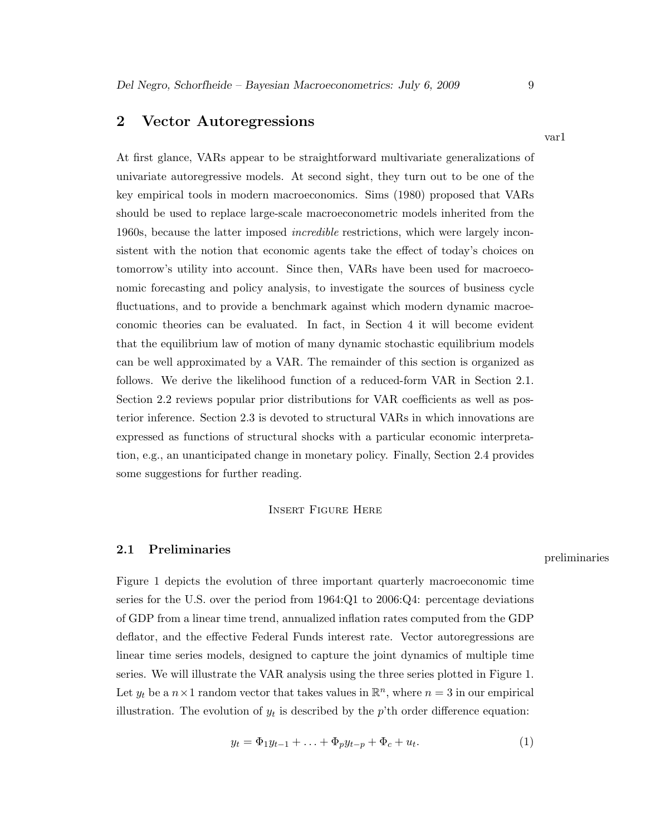# 2 Vector Autoregressions

At first glance, VARs appear to be straightforward multivariate generalizations of univariate autoregressive models. At second sight, they turn out to be one of the key empirical tools in modern macroeconomics. Sims (1980) proposed that VARs should be used to replace large-scale macroeconometric models inherited from the 1960s, because the latter imposed incredible restrictions, which were largely inconsistent with the notion that economic agents take the effect of today's choices on tomorrow's utility into account. Since then, VARs have been used for macroeconomic forecasting and policy analysis, to investigate the sources of business cycle fluctuations, and to provide a benchmark against which modern dynamic macroeconomic theories can be evaluated. In fact, in Section 4 it will become evident that the equilibrium law of motion of many dynamic stochastic equilibrium models can be well approximated by a VAR. The remainder of this section is organized as follows. We derive the likelihood function of a reduced-form VAR in Section 2.1. Section 2.2 reviews popular prior distributions for VAR coefficients as well as posterior inference. Section 2.3 is devoted to structural VARs in which innovations are expressed as functions of structural shocks with a particular economic interpretation, e.g., an unanticipated change in monetary policy. Finally, Section 2.4 provides some suggestions for further reading.

### Insert Figure Here

# $2.1$  Preliminaries preliminaries preliminaries

Figure 1 depicts the evolution of three important quarterly macroeconomic time series for the U.S. over the period from  $1964:Q1$  to  $2006:Q4$ : percentage deviations of GDP from a linear time trend, annualized inflation rates computed from the GDP deflator, and the effective Federal Funds interest rate. Vector autoregressions are linear time series models, designed to capture the joint dynamics of multiple time series. We will illustrate the VAR analysis using the three series plotted in Figure 1. Let  $y_t$  be a  $n \times 1$  random vector that takes values in  $\mathbb{R}^n$ , where  $n = 3$  in our empirical illustration. The evolution of  $y_t$  is described by the p'th order difference equation:

$$
y_t = \Phi_1 y_{t-1} + \ldots + \Phi_p y_{t-p} + \Phi_c + u_t.
$$
 (1)

var1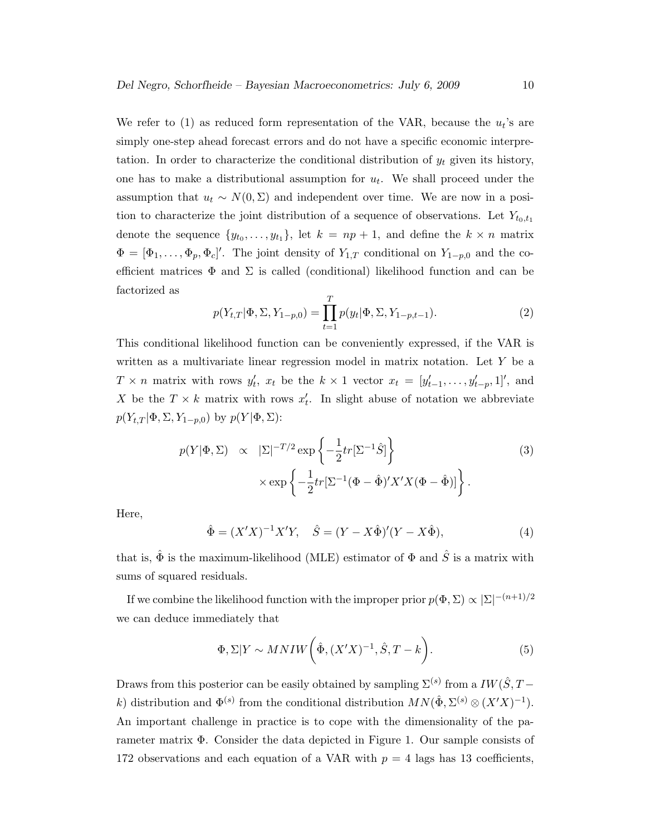We refer to (1) as reduced form representation of the VAR, because the  $u_t$ 's are simply one-step ahead forecast errors and do not have a specific economic interpretation. In order to characterize the conditional distribution of  $y_t$  given its history, one has to make a distributional assumption for  $u_t$ . We shall proceed under the assumption that  $u_t \sim N(0, \Sigma)$  and independent over time. We are now in a position to characterize the joint distribution of a sequence of observations. Let  $Y_{t_0,t_1}$ denote the sequence  $\{y_{t_0}, \ldots, y_{t_1}\}$ , let  $k = np + 1$ , and define the  $k \times n$  matrix  $\Phi = [\Phi_1, \ldots, \Phi_p, \Phi_c]'$ . The joint density of  $Y_{1,T}$  conditional on  $Y_{1-p,0}$  and the coefficient matrices  $\Phi$  and  $\Sigma$  is called (conditional) likelihood function and can be factorized as

$$
p(Y_{t,T}|\Phi,\Sigma,Y_{1-p,0}) = \prod_{t=1}^{T} p(y_t|\Phi,\Sigma,Y_{1-p,t-1}).
$$
\n(2)

This conditional likelihood function can be conveniently expressed, if the VAR is written as a multivariate linear regression model in matrix notation. Let Y be a  $T \times n$  matrix with rows  $y'_t$ ,  $x_t$  be the  $k \times 1$  vector  $x_t = [y'_{t-1}, \ldots, y'_{t-p}, 1]'$ , and X be the  $T \times k$  matrix with rows  $x'_t$ . In slight abuse of notation we abbreviate  $p(Y_{t,T}|\Phi,\Sigma,Y_{1-p,0})$  by  $p(Y|\Phi,\Sigma)$ :

$$
p(Y|\Phi, \Sigma) \propto |\Sigma|^{-T/2} \exp\left\{-\frac{1}{2}tr[\Sigma^{-1}\hat{S}] \right\}
$$
  
 
$$
\times \exp\left\{-\frac{1}{2}tr[\Sigma^{-1}(\Phi - \hat{\Phi})'X'X(\Phi - \hat{\Phi})] \right\}.
$$
 (3)

Here,

$$
\hat{\Phi} = (X'X)^{-1}X'Y, \quad \hat{S} = (Y - X\hat{\Phi})'(Y - X\hat{\Phi}),
$$
\n(4)

that is,  $\hat{\Phi}$  is the maximum-likelihood (MLE) estimator of  $\Phi$  and  $\hat{S}$  is a matrix with sums of squared residuals.

If we combine the likelihood function with the improper prior  $p(\Phi, \Sigma) \propto |\Sigma|^{-(n+1)/2}$ we can deduce immediately that

$$
\Phi, \Sigma | Y \sim MNIW \bigg( \hat{\Phi}, (X'X)^{-1}, \hat{S}, T - k \bigg). \tag{5}
$$

Draws from this posterior can be easily obtained by sampling  $\Sigma^{(s)}$  from a  $IW(\hat{S}, T-\hat{S})$ k) distribution and  $\Phi^{(s)}$  from the conditional distribution  $MN(\hat{\Phi}, \Sigma^{(s)} \otimes (X'X)^{-1})$ . An important challenge in practice is to cope with the dimensionality of the parameter matrix Φ. Consider the data depicted in Figure 1. Our sample consists of 172 observations and each equation of a VAR with  $p = 4$  lags has 13 coefficients,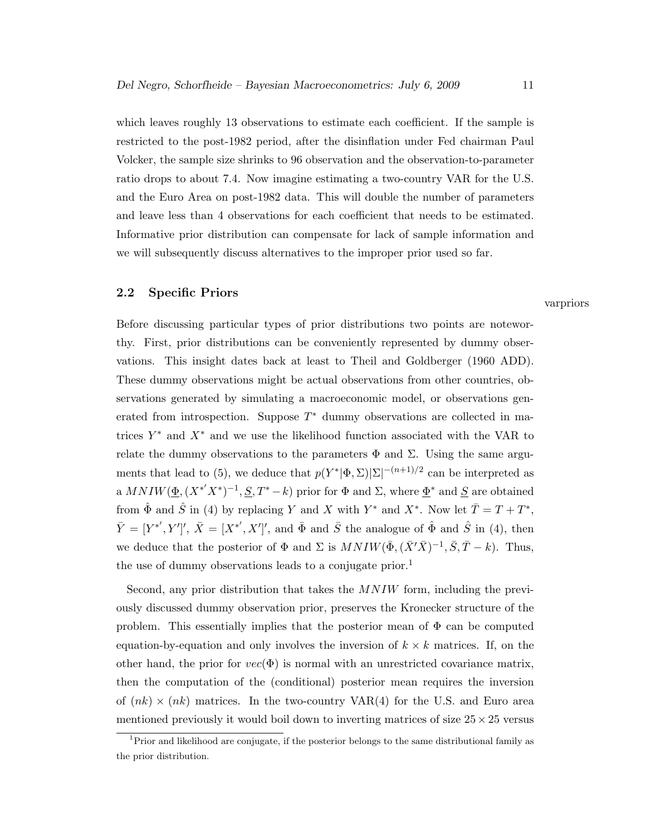which leaves roughly 13 observations to estimate each coefficient. If the sample is restricted to the post-1982 period, after the disinflation under Fed chairman Paul Volcker, the sample size shrinks to 96 observation and the observation-to-parameter ratio drops to about 7.4. Now imagine estimating a two-country VAR for the U.S. and the Euro Area on post-1982 data. This will double the number of parameters and leave less than 4 observations for each coefficient that needs to be estimated. Informative prior distribution can compensate for lack of sample information and we will subsequently discuss alternatives to the improper prior used so far.

# 2.2 Specific Priors

varpriors

Before discussing particular types of prior distributions two points are noteworthy. First, prior distributions can be conveniently represented by dummy observations. This insight dates back at least to Theil and Goldberger (1960 ADD). These dummy observations might be actual observations from other countries, observations generated by simulating a macroeconomic model, or observations generated from introspection. Suppose  $T^*$  dummy observations are collected in matrices  $Y^*$  and  $X^*$  and we use the likelihood function associated with the VAR to relate the dummy observations to the parameters  $\Phi$  and  $\Sigma$ . Using the same arguments that lead to (5), we deduce that  $p(Y^*|\Phi,\Sigma)|\Sigma|^{-(n+1)/2}$  can be interpreted as a  $MNIW(\underline{\Phi}, (X^{*'}X^{*})^{-1}, \underline{S}, T^{*}-k)$  prior for  $\Phi$  and  $\Sigma$ , where  $\underline{\Phi}^{*}$  and  $\underline{S}$  are obtained from  $\hat{\Phi}$  and  $\hat{S}$  in (4) by replacing Y and X with Y<sup>\*</sup> and X<sup>\*</sup>. Now let  $\overline{T} = T + T^*$ ,  $\bar{Y} = [Y^{*'}, Y']', \bar{X} = [X^{*'}, X']',$  and  $\bar{\Phi}$  and  $\bar{S}$  the analogue of  $\hat{\Phi}$  and  $\hat{S}$  in (4), then we deduce that the posterior of  $\Phi$  and  $\Sigma$  is  $MNIW(\bar{\Phi}, (\bar{X}'\bar{X})^{-1}, \bar{S}, \bar{T}-k)$ . Thus, the use of dummy observations leads to a conjugate prior.<sup>1</sup>

Second, any prior distribution that takes the  $MNIW$  form, including the previously discussed dummy observation prior, preserves the Kronecker structure of the problem. This essentially implies that the posterior mean of  $\Phi$  can be computed equation-by-equation and only involves the inversion of  $k \times k$  matrices. If, on the other hand, the prior for  $vec(\Phi)$  is normal with an unrestricted covariance matrix, then the computation of the (conditional) posterior mean requires the inversion of  $(nk) \times (nk)$  matrices. In the two-country VAR(4) for the U.S. and Euro area mentioned previously it would boil down to inverting matrices of size  $25 \times 25$  versus

<sup>1</sup>Prior and likelihood are conjugate, if the posterior belongs to the same distributional family as the prior distribution.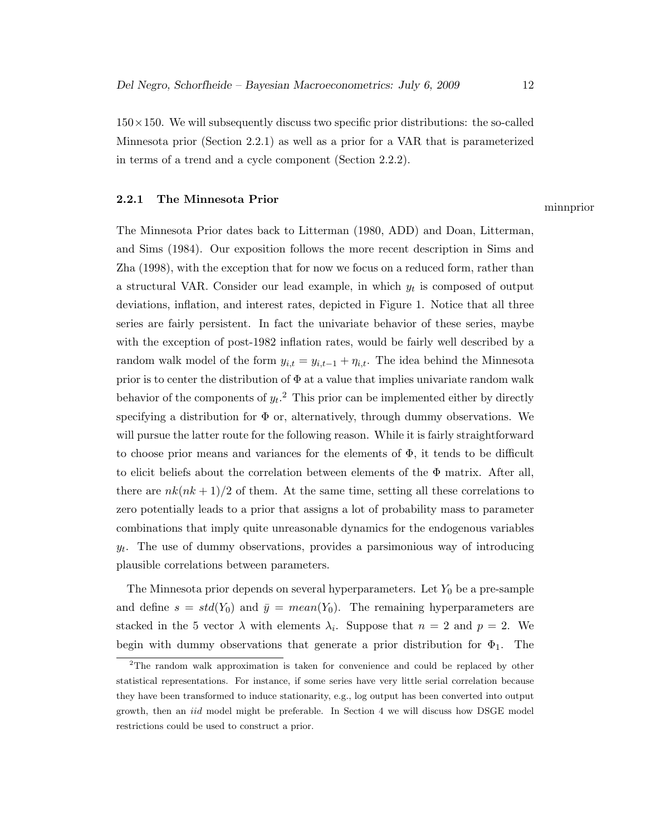$150\times150$ . We will subsequently discuss two specific prior distributions: the so-called Minnesota prior (Section 2.2.1) as well as a prior for a VAR that is parameterized in terms of a trend and a cycle component (Section 2.2.2).

# 2.2.1 The Minnesota Prior minnprior

The Minnesota Prior dates back to Litterman (1980, ADD) and Doan, Litterman, and Sims (1984). Our exposition follows the more recent description in Sims and Zha (1998), with the exception that for now we focus on a reduced form, rather than a structural VAR. Consider our lead example, in which  $y_t$  is composed of output deviations, inflation, and interest rates, depicted in Figure 1. Notice that all three series are fairly persistent. In fact the univariate behavior of these series, maybe with the exception of post-1982 inflation rates, would be fairly well described by a random walk model of the form  $y_{i,t} = y_{i,t-1} + \eta_{i,t}$ . The idea behind the Minnesota prior is to center the distribution of  $\Phi$  at a value that implies univariate random walk behavior of the components of  $y_t$ .<sup>2</sup> This prior can be implemented either by directly specifying a distribution for  $\Phi$  or, alternatively, through dummy observations. We will pursue the latter route for the following reason. While it is fairly straightforward to choose prior means and variances for the elements of  $\Phi$ , it tends to be difficult to elicit beliefs about the correlation between elements of the  $\Phi$  matrix. After all, there are  $nk(nk+1)/2$  of them. At the same time, setting all these correlations to zero potentially leads to a prior that assigns a lot of probability mass to parameter combinations that imply quite unreasonable dynamics for the endogenous variables  $y_t$ . The use of dummy observations, provides a parsimonious way of introducing plausible correlations between parameters.

The Minnesota prior depends on several hyperparameters. Let  $Y_0$  be a pre-sample and define  $s = std(Y_0)$  and  $\bar{y} = mean(Y_0)$ . The remaining hyperparameters are stacked in the 5 vector  $\lambda$  with elements  $\lambda_i$ . Suppose that  $n = 2$  and  $p = 2$ . We begin with dummy observations that generate a prior distribution for  $\Phi_1$ . The

<sup>&</sup>lt;sup>2</sup>The random walk approximation is taken for convenience and could be replaced by other statistical representations. For instance, if some series have very little serial correlation because they have been transformed to induce stationarity, e.g., log output has been converted into output growth, then an iid model might be preferable. In Section 4 we will discuss how DSGE model restrictions could be used to construct a prior.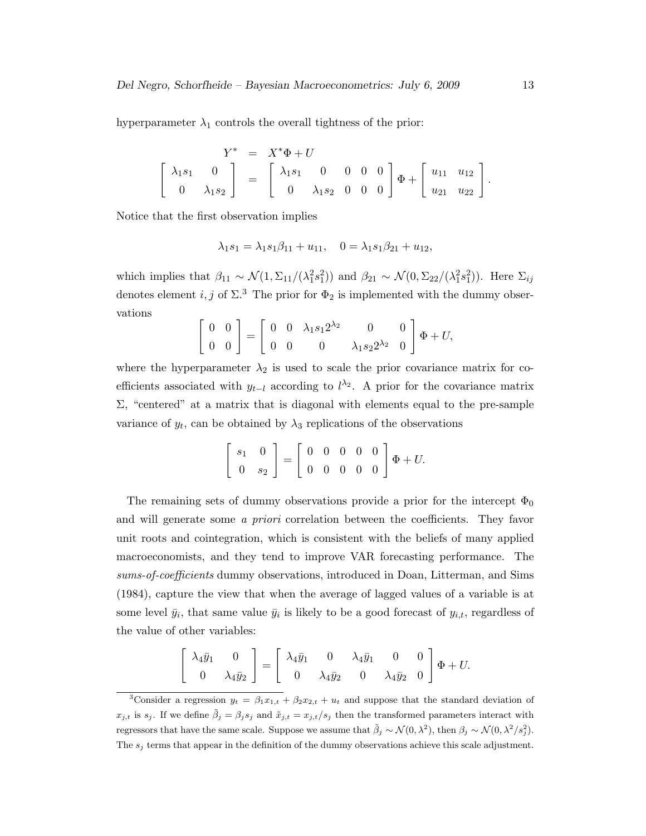hyperparameter  $\lambda_1$  controls the overall tightness of the prior:

$$
Y^* = X^* \Phi + U
$$
  

$$
\begin{bmatrix} \lambda_1 s_1 & 0 \\ 0 & \lambda_1 s_2 \end{bmatrix} = \begin{bmatrix} \lambda_1 s_1 & 0 & 0 & 0 & 0 \\ 0 & \lambda_1 s_2 & 0 & 0 & 0 \end{bmatrix} \Phi + \begin{bmatrix} u_{11} & u_{12} \\ u_{21} & u_{22} \end{bmatrix}.
$$

Notice that the first observation implies

$$
\lambda_1 s_1 = \lambda_1 s_1 \beta_{11} + u_{11}, \quad 0 = \lambda_1 s_1 \beta_{21} + u_{12},
$$

which implies that  $\beta_{11} \sim \mathcal{N}(1, \Sigma_{11}/(\lambda_1^2 s_1^2))$  and  $\beta_{21} \sim \mathcal{N}(0, \Sigma_{22}/(\lambda_1^2 s_1^2))$ . Here  $\Sigma_{ij}$ denotes element i, j of  $\Sigma$ .<sup>3</sup> The prior for  $\Phi_2$  is implemented with the dummy observations

$$
\begin{bmatrix} 0 & 0 \\ 0 & 0 \end{bmatrix} = \begin{bmatrix} 0 & 0 & \lambda_1 s_1 2^{\lambda_2} & 0 & 0 \\ 0 & 0 & 0 & \lambda_1 s_2 2^{\lambda_2} & 0 \end{bmatrix} \Phi + U,
$$

where the hyperparameter  $\lambda_2$  is used to scale the prior covariance matrix for coefficients associated with  $y_{t-l}$  according to  $l^{\lambda_2}$ . A prior for the covariance matrix  $\Sigma$ , "centered" at a matrix that is diagonal with elements equal to the pre-sample variance of  $y_t$ , can be obtained by  $\lambda_3$  replications of the observations

$$
\left[\begin{array}{cc} s_1 & 0 \\ 0 & s_2 \end{array}\right] = \left[\begin{array}{cccc} 0 & 0 & 0 & 0 \\ 0 & 0 & 0 & 0 \end{array}\right] \Phi + U.
$$

The remaining sets of dummy observations provide a prior for the intercept  $\Phi_0$ and will generate some a priori correlation between the coefficients. They favor unit roots and cointegration, which is consistent with the beliefs of many applied macroeconomists, and they tend to improve VAR forecasting performance. The sums-of-coefficients dummy observations, introduced in Doan, Litterman, and Sims (1984), capture the view that when the average of lagged values of a variable is at some level  $\bar{y}_i$ , that same value  $\bar{y}_i$  is likely to be a good forecast of  $y_{i,t}$ , regardless of the value of other variables:

$$
\begin{bmatrix} \lambda_4 \bar{y}_1 & 0 \\ 0 & \lambda_4 \bar{y}_2 \end{bmatrix} = \begin{bmatrix} \lambda_4 \bar{y}_1 & 0 & \lambda_4 \bar{y}_1 & 0 & 0 \\ 0 & \lambda_4 \bar{y}_2 & 0 & \lambda_4 \bar{y}_2 & 0 \end{bmatrix} \Phi + U.
$$

<sup>&</sup>lt;sup>3</sup>Consider a regression  $y_t = \beta_1 x_{1,t} + \beta_2 x_{2,t} + u_t$  and suppose that the standard deviation of  $x_{j,t}$  is  $s_j$ . If we define  $\tilde{\beta}_j = \beta_j s_j$  and  $\tilde{x}_{j,t} = x_{j,t}/s_j$  then the transformed parameters interact with regressors that have the same scale. Suppose we assume that  $\tilde{\beta}_j \sim \mathcal{N}(0, \lambda^2)$ , then  $\beta_j \sim \mathcal{N}(0, \lambda^2/s_j^2)$ . The  $s_j$  terms that appear in the definition of the dummy observations achieve this scale adjustment.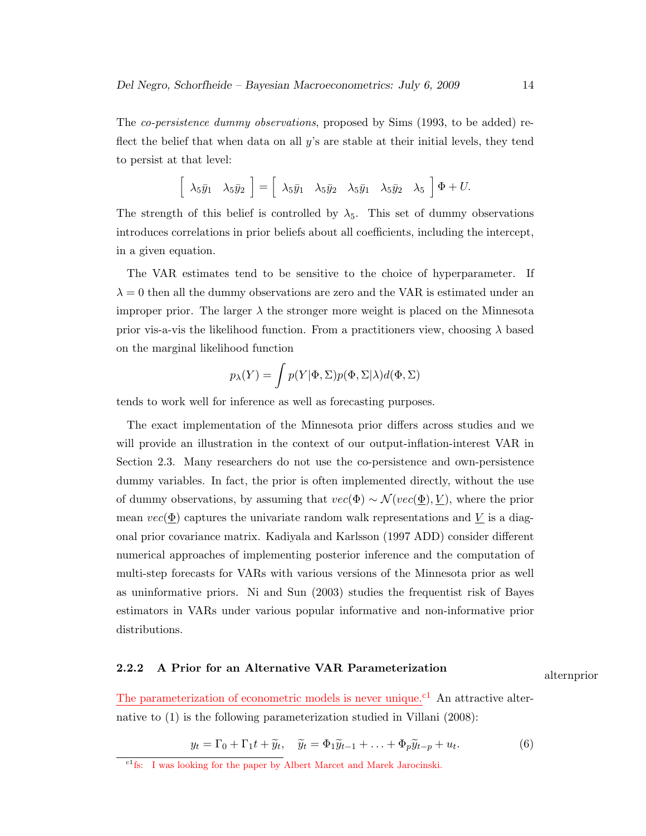The co-persistence dummy observations, proposed by Sims (1993, to be added) reflect the belief that when data on all  $y$ 's are stable at their initial levels, they tend to persist at that level:

$$
\left[\begin{array}{cc} \lambda_5\bar{y}_1 & \lambda_5\bar{y}_2 \end{array}\right] = \left[\begin{array}{cc} \lambda_5\bar{y}_1 & \lambda_5\bar{y}_2 & \lambda_5\bar{y}_1 & \lambda_5\bar{y}_2 & \lambda_5 \end{array}\right]\Phi + U.
$$

The strength of this belief is controlled by  $\lambda_5$ . This set of dummy observations introduces correlations in prior beliefs about all coefficients, including the intercept, in a given equation.

The VAR estimates tend to be sensitive to the choice of hyperparameter. If  $\lambda = 0$  then all the dummy observations are zero and the VAR is estimated under an improper prior. The larger  $\lambda$  the stronger more weight is placed on the Minnesota prior vis-a-vis the likelihood function. From a practitioners view, choosing  $\lambda$  based on the marginal likelihood function

$$
p_{\lambda}(Y) = \int p(Y|\Phi, \Sigma)p(\Phi, \Sigma|\lambda)d(\Phi, \Sigma)
$$

tends to work well for inference as well as forecasting purposes.

The exact implementation of the Minnesota prior differs across studies and we will provide an illustration in the context of our output-inflation-interest VAR in Section 2.3. Many researchers do not use the co-persistence and own-persistence dummy variables. In fact, the prior is often implemented directly, without the use of dummy observations, by assuming that  $vec(\Phi) \sim \mathcal{N}(vec(\underline{\Phi}), \underline{V})$ , where the prior mean  $vec(\Phi)$  captures the univariate random walk representations and V is a diagonal prior covariance matrix. Kadiyala and Karlsson (1997 ADD) consider different numerical approaches of implementing posterior inference and the computation of multi-step forecasts for VARs with various versions of the Minnesota prior as well as uninformative priors. Ni and Sun (2003) studies the frequentist risk of Bayes estimators in VARs under various popular informative and non-informative prior distributions.

# 2.2.2 A Prior for an Alternative VAR Parameterization alternation

The parameterization of econometric models is never unique.<sup>c1</sup> An attractive alternative to (1) is the following parameterization studied in Villani (2008):

$$
y_t = \Gamma_0 + \Gamma_1 t + \widetilde{y}_t, \quad \widetilde{y}_t = \Phi_1 \widetilde{y}_{t-1} + \ldots + \Phi_p \widetilde{y}_{t-p} + u_t.
$$
 (6)

<sup>&</sup>lt;sup>c1</sup>fs: I was looking for the paper by Albert Marcet and Marek Jarocinski.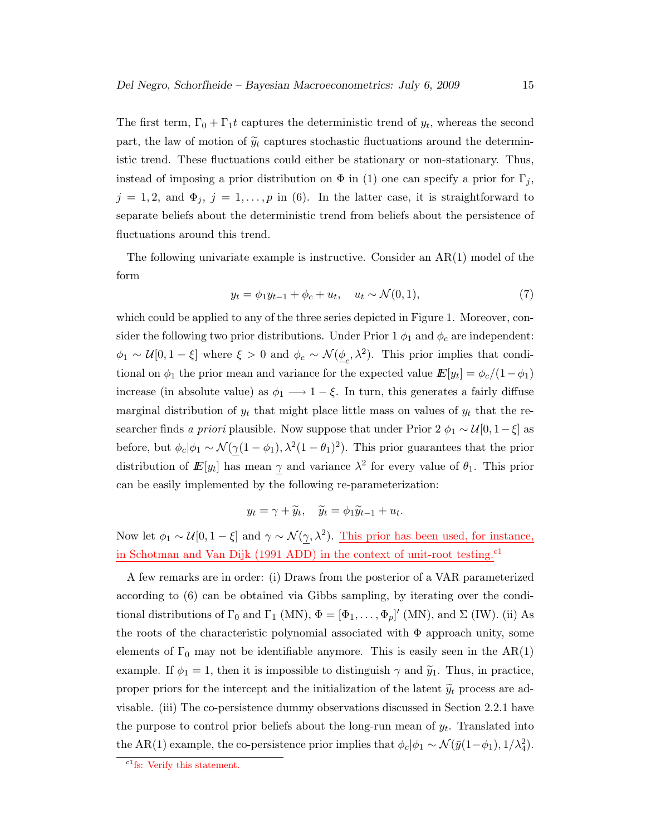The first term,  $\Gamma_0 + \Gamma_1 t$  captures the deterministic trend of  $y_t$ , whereas the second part, the law of motion of  $\widetilde{y}_t$  captures stochastic fluctuations around the deterministic trend. These fluctuations could either be stationary or non-stationary. Thus, instead of imposing a prior distribution on  $\Phi$  in (1) one can specify a prior for  $\Gamma_j$ ,  $j = 1, 2$ , and  $\Phi_j$ ,  $j = 1, \ldots, p$  in (6). In the latter case, it is straightforward to separate beliefs about the deterministic trend from beliefs about the persistence of fluctuations around this trend.

The following univariate example is instructive. Consider an  $AR(1)$  model of the form

$$
y_t = \phi_1 y_{t-1} + \phi_c + u_t, \quad u_t \sim \mathcal{N}(0, 1), \tag{7}
$$

which could be applied to any of the three series depicted in Figure 1. Moreover, consider the following two prior distributions. Under Prior 1  $\phi_1$  and  $\phi_c$  are independent:  $\phi_1 \sim \mathcal{U}[0, 1-\xi]$  where  $\xi > 0$  and  $\phi_c \sim \mathcal{N}(\underline{\phi}_c, \lambda^2)$ . This prior implies that conditional on  $\phi_1$  the prior mean and variance for the expected value  $E[y_t] = \phi_c/(1-\phi_1)$ increase (in absolute value) as  $\phi_1 \longrightarrow 1-\xi$ . In turn, this generates a fairly diffuse marginal distribution of  $y_t$  that might place little mass on values of  $y_t$  that the researcher finds a priori plausible. Now suppose that under Prior 2  $\phi_1 \sim \mathcal{U}[0, 1-\xi]$  as before, but  $\phi_c|\phi_1 \sim \mathcal{N}(\gamma(1-\phi_1), \lambda^2(1-\theta_1)^2)$ . This prior guarantees that the prior distribution of  $E[y_t]$  has mean  $\gamma$  and variance  $\lambda^2$  for every value of  $\theta_1$ . This prior can be easily implemented by the following re-parameterization:

$$
y_t = \gamma + \widetilde{y}_t, \quad \widetilde{y}_t = \phi_1 \widetilde{y}_{t-1} + u_t.
$$

Now let  $\phi_1 \sim \mathcal{U}[0, 1-\xi]$  and  $\gamma \sim \mathcal{N}(\gamma, \lambda^2)$ . This prior has been used, for instance, in Schotman and Van Dijk (1991 ADD) in the context of unit-root testing.<sup>c1</sup>

A few remarks are in order: (i) Draws from the posterior of a VAR parameterized according to (6) can be obtained via Gibbs sampling, by iterating over the conditional distributions of  $\Gamma_0$  and  $\Gamma_1$  (MN),  $\Phi = [\Phi_1, \ldots, \Phi_p]'$  (MN), and  $\Sigma$  (IW). (ii) As the roots of the characteristic polynomial associated with Φ approach unity, some elements of  $\Gamma_0$  may not be identifiable anymore. This is easily seen in the  $AR(1)$ example. If  $\phi_1 = 1$ , then it is impossible to distinguish  $\gamma$  and  $\tilde{y}_1$ . Thus, in practice, proper priors for the intercept and the initialization of the latent  $\widetilde{y}_t$  process are advisable. (iii) The co-persistence dummy observations discussed in Section 2.2.1 have the purpose to control prior beliefs about the long-run mean of  $y_t$ . Translated into the AR(1) example, the co-persistence prior implies that  $\phi_c|\phi_1 \sim \mathcal{N}(\bar{y}(1-\phi_1), 1/\lambda_4^2)$ .

<sup>&</sup>lt;sup>c1</sup>fs: Verify this statement.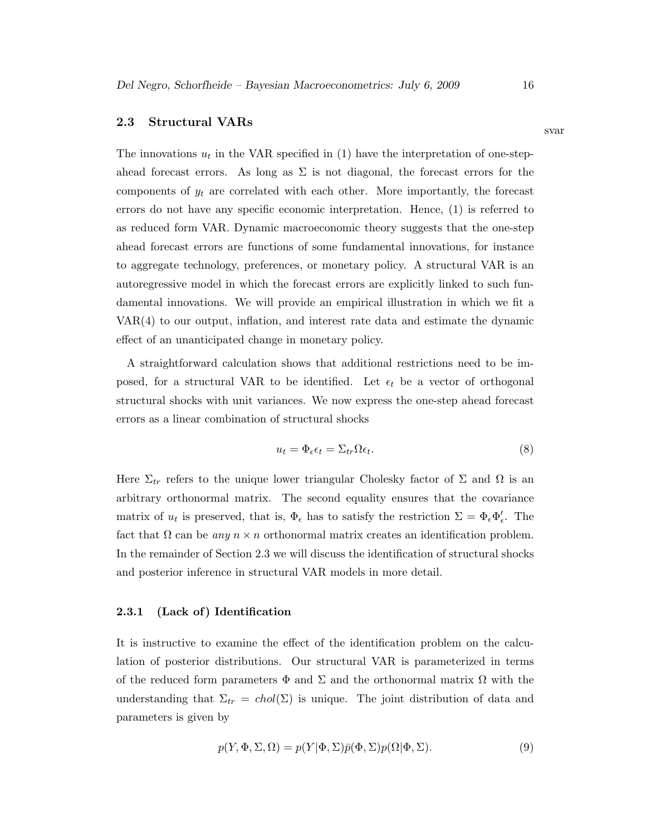### 2.3 Structural VARs

The innovations  $u_t$  in the VAR specified in (1) have the interpretation of one-stepahead forecast errors. As long as  $\Sigma$  is not diagonal, the forecast errors for the components of  $y_t$  are correlated with each other. More importantly, the forecast errors do not have any specific economic interpretation. Hence, (1) is referred to as reduced form VAR. Dynamic macroeconomic theory suggests that the one-step ahead forecast errors are functions of some fundamental innovations, for instance to aggregate technology, preferences, or monetary policy. A structural VAR is an autoregressive model in which the forecast errors are explicitly linked to such fundamental innovations. We will provide an empirical illustration in which we fit a VAR(4) to our output, inflation, and interest rate data and estimate the dynamic effect of an unanticipated change in monetary policy.

A straightforward calculation shows that additional restrictions need to be imposed, for a structural VAR to be identified. Let  $\epsilon_t$  be a vector of orthogonal structural shocks with unit variances. We now express the one-step ahead forecast errors as a linear combination of structural shocks

$$
u_t = \Phi_{\epsilon} \epsilon_t = \Sigma_{tr} \Omega \epsilon_t. \tag{8}
$$

Here  $\Sigma_{tr}$  refers to the unique lower triangular Cholesky factor of  $\Sigma$  and  $\Omega$  is an arbitrary orthonormal matrix. The second equality ensures that the covariance matrix of  $u_t$  is preserved, that is,  $\Phi_{\epsilon}$  has to satisfy the restriction  $\Sigma = \Phi_{\epsilon} \Phi'_{\epsilon}$ . The fact that  $\Omega$  can be any  $n \times n$  orthonormal matrix creates an identification problem. In the remainder of Section 2.3 we will discuss the identification of structural shocks and posterior inference in structural VAR models in more detail.

### 2.3.1 (Lack of) Identification

It is instructive to examine the effect of the identification problem on the calculation of posterior distributions. Our structural VAR is parameterized in terms of the reduced form parameters  $\Phi$  and  $\Sigma$  and the orthonormal matrix  $\Omega$  with the understanding that  $\Sigma_{tr} = chol(\Sigma)$  is unique. The joint distribution of data and parameters is given by

$$
p(Y, \Phi, \Sigma, \Omega) = p(Y|\Phi, \Sigma)\bar{p}(\Phi, \Sigma)p(\Omega|\Phi, \Sigma). \tag{9}
$$

svar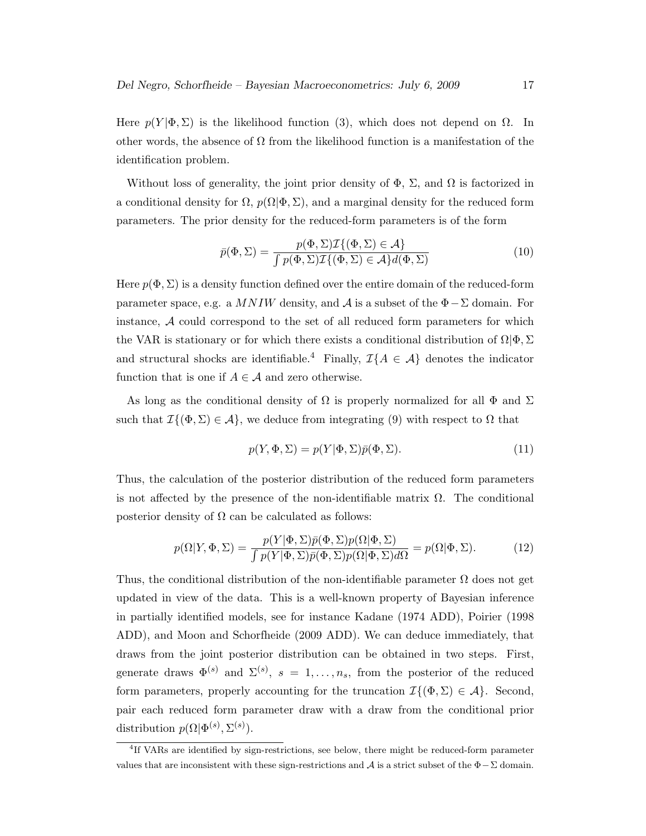Here  $p(Y|\Phi, \Sigma)$  is the likelihood function (3), which does not depend on  $\Omega$ . In other words, the absence of  $\Omega$  from the likelihood function is a manifestation of the identification problem.

Without loss of generality, the joint prior density of  $\Phi$ ,  $\Sigma$ , and  $\Omega$  is factorized in a conditional density for  $\Omega$ ,  $p(\Omega|\Phi,\Sigma)$ , and a marginal density for the reduced form parameters. The prior density for the reduced-form parameters is of the form

$$
\bar{p}(\Phi, \Sigma) = \frac{p(\Phi, \Sigma) \mathcal{I}\{(\Phi, \Sigma) \in \mathcal{A}\}}{\int p(\Phi, \Sigma) \mathcal{I}\{(\Phi, \Sigma) \in \mathcal{A}\} d(\Phi, \Sigma)}
$$
(10)

Here  $p(\Phi, \Sigma)$  is a density function defined over the entire domain of the reduced-form parameter space, e.g. a MNIW density, and A is a subset of the  $\Phi - \Sigma$  domain. For instance, A could correspond to the set of all reduced form parameters for which the VAR is stationary or for which there exists a conditional distribution of  $\Omega|\Phi,\Sigma$ and structural shocks are identifiable.<sup>4</sup> Finally,  $\mathcal{I}{A \in \mathcal{A}}$  denotes the indicator function that is one if  $A \in \mathcal{A}$  and zero otherwise.

As long as the conditional density of  $\Omega$  is properly normalized for all  $\Phi$  and  $\Sigma$ such that  $\mathcal{I}\{(\Phi,\Sigma) \in \mathcal{A}\}\,$ , we deduce from integrating (9) with respect to  $\Omega$  that

$$
p(Y, \Phi, \Sigma) = p(Y|\Phi, \Sigma)\bar{p}(\Phi, \Sigma).
$$
\n(11)

Thus, the calculation of the posterior distribution of the reduced form parameters is not affected by the presence of the non-identifiable matrix  $\Omega$ . The conditional posterior density of  $\Omega$  can be calculated as follows:

$$
p(\Omega|Y, \Phi, \Sigma) = \frac{p(Y|\Phi, \Sigma)p(\Phi, \Sigma)p(\Omega|\Phi, \Sigma)}{\int p(Y|\Phi, \Sigma)p(\Phi, \Sigma)p(\Omega|\Phi, \Sigma)d\Omega} = p(\Omega|\Phi, \Sigma).
$$
 (12)

Thus, the conditional distribution of the non-identifiable parameter  $\Omega$  does not get updated in view of the data. This is a well-known property of Bayesian inference in partially identified models, see for instance Kadane (1974 ADD), Poirier (1998 ADD), and Moon and Schorfheide (2009 ADD). We can deduce immediately, that draws from the joint posterior distribution can be obtained in two steps. First, generate draws  $\Phi^{(s)}$  and  $\Sigma^{(s)}$ ,  $s = 1, \ldots, n_s$ , from the posterior of the reduced form parameters, properly accounting for the truncation  $\mathcal{I}\{(\Phi,\Sigma) \in \mathcal{A}\}\.$  Second, pair each reduced form parameter draw with a draw from the conditional prior distribution  $p(\Omega|\Phi^{(s)}, \Sigma^{(s)})$ .

<sup>&</sup>lt;sup>4</sup>If VARs are identified by sign-restrictions, see below, there might be reduced-form parameter values that are inconsistent with these sign-restrictions and A is a strict subset of the  $\Phi - \Sigma$  domain.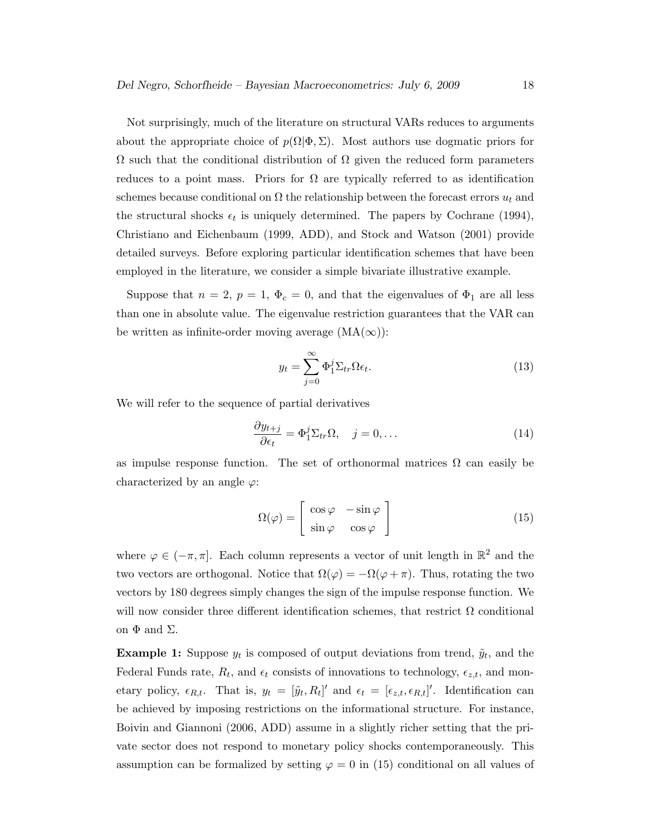Not surprisingly, much of the literature on structural VARs reduces to arguments about the appropriate choice of  $p(\Omega|\Phi,\Sigma)$ . Most authors use dogmatic priors for  $\Omega$  such that the conditional distribution of  $\Omega$  given the reduced form parameters reduces to a point mass. Priors for  $\Omega$  are typically referred to as identification schemes because conditional on  $\Omega$  the relationship between the forecast errors  $u_t$  and the structural shocks  $\epsilon_t$  is uniquely determined. The papers by Cochrane (1994), Christiano and Eichenbaum (1999, ADD), and Stock and Watson (2001) provide detailed surveys. Before exploring particular identification schemes that have been employed in the literature, we consider a simple bivariate illustrative example.

Suppose that  $n = 2$ ,  $p = 1$ ,  $\Phi_c = 0$ , and that the eigenvalues of  $\Phi_1$  are all less than one in absolute value. The eigenvalue restriction guarantees that the VAR can be written as infinite-order moving average  $(MA(\infty))$ :

$$
y_t = \sum_{j=0}^{\infty} \Phi_1^j \Sigma_{tr} \Omega \epsilon_t.
$$
 (13)

We will refer to the sequence of partial derivatives

$$
\frac{\partial y_{t+j}}{\partial \epsilon_t} = \Phi_1^j \Sigma_{tr} \Omega, \quad j = 0, \dots
$$
 (14)

as impulse response function. The set of orthonormal matrices  $\Omega$  can easily be characterized by an angle  $\varphi$ :

$$
\Omega(\varphi) = \begin{bmatrix} \cos \varphi & -\sin \varphi \\ \sin \varphi & \cos \varphi \end{bmatrix}
$$
 (15)

where  $\varphi \in (-\pi, \pi]$ . Each column represents a vector of unit length in  $\mathbb{R}^2$  and the two vectors are orthogonal. Notice that  $\Omega(\varphi) = -\Omega(\varphi + \pi)$ . Thus, rotating the two vectors by 180 degrees simply changes the sign of the impulse response function. We will now consider three different identification schemes, that restrict  $\Omega$  conditional on  $\Phi$  and  $\Sigma$ .

**Example 1:** Suppose  $y_t$  is composed of output deviations from trend,  $\tilde{y}_t$ , and the Federal Funds rate,  $R_t$ , and  $\epsilon_t$  consists of innovations to technology,  $\epsilon_{z,t}$ , and monetary policy,  $\epsilon_{R,t}$ . That is,  $y_t = [\tilde{y}_t, R_t]'$  and  $\epsilon_t = [\epsilon_{z,t}, \epsilon_{R,t}]'$ . Identification can be achieved by imposing restrictions on the informational structure. For instance, Boivin and Giannoni (2006, ADD) assume in a slightly richer setting that the private sector does not respond to monetary policy shocks contemporaneously. This assumption can be formalized by setting  $\varphi = 0$  in (15) conditional on all values of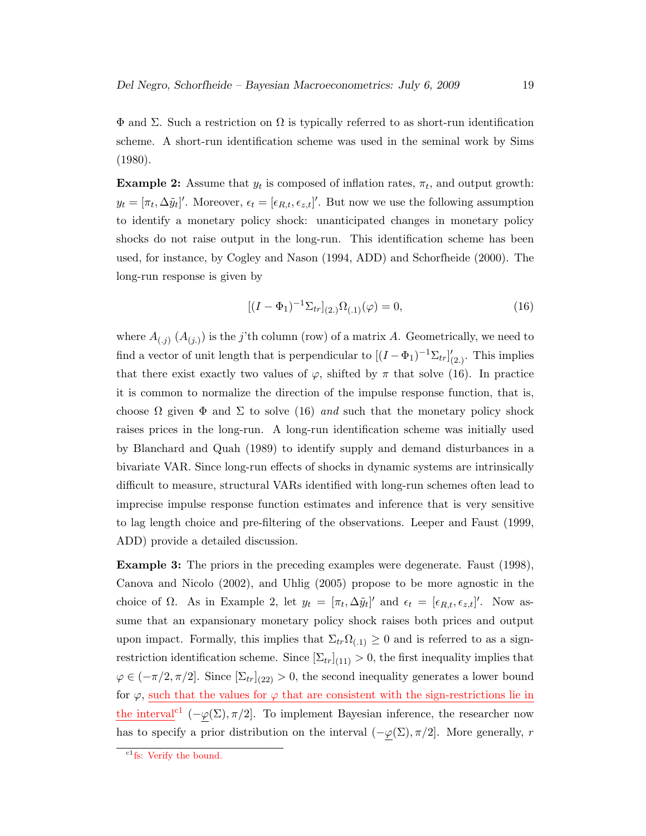$\Phi$  and  $\Sigma$ . Such a restriction on  $\Omega$  is typically referred to as short-run identification scheme. A short-run identification scheme was used in the seminal work by Sims (1980).

**Example 2:** Assume that  $y_t$  is composed of inflation rates,  $\pi_t$ , and output growth:  $y_t = [\pi_t, \Delta \tilde{y}_t]'$ . Moreover,  $\epsilon_t = [\epsilon_{R,t}, \epsilon_{z,t}]'$ . But now we use the following assumption to identify a monetary policy shock: unanticipated changes in monetary policy shocks do not raise output in the long-run. This identification scheme has been used, for instance, by Cogley and Nason (1994, ADD) and Schorfheide (2000). The long-run response is given by

$$
[(I - \Phi_1)^{-1} \Sigma_{tr}]_{(2.)} \Omega_{(.1)}(\varphi) = 0, \tag{16}
$$

where  $A_{(j)}$   $(A_{(j)})$  is the j'th column (row) of a matrix A. Geometrically, we need to find a vector of unit length that is perpendicular to  $[(I - \Phi_1)^{-1} \Sigma_{tr}]'_{(2.)}$ . This implies that there exist exactly two values of  $\varphi$ , shifted by  $\pi$  that solve (16). In practice it is common to normalize the direction of the impulse response function, that is, choose  $\Omega$  given  $\Phi$  and  $\Sigma$  to solve (16) and such that the monetary policy shock raises prices in the long-run. A long-run identification scheme was initially used by Blanchard and Quah (1989) to identify supply and demand disturbances in a bivariate VAR. Since long-run effects of shocks in dynamic systems are intrinsically difficult to measure, structural VARs identified with long-run schemes often lead to imprecise impulse response function estimates and inference that is very sensitive to lag length choice and pre-filtering of the observations. Leeper and Faust (1999, ADD) provide a detailed discussion.

Example 3: The priors in the preceding examples were degenerate. Faust (1998), Canova and Nicolo (2002), and Uhlig (2005) propose to be more agnostic in the choice of  $\Omega$ . As in Example 2, let  $y_t = [\pi_t, \Delta \tilde{y}_t]'$  and  $\epsilon_t = [\epsilon_{R,t}, \epsilon_{z,t}]'$ . Now assume that an expansionary monetary policy shock raises both prices and output upon impact. Formally, this implies that  $\Sigma_{tr}\Omega_{(1)} \geq 0$  and is referred to as a signrestriction identification scheme. Since  $[\Sigma_{tr}]_{(11)} > 0$ , the first inequality implies that  $\varphi \in (-\pi/2, \pi/2]$ . Since  $[\Sigma_{tr}]_{(22)} > 0$ , the second inequality generates a lower bound for  $\varphi$ , such that the values for  $\varphi$  that are consistent with the sign-restrictions lie in the interval<sup>c1</sup> ( $-\varphi(\Sigma), \pi/2$ ]. To implement Bayesian inference, the researcher now has to specify a prior distribution on the interval  $(-\underline{\varphi}(\Sigma), \pi/2]$ . More generally, r

 $\mathrm{c}^{1}$ fs: Verify the bound.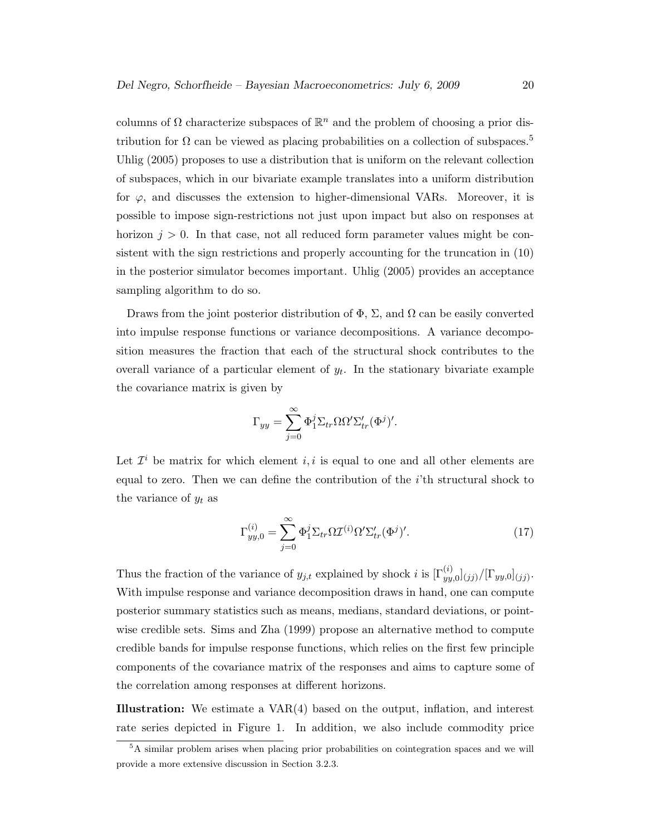columns of  $\Omega$  characterize subspaces of  $\mathbb{R}^n$  and the problem of choosing a prior distribution for  $\Omega$  can be viewed as placing probabilities on a collection of subspaces.<sup>5</sup> Uhlig (2005) proposes to use a distribution that is uniform on the relevant collection of subspaces, which in our bivariate example translates into a uniform distribution for  $\varphi$ , and discusses the extension to higher-dimensional VARs. Moreover, it is possible to impose sign-restrictions not just upon impact but also on responses at horizon  $j > 0$ . In that case, not all reduced form parameter values might be consistent with the sign restrictions and properly accounting for the truncation in (10) in the posterior simulator becomes important. Uhlig (2005) provides an acceptance sampling algorithm to do so.

Draws from the joint posterior distribution of  $\Phi$ ,  $\Sigma$ , and  $\Omega$  can be easily converted into impulse response functions or variance decompositions. A variance decomposition measures the fraction that each of the structural shock contributes to the overall variance of a particular element of  $y_t$ . In the stationary bivariate example the covariance matrix is given by

$$
\Gamma_{yy} = \sum_{j=0}^{\infty} \Phi_1^j \Sigma_{tr} \Omega \Omega' \Sigma_{tr}' (\Phi^j)'
$$

Let  $\mathcal{I}^i$  be matrix for which element i, i is equal to one and all other elements are equal to zero. Then we can define the contribution of the  $i$ <sup>th</sup> structural shock to the variance of  $y_t$  as

$$
\Gamma_{yy,0}^{(i)} = \sum_{j=0}^{\infty} \Phi_1^j \Sigma_{tr} \Omega \mathcal{I}^{(i)} \Omega' \Sigma_{tr}' (\Phi^j)'.
$$
 (17)

Thus the fraction of the variance of  $y_{j,t}$  explained by shock i is  $[\Gamma_{yy,0}^{(i)}]_{(jj)}/[\Gamma_{yy,0}]_{(jj)}$ . With impulse response and variance decomposition draws in hand, one can compute posterior summary statistics such as means, medians, standard deviations, or pointwise credible sets. Sims and Zha (1999) propose an alternative method to compute credible bands for impulse response functions, which relies on the first few principle components of the covariance matrix of the responses and aims to capture some of the correlation among responses at different horizons.

Illustration: We estimate a VAR(4) based on the output, inflation, and interest rate series depicted in Figure 1. In addition, we also include commodity price

<sup>5</sup>A similar problem arises when placing prior probabilities on cointegration spaces and we will provide a more extensive discussion in Section 3.2.3.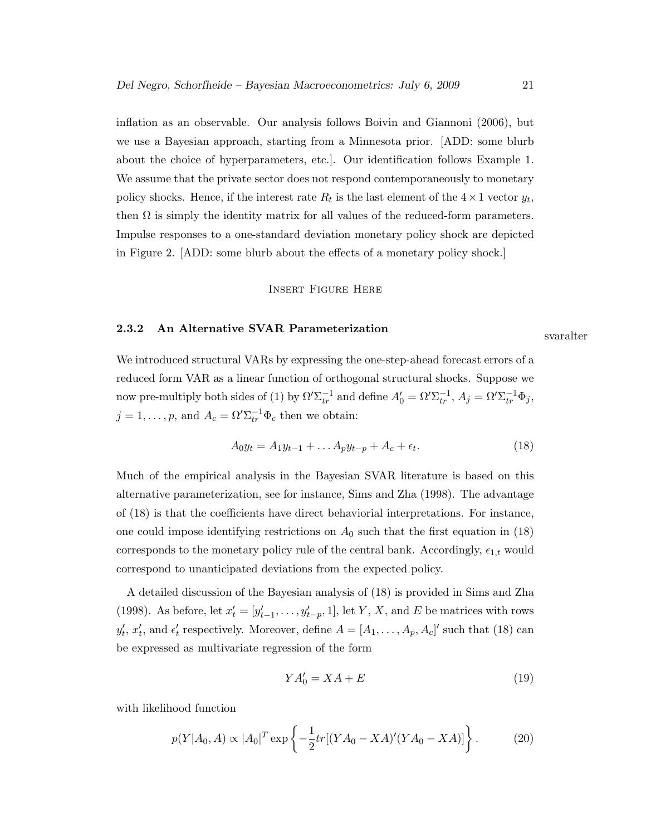inflation as an observable. Our analysis follows Boivin and Giannoni (2006), but we use a Bayesian approach, starting from a Minnesota prior. [ADD: some blurb about the choice of hyperparameters, etc.]. Our identification follows Example 1. We assume that the private sector does not respond contemporaneously to monetary policy shocks. Hence, if the interest rate  $R_t$  is the last element of the  $4 \times 1$  vector  $y_t$ , then  $\Omega$  is simply the identity matrix for all values of the reduced-form parameters. Impulse responses to a one-standard deviation monetary policy shock are depicted in Figure 2. [ADD: some blurb about the effects of a monetary policy shock.]

#### Insert Figure Here

# 2.3.2 An Alternative SVAR Parameterization svaralter

We introduced structural VARs by expressing the one-step-ahead forecast errors of a reduced form VAR as a linear function of orthogonal structural shocks. Suppose we now pre-multiply both sides of (1) by  $\Omega' \Sigma_{tr}^{-1}$  and define  $A'_0 = \Omega' \Sigma_{tr}^{-1}$ ,  $A_j = \Omega' \Sigma_{tr}^{-1} \Phi_j$ ,  $j = 1, \ldots, p$ , and  $A_c = \Omega' \Sigma_{tr}^{-1} \Phi_c$  then we obtain:

$$
A_0 y_t = A_1 y_{t-1} + \dots A_p y_{t-p} + A_c + \epsilon_t.
$$
\n(18)

Much of the empirical analysis in the Bayesian SVAR literature is based on this alternative parameterization, see for instance, Sims and Zha (1998). The advantage of (18) is that the coefficients have direct behaviorial interpretations. For instance, one could impose identifying restrictions on  $A_0$  such that the first equation in (18) corresponds to the monetary policy rule of the central bank. Accordingly,  $\epsilon_{1,t}$  would correspond to unanticipated deviations from the expected policy.

A detailed discussion of the Bayesian analysis of (18) is provided in Sims and Zha (1998). As before, let  $x'_t = [y'_{t-1}, \ldots, y'_{t-p}, 1]$ , let Y, X, and E be matrices with rows  $y'_t, x'_t$ , and  $\epsilon'_t$  respectively. Moreover, define  $A = [A_1, \ldots, A_p, A_c]'$  such that (18) can be expressed as multivariate regression of the form

$$
YA'_0 = XA + E \tag{19}
$$

with likelihood function

$$
p(Y|A_0, A) \propto |A_0|^T \exp\left\{-\frac{1}{2}tr[(YA_0 - XA)'(YA_0 - XA)]\right\}.
$$
 (20)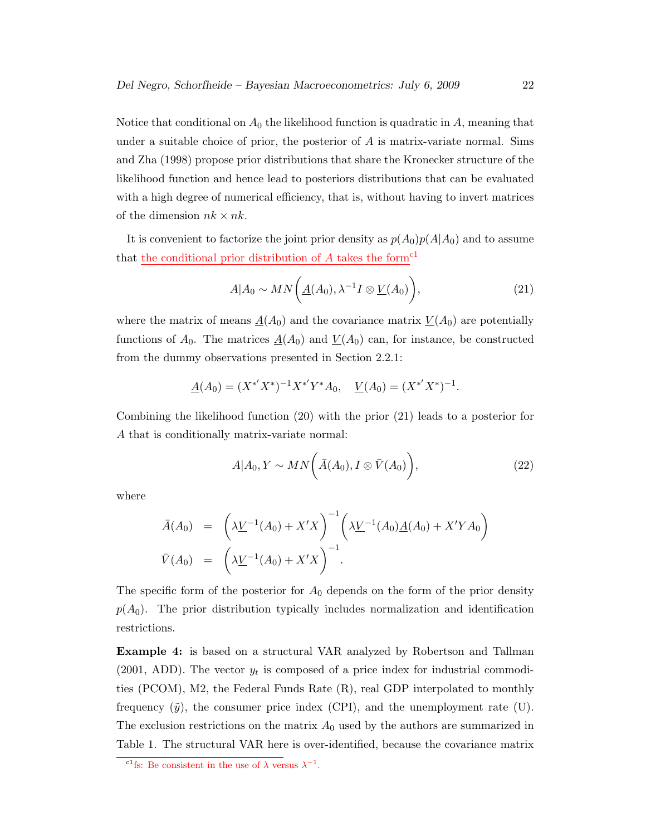Notice that conditional on  $A_0$  the likelihood function is quadratic in A, meaning that under a suitable choice of prior, the posterior of  $A$  is matrix-variate normal. Sims and Zha (1998) propose prior distributions that share the Kronecker structure of the likelihood function and hence lead to posteriors distributions that can be evaluated with a high degree of numerical efficiency, that is, without having to invert matrices of the dimension  $nk \times nk$ .

It is convenient to factorize the joint prior density as  $p(A_0)p(A|A_0)$  and to assume that the conditional prior distribution of  $A$  takes the form<sup>c1</sup>

$$
A|A_0 \sim MN\bigg(\underline{A}(A_0), \lambda^{-1}I \otimes \underline{V}(A_0)\bigg), \tag{21}
$$

where the matrix of means  $\underline{A}(A_0)$  and the covariance matrix  $\underline{V}(A_0)$  are potentially functions of  $A_0$ . The matrices  $\underline{A}(A_0)$  and  $\underline{V}(A_0)$  can, for instance, be constructed from the dummy observations presented in Section 2.2.1:

$$
\underline{A}(A_0) = (X^{*'}X^*)^{-1}X^{*'}Y^*A_0, \quad \underline{V}(A_0) = (X^{*'}X^*)^{-1}.
$$

Combining the likelihood function (20) with the prior (21) leads to a posterior for A that is conditionally matrix-variate normal:

$$
A|A_0, Y \sim MN\bigg(\bar{A}(A_0), I \otimes \bar{V}(A_0)\bigg), \tag{22}
$$

where

$$
\bar{A}(A_0) = \left(\lambda \underline{V}^{-1}(A_0) + X'X\right)^{-1} \left(\lambda \underline{V}^{-1}(A_0)\underline{A}(A_0) + X'YA_0\right)
$$
  

$$
\bar{V}(A_0) = \left(\lambda \underline{V}^{-1}(A_0) + X'X\right)^{-1}.
$$

The specific form of the posterior for  $A_0$  depends on the form of the prior density  $p(A_0)$ . The prior distribution typically includes normalization and identification restrictions.

Example 4: is based on a structural VAR analyzed by Robertson and Tallman  $(2001, ADD)$ . The vector  $y_t$  is composed of a price index for industrial commodities (PCOM), M2, the Federal Funds Rate (R), real GDP interpolated to monthly frequency  $(\tilde{y})$ , the consumer price index (CPI), and the unemployment rate (U). The exclusion restrictions on the matrix  $A_0$  used by the authors are summarized in Table 1. The structural VAR here is over-identified, because the covariance matrix

<sup>&</sup>lt;sup>c1</sup>fs: Be consistent in the use of  $\lambda$  versus  $\lambda^{-1}$ .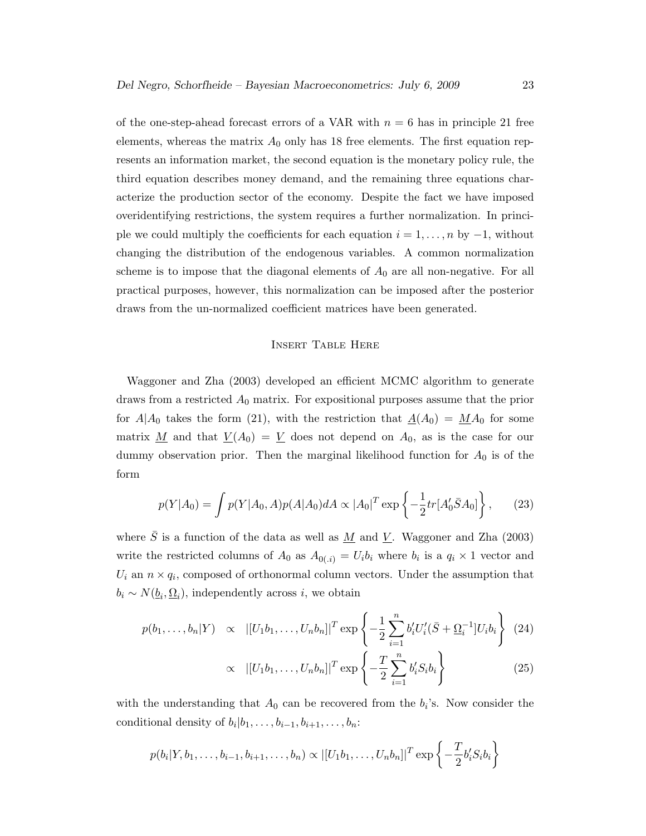of the one-step-ahead forecast errors of a VAR with  $n = 6$  has in principle 21 free elements, whereas the matrix  $A_0$  only has 18 free elements. The first equation represents an information market, the second equation is the monetary policy rule, the third equation describes money demand, and the remaining three equations characterize the production sector of the economy. Despite the fact we have imposed overidentifying restrictions, the system requires a further normalization. In principle we could multiply the coefficients for each equation  $i = 1, \ldots, n$  by  $-1$ , without changing the distribution of the endogenous variables. A common normalization scheme is to impose that the diagonal elements of  $A_0$  are all non-negative. For all practical purposes, however, this normalization can be imposed after the posterior draws from the un-normalized coefficient matrices have been generated.

### Insert Table Here

Waggoner and Zha (2003) developed an efficient MCMC algorithm to generate draws from a restricted  $A_0$  matrix. For expositional purposes assume that the prior for  $A|A_0$  takes the form (21), with the restriction that  $\underline{A}(A_0) = \underline{M}A_0$  for some matrix <u>M</u> and that  $\underline{V}(A_0) = \underline{V}$  does not depend on  $A_0$ , as is the case for our dummy observation prior. Then the marginal likelihood function for  $A_0$  is of the form

$$
p(Y|A_0) = \int p(Y|A_0, A)p(A|A_0) dA \propto |A_0|^T \exp\left\{-\frac{1}{2}tr[A'_0 \bar{S}A_0]\right\},\qquad(23)
$$

where  $\bar{S}$  is a function of the data as well as <u>M</u> and <u>V</u>. Waggoner and Zha (2003) write the restricted columns of  $A_0$  as  $A_{0(i)} = U_i b_i$  where  $b_i$  is a  $q_i \times 1$  vector and  $U_i$  an  $n \times q_i$ , composed of orthonormal column vectors. Under the assumption that  $b_i \sim N(\underline{b}_i, \underline{\Omega}_i)$ , independently across *i*, we obtain

$$
p(b_1, \ldots, b_n | Y) \propto |[U_1 b_1, \ldots, U_n b_n]|^T \exp \left\{-\frac{1}{2} \sum_{i=1}^n b'_i U'_i (\bar{S} + \underline{\Omega}_i^{-1}] U_i b_i\right\} (24)
$$

$$
\propto |[U_1b_1,\ldots,U_nb_n]|^T\exp\left\{-\frac{T}{2}\sum_{i=1}^n b_i'S_ib_i\right\}
$$
 (25)

with the understanding that  $A_0$  can be recovered from the  $b_i$ 's. Now consider the conditional density of  $b_i|b_1,\ldots,b_{i-1},b_{i+1},\ldots,b_n$ :

$$
p(b_i|Y, b_1, \ldots, b_{i-1}, b_{i+1}, \ldots, b_n) \propto |[U_1b_1, \ldots, U_nb_n]|^T \exp\left\{-\frac{T}{2}b_i'S_ib_i\right\}
$$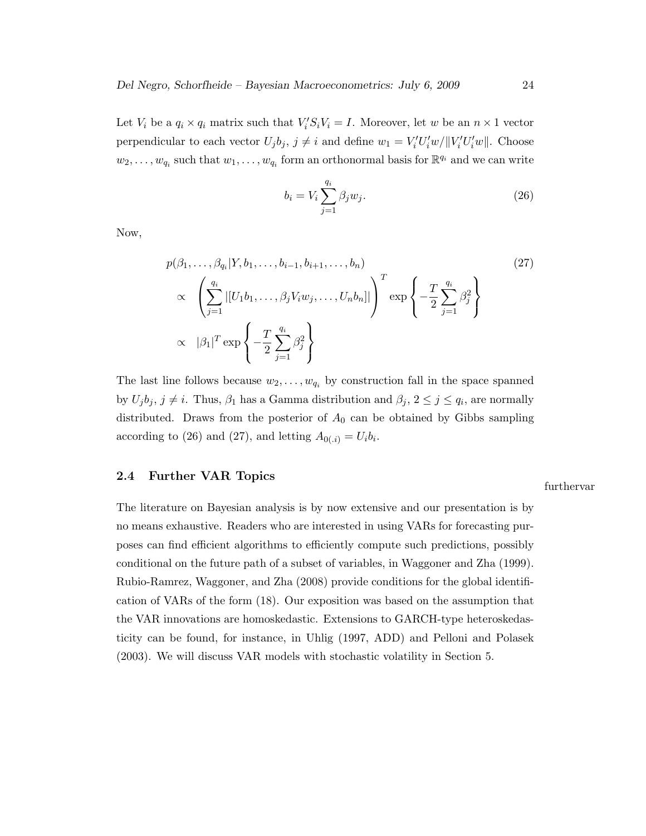Let  $V_i$  be a  $q_i \times q_i$  matrix such that  $V_i'S_i V_i = I$ . Moreover, let w be an  $n \times 1$  vector perpendicular to each vector  $U_j b_j$ ,  $j \neq i$  and define  $w_1 = V_i' U_i' w / ||V_i' U_i' w||$ . Choose  $w_2, \ldots, w_{q_i}$  such that  $w_1, \ldots, w_{q_i}$  form an orthonormal basis for  $\mathbb{R}^{q_i}$  and we can write

$$
b_i = V_i \sum_{j=1}^{q_i} \beta_j w_j.
$$
\n
$$
(26)
$$

Now,

$$
p(\beta_1, \ldots, \beta_{q_i}|Y, b_1, \ldots, b_{i-1}, b_{i+1}, \ldots, b_n)
$$
\n
$$
\propto \left(\sum_{j=1}^{q_i} |[U_1 b_1, \ldots, \beta_j V_i w_j, \ldots, U_n b_n]| \right)^T \exp\left\{-\frac{T}{2} \sum_{j=1}^{q_i} \beta_j^2\right\}
$$
\n
$$
\propto |\beta_1|^T \exp\left\{-\frac{T}{2} \sum_{j=1}^{q_i} \beta_j^2\right\}
$$
\n(27)

The last line follows because  $w_2, \ldots, w_{q_i}$  by construction fall in the space spanned by  $U_j b_j, j \neq i$ . Thus,  $\beta_1$  has a Gamma distribution and  $\beta_j, 2 \leq j \leq q_i$ , are normally distributed. Draws from the posterior of  $A_0$  can be obtained by Gibbs sampling according to (26) and (27), and letting  $A_{0(0,i)} = U_i b_i$ .

## 2.4 Further VAR Topics

The literature on Bayesian analysis is by now extensive and our presentation is by no means exhaustive. Readers who are interested in using VARs for forecasting purposes can find efficient algorithms to efficiently compute such predictions, possibly conditional on the future path of a subset of variables, in Waggoner and Zha (1999). Rubio-Ramrez, Waggoner, and Zha (2008) provide conditions for the global identification of VARs of the form (18). Our exposition was based on the assumption that the VAR innovations are homoskedastic. Extensions to GARCH-type heteroskedasticity can be found, for instance, in Uhlig (1997, ADD) and Pelloni and Polasek (2003). We will discuss VAR models with stochastic volatility in Section 5.

#### furthervar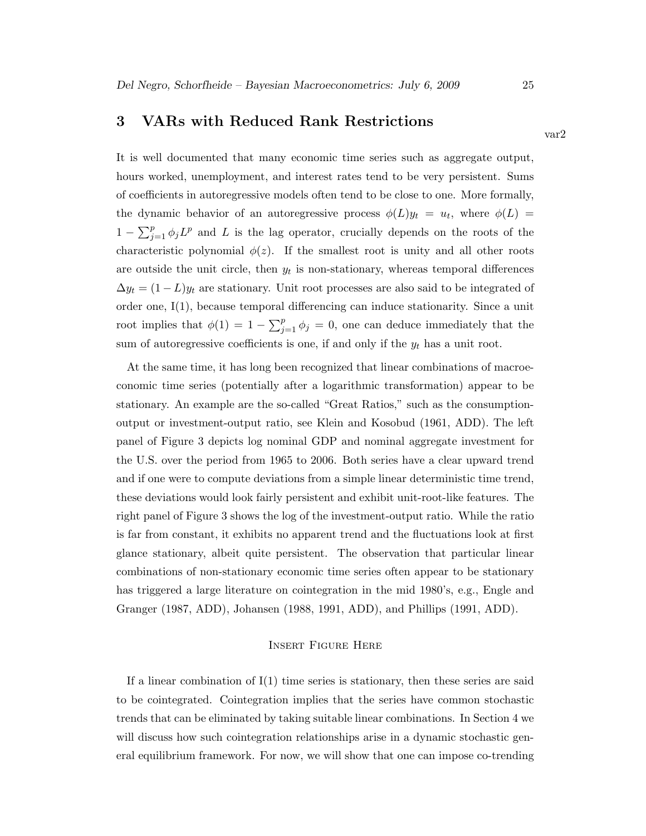# 3 VARs with Reduced Rank Restrictions

It is well documented that many economic time series such as aggregate output, hours worked, unemployment, and interest rates tend to be very persistent. Sums of coefficients in autoregressive models often tend to be close to one. More formally, the dynamic behavior of an autoregressive process  $\phi(L)y_t = u_t$ , where  $\phi(L) =$  $1 - \sum_{j=1}^p \phi_j L^p$  and L is the lag operator, crucially depends on the roots of the characteristic polynomial  $\phi(z)$ . If the smallest root is unity and all other roots are outside the unit circle, then  $y_t$  is non-stationary, whereas temporal differences  $\Delta y_t = (1 - L)y_t$  are stationary. Unit root processes are also said to be integrated of order one, I(1), because temporal differencing can induce stationarity. Since a unit root implies that  $\phi(1) = 1 - \sum_{j=1}^p \phi_j = 0$ , one can deduce immediately that the sum of autoregressive coefficients is one, if and only if the  $y_t$  has a unit root.

At the same time, it has long been recognized that linear combinations of macroeconomic time series (potentially after a logarithmic transformation) appear to be stationary. An example are the so-called "Great Ratios," such as the consumptionoutput or investment-output ratio, see Klein and Kosobud (1961, ADD). The left panel of Figure 3 depicts log nominal GDP and nominal aggregate investment for the U.S. over the period from 1965 to 2006. Both series have a clear upward trend and if one were to compute deviations from a simple linear deterministic time trend, these deviations would look fairly persistent and exhibit unit-root-like features. The right panel of Figure 3 shows the log of the investment-output ratio. While the ratio is far from constant, it exhibits no apparent trend and the fluctuations look at first glance stationary, albeit quite persistent. The observation that particular linear combinations of non-stationary economic time series often appear to be stationary has triggered a large literature on cointegration in the mid 1980's, e.g., Engle and Granger (1987, ADD), Johansen (1988, 1991, ADD), and Phillips (1991, ADD).

### Insert Figure Here

If a linear combination of  $I(1)$  time series is stationary, then these series are said to be cointegrated. Cointegration implies that the series have common stochastic trends that can be eliminated by taking suitable linear combinations. In Section 4 we will discuss how such cointegration relationships arise in a dynamic stochastic general equilibrium framework. For now, we will show that one can impose co-trending

var2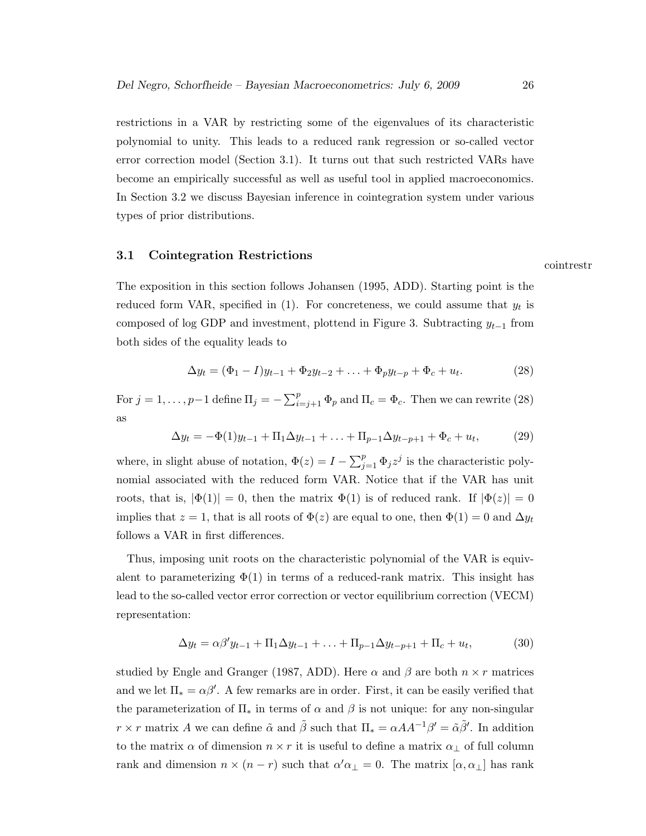restrictions in a VAR by restricting some of the eigenvalues of its characteristic polynomial to unity. This leads to a reduced rank regression or so-called vector error correction model (Section 3.1). It turns out that such restricted VARs have become an empirically successful as well as useful tool in applied macroeconomics. In Section 3.2 we discuss Bayesian inference in cointegration system under various types of prior distributions.

# 3.1 Cointegration Restrictions

The exposition in this section follows Johansen (1995, ADD). Starting point is the reduced form VAR, specified in  $(1)$ . For concreteness, we could assume that  $y_t$  is composed of log GDP and investment, plottend in Figure 3. Subtracting  $y_{t-1}$  from both sides of the equality leads to

$$
\Delta y_t = (\Phi_1 - I)y_{t-1} + \Phi_2 y_{t-2} + \ldots + \Phi_p y_{t-p} + \Phi_c + u_t.
$$
 (28)

For  $j = 1, \ldots, p-1$  define  $\Pi_j = -\sum_{i=j+1}^p \Phi_p$  and  $\Pi_c = \Phi_c$ . Then we can rewrite (28) as

$$
\Delta y_t = -\Phi(1)y_{t-1} + \Pi_1 \Delta y_{t-1} + \ldots + \Pi_{p-1} \Delta y_{t-p+1} + \Phi_c + u_t, \tag{29}
$$

where, in slight abuse of notation,  $\Phi(z) = I - \sum_{j=1}^{p} \Phi_j z^j$  is the characteristic polynomial associated with the reduced form VAR. Notice that if the VAR has unit roots, that is,  $|\Phi(1)| = 0$ , then the matrix  $\Phi(1)$  is of reduced rank. If  $|\Phi(z)| = 0$ implies that  $z = 1$ , that is all roots of  $\Phi(z)$  are equal to one, then  $\Phi(1) = 0$  and  $\Delta y_t$ follows a VAR in first differences.

Thus, imposing unit roots on the characteristic polynomial of the VAR is equivalent to parameterizing  $\Phi(1)$  in terms of a reduced-rank matrix. This insight has lead to the so-called vector error correction or vector equilibrium correction (VECM) representation:

$$
\Delta y_t = \alpha \beta' y_{t-1} + \Pi_1 \Delta y_{t-1} + \ldots + \Pi_{p-1} \Delta y_{t-p+1} + \Pi_c + u_t, \tag{30}
$$

studied by Engle and Granger (1987, ADD). Here  $\alpha$  and  $\beta$  are both  $n \times r$  matrices and we let  $\Pi_* = \alpha \beta'$ . A few remarks are in order. First, it can be easily verified that the parameterization of  $\Pi_*$  in terms of  $\alpha$  and  $\beta$  is not unique: for any non-singular  $r \times r$  matrix A we can define  $\tilde{\alpha}$  and  $\tilde{\beta}$  such that  $\Pi_* = \alpha A A^{-1} \beta' = \tilde{\alpha} \tilde{\beta}'$ . In addition to the matrix  $\alpha$  of dimension  $n \times r$  it is useful to define a matrix  $\alpha_{\perp}$  of full column rank and dimension  $n \times (n - r)$  such that  $\alpha' \alpha_{\perp} = 0$ . The matrix  $[\alpha, \alpha_{\perp}]$  has rank

cointrestr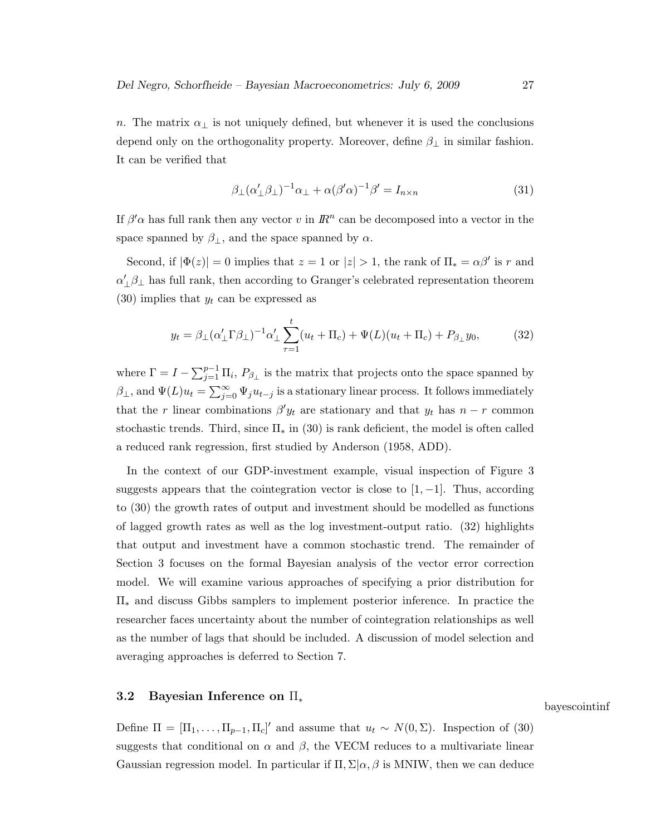n. The matrix  $\alpha_{\perp}$  is not uniquely defined, but whenever it is used the conclusions depend only on the orthogonality property. Moreover, define  $\beta_{\perp}$  in similar fashion. It can be verified that

$$
\beta_{\perp}(\alpha'_{\perp}\beta_{\perp})^{-1}\alpha_{\perp} + \alpha(\beta'\alpha)^{-1}\beta' = I_{n \times n}
$$
\n(31)

If  $\beta'$ <sup> $\alpha$ </sup> has full rank then any vector v in  $\mathbb{R}^n$  can be decomposed into a vector in the space spanned by  $\beta_{\perp}$ , and the space spanned by  $\alpha$ .

Second, if  $|\Phi(z)| = 0$  implies that  $z = 1$  or  $|z| > 1$ , the rank of  $\Pi_z = \alpha \beta'$  is r and  $\alpha'_\perp \beta_\perp$  has full rank, then according to Granger's celebrated representation theorem  $(30)$  implies that  $y_t$  can be expressed as

$$
y_t = \beta_\perp (\alpha_\perp' \Gamma \beta_\perp)^{-1} \alpha_\perp' \sum_{\tau=1}^t (u_t + \Pi_c) + \Psi(L)(u_t + \Pi_c) + P_{\beta_\perp} y_0, \tag{32}
$$

where  $\Gamma = I - \sum_{j=1}^{p-1} \Pi_i$ ,  $P_{\beta_{\perp}}$  is the matrix that projects onto the space spanned by  $\beta_{\perp}$ , and  $\Psi(L)u_t = \sum_{j=0}^{\infty} \Psi_j u_{t-j}$  is a stationary linear process. It follows immediately that the r linear combinations  $\beta' y_t$  are stationary and that  $y_t$  has  $n-r$  common stochastic trends. Third, since  $\Pi_*$  in (30) is rank deficient, the model is often called a reduced rank regression, first studied by Anderson (1958, ADD).

In the context of our GDP-investment example, visual inspection of Figure 3 suggests appears that the cointegration vector is close to  $[1, -1]$ . Thus, according to (30) the growth rates of output and investment should be modelled as functions of lagged growth rates as well as the log investment-output ratio. (32) highlights that output and investment have a common stochastic trend. The remainder of Section 3 focuses on the formal Bayesian analysis of the vector error correction model. We will examine various approaches of specifying a prior distribution for Π<sup>∗</sup> and discuss Gibbs samplers to implement posterior inference. In practice the researcher faces uncertainty about the number of cointegration relationships as well as the number of lags that should be included. A discussion of model selection and averaging approaches is deferred to Section 7.

# 3.2 Bayesian Inference on Π<sup>∗</sup>

bayescointinf

Define  $\Pi = [\Pi_1, \ldots, \Pi_{p-1}, \Pi_c]'$  and assume that  $u_t \sim N(0, \Sigma)$ . Inspection of (30) suggests that conditional on  $\alpha$  and  $\beta$ , the VECM reduces to a multivariate linear Gaussian regression model. In particular if  $\Pi$ ,  $\Sigma|\alpha, \beta$  is MNIW, then we can deduce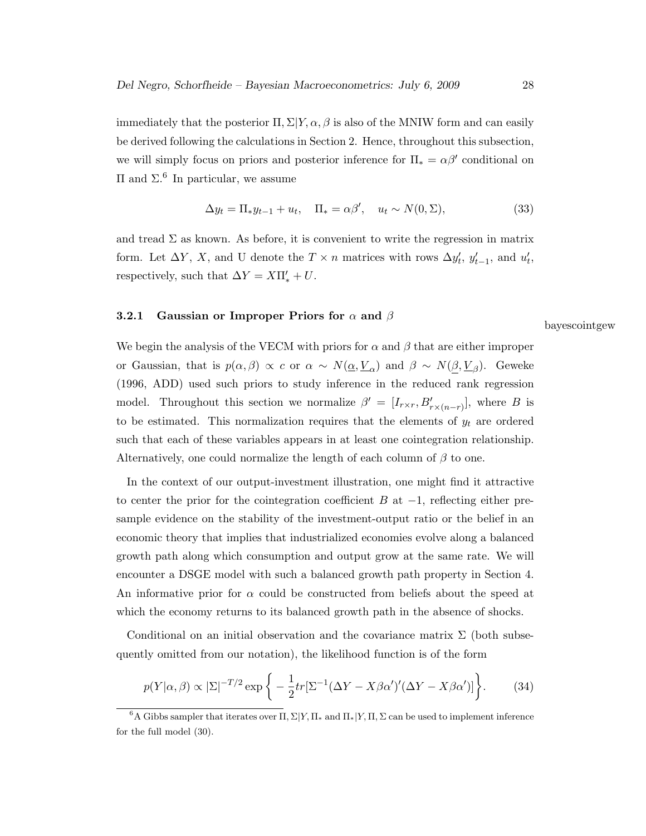immediately that the posterior  $\Pi$ ,  $\Sigma|Y,\alpha,\beta$  is also of the MNIW form and can easily be derived following the calculations in Section 2. Hence, throughout this subsection, we will simply focus on priors and posterior inference for  $\Pi_* = \alpha \beta'$  conditional on  $\Pi$  and  $\Sigma$ .<sup>6</sup> In particular, we assume

$$
\Delta y_t = \Pi_* y_{t-1} + u_t, \quad \Pi_* = \alpha \beta', \quad u_t \sim N(0, \Sigma), \tag{33}
$$

and tread  $\Sigma$  as known. As before, it is convenient to write the regression in matrix form. Let  $\Delta Y$ , X, and U denote the  $T \times n$  matrices with rows  $\Delta y'_{t}$ ,  $y'_{t-1}$ , and  $u'_{t}$ , respectively, such that  $\Delta Y = X \Pi'_{*} + U$ .

# 3.2.1 Gaussian or Improper Priors for  $\alpha$  and  $\beta$

We begin the analysis of the VECM with priors for  $\alpha$  and  $\beta$  that are either improper or Gaussian, that is  $p(\alpha, \beta) \propto c$  or  $\alpha \sim N(\underline{\alpha}, \underline{V}_{\alpha})$  and  $\beta \sim N(\underline{\beta}, \underline{V}_{\beta})$ . Geweke (1996, ADD) used such priors to study inference in the reduced rank regression model. Throughout this section we normalize  $\beta' = [I_{r \times r}, B'_{r \times (n-r)}],$  where B is to be estimated. This normalization requires that the elements of  $y_t$  are ordered such that each of these variables appears in at least one cointegration relationship. Alternatively, one could normalize the length of each column of  $\beta$  to one.

In the context of our output-investment illustration, one might find it attractive to center the prior for the cointegration coefficient B at  $-1$ , reflecting either presample evidence on the stability of the investment-output ratio or the belief in an economic theory that implies that industrialized economies evolve along a balanced growth path along which consumption and output grow at the same rate. We will encounter a DSGE model with such a balanced growth path property in Section 4. An informative prior for  $\alpha$  could be constructed from beliefs about the speed at which the economy returns to its balanced growth path in the absence of shocks.

Conditional on an initial observation and the covariance matrix  $\Sigma$  (both subsequently omitted from our notation), the likelihood function is of the form

$$
p(Y|\alpha,\beta) \propto |\Sigma|^{-T/2} \exp\bigg\{-\frac{1}{2}tr[\Sigma^{-1}(\Delta Y - X\beta\alpha')'(\Delta Y - X\beta\alpha')] \bigg\}.
$$
 (34)

bayescointgew

 $6A$  Gibbs sampler that iterates over  $\Pi$ ,  $\Sigma|Y, \Pi_*$  and  $\Pi_*|Y, \Pi, \Sigma$  can be used to implement inference for the full model (30).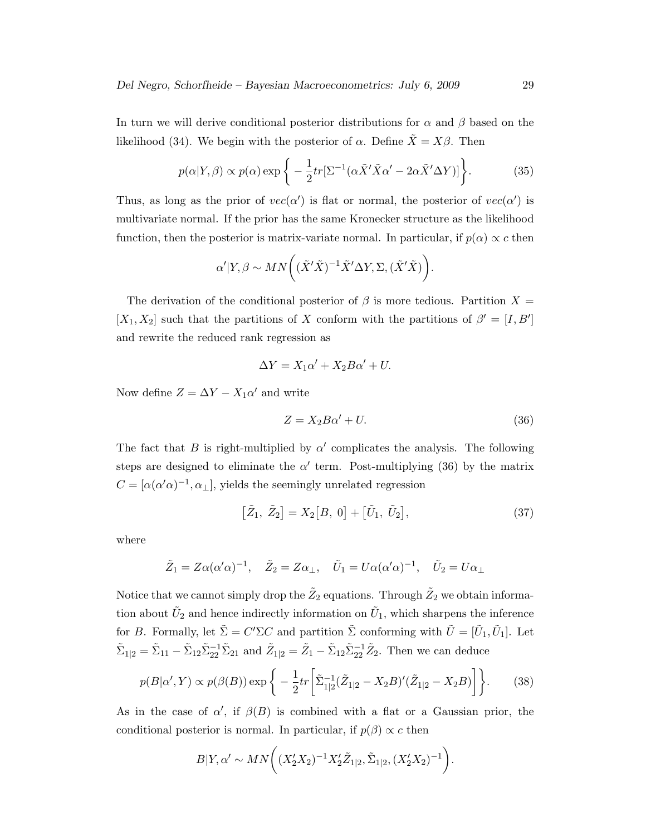In turn we will derive conditional posterior distributions for  $\alpha$  and  $\beta$  based on the likelihood (34). We begin with the posterior of  $\alpha$ . Define  $\tilde{X} = X\beta$ . Then

$$
p(\alpha|Y,\beta) \propto p(\alpha) \exp\bigg\{-\frac{1}{2}tr[\Sigma^{-1}(\alpha \tilde{X}' \tilde{X} \alpha' - 2\alpha \tilde{X}' \Delta Y)]\bigg\}.
$$
 (35)

Thus, as long as the prior of  $vec(\alpha')$  is flat or normal, the posterior of  $vec(\alpha')$  is multivariate normal. If the prior has the same Kronecker structure as the likelihood function, then the posterior is matrix-variate normal. In particular, if  $p(\alpha) \propto c$  then

$$
\alpha'|Y,\beta \sim MN\bigg((\tilde{X}'\tilde{X})^{-1}\tilde{X}'\Delta Y,\Sigma,(\tilde{X}'\tilde{X})\bigg).
$$

The derivation of the conditional posterior of  $\beta$  is more tedious. Partition  $X =$  $[X_1, X_2]$  such that the partitions of X conform with the partitions of  $\beta' = [I, B']$ and rewrite the reduced rank regression as

$$
\Delta Y = X_1 \alpha' + X_2 B \alpha' + U.
$$

Now define  $Z = \Delta Y - X_1 \alpha'$  and write

$$
Z = X_2 B \alpha' + U. \tag{36}
$$

The fact that B is right-multiplied by  $\alpha'$  complicates the analysis. The following steps are designed to eliminate the  $\alpha'$  term. Post-multiplying (36) by the matrix  $C = [\alpha(\alpha'\alpha)^{-1}, \alpha_{\perp}],$  yields the seemingly unrelated regression

$$
[\tilde{Z}_1, \tilde{Z}_2] = X_2[B, 0] + [\tilde{U}_1, \tilde{U}_2], \tag{37}
$$

where

$$
\tilde{Z}_1 = Z\alpha(\alpha'\alpha)^{-1}, \quad \tilde{Z}_2 = Z\alpha_{\perp}, \quad \tilde{U}_1 = U\alpha(\alpha'\alpha)^{-1}, \quad \tilde{U}_2 = U\alpha_{\perp}
$$

Notice that we cannot simply drop the  $\tilde Z_2$  equations. Through  $\tilde Z_2$  we obtain information about  $\tilde{U}_2$  and hence indirectly information on  $\tilde{U}_1$ , which sharpens the inference for B. Formally, let  $\tilde{\Sigma} = C'\Sigma C$  and partition  $\tilde{\Sigma}$  conforming with  $\tilde{U} = [\tilde{U}_1, \tilde{U}_1]$ . Let  $\tilde{\Sigma}_{1|2} = \tilde{\Sigma}_{11} - \tilde{\Sigma}_{12} \tilde{\Sigma}_{22}^{-1} \tilde{\Sigma}_{21}$  and  $\tilde{Z}_{1|2} = \tilde{Z}_1 - \tilde{\Sigma}_{12} \tilde{\Sigma}_{22}^{-1} \tilde{Z}_2$ . Then we can deduce

$$
p(B|\alpha', Y) \propto p(\beta(B)) \exp\bigg\{-\frac{1}{2}tr\bigg[\tilde{\Sigma}_{1|2}^{-1}(\tilde{Z}_{1|2} - X_2B)'(\tilde{Z}_{1|2} - X_2B)\bigg]\bigg\}.
$$
 (38)

As in the case of  $\alpha'$ , if  $\beta(B)$  is combined with a flat or a Gaussian prior, the conditional posterior is normal. In particular, if  $p(\beta) \propto c$  then

$$
B|Y,\alpha' \sim MN\bigg(\big(X_2'X_2\big)^{-1}X_2'\tilde{Z}_{1|2},\tilde{\Sigma}_{1|2},\big(X_2'X_2\big)^{-1}\bigg).
$$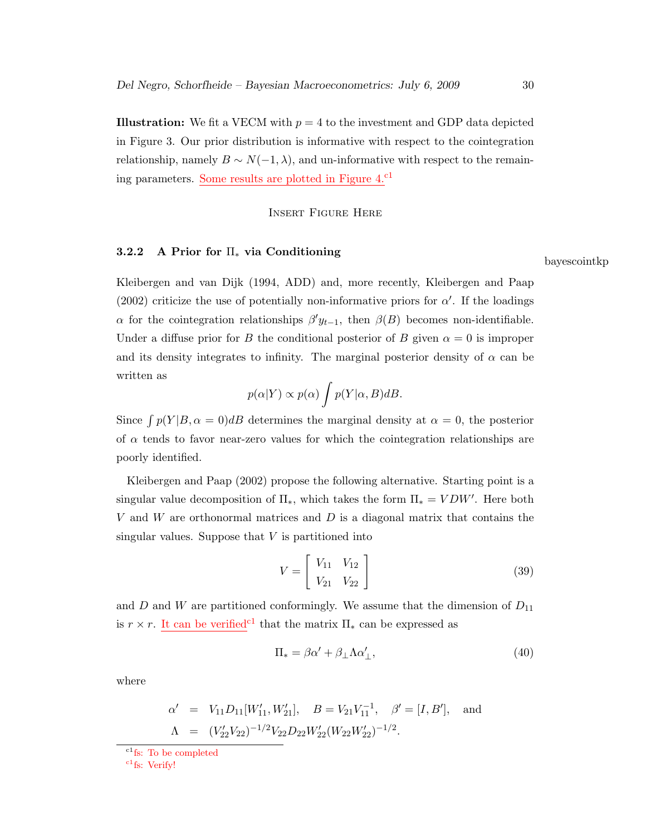**Illustration:** We fit a VECM with  $p = 4$  to the investment and GDP data depicted in Figure 3. Our prior distribution is informative with respect to the cointegration relationship, namely  $B \sim N(-1, \lambda)$ , and un-informative with respect to the remaining parameters. Some results are plotted in Figure 4.<sup>c1</sup>

Insert Figure Here

# 3.2.2 A Prior for  $\Pi_*$  via Conditioning

Kleibergen and van Dijk (1994, ADD) and, more recently, Kleibergen and Paap (2002) criticize the use of potentially non-informative priors for  $\alpha'$ . If the loadings  $\alpha$  for the cointegration relationships  $\beta' y_{t-1}$ , then  $\beta(B)$  becomes non-identifiable. Under a diffuse prior for B the conditional posterior of B given  $\alpha = 0$  is improper and its density integrates to infinity. The marginal posterior density of  $\alpha$  can be written as

$$
p(\alpha|Y) \propto p(\alpha) \int p(Y|\alpha, B)dB.
$$

Since  $\int p(Y|B,\alpha=0)dB$  determines the marginal density at  $\alpha=0$ , the posterior of  $\alpha$  tends to favor near-zero values for which the cointegration relationships are poorly identified.

Kleibergen and Paap (2002) propose the following alternative. Starting point is a singular value decomposition of  $\Pi_*$ , which takes the form  $\Pi_* = VDW'$ . Here both V and W are orthonormal matrices and  $D$  is a diagonal matrix that contains the singular values. Suppose that  $V$  is partitioned into

$$
V = \begin{bmatrix} V_{11} & V_{12} \\ V_{21} & V_{22} \end{bmatrix}
$$
 (39)

and D and W are partitioned conformingly. We assume that the dimension of  $D_{11}$ is  $r \times r$ . It can be verified<sup>c1</sup> that the matrix  $\Pi_*$  can be expressed as

$$
\Pi_* = \beta \alpha' + \beta_\perp \Lambda \alpha'_\perp,\tag{40}
$$

where

$$
\alpha' = V_{11}D_{11}[W'_{11}, W'_{21}], \quad B = V_{21}V_{11}^{-1}, \quad \beta' = [I, B'], \quad \text{and}
$$

$$
\Lambda = (V'_{22}V_{22})^{-1/2}V_{22}D_{22}W'_{22}(W_{22}W'_{22})^{-1/2}.
$$

 $c_1$ fs: Verify!

bayescointkp

 $\mathrm{c}^1$ fs: To be completed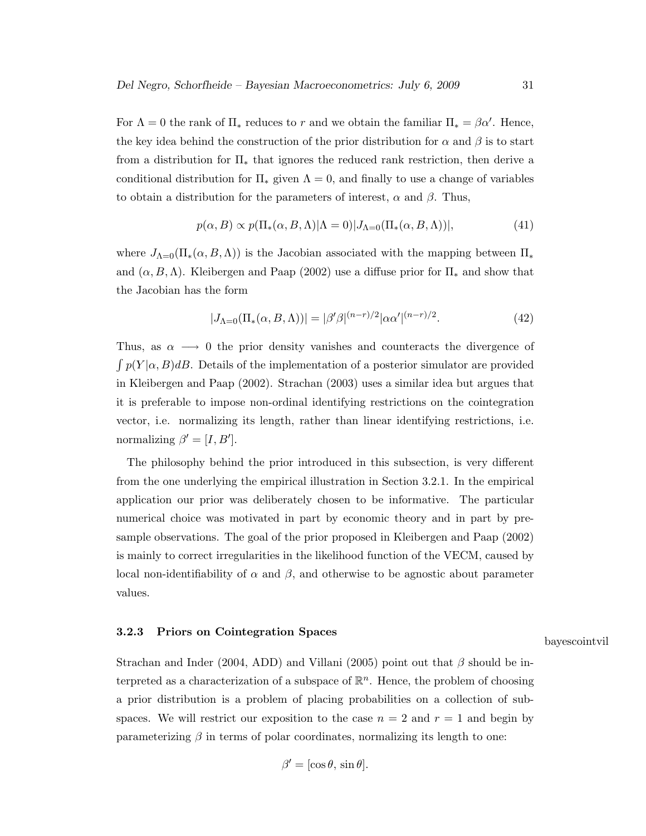For  $\Lambda = 0$  the rank of  $\Pi_*$  reduces to r and we obtain the familiar  $\Pi_* = \beta \alpha'$ . Hence, the key idea behind the construction of the prior distribution for  $\alpha$  and  $\beta$  is to start from a distribution for  $\Pi_*$  that ignores the reduced rank restriction, then derive a conditional distribution for  $\Pi_*$  given  $\Lambda = 0$ , and finally to use a change of variables to obtain a distribution for the parameters of interest,  $\alpha$  and  $\beta$ . Thus,

$$
p(\alpha, B) \propto p(\Pi_*(\alpha, B, \Lambda) | \Lambda = 0) |J_{\Lambda = 0}(\Pi_*(\alpha, B, \Lambda))|,
$$
\n(41)

where  $J_{\Lambda=0}(\Pi_*(\alpha, B, \Lambda))$  is the Jacobian associated with the mapping between  $\Pi_*$ and  $(\alpha, B, \Lambda)$ . Kleibergen and Paap (2002) use a diffuse prior for  $\Pi_*$  and show that the Jacobian has the form

$$
|J_{\Lambda=0}(\Pi_*(\alpha, B, \Lambda))| = |\beta'\beta|^{(n-r)/2} |\alpha\alpha'|^{(n-r)/2}.
$$
 (42)

Thus, as  $\alpha \longrightarrow 0$  the prior density vanishes and counteracts the divergence of  $\int p(Y|\alpha, B)dB$ . Details of the implementation of a posterior simulator are provided in Kleibergen and Paap (2002). Strachan (2003) uses a similar idea but argues that it is preferable to impose non-ordinal identifying restrictions on the cointegration vector, i.e. normalizing its length, rather than linear identifying restrictions, i.e. normalizing  $\beta' = [I, B']$ .

The philosophy behind the prior introduced in this subsection, is very different from the one underlying the empirical illustration in Section 3.2.1. In the empirical application our prior was deliberately chosen to be informative. The particular numerical choice was motivated in part by economic theory and in part by presample observations. The goal of the prior proposed in Kleibergen and Paap (2002) is mainly to correct irregularities in the likelihood function of the VECM, caused by local non-identifiability of  $\alpha$  and  $\beta$ , and otherwise to be agnostic about parameter values.

#### 3.2.3 Priors on Cointegration Spaces

bayescointvil

Strachan and Inder (2004, ADD) and Villani (2005) point out that  $\beta$  should be interpreted as a characterization of a subspace of  $\mathbb{R}^n$ . Hence, the problem of choosing a prior distribution is a problem of placing probabilities on a collection of subspaces. We will restrict our exposition to the case  $n = 2$  and  $r = 1$  and begin by parameterizing  $\beta$  in terms of polar coordinates, normalizing its length to one:

$$
\beta' = [\cos \theta, \sin \theta].
$$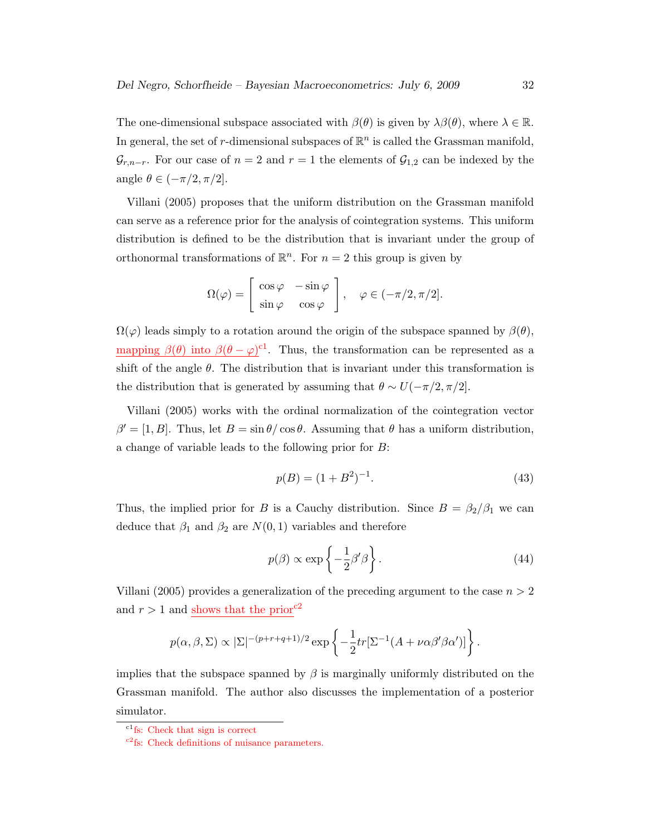The one-dimensional subspace associated with  $\beta(\theta)$  is given by  $\lambda\beta(\theta)$ , where  $\lambda \in \mathbb{R}$ . In general, the set of r-dimensional subspaces of  $\mathbb{R}^n$  is called the Grassman manifold,  $\mathcal{G}_{r,n-r}$ . For our case of  $n=2$  and  $r=1$  the elements of  $\mathcal{G}_{1,2}$  can be indexed by the angle  $\theta \in (-\pi/2, \pi/2]$ .

Villani (2005) proposes that the uniform distribution on the Grassman manifold can serve as a reference prior for the analysis of cointegration systems. This uniform distribution is defined to be the distribution that is invariant under the group of orthonormal transformations of  $\mathbb{R}^n$ . For  $n = 2$  this group is given by

$$
\Omega(\varphi) = \begin{bmatrix} \cos \varphi & -\sin \varphi \\ \sin \varphi & \cos \varphi \end{bmatrix}, \quad \varphi \in (-\pi/2, \pi/2].
$$

 $\Omega(\varphi)$  leads simply to a rotation around the origin of the subspace spanned by  $\beta(\theta)$ , mapping  $\beta(\theta)$  into  $\beta(\theta - \varphi)^{c}$ . Thus, the transformation can be represented as a shift of the angle  $\theta$ . The distribution that is invariant under this transformation is the distribution that is generated by assuming that  $\theta \sim U(-\pi/2, \pi/2]$ .

Villani (2005) works with the ordinal normalization of the cointegration vector  $\beta' = [1, B]$ . Thus, let  $B = \sin \theta / \cos \theta$ . Assuming that  $\theta$  has a uniform distribution, a change of variable leads to the following prior for B:

$$
p(B) = (1 + B^2)^{-1}.
$$
\n(43)

Thus, the implied prior for B is a Cauchy distribution. Since  $B = \beta_2/\beta_1$  we can deduce that  $\beta_1$  and  $\beta_2$  are  $N(0, 1)$  variables and therefore

$$
p(\beta) \propto \exp\left\{-\frac{1}{2}\beta'\beta\right\}.
$$
 (44)

Villani (2005) provides a generalization of the preceding argument to the case  $n > 2$ and  $r > 1$  and shows that the prior<sup>c2</sup>

$$
p(\alpha, \beta, \Sigma) \propto |\Sigma|^{-(p+r+q+1)/2} \exp \left\{-\frac{1}{2}tr[\Sigma^{-1}(A+\nu\alpha\beta'\beta\alpha')] \right\}.
$$

implies that the subspace spanned by  $\beta$  is marginally uniformly distributed on the Grassman manifold. The author also discusses the implementation of a posterior simulator.

 $\mathrm{^{c1}fs:}$  Check that sign is correct

c2fs: Check definitions of nuisance parameters.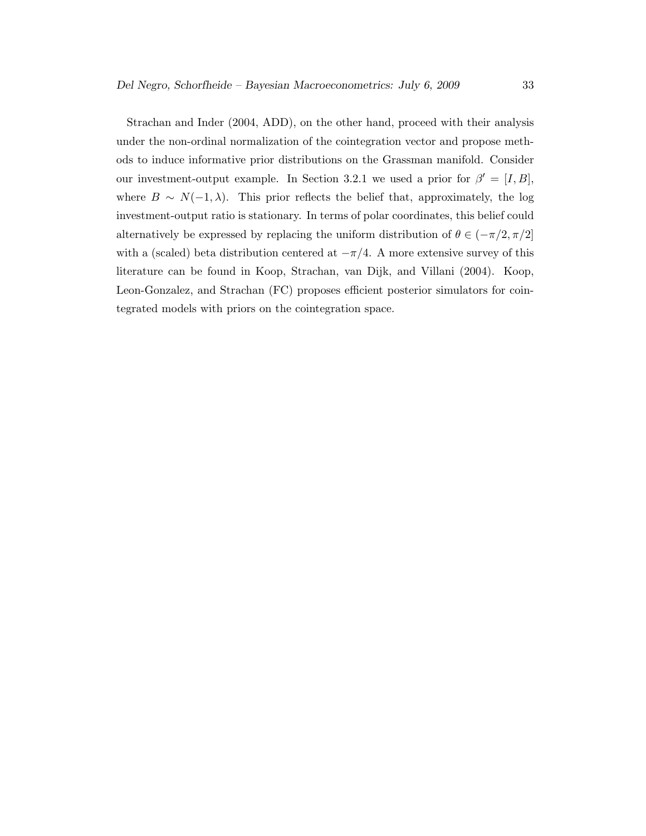Strachan and Inder (2004, ADD), on the other hand, proceed with their analysis under the non-ordinal normalization of the cointegration vector and propose methods to induce informative prior distributions on the Grassman manifold. Consider our investment-output example. In Section 3.2.1 we used a prior for  $\beta' = [I, B],$ where  $B \sim N(-1, \lambda)$ . This prior reflects the belief that, approximately, the log investment-output ratio is stationary. In terms of polar coordinates, this belief could alternatively be expressed by replacing the uniform distribution of  $\theta \in (-\pi/2, \pi/2]$ with a (scaled) beta distribution centered at  $-\pi/4$ . A more extensive survey of this literature can be found in Koop, Strachan, van Dijk, and Villani (2004). Koop, Leon-Gonzalez, and Strachan (FC) proposes efficient posterior simulators for cointegrated models with priors on the cointegration space.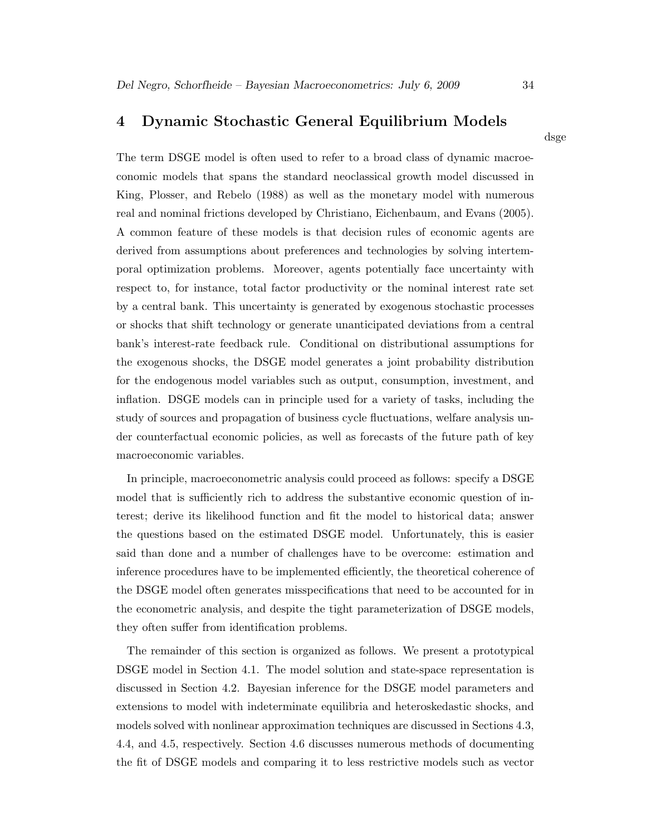# 4 Dynamic Stochastic General Equilibrium Models

dsge

The term DSGE model is often used to refer to a broad class of dynamic macroeconomic models that spans the standard neoclassical growth model discussed in King, Plosser, and Rebelo (1988) as well as the monetary model with numerous real and nominal frictions developed by Christiano, Eichenbaum, and Evans (2005). A common feature of these models is that decision rules of economic agents are derived from assumptions about preferences and technologies by solving intertemporal optimization problems. Moreover, agents potentially face uncertainty with respect to, for instance, total factor productivity or the nominal interest rate set by a central bank. This uncertainty is generated by exogenous stochastic processes or shocks that shift technology or generate unanticipated deviations from a central bank's interest-rate feedback rule. Conditional on distributional assumptions for the exogenous shocks, the DSGE model generates a joint probability distribution for the endogenous model variables such as output, consumption, investment, and inflation. DSGE models can in principle used for a variety of tasks, including the study of sources and propagation of business cycle fluctuations, welfare analysis under counterfactual economic policies, as well as forecasts of the future path of key macroeconomic variables.

In principle, macroeconometric analysis could proceed as follows: specify a DSGE model that is sufficiently rich to address the substantive economic question of interest; derive its likelihood function and fit the model to historical data; answer the questions based on the estimated DSGE model. Unfortunately, this is easier said than done and a number of challenges have to be overcome: estimation and inference procedures have to be implemented efficiently, the theoretical coherence of the DSGE model often generates misspecifications that need to be accounted for in the econometric analysis, and despite the tight parameterization of DSGE models, they often suffer from identification problems.

The remainder of this section is organized as follows. We present a prototypical DSGE model in Section 4.1. The model solution and state-space representation is discussed in Section 4.2. Bayesian inference for the DSGE model parameters and extensions to model with indeterminate equilibria and heteroskedastic shocks, and models solved with nonlinear approximation techniques are discussed in Sections 4.3, 4.4, and 4.5, respectively. Section 4.6 discusses numerous methods of documenting the fit of DSGE models and comparing it to less restrictive models such as vector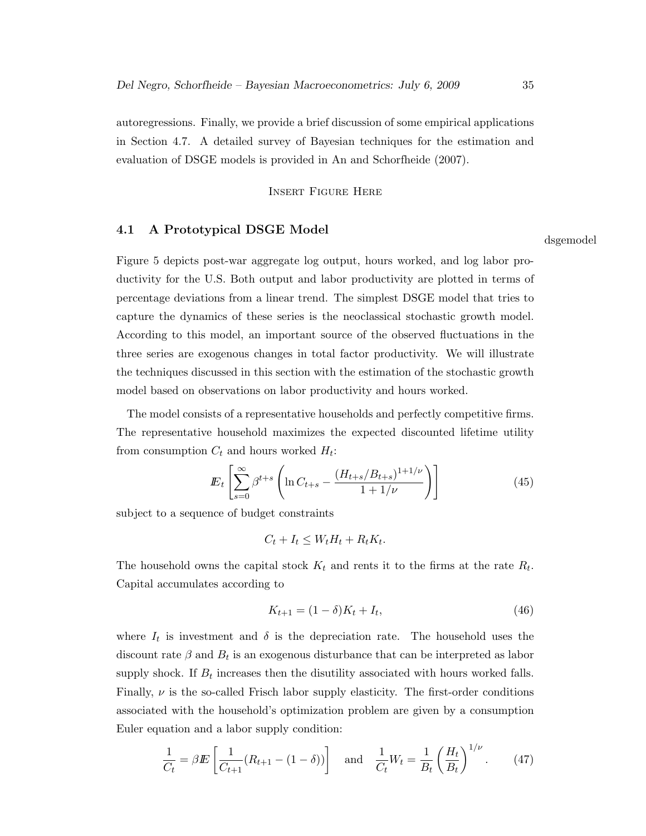autoregressions. Finally, we provide a brief discussion of some empirical applications in Section 4.7. A detailed survey of Bayesian techniques for the estimation and evaluation of DSGE models is provided in An and Schorfheide (2007).

Insert Figure Here

#### 4.1 A Prototypical DSGE Model

Figure 5 depicts post-war aggregate log output, hours worked, and log labor productivity for the U.S. Both output and labor productivity are plotted in terms of percentage deviations from a linear trend. The simplest DSGE model that tries to capture the dynamics of these series is the neoclassical stochastic growth model. According to this model, an important source of the observed fluctuations in the three series are exogenous changes in total factor productivity. We will illustrate the techniques discussed in this section with the estimation of the stochastic growth model based on observations on labor productivity and hours worked.

The model consists of a representative households and perfectly competitive firms. The representative household maximizes the expected discounted lifetime utility from consumption  $C_t$  and hours worked  $H_t$ :

$$
E_t \left[ \sum_{s=0}^{\infty} \beta^{t+s} \left( \ln C_{t+s} - \frac{(H_{t+s}/B_{t+s})^{1+1/\nu}}{1+1/\nu} \right) \right]
$$
(45)

subject to a sequence of budget constraints

$$
C_t + I_t \le W_t H_t + R_t K_t.
$$

The household owns the capital stock  $K_t$  and rents it to the firms at the rate  $R_t$ . Capital accumulates according to

$$
K_{t+1} = (1 - \delta)K_t + I_t,\t\t(46)
$$

where  $I_t$  is investment and  $\delta$  is the depreciation rate. The household uses the discount rate  $\beta$  and  $B_t$  is an exogenous disturbance that can be interpreted as labor supply shock. If  $B_t$  increases then the disutility associated with hours worked falls. Finally,  $\nu$  is the so-called Frisch labor supply elasticity. The first-order conditions associated with the household's optimization problem are given by a consumption Euler equation and a labor supply condition:

$$
\frac{1}{C_t} = \beta E \left[ \frac{1}{C_{t+1}} (R_{t+1} - (1 - \delta)) \right] \quad \text{and} \quad \frac{1}{C_t} W_t = \frac{1}{B_t} \left( \frac{H_t}{B_t} \right)^{1/\nu} . \tag{47}
$$

dsgemodel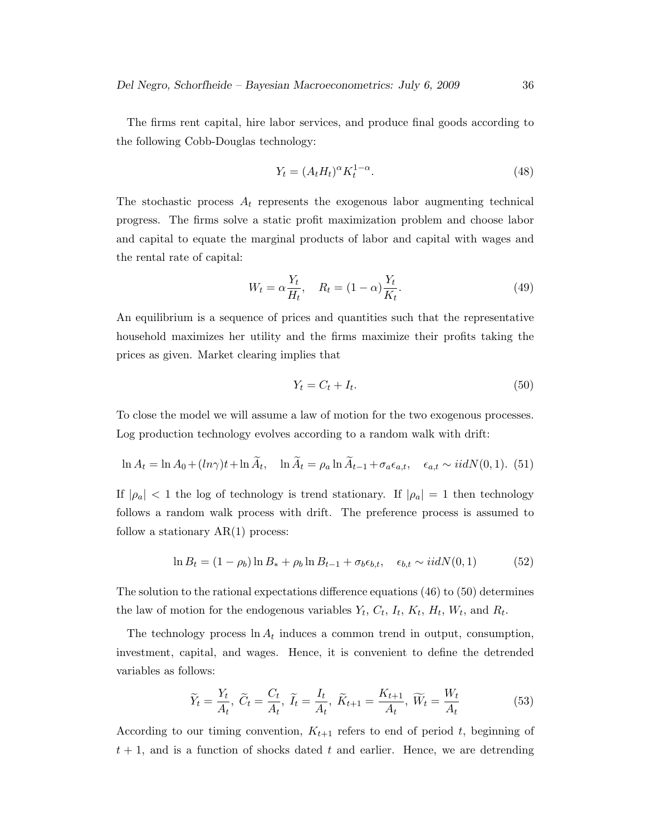The firms rent capital, hire labor services, and produce final goods according to the following Cobb-Douglas technology:

$$
Y_t = (A_t H_t)^{\alpha} K_t^{1-\alpha}.
$$
\n(48)

The stochastic process  $A_t$  represents the exogenous labor augmenting technical progress. The firms solve a static profit maximization problem and choose labor and capital to equate the marginal products of labor and capital with wages and the rental rate of capital:

$$
W_t = \alpha \frac{Y_t}{H_t}, \quad R_t = (1 - \alpha) \frac{Y_t}{K_t}.
$$
\n
$$
(49)
$$

An equilibrium is a sequence of prices and quantities such that the representative household maximizes her utility and the firms maximize their profits taking the prices as given. Market clearing implies that

$$
Y_t = C_t + I_t. \tag{50}
$$

To close the model we will assume a law of motion for the two exogenous processes. Log production technology evolves according to a random walk with drift:

$$
\ln A_t = \ln A_0 + (\ln \gamma)t + \ln \widetilde{A}_t, \quad \ln \widetilde{A}_t = \rho_a \ln \widetilde{A}_{t-1} + \sigma_a \epsilon_{a,t}, \quad \epsilon_{a,t} \sim i i dN(0,1). \tag{51}
$$

If  $|\rho_a|$  < 1 the log of technology is trend stationary. If  $|\rho_a| = 1$  then technology follows a random walk process with drift. The preference process is assumed to follow a stationary  $AR(1)$  process:

$$
\ln B_t = (1 - \rho_b) \ln B_* + \rho_b \ln B_{t-1} + \sigma_b \epsilon_{b,t}, \quad \epsilon_{b,t} \sim i i dN(0,1)
$$
 (52)

The solution to the rational expectations difference equations (46) to (50) determines the law of motion for the endogenous variables  $Y_t$ ,  $C_t$ ,  $I_t$ ,  $K_t$ ,  $H_t$ ,  $W_t$ , and  $R_t$ .

The technology process  $\ln A_t$  induces a common trend in output, consumption, investment, capital, and wages. Hence, it is convenient to define the detrended variables as follows:

$$
\widetilde{Y}_t = \frac{Y_t}{A_t}, \ \widetilde{C}_t = \frac{C_t}{A_t}, \ \widetilde{I}_t = \frac{I_t}{A_t}, \ \widetilde{K}_{t+1} = \frac{K_{t+1}}{A_t}, \ \widetilde{W}_t = \frac{W_t}{A_t}
$$
\n
$$
\tag{53}
$$

According to our timing convention,  $K_{t+1}$  refers to end of period t, beginning of  $t + 1$ , and is a function of shocks dated t and earlier. Hence, we are detrending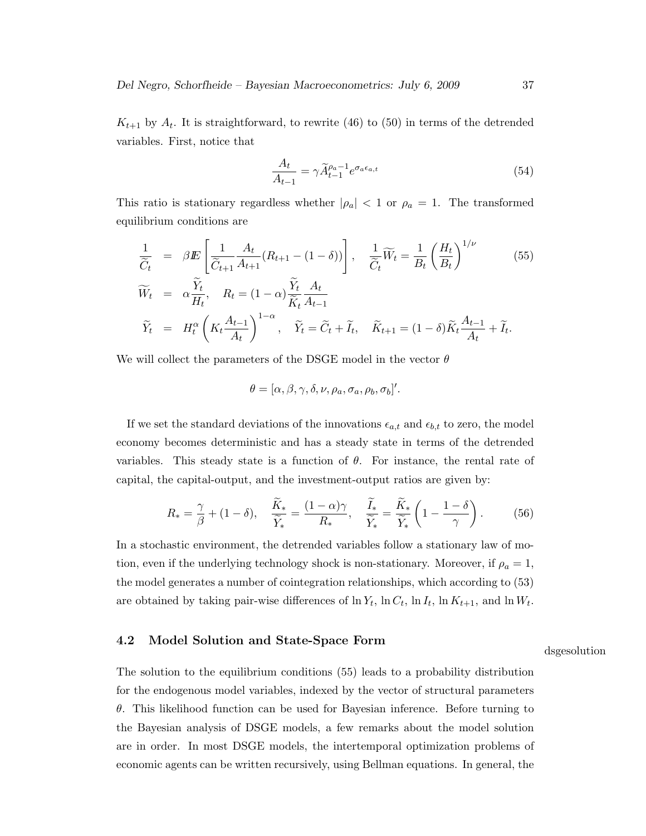$K_{t+1}$  by  $A_t$ . It is straightforward, to rewrite (46) to (50) in terms of the detrended variables. First, notice that

$$
\frac{A_t}{A_{t-1}} = \gamma \widetilde{A}_{t-1}^{\rho_a - 1} e^{\sigma_a \epsilon_{a,t}} \tag{54}
$$

This ratio is stationary regardless whether  $|\rho_a| < 1$  or  $\rho_a = 1$ . The transformed equilibrium conditions are

$$
\frac{1}{\widetilde{C}_t} = \beta E \left[ \frac{1}{\widetilde{C}_{t+1}} \frac{A_t}{A_{t+1}} (R_{t+1} - (1 - \delta)) \right], \quad \frac{1}{\widetilde{C}_t} \widetilde{W}_t = \frac{1}{B_t} \left( \frac{H_t}{B_t} \right)^{1/\nu} \qquad (55)
$$
\n
$$
\widetilde{W}_t = \alpha \frac{\widetilde{Y}_t}{H_t}, \quad R_t = (1 - \alpha) \frac{\widetilde{Y}_t}{\widetilde{K}_t} \frac{A_t}{A_{t-1}}
$$
\n
$$
\widetilde{Y}_t = H_t^{\alpha} \left( K_t \frac{A_{t-1}}{A_t} \right)^{1-\alpha}, \quad \widetilde{Y}_t = \widetilde{C}_t + \widetilde{I}_t, \quad \widetilde{K}_{t+1} = (1 - \delta) \widetilde{K}_t \frac{A_{t-1}}{A_t} + \widetilde{I}_t.
$$

We will collect the parameters of the DSGE model in the vector  $\theta$ 

$$
\theta = [\alpha, \beta, \gamma, \delta, \nu, \rho_a, \sigma_a, \rho_b, \sigma_b]'
$$

If we set the standard deviations of the innovations  $\epsilon_{a,t}$  and  $\epsilon_{b,t}$  to zero, the model economy becomes deterministic and has a steady state in terms of the detrended variables. This steady state is a function of  $\theta$ . For instance, the rental rate of capital, the capital-output, and the investment-output ratios are given by:

$$
R_* = \frac{\gamma}{\beta} + (1 - \delta), \quad \frac{\widetilde{K}_*}{\widetilde{Y}_*} = \frac{(1 - \alpha)\gamma}{R_*}, \quad \frac{\widetilde{I}_*}{\widetilde{Y}_*} = \frac{\widetilde{K}_*}{\widetilde{Y}_*} \left(1 - \frac{1 - \delta}{\gamma}\right). \tag{56}
$$

In a stochastic environment, the detrended variables follow a stationary law of motion, even if the underlying technology shock is non-stationary. Moreover, if  $\rho_a = 1$ , the model generates a number of cointegration relationships, which according to (53) are obtained by taking pair-wise differences of  $\ln Y_t$ ,  $\ln C_t$ ,  $\ln I_t$ ,  $\ln K_{t+1}$ , and  $\ln W_t$ .

#### 4.2 Model Solution and State-Space Form

The solution to the equilibrium conditions (55) leads to a probability distribution for the endogenous model variables, indexed by the vector of structural parameters θ. This likelihood function can be used for Bayesian inference. Before turning to the Bayesian analysis of DSGE models, a few remarks about the model solution are in order. In most DSGE models, the intertemporal optimization problems of economic agents can be written recursively, using Bellman equations. In general, the

#### dsgesolution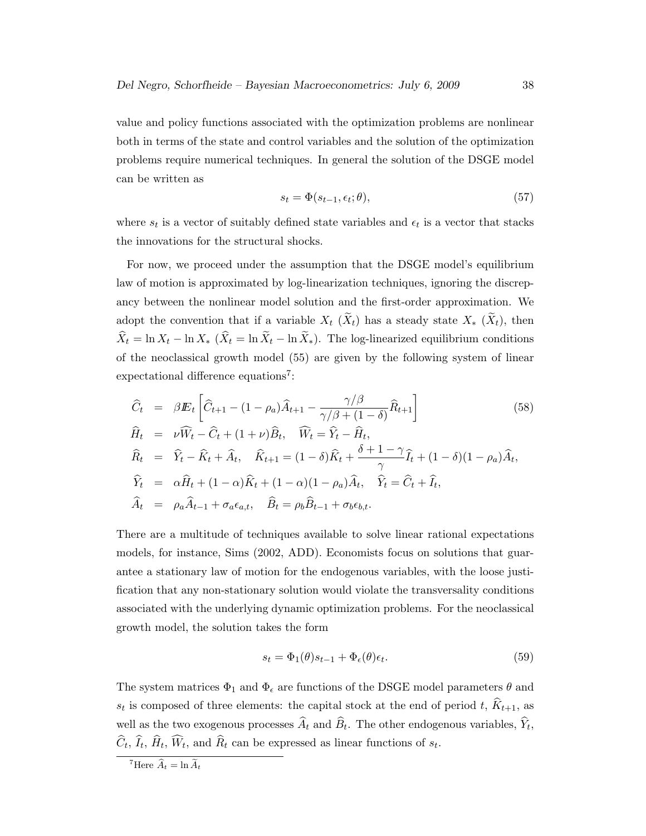value and policy functions associated with the optimization problems are nonlinear both in terms of the state and control variables and the solution of the optimization problems require numerical techniques. In general the solution of the DSGE model can be written as

$$
s_t = \Phi(s_{t-1}, \epsilon_t; \theta), \tag{57}
$$

where  $s_t$  is a vector of suitably defined state variables and  $\epsilon_t$  is a vector that stacks the innovations for the structural shocks.

For now, we proceed under the assumption that the DSGE model's equilibrium law of motion is approximated by log-linearization techniques, ignoring the discrepancy between the nonlinear model solution and the first-order approximation. We adopt the convention that if a variable  $X_t$  ( $\widetilde{X}_t$ ) has a steady state  $X_*$  ( $\widetilde{X}_t$ ), then  $\widehat{X}_t = \ln X_t - \ln X_*$  ( $\widehat{X}_t = \ln \widetilde{X}_t - \ln \widetilde{X}_*$ ). The log-linearized equilibrium conditions of the neoclassical growth model (55) are given by the following system of linear expectational difference equations<sup>7</sup>:

$$
\begin{aligned}\n\widehat{C}_t &= \beta \mathbf{E}_t \left[ \widehat{C}_{t+1} - (1 - \rho_a) \widehat{A}_{t+1} - \frac{\gamma/\beta}{\gamma/\beta + (1 - \delta)} \widehat{R}_{t+1} \right] \\
\widehat{H}_t &= \nu \widehat{W}_t - \widehat{C}_t + (1 + \nu) \widehat{B}_t, \quad \widehat{W}_t = \widehat{Y}_t - \widehat{H}_t, \\
\widehat{R}_t &= \widehat{Y}_t - \widehat{K}_t + \widehat{A}_t, \quad \widehat{K}_{t+1} = (1 - \delta) \widehat{K}_t + \frac{\delta + 1 - \gamma}{\gamma} \widehat{I}_t + (1 - \delta)(1 - \rho_a) \widehat{A}_t, \\
\widehat{Y}_t &= \alpha \widehat{H}_t + (1 - \alpha) \widehat{K}_t + (1 - \alpha)(1 - \rho_a) \widehat{A}_t, \quad \widehat{Y}_t = \widehat{C}_t + \widehat{I}_t, \\
\widehat{A}_t &= \rho_a \widehat{A}_{t-1} + \sigma_a \epsilon_{a,t}, \quad \widehat{B}_t = \rho_b \widehat{B}_{t-1} + \sigma_b \epsilon_{b,t}.\n\end{aligned}
$$
\n(58)

There are a multitude of techniques available to solve linear rational expectations models, for instance, Sims (2002, ADD). Economists focus on solutions that guarantee a stationary law of motion for the endogenous variables, with the loose justification that any non-stationary solution would violate the transversality conditions associated with the underlying dynamic optimization problems. For the neoclassical growth model, the solution takes the form

$$
s_t = \Phi_1(\theta)s_{t-1} + \Phi_\epsilon(\theta)\epsilon_t.
$$
\n(59)

The system matrices  $\Phi_1$  and  $\Phi_{\epsilon}$  are functions of the DSGE model parameters  $\theta$  and  $s_t$  is composed of three elements: the capital stock at the end of period t,  $K_{t+1}$ , as well as the two exogenous processes  $A_t$  and  $B_t$ . The other endogenous variables,  $Y_t$ ,  $C_t$ ,  $I_t$ ,  $H_t$ ,  $W_t$ , and  $R_t$  can be expressed as linear functions of  $s_t$ .

<sup>&</sup>lt;sup>7</sup>Here  $\widehat{A}_t = \ln \widetilde{A}_t$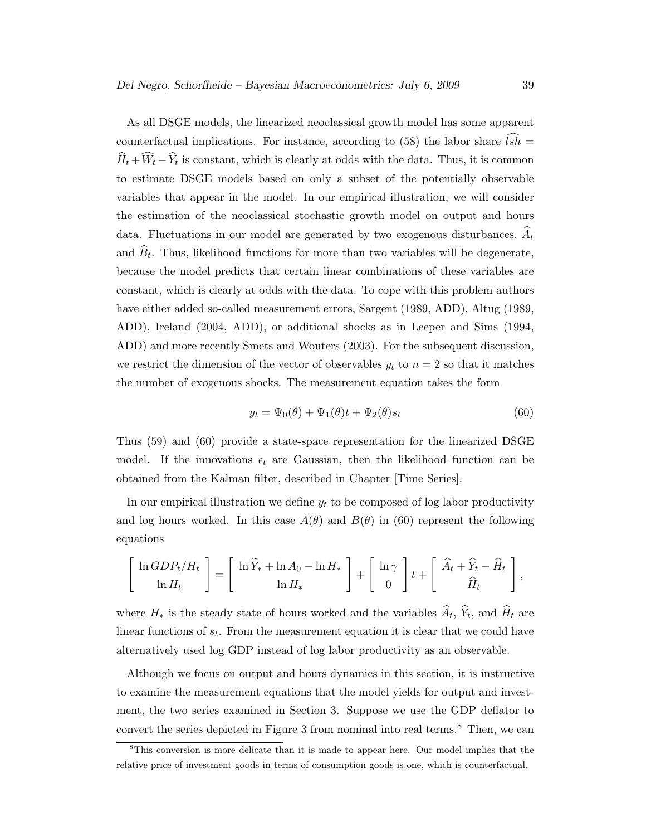As all DSGE models, the linearized neoclassical growth model has some apparent counterfactual implications. For instance, according to (58) the labor share  $\widehat{lsh}$  =  $H_t + W_t - Y_t$  is constant, which is clearly at odds with the data. Thus, it is common to estimate DSGE models based on only a subset of the potentially observable variables that appear in the model. In our empirical illustration, we will consider the estimation of the neoclassical stochastic growth model on output and hours data. Fluctuations in our model are generated by two exogenous disturbances,  $A_t$ and  $B_t$ . Thus, likelihood functions for more than two variables will be degenerate, because the model predicts that certain linear combinations of these variables are constant, which is clearly at odds with the data. To cope with this problem authors have either added so-called measurement errors, Sargent (1989, ADD), Altug (1989, ADD), Ireland (2004, ADD), or additional shocks as in Leeper and Sims (1994, ADD) and more recently Smets and Wouters (2003). For the subsequent discussion, we restrict the dimension of the vector of observables  $y_t$  to  $n = 2$  so that it matches the number of exogenous shocks. The measurement equation takes the form

$$
y_t = \Psi_0(\theta) + \Psi_1(\theta)t + \Psi_2(\theta)s_t
$$
\n(60)

Thus (59) and (60) provide a state-space representation for the linearized DSGE model. If the innovations  $\epsilon_t$  are Gaussian, then the likelihood function can be obtained from the Kalman filter, described in Chapter [Time Series].

In our empirical illustration we define  $y_t$  to be composed of log labor productivity and log hours worked. In this case  $A(\theta)$  and  $B(\theta)$  in (60) represent the following equations

$$
\left[\begin{array}{c} \ln GDP_t/H_t \\ \ln H_t \end{array}\right] = \left[\begin{array}{c} \ln \widetilde{Y}_* + \ln A_0 - \ln H_* \\ \ln H_* \end{array}\right] + \left[\begin{array}{c} \ln \gamma \\ 0 \end{array}\right] t + \left[\begin{array}{c} \widehat{A}_t + \widehat{Y}_t - \widehat{H}_t \\ \widehat{H}_t \end{array}\right],
$$

where  $H_*$  is the steady state of hours worked and the variables  $A_t$ ,  $Y_t$ , and  $H_t$  are linear functions of  $s_t$ . From the measurement equation it is clear that we could have alternatively used log GDP instead of log labor productivity as an observable.

Although we focus on output and hours dynamics in this section, it is instructive to examine the measurement equations that the model yields for output and investment, the two series examined in Section 3. Suppose we use the GDP deflator to convert the series depicted in Figure 3 from nominal into real terms.<sup>8</sup> Then, we can

<sup>8</sup>This conversion is more delicate than it is made to appear here. Our model implies that the relative price of investment goods in terms of consumption goods is one, which is counterfactual.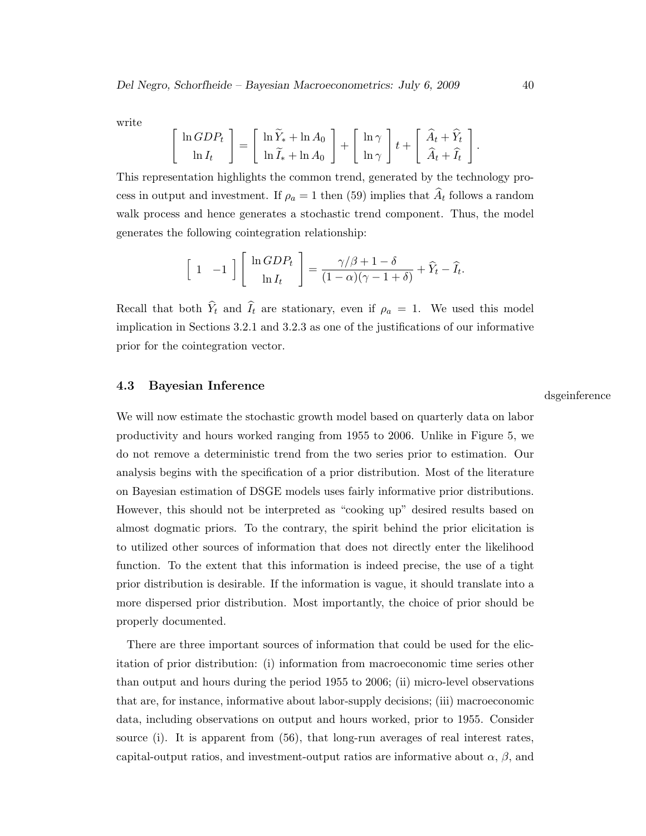write

$$
\begin{bmatrix} \ln GDP_t \\ \ln I_t \end{bmatrix} = \begin{bmatrix} \ln \widetilde{Y}_* + \ln A_0 \\ \ln \widetilde{I}_* + \ln A_0 \end{bmatrix} + \begin{bmatrix} \ln \gamma \\ \ln \gamma \end{bmatrix} t + \begin{bmatrix} \widehat{A}_t + \widehat{Y}_t \\ \widehat{A}_t + \widehat{I}_t \end{bmatrix}.
$$

This representation highlights the common trend, generated by the technology process in output and investment. If  $\rho_a = 1$  then (59) implies that  $\widehat{A}_t$  follows a random walk process and hence generates a stochastic trend component. Thus, the model generates the following cointegration relationship:

$$
\begin{bmatrix} 1 & -1 \end{bmatrix} \begin{bmatrix} \ln GDP_t \\ \ln I_t \end{bmatrix} = \frac{\gamma/\beta + 1 - \delta}{(1 - \alpha)(\gamma - 1 + \delta)} + \widehat{Y}_t - \widehat{I}_t.
$$

Recall that both  $\hat{Y}_t$  and  $\hat{I}_t$  are stationary, even if  $\rho_a = 1$ . We used this model implication in Sections 3.2.1 and 3.2.3 as one of the justifications of our informative prior for the cointegration vector.

#### 4.3 Bayesian Inference

We will now estimate the stochastic growth model based on quarterly data on labor productivity and hours worked ranging from 1955 to 2006. Unlike in Figure 5, we do not remove a deterministic trend from the two series prior to estimation. Our analysis begins with the specification of a prior distribution. Most of the literature on Bayesian estimation of DSGE models uses fairly informative prior distributions. However, this should not be interpreted as "cooking up" desired results based on almost dogmatic priors. To the contrary, the spirit behind the prior elicitation is to utilized other sources of information that does not directly enter the likelihood function. To the extent that this information is indeed precise, the use of a tight prior distribution is desirable. If the information is vague, it should translate into a more dispersed prior distribution. Most importantly, the choice of prior should be properly documented.

There are three important sources of information that could be used for the elicitation of prior distribution: (i) information from macroeconomic time series other than output and hours during the period 1955 to 2006; (ii) micro-level observations that are, for instance, informative about labor-supply decisions; (iii) macroeconomic data, including observations on output and hours worked, prior to 1955. Consider source (i). It is apparent from (56), that long-run averages of real interest rates, capital-output ratios, and investment-output ratios are informative about  $\alpha$ ,  $\beta$ , and dsgeinference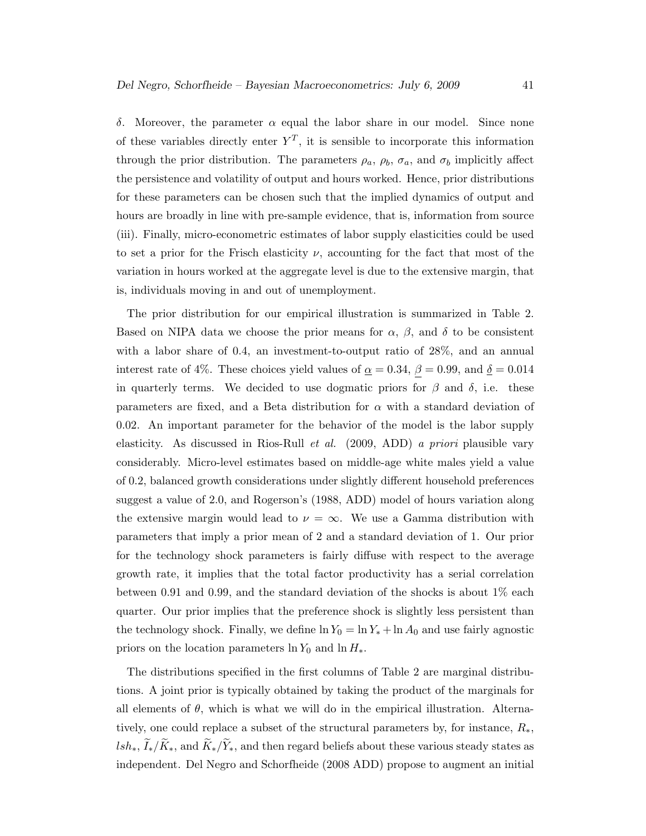δ. Moreover, the parameter α equal the labor share in our model. Since none of these variables directly enter  $Y^T$ , it is sensible to incorporate this information through the prior distribution. The parameters  $\rho_a$ ,  $\rho_b$ ,  $\sigma_a$ , and  $\sigma_b$  implicitly affect the persistence and volatility of output and hours worked. Hence, prior distributions for these parameters can be chosen such that the implied dynamics of output and hours are broadly in line with pre-sample evidence, that is, information from source (iii). Finally, micro-econometric estimates of labor supply elasticities could be used to set a prior for the Frisch elasticity  $\nu$ , accounting for the fact that most of the variation in hours worked at the aggregate level is due to the extensive margin, that is, individuals moving in and out of unemployment.

The prior distribution for our empirical illustration is summarized in Table 2. Based on NIPA data we choose the prior means for  $\alpha$ ,  $\beta$ , and  $\delta$  to be consistent with a labor share of 0.4, an investment-to-output ratio of 28%, and an annual interest rate of 4%. These choices yield values of  $\underline{\alpha} = 0.34$ ,  $\underline{\beta} = 0.99$ , and  $\underline{\delta} = 0.014$ in quarterly terms. We decided to use dogmatic priors for  $\beta$  and  $\delta$ , i.e. these parameters are fixed, and a Beta distribution for  $\alpha$  with a standard deviation of 0.02. An important parameter for the behavior of the model is the labor supply elasticity. As discussed in Rios-Rull et al. (2009, ADD) a priori plausible vary considerably. Micro-level estimates based on middle-age white males yield a value of 0.2, balanced growth considerations under slightly different household preferences suggest a value of 2.0, and Rogerson's (1988, ADD) model of hours variation along the extensive margin would lead to  $\nu = \infty$ . We use a Gamma distribution with parameters that imply a prior mean of 2 and a standard deviation of 1. Our prior for the technology shock parameters is fairly diffuse with respect to the average growth rate, it implies that the total factor productivity has a serial correlation between 0.91 and 0.99, and the standard deviation of the shocks is about 1% each quarter. Our prior implies that the preference shock is slightly less persistent than the technology shock. Finally, we define  $\ln Y_0 = \ln Y_* + \ln A_0$  and use fairly agnostic priors on the location parameters  $\ln Y_0$  and  $\ln H_*$ .

The distributions specified in the first columns of Table 2 are marginal distributions. A joint prior is typically obtained by taking the product of the marginals for all elements of  $\theta$ , which is what we will do in the empirical illustration. Alternatively, one could replace a subset of the structural parameters by, for instance, R∗, lsh<sub>∗</sub>,  $\widetilde{I}_*/\widetilde{K}_*$ , and  $\widetilde{K}_*/\widetilde{Y}_*$ , and then regard beliefs about these various steady states as independent. Del Negro and Schorfheide (2008 ADD) propose to augment an initial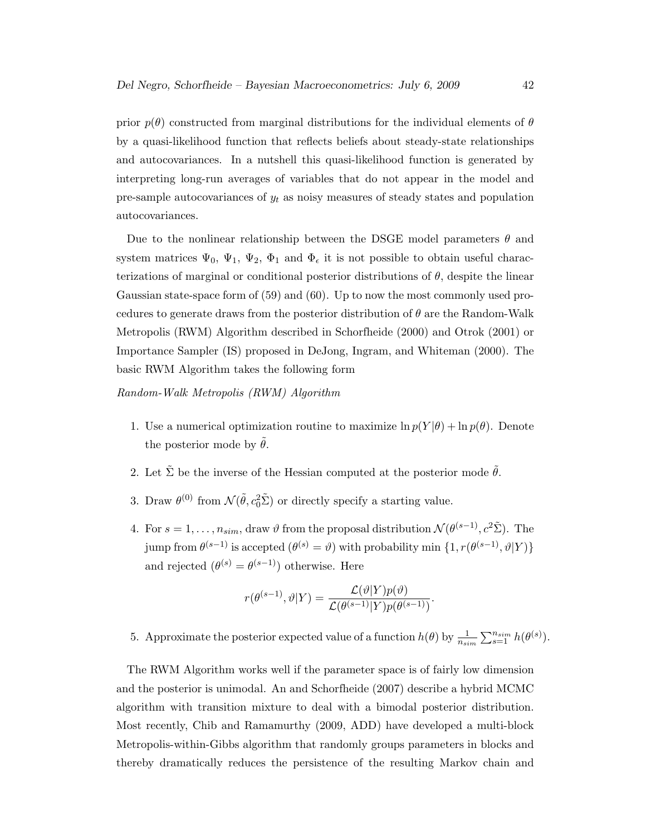prior  $p(\theta)$  constructed from marginal distributions for the individual elements of  $\theta$ by a quasi-likelihood function that reflects beliefs about steady-state relationships and autocovariances. In a nutshell this quasi-likelihood function is generated by interpreting long-run averages of variables that do not appear in the model and pre-sample autocovariances of  $y_t$  as noisy measures of steady states and population autocovariances.

Due to the nonlinear relationship between the DSGE model parameters  $\theta$  and system matrices  $\Psi_0$ ,  $\Psi_1$ ,  $\Psi_2$ ,  $\Phi_1$  and  $\Phi_{\epsilon}$  it is not possible to obtain useful characterizations of marginal or conditional posterior distributions of  $\theta$ , despite the linear Gaussian state-space form of (59) and (60). Up to now the most commonly used procedures to generate draws from the posterior distribution of  $\theta$  are the Random-Walk Metropolis (RWM) Algorithm described in Schorfheide (2000) and Otrok (2001) or Importance Sampler (IS) proposed in DeJong, Ingram, and Whiteman (2000). The basic RWM Algorithm takes the following form

Random-Walk Metropolis (RWM) Algorithm

- 1. Use a numerical optimization routine to maximize  $\ln p(Y|\theta) + \ln p(\theta)$ . Denote the posterior mode by  $\tilde{\theta}$ .
- 2. Let  $\tilde{\Sigma}$  be the inverse of the Hessian computed at the posterior mode  $\tilde{\theta}$ .
- 3. Draw  $\theta^{(0)}$  from  $\mathcal{N}(\tilde{\theta}, c_0^2 \tilde{\Sigma})$  or directly specify a starting value.
- 4. For  $s = 1, \ldots, n_{sim}$ , draw  $\vartheta$  from the proposal distribution  $\mathcal{N}(\theta^{(s-1)}, c^2 \tilde{\Sigma})$ . The jump from  $\theta^{(s-1)}$  is accepted  $(\theta^{(s)} = \vartheta)$  with probability min  $\{1, r(\theta^{(s-1)}, \vartheta | Y)\}$ and rejected  $(\theta^{(s)} = \theta^{(s-1)})$  otherwise. Here

$$
r(\theta^{(s-1)}, \vartheta|Y) = \frac{\mathcal{L}(\vartheta|Y)p(\vartheta)}{\mathcal{L}(\theta^{(s-1)}|Y)p(\theta^{(s-1)})}.
$$

5. Approximate the posterior expected value of a function  $h(\theta)$  by  $\frac{1}{n_{sim}}\sum_{s=1}^{n_{sim}}h(\theta^{(s)})$ .

The RWM Algorithm works well if the parameter space is of fairly low dimension and the posterior is unimodal. An and Schorfheide (2007) describe a hybrid MCMC algorithm with transition mixture to deal with a bimodal posterior distribution. Most recently, Chib and Ramamurthy (2009, ADD) have developed a multi-block Metropolis-within-Gibbs algorithm that randomly groups parameters in blocks and thereby dramatically reduces the persistence of the resulting Markov chain and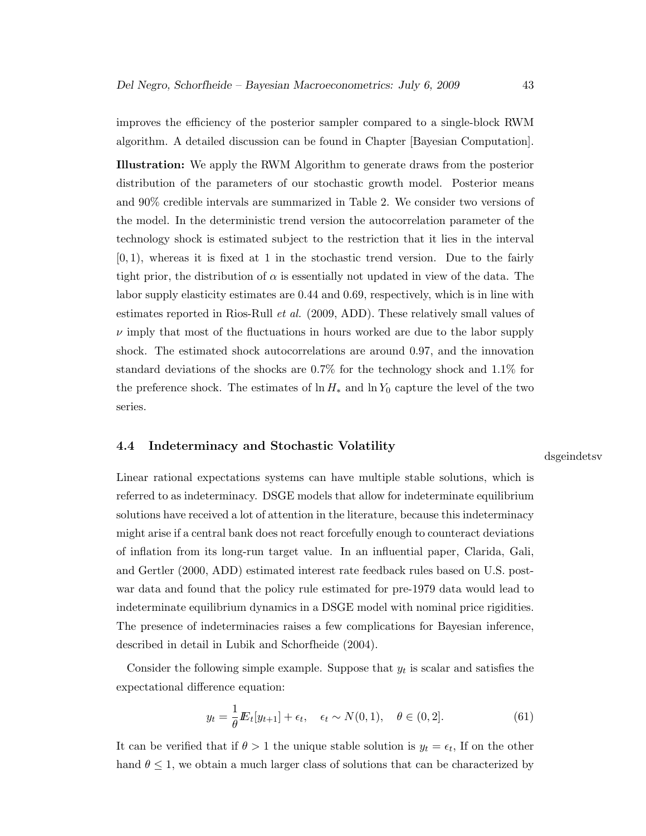improves the efficiency of the posterior sampler compared to a single-block RWM algorithm. A detailed discussion can be found in Chapter [Bayesian Computation].

Illustration: We apply the RWM Algorithm to generate draws from the posterior distribution of the parameters of our stochastic growth model. Posterior means and 90% credible intervals are summarized in Table 2. We consider two versions of the model. In the deterministic trend version the autocorrelation parameter of the technology shock is estimated subject to the restriction that it lies in the interval  $[0, 1)$ , whereas it is fixed at 1 in the stochastic trend version. Due to the fairly tight prior, the distribution of  $\alpha$  is essentially not updated in view of the data. The labor supply elasticity estimates are 0.44 and 0.69, respectively, which is in line with estimates reported in Rios-Rull et al. (2009, ADD). These relatively small values of  $\nu$  imply that most of the fluctuations in hours worked are due to the labor supply shock. The estimated shock autocorrelations are around 0.97, and the innovation standard deviations of the shocks are 0.7% for the technology shock and 1.1% for the preference shock. The estimates of  $\ln H_*$  and  $\ln Y_0$  capture the level of the two series.

#### 4.4 Indeterminacy and Stochastic Volatility

dsgeindetsv

Linear rational expectations systems can have multiple stable solutions, which is referred to as indeterminacy. DSGE models that allow for indeterminate equilibrium solutions have received a lot of attention in the literature, because this indeterminacy might arise if a central bank does not react forcefully enough to counteract deviations of inflation from its long-run target value. In an influential paper, Clarida, Gali, and Gertler (2000, ADD) estimated interest rate feedback rules based on U.S. postwar data and found that the policy rule estimated for pre-1979 data would lead to indeterminate equilibrium dynamics in a DSGE model with nominal price rigidities. The presence of indeterminacies raises a few complications for Bayesian inference, described in detail in Lubik and Schorfheide (2004).

Consider the following simple example. Suppose that  $y_t$  is scalar and satisfies the expectational difference equation:

$$
y_t = \frac{1}{\theta} E_t[y_{t+1}] + \epsilon_t, \quad \epsilon_t \sim N(0, 1), \quad \theta \in (0, 2].
$$
 (61)

It can be verified that if  $\theta > 1$  the unique stable solution is  $y_t = \epsilon_t$ , If on the other hand  $\theta \leq 1$ , we obtain a much larger class of solutions that can be characterized by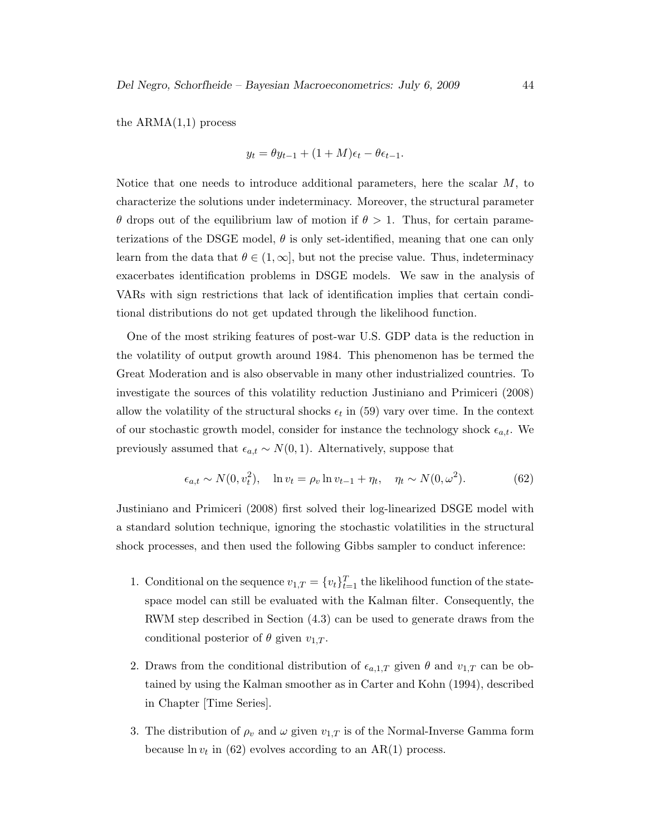the  $ARMA(1,1)$  process

$$
y_t = \theta y_{t-1} + (1+M)\epsilon_t - \theta \epsilon_{t-1}.
$$

Notice that one needs to introduce additional parameters, here the scalar M, to characterize the solutions under indeterminacy. Moreover, the structural parameter θ drops out of the equilibrium law of motion if θ > 1. Thus, for certain parameterizations of the DSGE model,  $\theta$  is only set-identified, meaning that one can only learn from the data that  $\theta \in (1,\infty]$ , but not the precise value. Thus, indeterminacy exacerbates identification problems in DSGE models. We saw in the analysis of VARs with sign restrictions that lack of identification implies that certain conditional distributions do not get updated through the likelihood function.

One of the most striking features of post-war U.S. GDP data is the reduction in the volatility of output growth around 1984. This phenomenon has be termed the Great Moderation and is also observable in many other industrialized countries. To investigate the sources of this volatility reduction Justiniano and Primiceri (2008) allow the volatility of the structural shocks  $\epsilon_t$  in (59) vary over time. In the context of our stochastic growth model, consider for instance the technology shock  $\epsilon_{a,t}$ . We previously assumed that  $\epsilon_{a,t} \sim N(0,1)$ . Alternatively, suppose that

$$
\epsilon_{a,t} \sim N(0, v_t^2), \quad \ln v_t = \rho_v \ln v_{t-1} + \eta_t, \quad \eta_t \sim N(0, \omega^2). \tag{62}
$$

Justiniano and Primiceri (2008) first solved their log-linearized DSGE model with a standard solution technique, ignoring the stochastic volatilities in the structural shock processes, and then used the following Gibbs sampler to conduct inference:

- 1. Conditional on the sequence  $v_{1,T} = \{v_t\}_{t=1}^T$  the likelihood function of the statespace model can still be evaluated with the Kalman filter. Consequently, the RWM step described in Section (4.3) can be used to generate draws from the conditional posterior of  $\theta$  given  $v_{1,T}$ .
- 2. Draws from the conditional distribution of  $\epsilon_{a,1,T}$  given  $\theta$  and  $v_{1,T}$  can be obtained by using the Kalman smoother as in Carter and Kohn (1994), described in Chapter [Time Series].
- 3. The distribution of  $\rho_v$  and  $\omega$  given  $v_{1,T}$  is of the Normal-Inverse Gamma form because  $\ln v_t$  in (62) evolves according to an AR(1) process.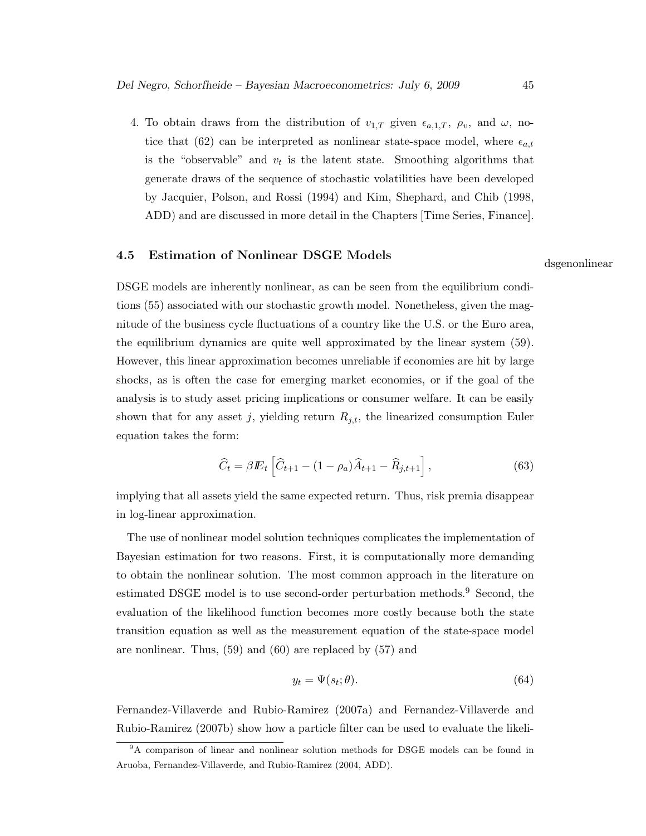4. To obtain draws from the distribution of  $v_{1,T}$  given  $\epsilon_{a,1,T}$ ,  $\rho_v$ , and  $\omega$ , notice that (62) can be interpreted as nonlinear state-space model, where  $\epsilon_{a,t}$ is the "observable" and  $v_t$  is the latent state. Smoothing algorithms that generate draws of the sequence of stochastic volatilities have been developed by Jacquier, Polson, and Rossi (1994) and Kim, Shephard, and Chib (1998, ADD) and are discussed in more detail in the Chapters [Time Series, Finance].

# 4.5 Estimation of Nonlinear DSGE Models dsgenonlinear

DSGE models are inherently nonlinear, as can be seen from the equilibrium conditions (55) associated with our stochastic growth model. Nonetheless, given the magnitude of the business cycle fluctuations of a country like the U.S. or the Euro area, the equilibrium dynamics are quite well approximated by the linear system (59). However, this linear approximation becomes unreliable if economies are hit by large shocks, as is often the case for emerging market economies, or if the goal of the analysis is to study asset pricing implications or consumer welfare. It can be easily shown that for any asset j, yielding return  $R_{j,t}$ , the linearized consumption Euler equation takes the form:

$$
\widehat{C}_t = \beta E_t \left[ \widehat{C}_{t+1} - (1 - \rho_a) \widehat{A}_{t+1} - \widehat{R}_{j,t+1} \right],\tag{63}
$$

implying that all assets yield the same expected return. Thus, risk premia disappear in log-linear approximation.

The use of nonlinear model solution techniques complicates the implementation of Bayesian estimation for two reasons. First, it is computationally more demanding to obtain the nonlinear solution. The most common approach in the literature on estimated DSGE model is to use second-order perturbation methods.<sup>9</sup> Second, the evaluation of the likelihood function becomes more costly because both the state transition equation as well as the measurement equation of the state-space model are nonlinear. Thus, (59) and (60) are replaced by (57) and

$$
y_t = \Psi(s_t; \theta). \tag{64}
$$

Fernandez-Villaverde and Rubio-Ramirez (2007a) and Fernandez-Villaverde and Rubio-Ramirez (2007b) show how a particle filter can be used to evaluate the likeli-

<sup>9</sup>A comparison of linear and nonlinear solution methods for DSGE models can be found in Aruoba, Fernandez-Villaverde, and Rubio-Ramirez (2004, ADD).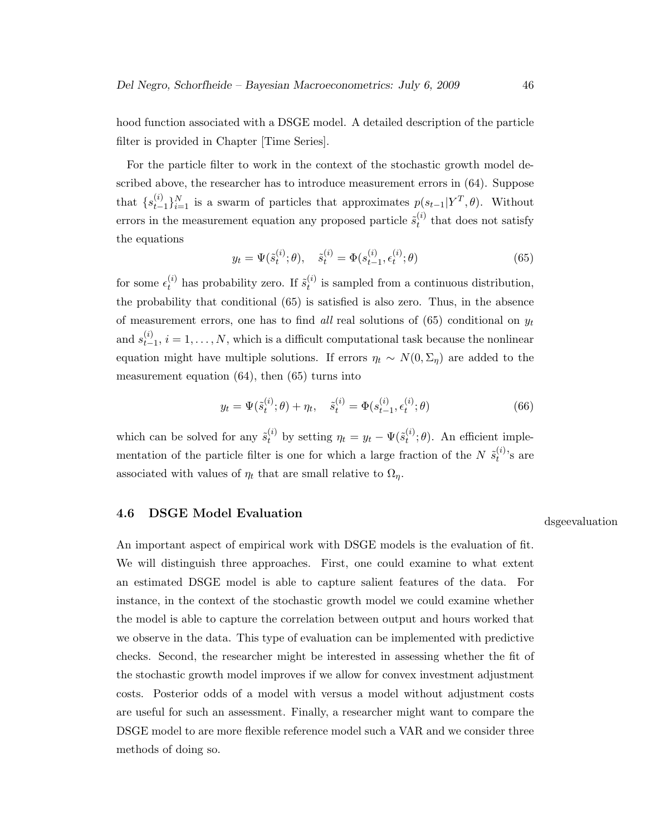hood function associated with a DSGE model. A detailed description of the particle filter is provided in Chapter [Time Series].

For the particle filter to work in the context of the stochastic growth model described above, the researcher has to introduce measurement errors in (64). Suppose that  $\{s_{t-}^{(i)}\}$  $(t)$ <sub>t−1</sub> $\}_{i=1}^N$  is a swarm of particles that approximates  $p(s_{t-1}|Y^T, \theta)$ . Without errors in the measurement equation any proposed particle  $\tilde{s}_{t}^{(i)}$  $t_t^{(i)}$  that does not satisfy the equations

$$
y_t = \Psi(\tilde{s}_t^{(i)}; \theta), \quad \tilde{s}_t^{(i)} = \Phi(s_{t-1}^{(i)}, \epsilon_t^{(i)}; \theta)
$$
(65)

for some  $\epsilon_t^{(i)}$  has probability zero. If  $\tilde{s}_t^{(i)}$  $t_t^{(i)}$  is sampled from a continuous distribution, the probability that conditional (65) is satisfied is also zero. Thus, in the absence of measurement errors, one has to find all real solutions of (65) conditional on  $y_t$ and  $s_{t-}^{(i)}$  $t_{t-1}^{(i)}$ ,  $i = 1, \ldots, N$ , which is a difficult computational task because the nonlinear equation might have multiple solutions. If errors  $\eta_t \sim N(0, \Sigma_\eta)$  are added to the measurement equation (64), then (65) turns into

$$
y_t = \Psi(\tilde{s}_t^{(i)}; \theta) + \eta_t, \quad \tilde{s}_t^{(i)} = \Phi(s_{t-1}^{(i)}, \epsilon_t^{(i)}; \theta)
$$
\n(66)

which can be solved for any  $\tilde{s}_{t}^{(i)}$  by setting  $\eta_t = y_t - \Psi(\tilde{s}_{t}^{(i)})$  $t^{(i)}$ ;  $\theta$ ). An efficient implementation of the particle filter is one for which a large fraction of the N  $\tilde{s}^{(i)}_t$  $t^{(i)}$ 's are associated with values of  $\eta_t$  that are small relative to  $\Omega_{\eta}$ .

# 4.6 DSGE Model Evaluation design and discrete discover of the discrete discrete discrete discrete discrete discrete discrete discrete discrete discrete discrete discrete discrete discrete discrete discrete discrete discret

An important aspect of empirical work with DSGE models is the evaluation of fit. We will distinguish three approaches. First, one could examine to what extent an estimated DSGE model is able to capture salient features of the data. For instance, in the context of the stochastic growth model we could examine whether the model is able to capture the correlation between output and hours worked that we observe in the data. This type of evaluation can be implemented with predictive checks. Second, the researcher might be interested in assessing whether the fit of the stochastic growth model improves if we allow for convex investment adjustment costs. Posterior odds of a model with versus a model without adjustment costs are useful for such an assessment. Finally, a researcher might want to compare the DSGE model to are more flexible reference model such a VAR and we consider three methods of doing so.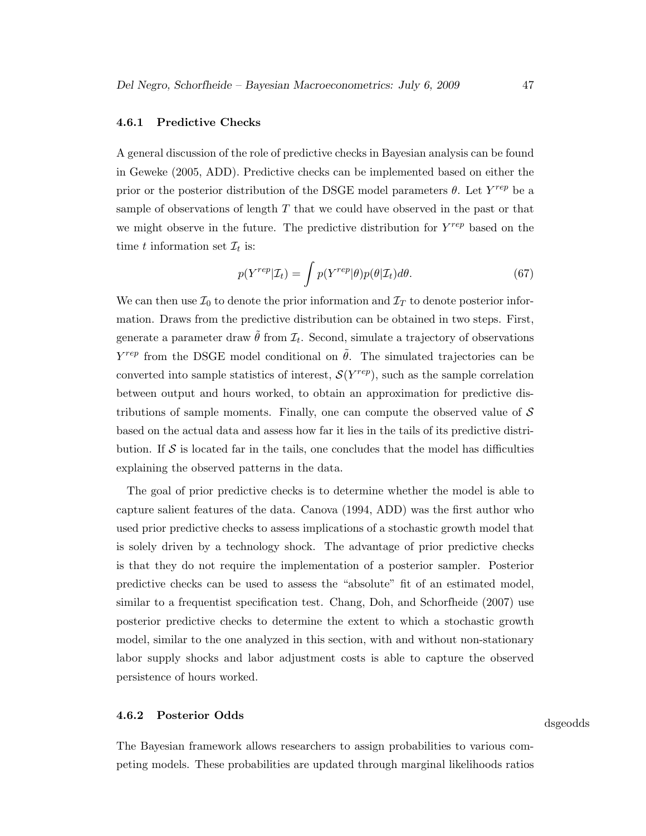#### 4.6.1 Predictive Checks

A general discussion of the role of predictive checks in Bayesian analysis can be found in Geweke (2005, ADD). Predictive checks can be implemented based on either the prior or the posterior distribution of the DSGE model parameters  $\theta$ . Let  $Y^{rep}$  be a sample of observations of length  $T$  that we could have observed in the past or that we might observe in the future. The predictive distribution for  $Y^{rep}$  based on the time t information set  $\mathcal{I}_t$  is:

$$
p(Y^{rep}|\mathcal{I}_t) = \int p(Y^{rep}|\theta)p(\theta|\mathcal{I}_t)d\theta.
$$
\n(67)

We can then use  $\mathcal{I}_0$  to denote the prior information and  $\mathcal{I}_T$  to denote posterior information. Draws from the predictive distribution can be obtained in two steps. First, generate a parameter draw  $\tilde{\theta}$  from  $\mathcal{I}_t$ . Second, simulate a trajectory of observations  $Y^{rep}$  from the DSGE model conditional on  $\tilde{\theta}$ . The simulated trajectories can be converted into sample statistics of interest,  $\mathcal{S}(Y^{rep})$ , such as the sample correlation between output and hours worked, to obtain an approximation for predictive distributions of sample moments. Finally, one can compute the observed value of  $\mathcal S$ based on the actual data and assess how far it lies in the tails of its predictive distribution. If  $\mathcal S$  is located far in the tails, one concludes that the model has difficulties explaining the observed patterns in the data.

The goal of prior predictive checks is to determine whether the model is able to capture salient features of the data. Canova (1994, ADD) was the first author who used prior predictive checks to assess implications of a stochastic growth model that is solely driven by a technology shock. The advantage of prior predictive checks is that they do not require the implementation of a posterior sampler. Posterior predictive checks can be used to assess the "absolute" fit of an estimated model, similar to a frequentist specification test. Chang, Doh, and Schorfheide (2007) use posterior predictive checks to determine the extent to which a stochastic growth model, similar to the one analyzed in this section, with and without non-stationary labor supply shocks and labor adjustment costs is able to capture the observed persistence of hours worked.

# **4.6.2 Posterior Odds** dsgeodds dsgeodds dsgeodds dsgeodds dsgeodds dsgeodds dsgeodds dsgeodds dsgeodds dsgeodds dsgeodds  $\frac{d}{dt}$

The Bayesian framework allows researchers to assign probabilities to various competing models. These probabilities are updated through marginal likelihoods ratios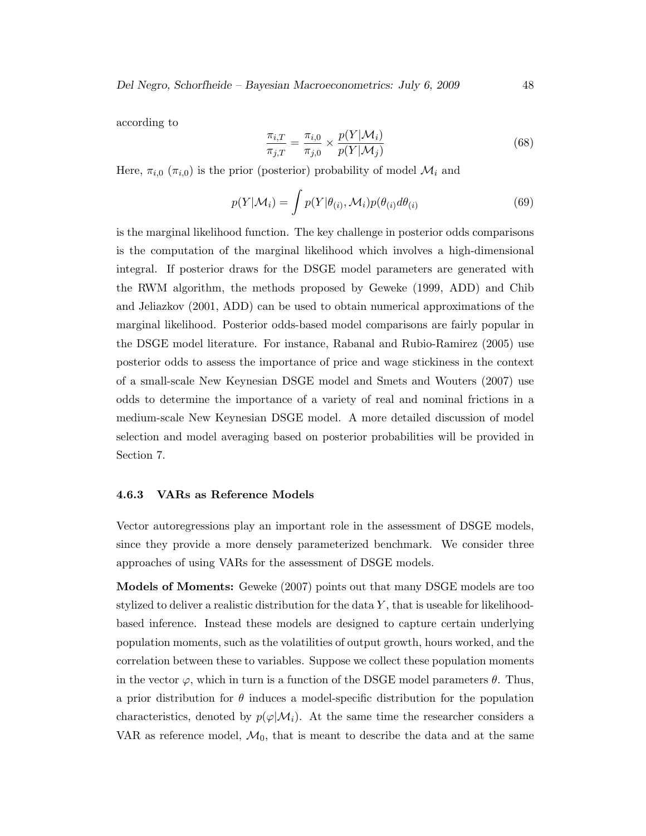according to

$$
\frac{\pi_{i,T}}{\pi_{j,T}} = \frac{\pi_{i,0}}{\pi_{j,0}} \times \frac{p(Y|\mathcal{M}_i)}{p(Y|\mathcal{M}_j)}
$$
(68)

Here,  $\pi_{i,0}$  ( $\pi_{i,0}$ ) is the prior (posterior) probability of model  $\mathcal{M}_i$  and

$$
p(Y|\mathcal{M}_i) = \int p(Y|\theta_{(i)}, \mathcal{M}_i) p(\theta_{(i)} d\theta_{(i)}
$$
\n(69)

is the marginal likelihood function. The key challenge in posterior odds comparisons is the computation of the marginal likelihood which involves a high-dimensional integral. If posterior draws for the DSGE model parameters are generated with the RWM algorithm, the methods proposed by Geweke (1999, ADD) and Chib and Jeliazkov (2001, ADD) can be used to obtain numerical approximations of the marginal likelihood. Posterior odds-based model comparisons are fairly popular in the DSGE model literature. For instance, Rabanal and Rubio-Ramirez (2005) use posterior odds to assess the importance of price and wage stickiness in the context of a small-scale New Keynesian DSGE model and Smets and Wouters (2007) use odds to determine the importance of a variety of real and nominal frictions in a medium-scale New Keynesian DSGE model. A more detailed discussion of model selection and model averaging based on posterior probabilities will be provided in Section 7.

#### 4.6.3 VARs as Reference Models

Vector autoregressions play an important role in the assessment of DSGE models, since they provide a more densely parameterized benchmark. We consider three approaches of using VARs for the assessment of DSGE models.

Models of Moments: Geweke (2007) points out that many DSGE models are too stylized to deliver a realistic distribution for the data  $Y$ , that is useable for likelihoodbased inference. Instead these models are designed to capture certain underlying population moments, such as the volatilities of output growth, hours worked, and the correlation between these to variables. Suppose we collect these population moments in the vector  $\varphi$ , which in turn is a function of the DSGE model parameters  $\theta$ . Thus, a prior distribution for  $\theta$  induces a model-specific distribution for the population characteristics, denoted by  $p(\varphi|M_i)$ . At the same time the researcher considers a VAR as reference model,  $\mathcal{M}_0$ , that is meant to describe the data and at the same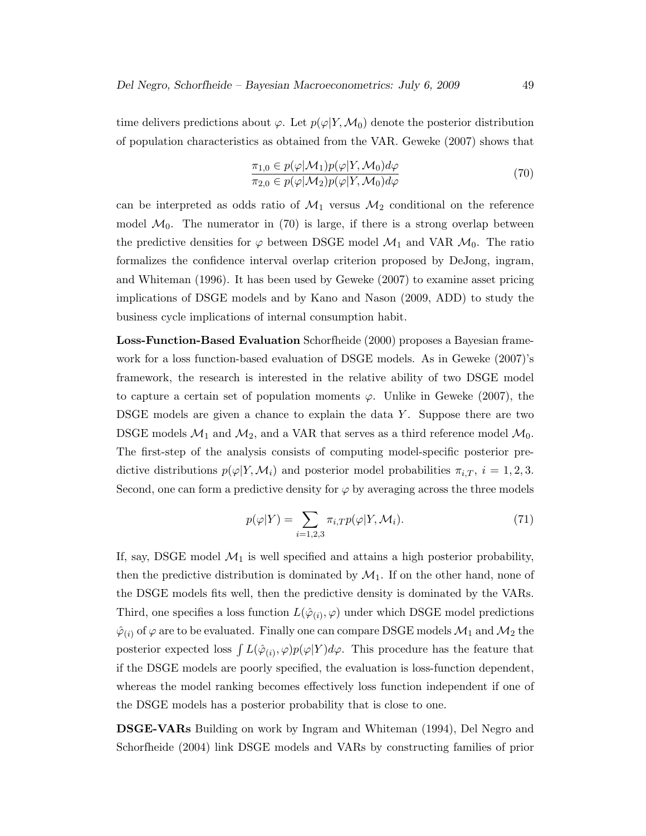time delivers predictions about  $\varphi$ . Let  $p(\varphi|Y,\mathcal{M}_0)$  denote the posterior distribution of population characteristics as obtained from the VAR. Geweke (2007) shows that

$$
\frac{\pi_{1,0} \in p(\varphi | \mathcal{M}_1) p(\varphi | Y, \mathcal{M}_0) d\varphi}{\pi_{2,0} \in p(\varphi | \mathcal{M}_2) p(\varphi | Y, \mathcal{M}_0) d\varphi}
$$
\n(70)

can be interpreted as odds ratio of  $\mathcal{M}_1$  versus  $\mathcal{M}_2$  conditional on the reference model  $\mathcal{M}_0$ . The numerator in (70) is large, if there is a strong overlap between the predictive densities for  $\varphi$  between DSGE model  $\mathcal{M}_1$  and VAR  $\mathcal{M}_0$ . The ratio formalizes the confidence interval overlap criterion proposed by DeJong, ingram, and Whiteman (1996). It has been used by Geweke (2007) to examine asset pricing implications of DSGE models and by Kano and Nason (2009, ADD) to study the business cycle implications of internal consumption habit.

Loss-Function-Based Evaluation Schorfheide (2000) proposes a Bayesian framework for a loss function-based evaluation of DSGE models. As in Geweke (2007)'s framework, the research is interested in the relative ability of two DSGE model to capture a certain set of population moments  $\varphi$ . Unlike in Geweke (2007), the DSGE models are given a chance to explain the data  $Y$ . Suppose there are two DSGE models  $\mathcal{M}_1$  and  $\mathcal{M}_2$ , and a VAR that serves as a third reference model  $\mathcal{M}_0$ . The first-step of the analysis consists of computing model-specific posterior predictive distributions  $p(\varphi|Y,\mathcal{M}_i)$  and posterior model probabilities  $\pi_{i,T}, i = 1,2,3$ . Second, one can form a predictive density for  $\varphi$  by averaging across the three models

$$
p(\varphi|Y) = \sum_{i=1,2,3} \pi_{i,T} p(\varphi|Y, \mathcal{M}_i).
$$
\n(71)

If, say, DSGE model  $\mathcal{M}_1$  is well specified and attains a high posterior probability, then the predictive distribution is dominated by  $\mathcal{M}_1$ . If on the other hand, none of the DSGE models fits well, then the predictive density is dominated by the VARs. Third, one specifies a loss function  $L(\hat{\varphi}_{(i)}, \varphi)$  under which DSGE model predictions  $\hat{\varphi}_{(i)}$  of  $\varphi$  are to be evaluated. Finally one can compare DSGE models  $\mathcal{M}_1$  and  $\mathcal{M}_2$  the posterior expected loss  $\int L(\hat{\varphi}_{(i)}, \varphi)p(\varphi|Y)d\varphi$ . This procedure has the feature that if the DSGE models are poorly specified, the evaluation is loss-function dependent, whereas the model ranking becomes effectively loss function independent if one of the DSGE models has a posterior probability that is close to one.

DSGE-VARs Building on work by Ingram and Whiteman (1994), Del Negro and Schorfheide (2004) link DSGE models and VARs by constructing families of prior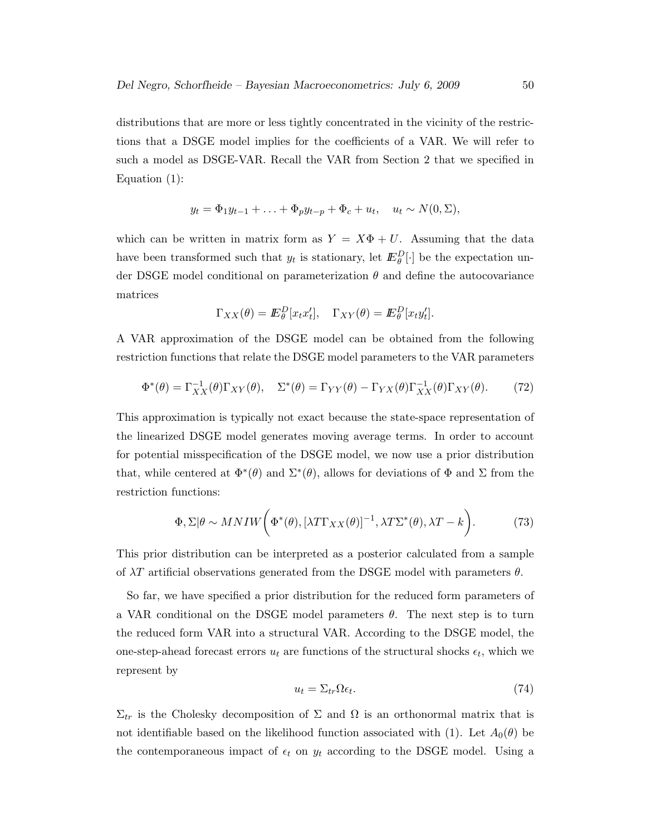distributions that are more or less tightly concentrated in the vicinity of the restrictions that a DSGE model implies for the coefficients of a VAR. We will refer to such a model as DSGE-VAR. Recall the VAR from Section 2 that we specified in Equation (1):

$$
y_t = \Phi_1 y_{t-1} + \ldots + \Phi_p y_{t-p} + \Phi_c + u_t, \quad u_t \sim N(0, \Sigma),
$$

which can be written in matrix form as  $Y = X\Phi + U$ . Assuming that the data have been transformed such that  $y_t$  is stationary, let  $\mathbb{E}_{\theta}^D[\cdot]$  be the expectation under DSGE model conditional on parameterization  $\theta$  and define the autocovariance matrices

$$
\Gamma_{XX}(\theta) = \mathbb{E}_{\theta}^D[x_t x_t'], \quad \Gamma_{XY}(\theta) = \mathbb{E}_{\theta}^D[x_t y_t'].
$$

A VAR approximation of the DSGE model can be obtained from the following restriction functions that relate the DSGE model parameters to the VAR parameters

$$
\Phi^*(\theta) = \Gamma_{XX}^{-1}(\theta)\Gamma_{XY}(\theta), \quad \Sigma^*(\theta) = \Gamma_{YY}(\theta) - \Gamma_{YX}(\theta)\Gamma_{XX}^{-1}(\theta)\Gamma_{XY}(\theta). \tag{72}
$$

This approximation is typically not exact because the state-space representation of the linearized DSGE model generates moving average terms. In order to account for potential misspecification of the DSGE model, we now use a prior distribution that, while centered at  $\Phi^*(\theta)$  and  $\Sigma^*(\theta)$ , allows for deviations of  $\Phi$  and  $\Sigma$  from the restriction functions:

$$
\Phi, \Sigma | \theta \sim MNIW \bigg( \Phi^*(\theta), [\lambda T \Gamma_{XX}(\theta)]^{-1}, \lambda T \Sigma^*(\theta), \lambda T - k \bigg). \tag{73}
$$

This prior distribution can be interpreted as a posterior calculated from a sample of  $\lambda T$  artificial observations generated from the DSGE model with parameters  $\theta$ .

So far, we have specified a prior distribution for the reduced form parameters of a VAR conditional on the DSGE model parameters  $\theta$ . The next step is to turn the reduced form VAR into a structural VAR. According to the DSGE model, the one-step-ahead forecast errors  $u_t$  are functions of the structural shocks  $\epsilon_t$ , which we represent by

$$
u_t = \Sigma_{tr} \Omega \epsilon_t. \tag{74}
$$

 $\Sigma_{tr}$  is the Cholesky decomposition of  $\Sigma$  and  $\Omega$  is an orthonormal matrix that is not identifiable based on the likelihood function associated with (1). Let  $A_0(\theta)$  be the contemporaneous impact of  $\epsilon_t$  on  $y_t$  according to the DSGE model. Using a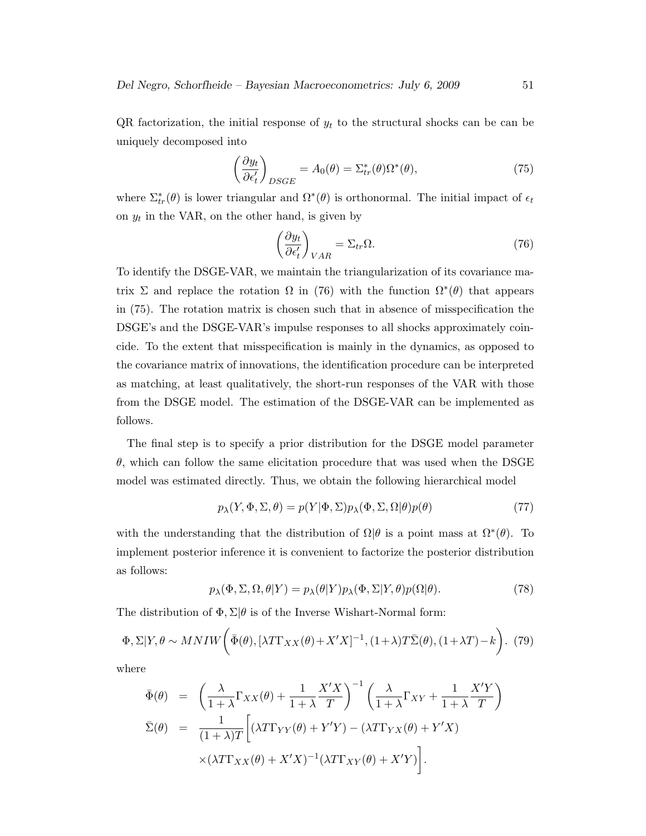QR factorization, the initial response of  $y_t$  to the structural shocks can be can be uniquely decomposed into

$$
\left(\frac{\partial y_t}{\partial \epsilon'_t}\right)_{DSGE} = A_0(\theta) = \Sigma^*_{tr}(\theta)\Omega^*(\theta),\tag{75}
$$

where  $\Sigma^*_{tr}(\theta)$  is lower triangular and  $\Omega^*(\theta)$  is orthonormal. The initial impact of  $\epsilon_t$ on  $y_t$  in the VAR, on the other hand, is given by

$$
\left(\frac{\partial y_t}{\partial \epsilon'_t}\right)_{VAR} = \Sigma_{tr} \Omega.
$$
\n(76)

To identify the DSGE-VAR, we maintain the triangularization of its covariance matrix  $\Sigma$  and replace the rotation  $\Omega$  in (76) with the function  $\Omega^*(\theta)$  that appears in (75). The rotation matrix is chosen such that in absence of misspecification the DSGE's and the DSGE-VAR's impulse responses to all shocks approximately coincide. To the extent that misspecification is mainly in the dynamics, as opposed to the covariance matrix of innovations, the identification procedure can be interpreted as matching, at least qualitatively, the short-run responses of the VAR with those from the DSGE model. The estimation of the DSGE-VAR can be implemented as follows.

The final step is to specify a prior distribution for the DSGE model parameter  $\theta$ , which can follow the same elicitation procedure that was used when the DSGE model was estimated directly. Thus, we obtain the following hierarchical model

$$
p_{\lambda}(Y, \Phi, \Sigma, \theta) = p(Y|\Phi, \Sigma)p_{\lambda}(\Phi, \Sigma, \Omega|\theta)p(\theta)
$$
\n(77)

with the understanding that the distribution of  $\Omega|\theta$  is a point mass at  $\Omega^*(\theta)$ . To implement posterior inference it is convenient to factorize the posterior distribution as follows:

$$
p_{\lambda}(\Phi, \Sigma, \Omega, \theta|Y) = p_{\lambda}(\theta|Y)p_{\lambda}(\Phi, \Sigma|Y, \theta)p(\Omega|\theta).
$$
 (78)

The distribution of  $\Phi$ ,  $\Sigma|\theta$  is of the Inverse Wishart-Normal form:

$$
\Phi, \Sigma | Y, \theta \sim MNIW \bigg( \bar{\Phi}(\theta), [\lambda T \Gamma_{XX}(\theta) + X'X]^{-1}, (1+\lambda)T\bar{\Sigma}(\theta), (1+\lambda T) - k \bigg). \tag{79}
$$

where

$$
\begin{split}\n\bar{\Phi}(\theta) &= \left(\frac{\lambda}{1+\lambda}\Gamma_{XX}(\theta) + \frac{1}{1+\lambda}\frac{X'X}{T}\right)^{-1} \left(\frac{\lambda}{1+\lambda}\Gamma_{XY} + \frac{1}{1+\lambda}\frac{X'Y}{T}\right) \\
\bar{\Sigma}(\theta) &= \frac{1}{(1+\lambda)T} \left[ (\lambda T\Gamma_{YY}(\theta) + Y'Y) - (\lambda T\Gamma_{YX}(\theta) + Y'X) \\
&\quad \times (\lambda T\Gamma_{XX}(\theta) + X'X)^{-1} (\lambda T\Gamma_{XY}(\theta) + X'Y) \right].\n\end{split}
$$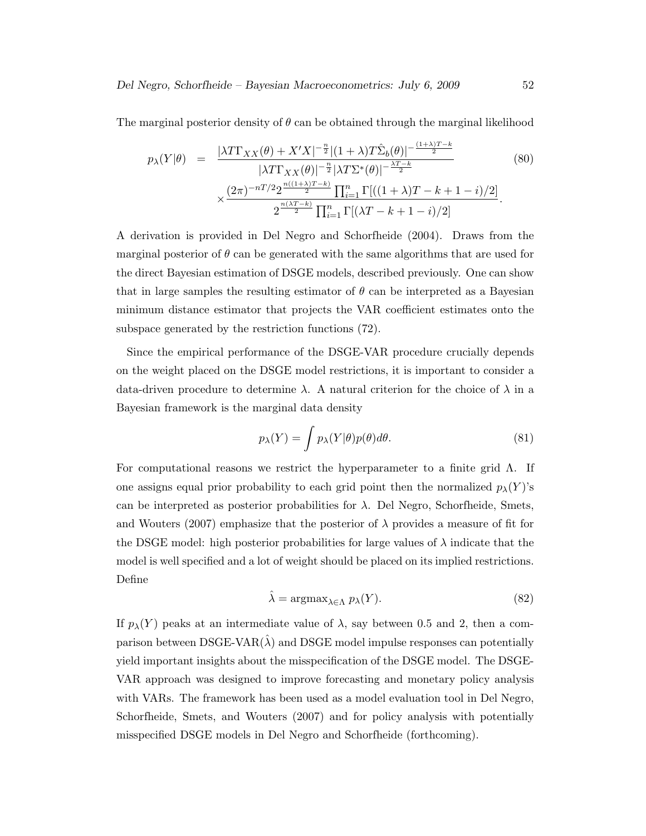The marginal posterior density of  $\theta$  can be obtained through the marginal likelihood

$$
p_{\lambda}(Y|\theta) = \frac{|\lambda T\Gamma_{XX}(\theta) + X'X|^{-\frac{n}{2}}|(1+\lambda)T\hat{\Sigma}_{b}(\theta)|^{-\frac{(1+\lambda)T-k}{2}}}{|\lambda T\Gamma_{XX}(\theta)|^{-\frac{n}{2}}|\lambda T\Sigma^{*}(\theta)|^{-\frac{\lambda T-k}{2}}} \times \frac{(2\pi)^{-n/2}2^{\frac{n((1+\lambda)T-k)}{2}}\prod_{i=1}^{n}\Gamma[((1+\lambda)T-k+1-i)/2]}{2^{\frac{n(\lambda T-k)}{2}}\prod_{i=1}^{n}\Gamma[(\lambda T-k+1-i)/2]}.
$$
\n(80)

A derivation is provided in Del Negro and Schorfheide (2004). Draws from the marginal posterior of  $\theta$  can be generated with the same algorithms that are used for the direct Bayesian estimation of DSGE models, described previously. One can show that in large samples the resulting estimator of  $\theta$  can be interpreted as a Bayesian minimum distance estimator that projects the VAR coefficient estimates onto the subspace generated by the restriction functions (72).

Since the empirical performance of the DSGE-VAR procedure crucially depends on the weight placed on the DSGE model restrictions, it is important to consider a data-driven procedure to determine  $\lambda$ . A natural criterion for the choice of  $\lambda$  in a Bayesian framework is the marginal data density

$$
p_{\lambda}(Y) = \int p_{\lambda}(Y|\theta)p(\theta)d\theta.
$$
 (81)

For computational reasons we restrict the hyperparameter to a finite grid  $\Lambda$ . If one assigns equal prior probability to each grid point then the normalized  $p_{\lambda}(Y)$ 's can be interpreted as posterior probabilities for  $\lambda$ . Del Negro, Schorfheide, Smets, and Wouters (2007) emphasize that the posterior of  $\lambda$  provides a measure of fit for the DSGE model: high posterior probabilities for large values of  $\lambda$  indicate that the model is well specified and a lot of weight should be placed on its implied restrictions. Define

$$
\hat{\lambda} = \operatorname{argmax}_{\lambda \in \Lambda} p_{\lambda}(Y). \tag{82}
$$

If  $p_{\lambda}(Y)$  peaks at an intermediate value of  $\lambda$ , say between 0.5 and 2, then a comparison between DSGE-VAR $(\lambda)$  and DSGE model impulse responses can potentially yield important insights about the misspecification of the DSGE model. The DSGE-VAR approach was designed to improve forecasting and monetary policy analysis with VARs. The framework has been used as a model evaluation tool in Del Negro, Schorfheide, Smets, and Wouters (2007) and for policy analysis with potentially misspecified DSGE models in Del Negro and Schorfheide (forthcoming).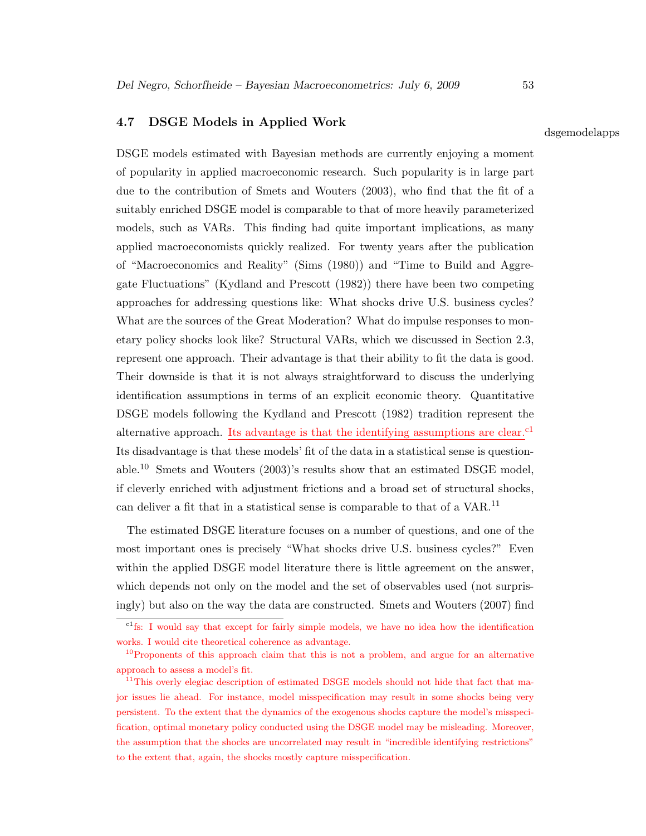## 4.7 DSGE Models in Applied Work

DSGE models estimated with Bayesian methods are currently enjoying a moment of popularity in applied macroeconomic research. Such popularity is in large part due to the contribution of Smets and Wouters (2003), who find that the fit of a suitably enriched DSGE model is comparable to that of more heavily parameterized models, such as VARs. This finding had quite important implications, as many applied macroeconomists quickly realized. For twenty years after the publication of "Macroeconomics and Reality" (Sims (1980)) and "Time to Build and Aggregate Fluctuations" (Kydland and Prescott (1982)) there have been two competing approaches for addressing questions like: What shocks drive U.S. business cycles? What are the sources of the Great Moderation? What do impulse responses to monetary policy shocks look like? Structural VARs, which we discussed in Section 2.3, represent one approach. Their advantage is that their ability to fit the data is good. Their downside is that it is not always straightforward to discuss the underlying identification assumptions in terms of an explicit economic theory. Quantitative DSGE models following the Kydland and Prescott (1982) tradition represent the alternative approach. Its advantage is that the identifying assumptions are clear.<sup>c1</sup> Its disadvantage is that these models' fit of the data in a statistical sense is questionable.<sup>10</sup> Smets and Wouters  $(2003)$ 's results show that an estimated DSGE model, if cleverly enriched with adjustment frictions and a broad set of structural shocks, can deliver a fit that in a statistical sense is comparable to that of a VAR.<sup>11</sup>

The estimated DSGE literature focuses on a number of questions, and one of the most important ones is precisely "What shocks drive U.S. business cycles?" Even within the applied DSGE model literature there is little agreement on the answer, which depends not only on the model and the set of observables used (not surprisingly) but also on the way the data are constructed. Smets and Wouters (2007) find

### dsgemodelapps

c1fs: I would say that except for fairly simple models, we have no idea how the identification works. I would cite theoretical coherence as advantage.

 $10P$  proponents of this approach claim that this is not a problem, and argue for an alternative approach to assess a model's fit.

<sup>&</sup>lt;sup>11</sup>This overly elegiac description of estimated DSGE models should not hide that fact that major issues lie ahead. For instance, model misspecification may result in some shocks being very persistent. To the extent that the dynamics of the exogenous shocks capture the model's misspecification, optimal monetary policy conducted using the DSGE model may be misleading. Moreover, the assumption that the shocks are uncorrelated may result in "incredible identifying restrictions" to the extent that, again, the shocks mostly capture misspecification.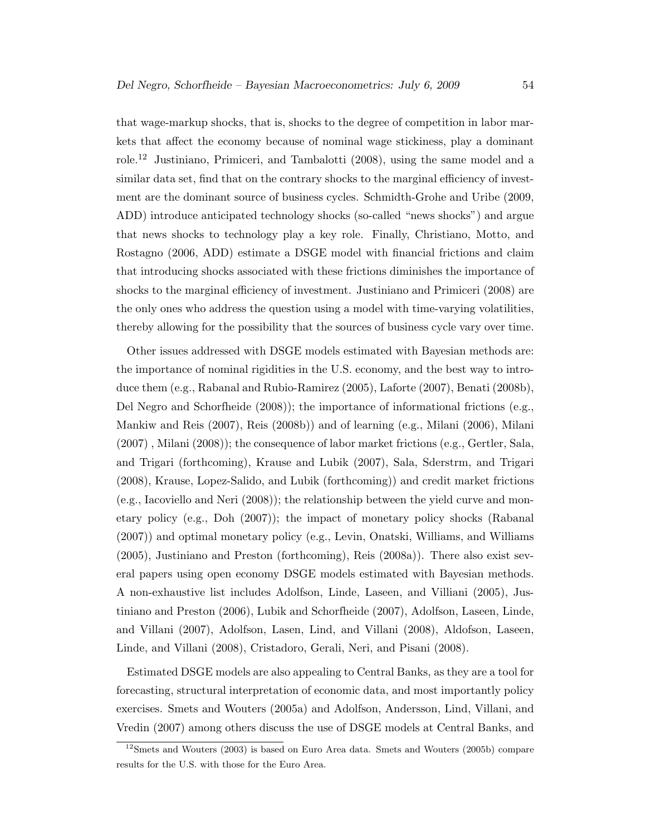that wage-markup shocks, that is, shocks to the degree of competition in labor markets that affect the economy because of nominal wage stickiness, play a dominant role.<sup>12</sup> Justiniano, Primiceri, and Tambalotti (2008), using the same model and a similar data set, find that on the contrary shocks to the marginal efficiency of investment are the dominant source of business cycles. Schmidth-Grohe and Uribe (2009, ADD) introduce anticipated technology shocks (so-called "news shocks") and argue that news shocks to technology play a key role. Finally, Christiano, Motto, and Rostagno (2006, ADD) estimate a DSGE model with financial frictions and claim that introducing shocks associated with these frictions diminishes the importance of shocks to the marginal efficiency of investment. Justiniano and Primiceri (2008) are the only ones who address the question using a model with time-varying volatilities, thereby allowing for the possibility that the sources of business cycle vary over time.

Other issues addressed with DSGE models estimated with Bayesian methods are: the importance of nominal rigidities in the U.S. economy, and the best way to introduce them (e.g., Rabanal and Rubio-Ramirez (2005), Laforte (2007), Benati (2008b), Del Negro and Schorfheide (2008)); the importance of informational frictions (e.g., Mankiw and Reis (2007), Reis (2008b)) and of learning (e.g., Milani (2006), Milani (2007) , Milani (2008)); the consequence of labor market frictions (e.g., Gertler, Sala, and Trigari (forthcoming), Krause and Lubik (2007), Sala, Sderstrm, and Trigari (2008), Krause, Lopez-Salido, and Lubik (forthcoming)) and credit market frictions (e.g., Iacoviello and Neri (2008)); the relationship between the yield curve and monetary policy (e.g., Doh (2007)); the impact of monetary policy shocks (Rabanal (2007)) and optimal monetary policy (e.g., Levin, Onatski, Williams, and Williams (2005), Justiniano and Preston (forthcoming), Reis (2008a)). There also exist several papers using open economy DSGE models estimated with Bayesian methods. A non-exhaustive list includes Adolfson, Linde, Laseen, and Villiani (2005), Justiniano and Preston (2006), Lubik and Schorfheide (2007), Adolfson, Laseen, Linde, and Villani (2007), Adolfson, Lasen, Lind, and Villani (2008), Aldofson, Laseen, Linde, and Villani (2008), Cristadoro, Gerali, Neri, and Pisani (2008).

Estimated DSGE models are also appealing to Central Banks, as they are a tool for forecasting, structural interpretation of economic data, and most importantly policy exercises. Smets and Wouters (2005a) and Adolfson, Andersson, Lind, Villani, and Vredin (2007) among others discuss the use of DSGE models at Central Banks, and

 $12$ Smets and Wouters (2003) is based on Euro Area data. Smets and Wouters (2005b) compare results for the U.S. with those for the Euro Area.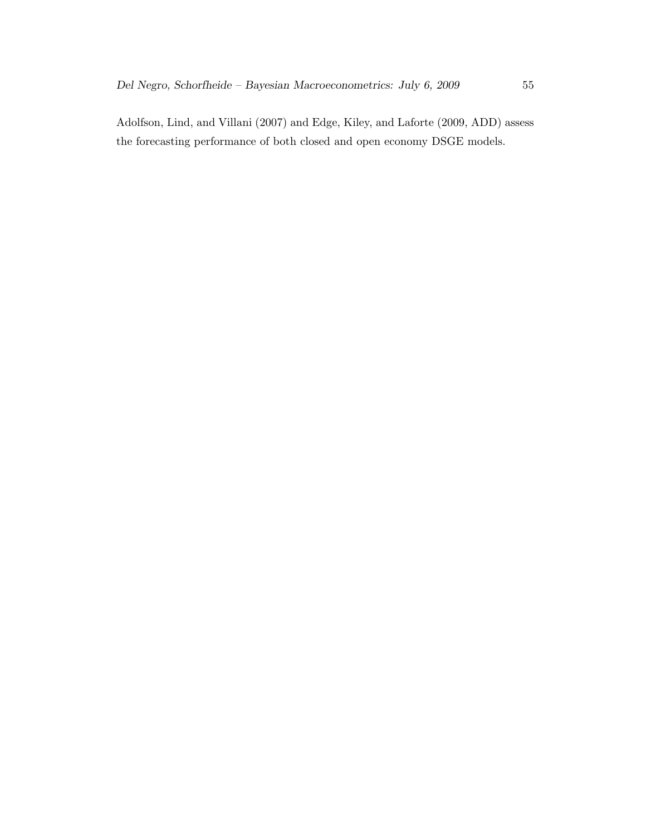Adolfson, Lind, and Villani (2007) and Edge, Kiley, and Laforte (2009, ADD) assess the forecasting performance of both closed and open economy DSGE models.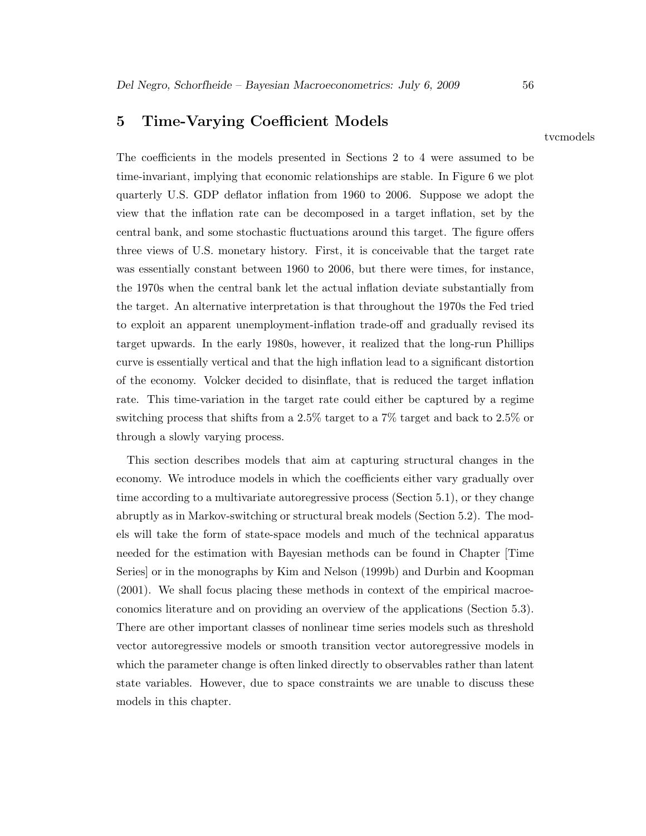# 5 Time-Varying Coefficient Models

The coefficients in the models presented in Sections 2 to 4 were assumed to be time-invariant, implying that economic relationships are stable. In Figure 6 we plot quarterly U.S. GDP deflator inflation from 1960 to 2006. Suppose we adopt the view that the inflation rate can be decomposed in a target inflation, set by the central bank, and some stochastic fluctuations around this target. The figure offers three views of U.S. monetary history. First, it is conceivable that the target rate was essentially constant between 1960 to 2006, but there were times, for instance, the 1970s when the central bank let the actual inflation deviate substantially from the target. An alternative interpretation is that throughout the 1970s the Fed tried to exploit an apparent unemployment-inflation trade-off and gradually revised its target upwards. In the early 1980s, however, it realized that the long-run Phillips curve is essentially vertical and that the high inflation lead to a significant distortion of the economy. Volcker decided to disinflate, that is reduced the target inflation rate. This time-variation in the target rate could either be captured by a regime switching process that shifts from a 2.5% target to a 7% target and back to 2.5% or through a slowly varying process.

This section describes models that aim at capturing structural changes in the economy. We introduce models in which the coefficients either vary gradually over time according to a multivariate autoregressive process (Section 5.1), or they change abruptly as in Markov-switching or structural break models (Section 5.2). The models will take the form of state-space models and much of the technical apparatus needed for the estimation with Bayesian methods can be found in Chapter [Time Series] or in the monographs by Kim and Nelson (1999b) and Durbin and Koopman (2001). We shall focus placing these methods in context of the empirical macroeconomics literature and on providing an overview of the applications (Section 5.3). There are other important classes of nonlinear time series models such as threshold vector autoregressive models or smooth transition vector autoregressive models in which the parameter change is often linked directly to observables rather than latent state variables. However, due to space constraints we are unable to discuss these models in this chapter.

tvcmodels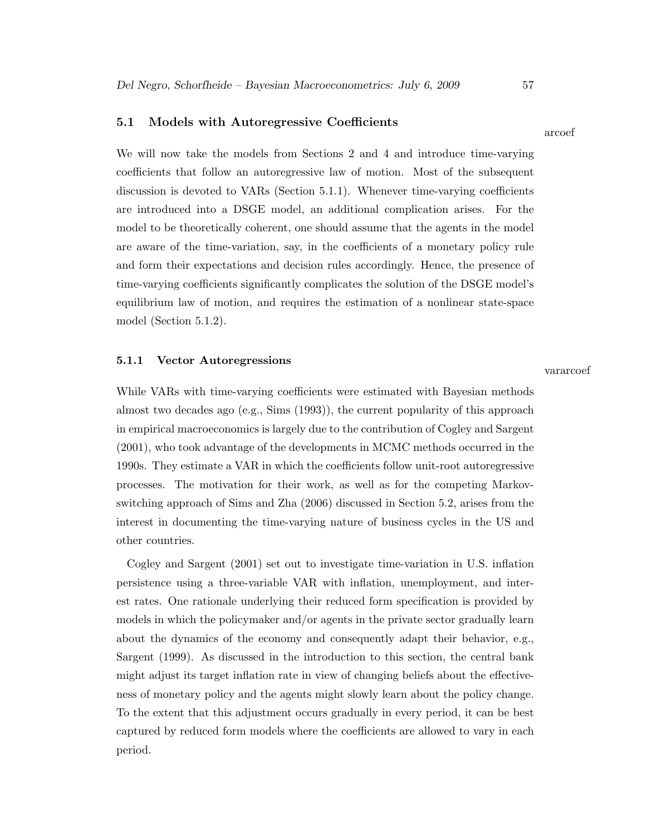#### 5.1 Models with Autoregressive Coefficients

We will now take the models from Sections 2 and 4 and introduce time-varying coefficients that follow an autoregressive law of motion. Most of the subsequent discussion is devoted to VARs (Section 5.1.1). Whenever time-varying coefficients are introduced into a DSGE model, an additional complication arises. For the model to be theoretically coherent, one should assume that the agents in the model are aware of the time-variation, say, in the coefficients of a monetary policy rule and form their expectations and decision rules accordingly. Hence, the presence of time-varying coefficients significantly complicates the solution of the DSGE model's equilibrium law of motion, and requires the estimation of a nonlinear state-space model (Section 5.1.2).

#### 5.1.1 Vector Autoregressions

While VARs with time-varying coefficients were estimated with Bayesian methods almost two decades ago (e.g., Sims (1993)), the current popularity of this approach in empirical macroeconomics is largely due to the contribution of Cogley and Sargent (2001), who took advantage of the developments in MCMC methods occurred in the 1990s. They estimate a VAR in which the coefficients follow unit-root autoregressive processes. The motivation for their work, as well as for the competing Markovswitching approach of Sims and Zha (2006) discussed in Section 5.2, arises from the interest in documenting the time-varying nature of business cycles in the US and other countries.

Cogley and Sargent (2001) set out to investigate time-variation in U.S. inflation persistence using a three-variable VAR with inflation, unemployment, and interest rates. One rationale underlying their reduced form specification is provided by models in which the policymaker and/or agents in the private sector gradually learn about the dynamics of the economy and consequently adapt their behavior, e.g., Sargent (1999). As discussed in the introduction to this section, the central bank might adjust its target inflation rate in view of changing beliefs about the effectiveness of monetary policy and the agents might slowly learn about the policy change. To the extent that this adjustment occurs gradually in every period, it can be best captured by reduced form models where the coefficients are allowed to vary in each period.

# vararcoef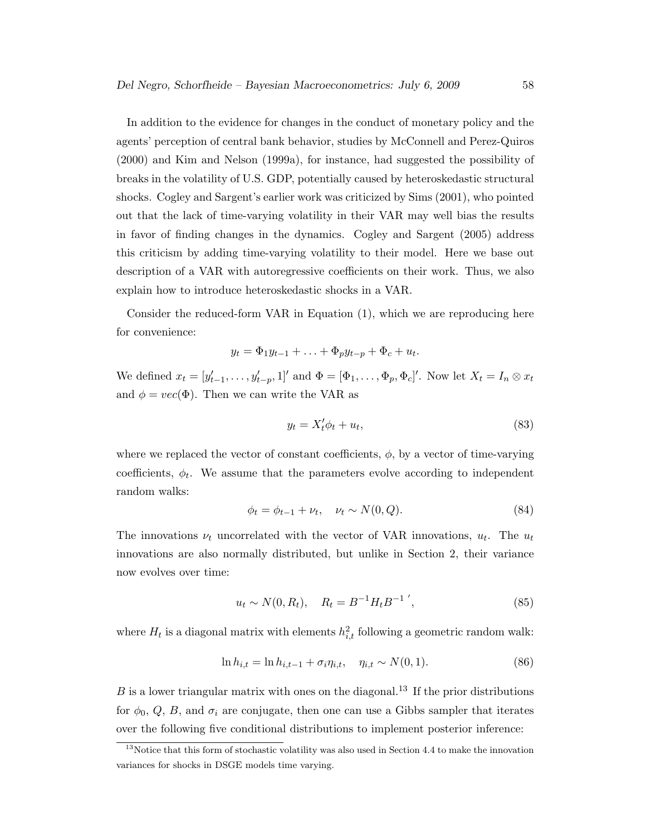In addition to the evidence for changes in the conduct of monetary policy and the agents' perception of central bank behavior, studies by McConnell and Perez-Quiros (2000) and Kim and Nelson (1999a), for instance, had suggested the possibility of breaks in the volatility of U.S. GDP, potentially caused by heteroskedastic structural shocks. Cogley and Sargent's earlier work was criticized by Sims (2001), who pointed out that the lack of time-varying volatility in their VAR may well bias the results in favor of finding changes in the dynamics. Cogley and Sargent (2005) address this criticism by adding time-varying volatility to their model. Here we base out description of a VAR with autoregressive coefficients on their work. Thus, we also explain how to introduce heteroskedastic shocks in a VAR.

Consider the reduced-form VAR in Equation (1), which we are reproducing here for convenience:

$$
y_t = \Phi_1 y_{t-1} + \ldots + \Phi_p y_{t-p} + \Phi_c + u_t.
$$

We defined  $x_t = [y'_{t-1}, \ldots, y'_{t-p}, 1]'$  and  $\Phi = [\Phi_1, \ldots, \Phi_p, \Phi_c]'$ . Now let  $X_t = I_n \otimes x_t$ and  $\phi = vec(\Phi)$ . Then we can write the VAR as

$$
y_t = X_t' \phi_t + u_t,\tag{83}
$$

where we replaced the vector of constant coefficients,  $\phi$ , by a vector of time-varying coefficients,  $\phi_t$ . We assume that the parameters evolve according to independent random walks:

$$
\phi_t = \phi_{t-1} + \nu_t, \quad \nu_t \sim N(0, Q). \tag{84}
$$

The innovations  $\nu_t$  uncorrelated with the vector of VAR innovations,  $u_t$ . The  $u_t$ innovations are also normally distributed, but unlike in Section 2, their variance now evolves over time:

$$
u_t \sim N(0, R_t), \quad R_t = B^{-1} H_t B^{-1} \;, \tag{85}
$$

where  $H_t$  is a diagonal matrix with elements  $h_{i,t}^2$  following a geometric random walk:

$$
\ln h_{i,t} = \ln h_{i,t-1} + \sigma_i \eta_{i,t}, \quad \eta_{i,t} \sim N(0,1). \tag{86}
$$

 $B$  is a lower triangular matrix with ones on the diagonal.<sup>13</sup> If the prior distributions for  $\phi_0$ , Q, B, and  $\sigma_i$  are conjugate, then one can use a Gibbs sampler that iterates over the following five conditional distributions to implement posterior inference:

 $13$ Notice that this form of stochastic volatility was also used in Section 4.4 to make the innovation variances for shocks in DSGE models time varying.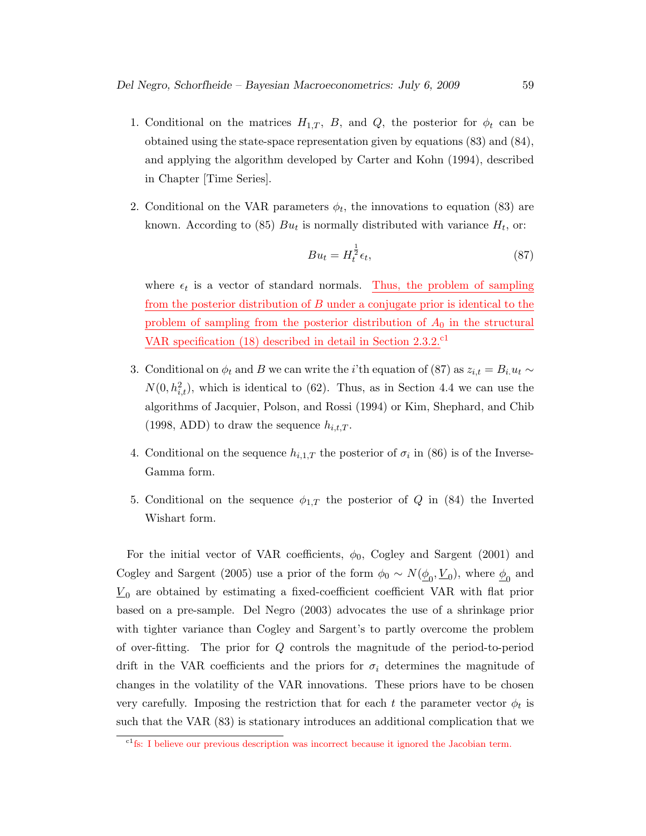- 1. Conditional on the matrices  $H_{1,T}$ , B, and Q, the posterior for  $\phi_t$  can be obtained using the state-space representation given by equations (83) and (84), and applying the algorithm developed by Carter and Kohn (1994), described in Chapter [Time Series].
- 2. Conditional on the VAR parameters  $\phi_t$ , the innovations to equation (83) are known. According to (85)  $Bu_t$  is normally distributed with variance  $H_t$ , or:

$$
Bu_t = H_t^{\frac{1}{2}} \epsilon_t,\tag{87}
$$

where  $\epsilon_t$  is a vector of standard normals. Thus, the problem of sampling from the posterior distribution of B under a conjugate prior is identical to the problem of sampling from the posterior distribution of  $A_0$  in the structural VAR specification  $(18)$  described in detail in Section 2.3.2.<sup>c1</sup>

- 3. Conditional on  $\phi_t$  and B we can write the *i*'th equation of (87) as  $z_{i,t} = B_i u_t \sim$  $N(0, h_{i,t}^2)$ , which is identical to (62). Thus, as in Section 4.4 we can use the algorithms of Jacquier, Polson, and Rossi (1994) or Kim, Shephard, and Chib (1998, ADD) to draw the sequence  $h_{i,t,T}$ .
- 4. Conditional on the sequence  $h_{i,1,T}$  the posterior of  $\sigma_i$  in (86) is of the Inverse-Gamma form.
- 5. Conditional on the sequence  $\phi_{1,T}$  the posterior of Q in (84) the Inverted Wishart form.

For the initial vector of VAR coefficients,  $\phi_0$ , Cogley and Sargent (2001) and Cogley and Sargent (2005) use a prior of the form  $\phi_0 \sim N(\underline{\phi}_0, \underline{V}_0)$ , where  $\underline{\phi}_0$  and  $\underline{V}_0$  are obtained by estimating a fixed-coefficient coefficient VAR with flat prior based on a pre-sample. Del Negro (2003) advocates the use of a shrinkage prior with tighter variance than Cogley and Sargent's to partly overcome the problem of over-fitting. The prior for Q controls the magnitude of the period-to-period drift in the VAR coefficients and the priors for  $\sigma_i$  determines the magnitude of changes in the volatility of the VAR innovations. These priors have to be chosen very carefully. Imposing the restriction that for each t the parameter vector  $\phi_t$  is such that the VAR (83) is stationary introduces an additional complication that we

<sup>&</sup>lt;sup>c1</sup>fs: I believe our previous description was incorrect because it ignored the Jacobian term.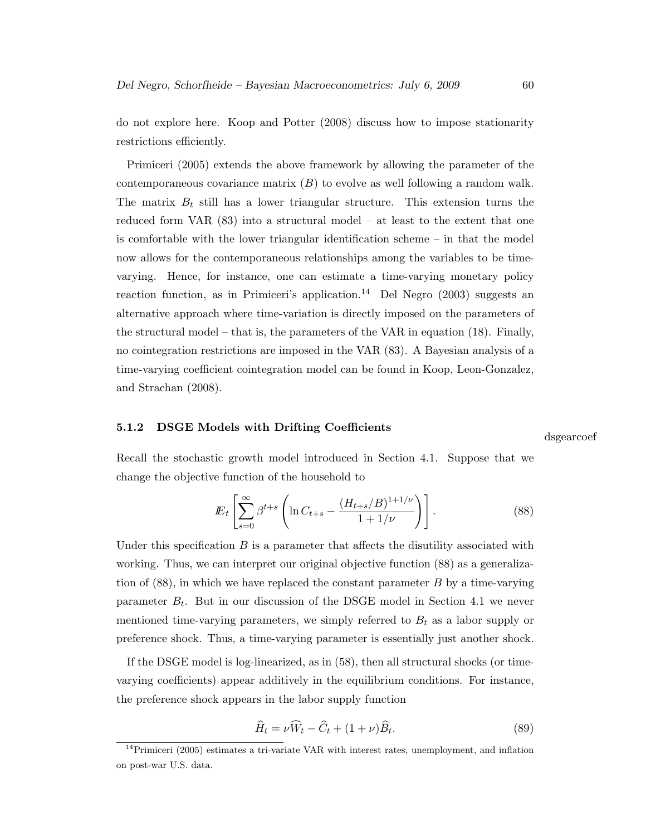do not explore here. Koop and Potter (2008) discuss how to impose stationarity restrictions efficiently.

Primiceri (2005) extends the above framework by allowing the parameter of the contemporaneous covariance matrix  $(B)$  to evolve as well following a random walk. The matrix  $B_t$  still has a lower triangular structure. This extension turns the reduced form VAR (83) into a structural model – at least to the extent that one is comfortable with the lower triangular identification scheme – in that the model now allows for the contemporaneous relationships among the variables to be timevarying. Hence, for instance, one can estimate a time-varying monetary policy reaction function, as in Primiceri's application.<sup>14</sup> Del Negro (2003) suggests an alternative approach where time-variation is directly imposed on the parameters of the structural model – that is, the parameters of the VAR in equation (18). Finally, no cointegration restrictions are imposed in the VAR (83). A Bayesian analysis of a time-varying coefficient cointegration model can be found in Koop, Leon-Gonzalez, and Strachan (2008).

#### 5.1.2 DSGE Models with Drifting Coefficients

dsgearcoef

Recall the stochastic growth model introduced in Section 4.1. Suppose that we change the objective function of the household to

$$
E_t \left[ \sum_{s=0}^{\infty} \beta^{t+s} \left( \ln C_{t+s} - \frac{(H_{t+s}/B)^{1+1/\nu}}{1+1/\nu} \right) \right].
$$
 (88)

Under this specification  $B$  is a parameter that affects the disutility associated with working. Thus, we can interpret our original objective function (88) as a generalization of (88), in which we have replaced the constant parameter B by a time-varying parameter  $B_t$ . But in our discussion of the DSGE model in Section 4.1 we never mentioned time-varying parameters, we simply referred to  $B_t$  as a labor supply or preference shock. Thus, a time-varying parameter is essentially just another shock.

If the DSGE model is log-linearized, as in (58), then all structural shocks (or timevarying coefficients) appear additively in the equilibrium conditions. For instance, the preference shock appears in the labor supply function

$$
\widehat{H}_t = \nu \widehat{W}_t - \widehat{C}_t + (1 + \nu) \widehat{B}_t.
$$
\n(89)

 $14$ Primiceri (2005) estimates a tri-variate VAR with interest rates, unemployment, and inflation on post-war U.S. data.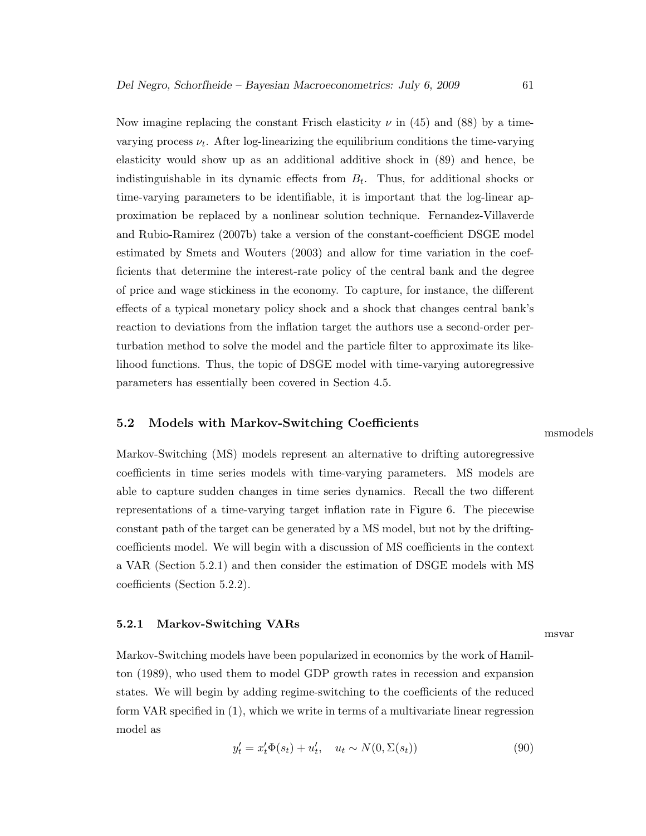Now imagine replacing the constant Frisch elasticity  $\nu$  in (45) and (88) by a timevarying process  $\nu_t$ . After log-linearizing the equilibrium conditions the time-varying elasticity would show up as an additional additive shock in (89) and hence, be indistinguishable in its dynamic effects from  $B_t$ . Thus, for additional shocks or time-varying parameters to be identifiable, it is important that the log-linear approximation be replaced by a nonlinear solution technique. Fernandez-Villaverde and Rubio-Ramirez (2007b) take a version of the constant-coefficient DSGE model estimated by Smets and Wouters (2003) and allow for time variation in the coefficients that determine the interest-rate policy of the central bank and the degree of price and wage stickiness in the economy. To capture, for instance, the different effects of a typical monetary policy shock and a shock that changes central bank's reaction to deviations from the inflation target the authors use a second-order perturbation method to solve the model and the particle filter to approximate its likelihood functions. Thus, the topic of DSGE model with time-varying autoregressive parameters has essentially been covered in Section 4.5.

#### 5.2 Models with Markov-Switching Coefficients

msmodels

Markov-Switching (MS) models represent an alternative to drifting autoregressive coefficients in time series models with time-varying parameters. MS models are able to capture sudden changes in time series dynamics. Recall the two different representations of a time-varying target inflation rate in Figure 6. The piecewise constant path of the target can be generated by a MS model, but not by the driftingcoefficients model. We will begin with a discussion of MS coefficients in the context a VAR (Section 5.2.1) and then consider the estimation of DSGE models with MS coefficients (Section 5.2.2).

#### 5.2.1 Markov-Switching VARs

Markov-Switching models have been popularized in economics by the work of Hamilton (1989), who used them to model GDP growth rates in recession and expansion states. We will begin by adding regime-switching to the coefficients of the reduced form VAR specified in (1), which we write in terms of a multivariate linear regression model as

$$
y_t' = x_t' \Phi(s_t) + u_t', \quad u_t \sim N(0, \Sigma(s_t))
$$
\n(90)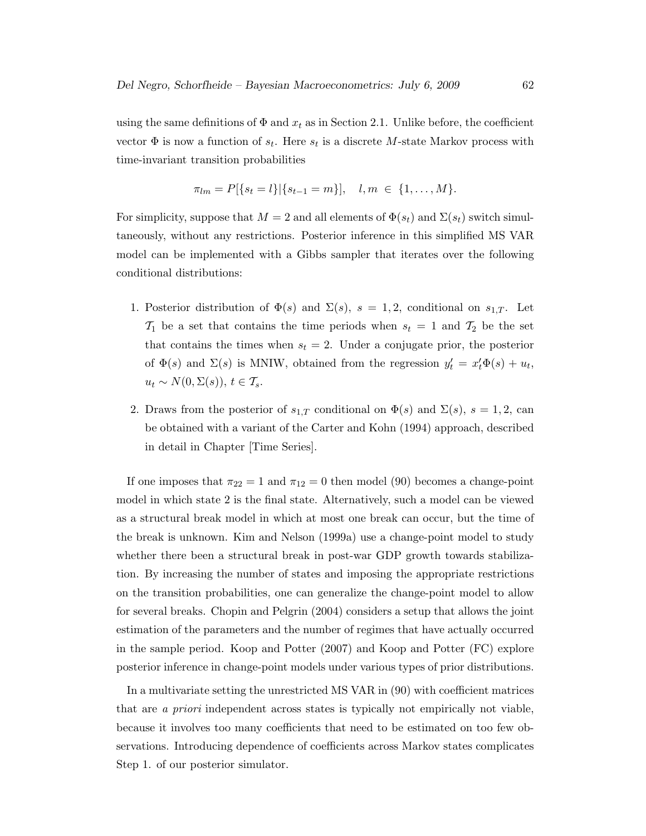using the same definitions of  $\Phi$  and  $x_t$  as in Section 2.1. Unlike before, the coefficient vector  $\Phi$  is now a function of  $s_t$ . Here  $s_t$  is a discrete M-state Markov process with time-invariant transition probabilities

$$
\pi_{lm} = P[\{s_t = l\}|\{s_{t-1} = m\}], \quad l, m \in \{1, ..., M\}.
$$

For simplicity, suppose that  $M = 2$  and all elements of  $\Phi(s_t)$  and  $\Sigma(s_t)$  switch simultaneously, without any restrictions. Posterior inference in this simplified MS VAR model can be implemented with a Gibbs sampler that iterates over the following conditional distributions:

- 1. Posterior distribution of  $\Phi(s)$  and  $\Sigma(s)$ ,  $s = 1, 2$ , conditional on  $s_{1,T}$ . Let  $\mathcal{T}_1$  be a set that contains the time periods when  $s_t = 1$  and  $\mathcal{T}_2$  be the set that contains the times when  $s_t = 2$ . Under a conjugate prior, the posterior of  $\Phi(s)$  and  $\Sigma(s)$  is MNIW, obtained from the regression  $y'_t = x'_t \Phi(s) + u_t$ ,  $u_t \sim N(0, \Sigma(s)), t \in \mathcal{T}_s.$
- 2. Draws from the posterior of  $s_{1,T}$  conditional on  $\Phi(s)$  and  $\Sigma(s)$ ,  $s=1,2$ , can be obtained with a variant of the Carter and Kohn (1994) approach, described in detail in Chapter [Time Series].

If one imposes that  $\pi_{22} = 1$  and  $\pi_{12} = 0$  then model (90) becomes a change-point model in which state 2 is the final state. Alternatively, such a model can be viewed as a structural break model in which at most one break can occur, but the time of the break is unknown. Kim and Nelson (1999a) use a change-point model to study whether there been a structural break in post-war GDP growth towards stabilization. By increasing the number of states and imposing the appropriate restrictions on the transition probabilities, one can generalize the change-point model to allow for several breaks. Chopin and Pelgrin (2004) considers a setup that allows the joint estimation of the parameters and the number of regimes that have actually occurred in the sample period. Koop and Potter (2007) and Koop and Potter (FC) explore posterior inference in change-point models under various types of prior distributions.

In a multivariate setting the unrestricted MS VAR in (90) with coefficient matrices that are a priori independent across states is typically not empirically not viable, because it involves too many coefficients that need to be estimated on too few observations. Introducing dependence of coefficients across Markov states complicates Step 1. of our posterior simulator.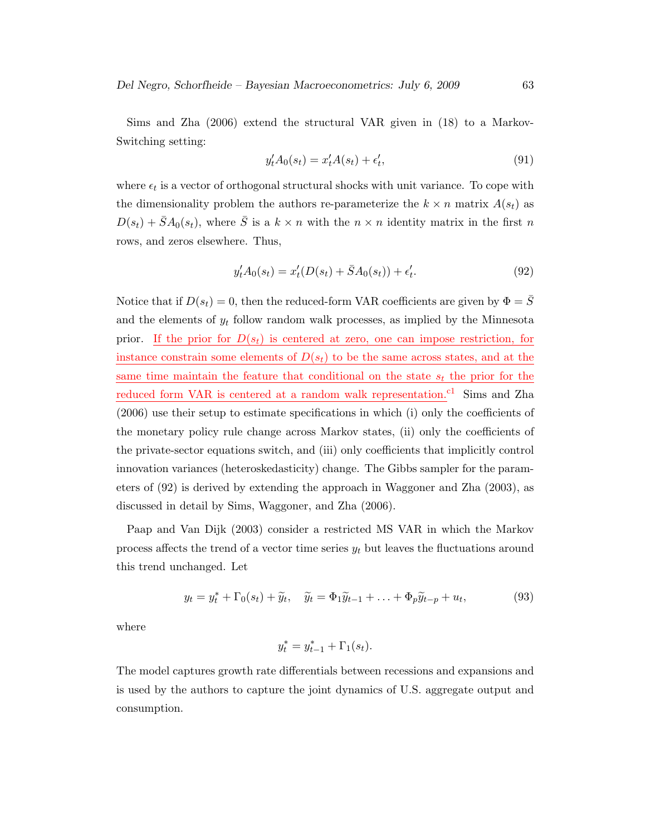Sims and Zha (2006) extend the structural VAR given in (18) to a Markov-Switching setting:

$$
y_t' A_0(s_t) = x_t' A(s_t) + \epsilon_t',\tag{91}
$$

where  $\epsilon_t$  is a vector of orthogonal structural shocks with unit variance. To cope with the dimensionality problem the authors re-parameterize the  $k \times n$  matrix  $A(s_t)$  as  $D(s_t) + \bar{S}A_0(s_t)$ , where  $\bar{S}$  is a  $k \times n$  with the  $n \times n$  identity matrix in the first n rows, and zeros elsewhere. Thus,

$$
y_t' A_0(s_t) = x_t'(D(s_t) + \bar{S}A_0(s_t)) + \epsilon_t'.\tag{92}
$$

Notice that if  $D(s_t) = 0$ , then the reduced-form VAR coefficients are given by  $\Phi = \overline{S}$ and the elements of  $y_t$  follow random walk processes, as implied by the Minnesota prior. If the prior for  $D(s_t)$  is centered at zero, one can impose restriction, for instance constrain some elements of  $D(s_t)$  to be the same across states, and at the same time maintain the feature that conditional on the state  $s_t$  the prior for the reduced form VAR is centered at a random walk representation.<sup>c1</sup> Sims and Zha (2006) use their setup to estimate specifications in which (i) only the coefficients of the monetary policy rule change across Markov states, (ii) only the coefficients of the private-sector equations switch, and (iii) only coefficients that implicitly control innovation variances (heteroskedasticity) change. The Gibbs sampler for the parameters of (92) is derived by extending the approach in Waggoner and Zha (2003), as discussed in detail by Sims, Waggoner, and Zha (2006).

Paap and Van Dijk (2003) consider a restricted MS VAR in which the Markov process affects the trend of a vector time series  $y_t$  but leaves the fluctuations around this trend unchanged. Let

$$
y_t = y_t^* + \Gamma_0(s_t) + \widetilde{y}_t, \quad \widetilde{y}_t = \Phi_1 \widetilde{y}_{t-1} + \ldots + \Phi_p \widetilde{y}_{t-p} + u_t,
$$
\n(93)

where

$$
y_t^* = y_{t-1}^* + \Gamma_1(s_t).
$$

The model captures growth rate differentials between recessions and expansions and is used by the authors to capture the joint dynamics of U.S. aggregate output and consumption.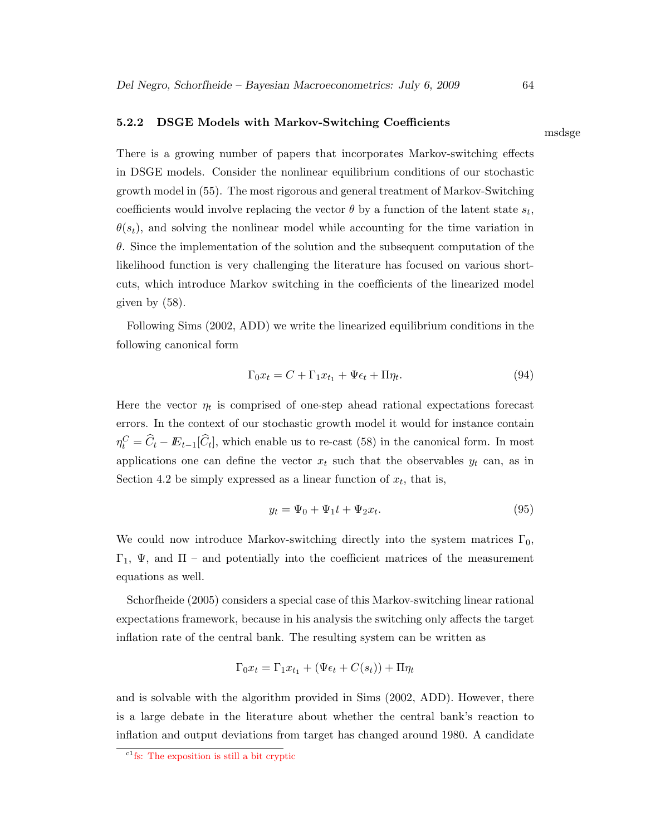#### 5.2.2 DSGE Models with Markov-Switching Coefficients

There is a growing number of papers that incorporates Markov-switching effects in DSGE models. Consider the nonlinear equilibrium conditions of our stochastic growth model in (55). The most rigorous and general treatment of Markov-Switching coefficients would involve replacing the vector  $\theta$  by a function of the latent state  $s_t$ ,  $\theta(s_t)$ , and solving the nonlinear model while accounting for the time variation in  $\theta$ . Since the implementation of the solution and the subsequent computation of the likelihood function is very challenging the literature has focused on various shortcuts, which introduce Markov switching in the coefficients of the linearized model given by (58).

Following Sims (2002, ADD) we write the linearized equilibrium conditions in the following canonical form

$$
\Gamma_0 x_t = C + \Gamma_1 x_{t_1} + \Psi \epsilon_t + \Pi \eta_t. \tag{94}
$$

Here the vector  $\eta_t$  is comprised of one-step ahead rational expectations forecast errors. In the context of our stochastic growth model it would for instance contain  $\eta_t^C = \hat{C}_t - \mathbb{E}_{t-1}[\hat{C}_t]$ , which enable us to re-cast (58) in the canonical form. In most applications one can define the vector  $x_t$  such that the observables  $y_t$  can, as in Section 4.2 be simply expressed as a linear function of  $x_t$ , that is,

$$
y_t = \Psi_0 + \Psi_1 t + \Psi_2 x_t. \tag{95}
$$

We could now introduce Markov-switching directly into the system matrices  $\Gamma_0$ ,  $Γ_1$ , Ψ, and  $\Pi$  – and potentially into the coefficient matrices of the measurement equations as well.

Schorfheide (2005) considers a special case of this Markov-switching linear rational expectations framework, because in his analysis the switching only affects the target inflation rate of the central bank. The resulting system can be written as

$$
\Gamma_0 x_t = \Gamma_1 x_{t_1} + (\Psi \epsilon_t + C(s_t)) + \Pi \eta_t
$$

and is solvable with the algorithm provided in Sims (2002, ADD). However, there is a large debate in the literature about whether the central bank's reaction to inflation and output deviations from target has changed around 1980. A candidate

msdsge

 $c_1$ <sup>c1</sup>fs: The exposition is still a bit cryptic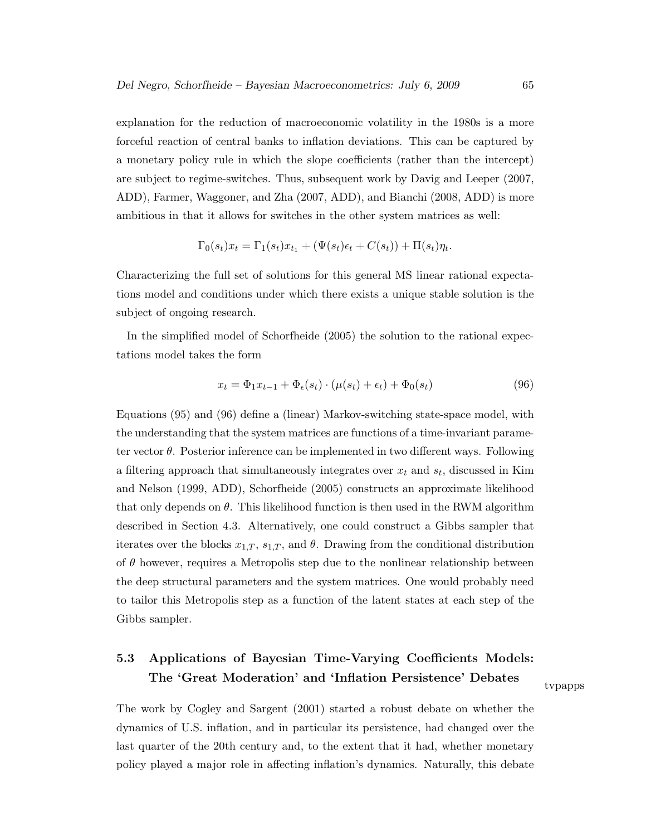explanation for the reduction of macroeconomic volatility in the 1980s is a more forceful reaction of central banks to inflation deviations. This can be captured by a monetary policy rule in which the slope coefficients (rather than the intercept) are subject to regime-switches. Thus, subsequent work by Davig and Leeper (2007, ADD), Farmer, Waggoner, and Zha (2007, ADD), and Bianchi (2008, ADD) is more ambitious in that it allows for switches in the other system matrices as well:

$$
\Gamma_0(s_t)x_t = \Gamma_1(s_t)x_{t_1} + (\Psi(s_t)\epsilon_t + C(s_t)) + \Pi(s_t)\eta_t.
$$

Characterizing the full set of solutions for this general MS linear rational expectations model and conditions under which there exists a unique stable solution is the subject of ongoing research.

In the simplified model of Schorfheide (2005) the solution to the rational expectations model takes the form

$$
x_t = \Phi_1 x_{t-1} + \Phi_\epsilon(s_t) \cdot (\mu(s_t) + \epsilon_t) + \Phi_0(s_t)
$$
\n(96)

Equations (95) and (96) define a (linear) Markov-switching state-space model, with the understanding that the system matrices are functions of a time-invariant parameter vector  $\theta$ . Posterior inference can be implemented in two different ways. Following a filtering approach that simultaneously integrates over  $x_t$  and  $s_t$ , discussed in Kim and Nelson (1999, ADD), Schorfheide (2005) constructs an approximate likelihood that only depends on  $\theta$ . This likelihood function is then used in the RWM algorithm described in Section 4.3. Alternatively, one could construct a Gibbs sampler that iterates over the blocks  $x_{1,T}$ ,  $s_{1,T}$ , and  $\theta$ . Drawing from the conditional distribution of  $\theta$  however, requires a Metropolis step due to the nonlinear relationship between the deep structural parameters and the system matrices. One would probably need to tailor this Metropolis step as a function of the latent states at each step of the Gibbs sampler.

# 5.3 Applications of Bayesian Time-Varying Coefficients Models: The 'Great Moderation' and 'Inflation Persistence' Debates

tvpapps

The work by Cogley and Sargent (2001) started a robust debate on whether the dynamics of U.S. inflation, and in particular its persistence, had changed over the last quarter of the 20th century and, to the extent that it had, whether monetary policy played a major role in affecting inflation's dynamics. Naturally, this debate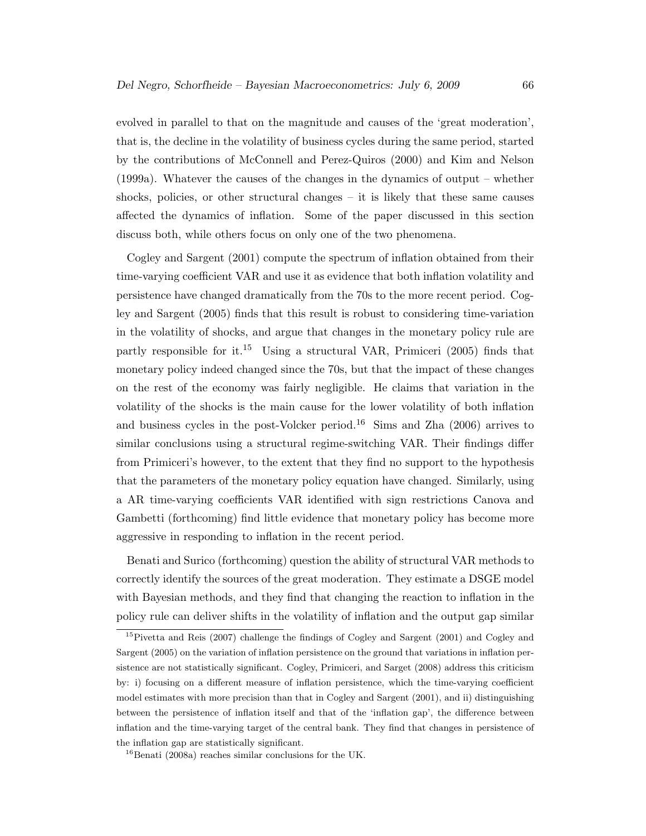evolved in parallel to that on the magnitude and causes of the 'great moderation', that is, the decline in the volatility of business cycles during the same period, started by the contributions of McConnell and Perez-Quiros (2000) and Kim and Nelson (1999a). Whatever the causes of the changes in the dynamics of output – whether shocks, policies, or other structural changes – it is likely that these same causes affected the dynamics of inflation. Some of the paper discussed in this section discuss both, while others focus on only one of the two phenomena.

Cogley and Sargent (2001) compute the spectrum of inflation obtained from their time-varying coefficient VAR and use it as evidence that both inflation volatility and persistence have changed dramatically from the 70s to the more recent period. Cogley and Sargent (2005) finds that this result is robust to considering time-variation in the volatility of shocks, and argue that changes in the monetary policy rule are partly responsible for it.<sup>15</sup> Using a structural VAR, Primiceri (2005) finds that monetary policy indeed changed since the 70s, but that the impact of these changes on the rest of the economy was fairly negligible. He claims that variation in the volatility of the shocks is the main cause for the lower volatility of both inflation and business cycles in the post-Volcker period.<sup>16</sup> Sims and Zha  $(2006)$  arrives to similar conclusions using a structural regime-switching VAR. Their findings differ from Primiceri's however, to the extent that they find no support to the hypothesis that the parameters of the monetary policy equation have changed. Similarly, using a AR time-varying coefficients VAR identified with sign restrictions Canova and Gambetti (forthcoming) find little evidence that monetary policy has become more aggressive in responding to inflation in the recent period.

Benati and Surico (forthcoming) question the ability of structural VAR methods to correctly identify the sources of the great moderation. They estimate a DSGE model with Bayesian methods, and they find that changing the reaction to inflation in the policy rule can deliver shifts in the volatility of inflation and the output gap similar

<sup>15</sup>Pivetta and Reis (2007) challenge the findings of Cogley and Sargent (2001) and Cogley and Sargent (2005) on the variation of inflation persistence on the ground that variations in inflation persistence are not statistically significant. Cogley, Primiceri, and Sarget (2008) address this criticism by: i) focusing on a different measure of inflation persistence, which the time-varying coefficient model estimates with more precision than that in Cogley and Sargent (2001), and ii) distinguishing between the persistence of inflation itself and that of the 'inflation gap', the difference between inflation and the time-varying target of the central bank. They find that changes in persistence of the inflation gap are statistically significant.

<sup>16</sup>Benati (2008a) reaches similar conclusions for the UK.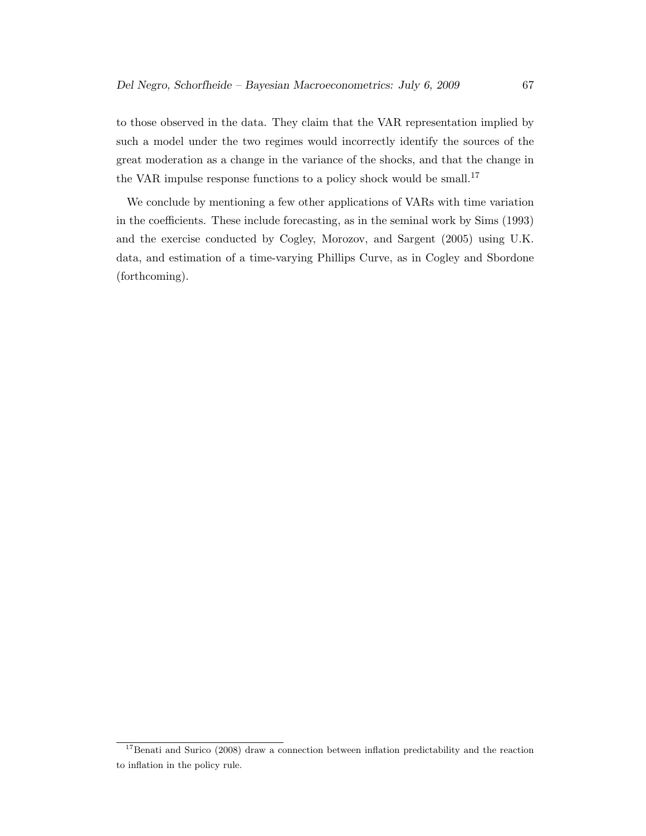to those observed in the data. They claim that the VAR representation implied by such a model under the two regimes would incorrectly identify the sources of the great moderation as a change in the variance of the shocks, and that the change in the VAR impulse response functions to a policy shock would be small.<sup>17</sup>

We conclude by mentioning a few other applications of VARs with time variation in the coefficients. These include forecasting, as in the seminal work by Sims (1993) and the exercise conducted by Cogley, Morozov, and Sargent (2005) using U.K. data, and estimation of a time-varying Phillips Curve, as in Cogley and Sbordone (forthcoming).

<sup>&</sup>lt;sup>17</sup>Benati and Surico (2008) draw a connection between inflation predictability and the reaction to inflation in the policy rule.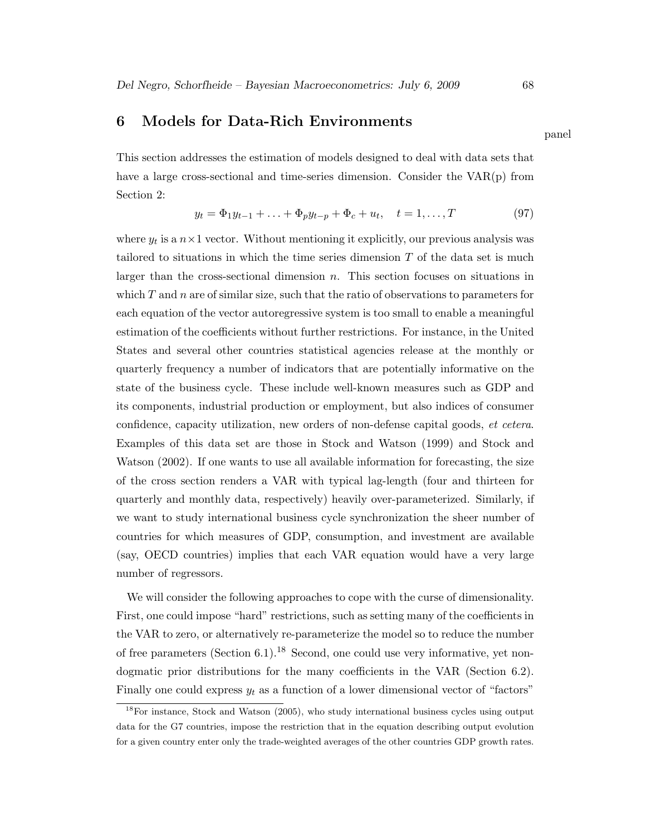## 6 Models for Data-Rich Environments

This section addresses the estimation of models designed to deal with data sets that have a large cross-sectional and time-series dimension. Consider the VAR(p) from Section 2:

$$
y_t = \Phi_1 y_{t-1} + \ldots + \Phi_p y_{t-p} + \Phi_c + u_t, \quad t = 1, \ldots, T
$$
\n(97)

where  $y_t$  is a  $n \times 1$  vector. Without mentioning it explicitly, our previous analysis was tailored to situations in which the time series dimension  $T$  of the data set is much larger than the cross-sectional dimension  $n$ . This section focuses on situations in which  $T$  and  $n$  are of similar size, such that the ratio of observations to parameters for each equation of the vector autoregressive system is too small to enable a meaningful estimation of the coefficients without further restrictions. For instance, in the United States and several other countries statistical agencies release at the monthly or quarterly frequency a number of indicators that are potentially informative on the state of the business cycle. These include well-known measures such as GDP and its components, industrial production or employment, but also indices of consumer confidence, capacity utilization, new orders of non-defense capital goods, et cetera. Examples of this data set are those in Stock and Watson (1999) and Stock and Watson (2002). If one wants to use all available information for forecasting, the size of the cross section renders a VAR with typical lag-length (four and thirteen for quarterly and monthly data, respectively) heavily over-parameterized. Similarly, if we want to study international business cycle synchronization the sheer number of countries for which measures of GDP, consumption, and investment are available (say, OECD countries) implies that each VAR equation would have a very large number of regressors.

We will consider the following approaches to cope with the curse of dimensionality. First, one could impose "hard" restrictions, such as setting many of the coefficients in the VAR to zero, or alternatively re-parameterize the model so to reduce the number of free parameters (Section 6.1).<sup>18</sup> Second, one could use very informative, yet nondogmatic prior distributions for the many coefficients in the VAR (Section 6.2). Finally one could express  $y_t$  as a function of a lower dimensional vector of "factors"

panel

<sup>18</sup>For instance, Stock and Watson (2005), who study international business cycles using output data for the G7 countries, impose the restriction that in the equation describing output evolution for a given country enter only the trade-weighted averages of the other countries GDP growth rates.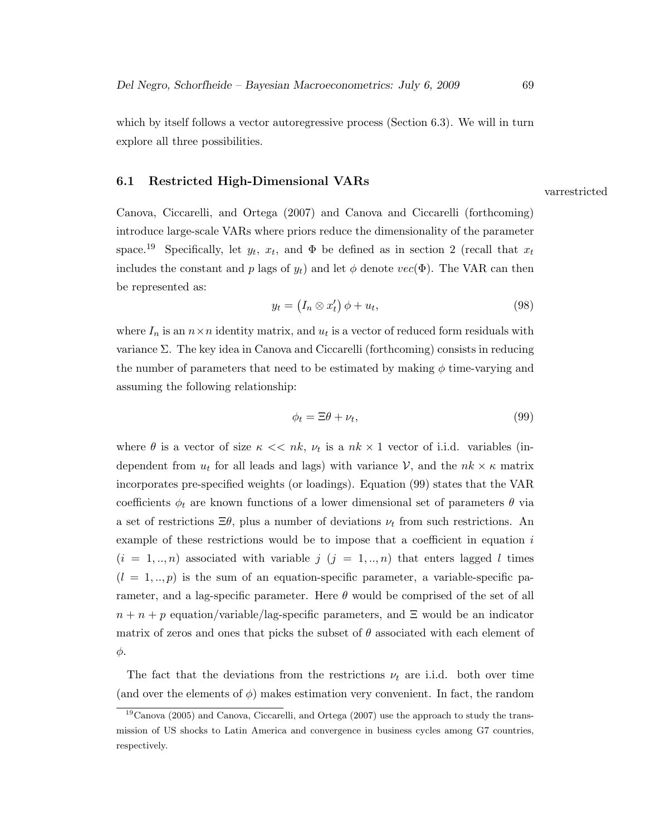which by itself follows a vector autoregressive process (Section 6.3). We will in turn explore all three possibilities.

#### 6.1 Restricted High-Dimensional VARs

Canova, Ciccarelli, and Ortega (2007) and Canova and Ciccarelli (forthcoming) introduce large-scale VARs where priors reduce the dimensionality of the parameter space.<sup>19</sup> Specifically, let  $y_t$ ,  $x_t$ , and  $\Phi$  be defined as in section 2 (recall that  $x_t$ includes the constant and p lags of  $y_t$ ) and let  $\phi$  denote  $vec(\Phi)$ . The VAR can then be represented as:

$$
y_t = (I_n \otimes x'_t) \phi + u_t,\tag{98}
$$

where  $I_n$  is an  $n \times n$  identity matrix, and  $u_t$  is a vector of reduced form residuals with variance Σ. The key idea in Canova and Ciccarelli (forthcoming) consists in reducing the number of parameters that need to be estimated by making  $\phi$  time-varying and assuming the following relationship:

$$
\phi_t = \Xi \theta + \nu_t,\tag{99}
$$

where  $\theta$  is a vector of size  $\kappa \ll nk$ ,  $\nu_t$  is a  $nk \times 1$  vector of i.i.d. variables (independent from  $u_t$  for all leads and lags) with variance  $\mathcal{V}$ , and the  $nk \times \kappa$  matrix incorporates pre-specified weights (or loadings). Equation (99) states that the VAR coefficients  $\phi_t$  are known functions of a lower dimensional set of parameters  $\theta$  via a set of restrictions  $\Xi\theta$ , plus a number of deviations  $\nu_t$  from such restrictions. An example of these restrictions would be to impose that a coefficient in equation  $i$  $(i = 1, ..., n)$  associated with variable  $j$   $(j = 1, ..., n)$  that enters lagged l times  $(l = 1, \ldots, p)$  is the sum of an equation-specific parameter, a variable-specific parameter, and a lag-specific parameter. Here  $\theta$  would be comprised of the set of all  $n + n + p$  equation/variable/lag-specific parameters, and  $\Xi$  would be an indicator matrix of zeros and ones that picks the subset of  $\theta$  associated with each element of φ.

The fact that the deviations from the restrictions  $\nu_t$  are i.i.d. both over time (and over the elements of  $\phi$ ) makes estimation very convenient. In fact, the random

varrestricted

 $19$ Canova (2005) and Canova, Ciccarelli, and Ortega (2007) use the approach to study the transmission of US shocks to Latin America and convergence in business cycles among G7 countries, respectively.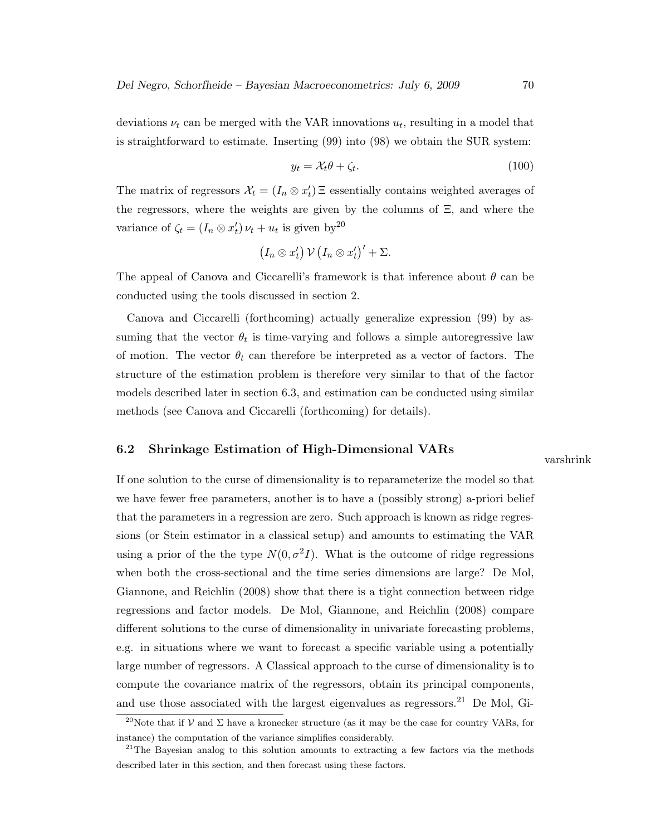deviations  $\nu_t$  can be merged with the VAR innovations  $u_t$ , resulting in a model that is straightforward to estimate. Inserting (99) into (98) we obtain the SUR system:

$$
y_t = \mathcal{X}_t \theta + \zeta_t. \tag{100}
$$

The matrix of regressors  $\mathcal{X}_t = (I_n \otimes x_t') \,\Xi$  essentially contains weighted averages of the regressors, where the weights are given by the columns of Ξ, and where the variance of  $\zeta_t = (I_n \otimes x_t') \nu_t + u_t$  is given by<sup>20</sup>

$$
(I_n \otimes x'_t) \mathcal{V} (I_n \otimes x'_t)' + \Sigma.
$$

The appeal of Canova and Ciccarelli's framework is that inference about  $\theta$  can be conducted using the tools discussed in section 2.

Canova and Ciccarelli (forthcoming) actually generalize expression (99) by assuming that the vector  $\theta_t$  is time-varying and follows a simple autoregressive law of motion. The vector  $\theta_t$  can therefore be interpreted as a vector of factors. The structure of the estimation problem is therefore very similar to that of the factor models described later in section 6.3, and estimation can be conducted using similar methods (see Canova and Ciccarelli (forthcoming) for details).

## 6.2 Shrinkage Estimation of High-Dimensional VARs

varshrink

If one solution to the curse of dimensionality is to reparameterize the model so that we have fewer free parameters, another is to have a (possibly strong) a-priori belief that the parameters in a regression are zero. Such approach is known as ridge regressions (or Stein estimator in a classical setup) and amounts to estimating the VAR using a prior of the the type  $N(0, \sigma^2 I)$ . What is the outcome of ridge regressions when both the cross-sectional and the time series dimensions are large? De Mol, Giannone, and Reichlin (2008) show that there is a tight connection between ridge regressions and factor models. De Mol, Giannone, and Reichlin (2008) compare different solutions to the curse of dimensionality in univariate forecasting problems, e.g. in situations where we want to forecast a specific variable using a potentially large number of regressors. A Classical approach to the curse of dimensionality is to compute the covariance matrix of the regressors, obtain its principal components, and use those associated with the largest eigenvalues as regressors.<sup>21</sup> De Mol, Gi-

<sup>&</sup>lt;sup>20</sup>Note that if V and  $\Sigma$  have a kronecker structure (as it may be the case for country VARs, for instance) the computation of the variance simplifies considerably.

<sup>&</sup>lt;sup>21</sup>The Bayesian analog to this solution amounts to extracting a few factors via the methods described later in this section, and then forecast using these factors.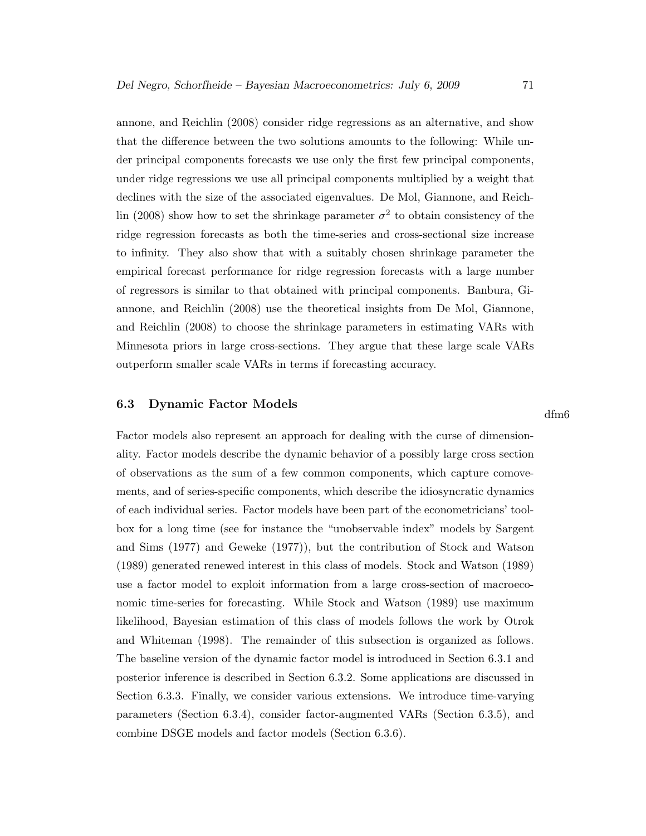annone, and Reichlin (2008) consider ridge regressions as an alternative, and show that the difference between the two solutions amounts to the following: While under principal components forecasts we use only the first few principal components, under ridge regressions we use all principal components multiplied by a weight that declines with the size of the associated eigenvalues. De Mol, Giannone, and Reichlin (2008) show how to set the shrinkage parameter  $\sigma^2$  to obtain consistency of the ridge regression forecasts as both the time-series and cross-sectional size increase to infinity. They also show that with a suitably chosen shrinkage parameter the empirical forecast performance for ridge regression forecasts with a large number of regressors is similar to that obtained with principal components. Banbura, Giannone, and Reichlin (2008) use the theoretical insights from De Mol, Giannone, and Reichlin (2008) to choose the shrinkage parameters in estimating VARs with Minnesota priors in large cross-sections. They argue that these large scale VARs outperform smaller scale VARs in terms if forecasting accuracy.

#### 6.3 Dynamic Factor Models

Factor models also represent an approach for dealing with the curse of dimensionality. Factor models describe the dynamic behavior of a possibly large cross section of observations as the sum of a few common components, which capture comovements, and of series-specific components, which describe the idiosyncratic dynamics of each individual series. Factor models have been part of the econometricians' toolbox for a long time (see for instance the "unobservable index" models by Sargent and Sims (1977) and Geweke (1977)), but the contribution of Stock and Watson (1989) generated renewed interest in this class of models. Stock and Watson (1989) use a factor model to exploit information from a large cross-section of macroeconomic time-series for forecasting. While Stock and Watson (1989) use maximum likelihood, Bayesian estimation of this class of models follows the work by Otrok and Whiteman (1998). The remainder of this subsection is organized as follows. The baseline version of the dynamic factor model is introduced in Section 6.3.1 and posterior inference is described in Section 6.3.2. Some applications are discussed in Section 6.3.3. Finally, we consider various extensions. We introduce time-varying parameters (Section 6.3.4), consider factor-augmented VARs (Section 6.3.5), and combine DSGE models and factor models (Section 6.3.6).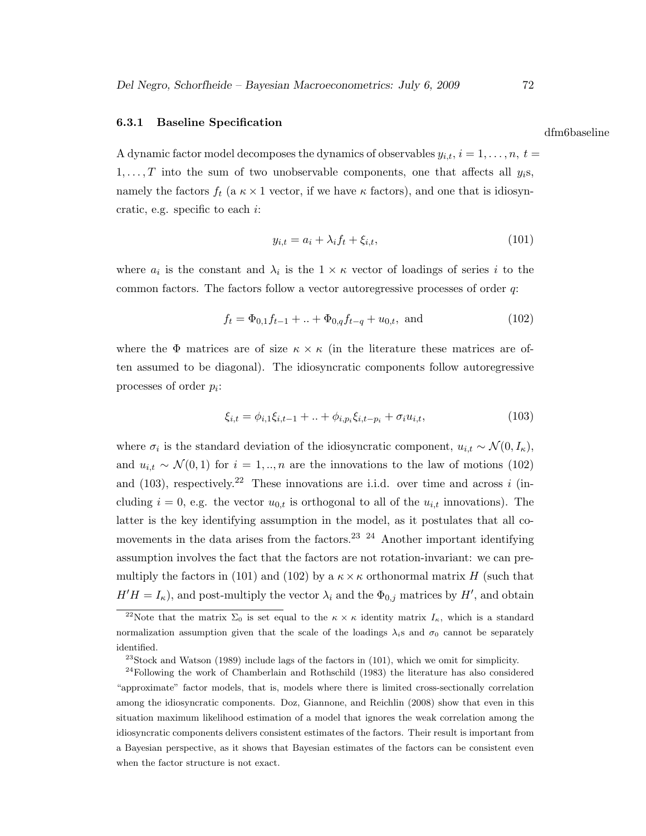### 6.3.1 Baseline Specification

A dynamic factor model decomposes the dynamics of observables  $y_{i,t}, i = 1, \ldots, n, t =$  $1, \ldots, T$  into the sum of two unobservable components, one that affects all  $y_i$ s, namely the factors  $f_t$  (a  $\kappa \times 1$  vector, if we have  $\kappa$  factors), and one that is idiosyncratic, e.g. specific to each  $i$ :

$$
y_{i,t} = a_i + \lambda_i f_t + \xi_{i,t},\tag{101}
$$

where  $a_i$  is the constant and  $\lambda_i$  is the  $1 \times \kappa$  vector of loadings of series i to the common factors. The factors follow a vector autoregressive processes of order q:

$$
f_t = \Phi_{0,1} f_{t-1} + \ldots + \Phi_{0,q} f_{t-q} + u_{0,t}, \text{ and} \tag{102}
$$

where the  $\Phi$  matrices are of size  $\kappa \times \kappa$  (in the literature these matrices are often assumed to be diagonal). The idiosyncratic components follow autoregressive processes of order  $p_i$ :

$$
\xi_{i,t} = \phi_{i,1}\xi_{i,t-1} + \ldots + \phi_{i,p_i}\xi_{i,t-p_i} + \sigma_i u_{i,t},\tag{103}
$$

where  $\sigma_i$  is the standard deviation of the idiosyncratic component,  $u_{i,t} \sim \mathcal{N}(0, I_{\kappa}),$ and  $u_{i,t} \sim \mathcal{N}(0,1)$  for  $i=1,\dots,n$  are the innovations to the law of motions (102) and (103), respectively.<sup>22</sup> These innovations are i.i.d. over time and across i (including  $i = 0$ , e.g. the vector  $u_{0,t}$  is orthogonal to all of the  $u_{i,t}$  innovations). The latter is the key identifying assumption in the model, as it postulates that all comovements in the data arises from the factors.<sup>23 24</sup> Another important identifying assumption involves the fact that the factors are not rotation-invariant: we can premultiply the factors in (101) and (102) by a  $\kappa \times \kappa$  orthonormal matrix H (such that  $H'H = I_{\kappa}$ , and post-multiply the vector  $\lambda_i$  and the  $\Phi_{0,j}$  matrices by  $H'$ , and obtain

dfm6baseline

<sup>&</sup>lt;sup>22</sup>Note that the matrix  $\Sigma_0$  is set equal to the  $\kappa \times \kappa$  identity matrix  $I_{\kappa}$ , which is a standard normalization assumption given that the scale of the loadings  $\lambda_i$ s and  $\sigma_0$  cannot be separately identified.

 $23\,$ Stock and Watson (1989) include lags of the factors in (101), which we omit for simplicity.

 $24$ Following the work of Chamberlain and Rothschild (1983) the literature has also considered "approximate" factor models, that is, models where there is limited cross-sectionally correlation among the idiosyncratic components. Doz, Giannone, and Reichlin (2008) show that even in this situation maximum likelihood estimation of a model that ignores the weak correlation among the idiosyncratic components delivers consistent estimates of the factors. Their result is important from a Bayesian perspective, as it shows that Bayesian estimates of the factors can be consistent even when the factor structure is not exact.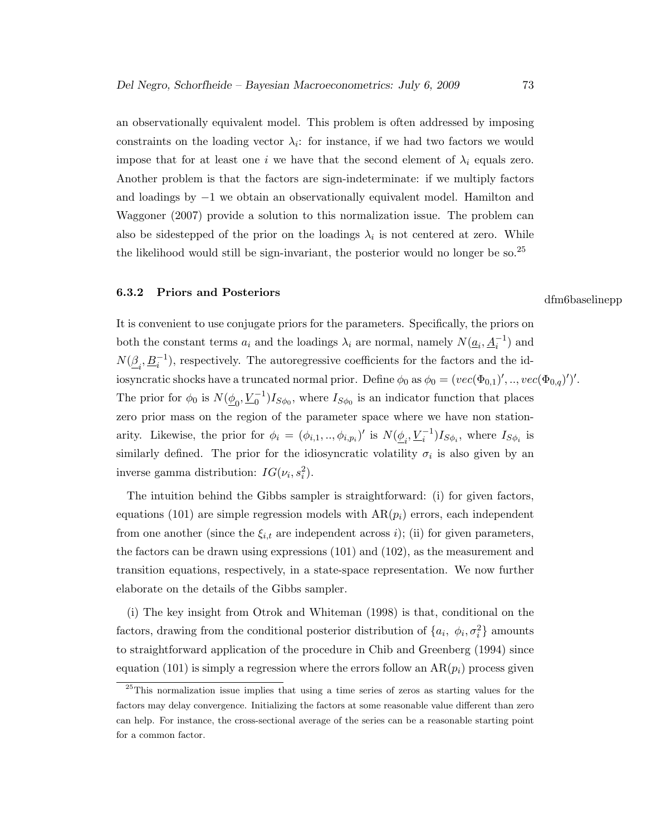an observationally equivalent model. This problem is often addressed by imposing constraints on the loading vector  $\lambda_i$ : for instance, if we had two factors we would impose that for at least one i we have that the second element of  $\lambda_i$  equals zero. Another problem is that the factors are sign-indeterminate: if we multiply factors and loadings by −1 we obtain an observationally equivalent model. Hamilton and Waggoner (2007) provide a solution to this normalization issue. The problem can also be sidestepped of the prior on the loadings  $\lambda_i$  is not centered at zero. While the likelihood would still be sign-invariant, the posterior would no longer be so.<sup>25</sup>

# 6.3.2 Priors and Posteriors dfm6baselinepp

It is convenient to use conjugate priors for the parameters. Specifically, the priors on both the constant terms  $a_i$  and the loadings  $\lambda_i$  are normal, namely  $N(\underline{a}_i, \underline{A}_i^{-1})$  and  $N(\underline{\beta}_i, \underline{B}_i^{-1})$ , respectively. The autoregressive coefficients for the factors and the idiosyncratic shocks have a truncated normal prior. Define  $\phi_0$  as  $\phi_0 = (vec(\Phi_{0,1})',..,vec(\Phi_{0,q})')'.$ The prior for  $\phi_0$  is  $N(\underline{\phi}_0, \underline{V}_0^{-1}) I_{S\phi_0}$ , where  $I_{S\phi_0}$  is an indicator function that places zero prior mass on the region of the parameter space where we have non stationarity. Likewise, the prior for  $\phi_i = (\phi_{i,1}, ..., \phi_{i,p_i})'$  is  $N(\underline{\phi}_i, \underline{V}_i^{-1})I_{S\phi_i}$ , where  $I_{S\phi_i}$  is similarly defined. The prior for the idiosyncratic volatility  $\sigma_i$  is also given by an inverse gamma distribution:  $IG(\nu_i, s_i^2)$ .

The intuition behind the Gibbs sampler is straightforward: (i) for given factors, equations (101) are simple regression models with  $AR(p_i)$  errors, each independent from one another (since the  $\xi_{i,t}$  are independent across i); (ii) for given parameters, the factors can be drawn using expressions (101) and (102), as the measurement and transition equations, respectively, in a state-space representation. We now further elaborate on the details of the Gibbs sampler.

(i) The key insight from Otrok and Whiteman (1998) is that, conditional on the factors, drawing from the conditional posterior distribution of  $\{a_i, \phi_i, \sigma_i^2\}$  amounts to straightforward application of the procedure in Chib and Greenberg (1994) since equation (101) is simply a regression where the errors follow an  $AR(p_i)$  process given

 $^{25}$ This normalization issue implies that using a time series of zeros as starting values for the factors may delay convergence. Initializing the factors at some reasonable value different than zero can help. For instance, the cross-sectional average of the series can be a reasonable starting point for a common factor.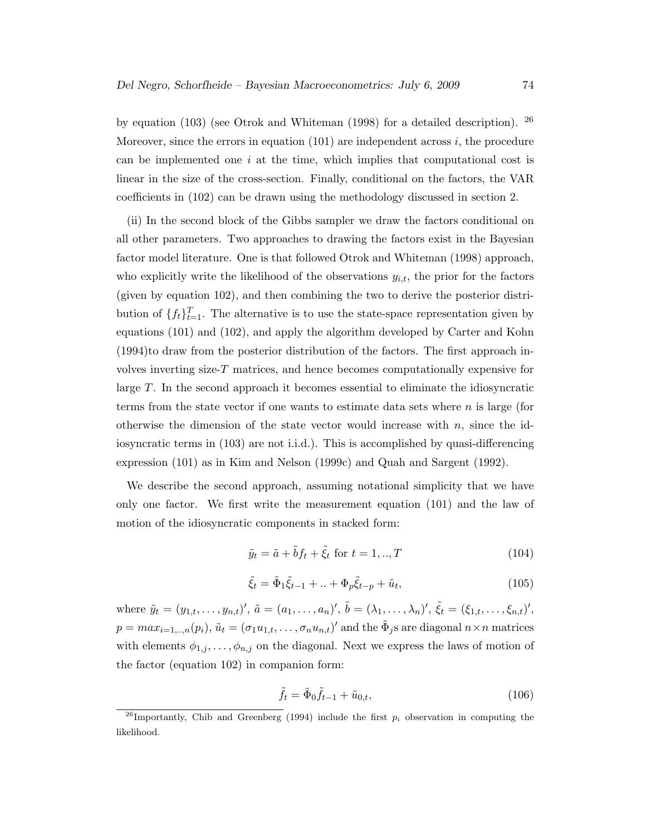by equation (103) (see Otrok and Whiteman (1998) for a detailed description).  $^{26}$ Moreover, since the errors in equation  $(101)$  are independent across i, the procedure can be implemented one  $i$  at the time, which implies that computational cost is linear in the size of the cross-section. Finally, conditional on the factors, the VAR coefficients in (102) can be drawn using the methodology discussed in section 2.

(ii) In the second block of the Gibbs sampler we draw the factors conditional on all other parameters. Two approaches to drawing the factors exist in the Bayesian factor model literature. One is that followed Otrok and Whiteman (1998) approach, who explicitly write the likelihood of the observations  $y_{i,t}$ , the prior for the factors (given by equation 102), and then combining the two to derive the posterior distribution of  $\{f_t\}_{t=1}^T$ . The alternative is to use the state-space representation given by equations (101) and (102), and apply the algorithm developed by Carter and Kohn (1994)to draw from the posterior distribution of the factors. The first approach involves inverting size- $T$  matrices, and hence becomes computationally expensive for large T. In the second approach it becomes essential to eliminate the idiosyncratic terms from the state vector if one wants to estimate data sets where n is large (for otherwise the dimension of the state vector would increase with  $n$ , since the idiosyncratic terms in (103) are not i.i.d.). This is accomplished by quasi-differencing expression (101) as in Kim and Nelson (1999c) and Quah and Sargent (1992).

We describe the second approach, assuming notational simplicity that we have only one factor. We first write the measurement equation (101) and the law of motion of the idiosyncratic components in stacked form:

$$
\tilde{y}_t = \tilde{a} + \tilde{b}f_t + \tilde{\xi}_t \text{ for } t = 1, \dots, T \tag{104}
$$

$$
\tilde{\xi}_t = \tilde{\Phi}_1 \tilde{\xi}_{t-1} + \ldots + \Phi_p \tilde{\xi}_{t-p} + \tilde{u}_t,\tag{105}
$$

where  $\tilde{y}_t = (y_{1,t}, \ldots, y_{n,t})'$ ,  $\tilde{a} = (a_1, \ldots, a_n)'$ ,  $\tilde{b} = (\lambda_1, \ldots, \lambda_n)'$ ,  $\tilde{\xi}_t = (\xi_{1,t}, \ldots, \xi_{n,t})'$ ,  $p = max_{i=1,..,n}(p_i), \tilde{u}_t = (\sigma_1 u_{1,t}, \ldots, \sigma_n u_{n,t})'$  and the  $\tilde{\Phi}_j$ s are diagonal  $n \times n$  matrices with elements  $\phi_{1,j}, \ldots, \phi_{n,j}$  on the diagonal. Next we express the laws of motion of the factor (equation 102) in companion form:

$$
\tilde{f}_t = \tilde{\Phi}_0 \tilde{f}_{t-1} + \tilde{u}_{0,t},\tag{106}
$$

<sup>&</sup>lt;sup>26</sup>Importantly, Chib and Greenberg (1994) include the first  $p_i$  observation in computing the likelihood.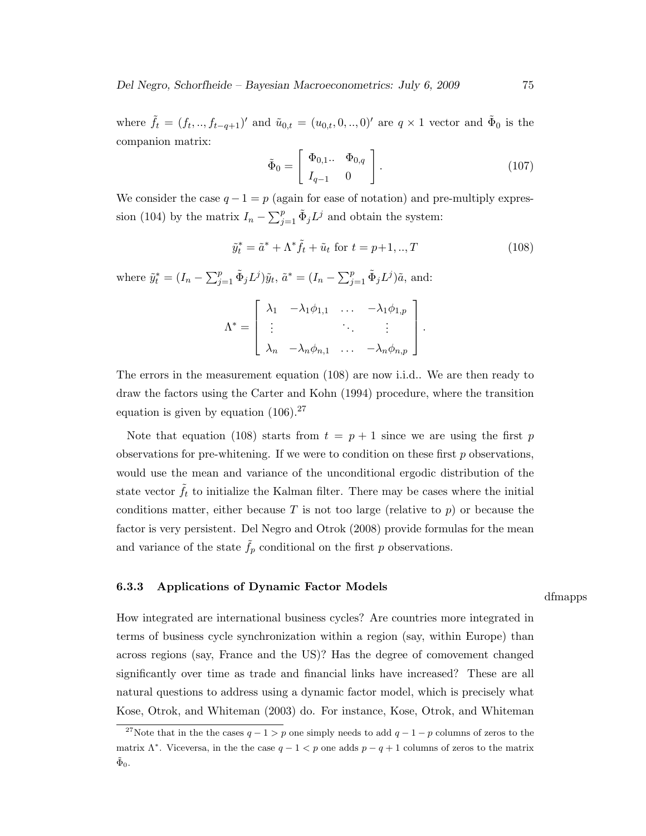where  $\tilde{f}_t = (f_t, ..., f_{t-q+1})'$  and  $\tilde{u}_{0,t} = (u_{0,t}, 0, ..., 0)'$  are  $q \times 1$  vector and  $\tilde{\Phi}_0$  is the companion matrix:

$$
\tilde{\Phi}_0 = \begin{bmatrix} \Phi_{0,1} & \Phi_{0,q} \\ I_{q-1} & 0 \end{bmatrix} . \tag{107}
$$

We consider the case  $q - 1 = p$  (again for ease of notation) and pre-multiply expression (104) by the matrix  $I_n - \sum_{j=1}^p \tilde{\Phi}_j L^j$  and obtain the system:

$$
\tilde{y}_t^* = \tilde{a}^* + \Lambda^* \tilde{f}_t + \tilde{u}_t \text{ for } t = p+1, ..., T
$$
\n(108)

where  $\tilde{y}_t^* = (I_n - \sum_{j=1}^p \tilde{\Phi}_j L^j) \tilde{y}_t$ ,  $\tilde{a}^* = (I_n - \sum_{j=1}^p \tilde{\Phi}_j L^j) \tilde{a}$ , and:

$$
\Lambda^* = \left[ \begin{array}{cccc} \lambda_1 & -\lambda_1 \phi_{1,1} & \dots & -\lambda_1 \phi_{1,p} \\ \vdots & & \ddots & \vdots \\ \lambda_n & -\lambda_n \phi_{n,1} & \dots & -\lambda_n \phi_{n,p} \end{array} \right].
$$

The errors in the measurement equation (108) are now i.i.d.. We are then ready to draw the factors using the Carter and Kohn (1994) procedure, where the transition equation is given by equation  $(106).^{27}$ 

Note that equation (108) starts from  $t = p + 1$  since we are using the first p observations for pre-whitening. If we were to condition on these first  $p$  observations, would use the mean and variance of the unconditional ergodic distribution of the state vector  $\tilde{f}_t$  to initialize the Kalman filter. There may be cases where the initial conditions matter, either because T is not too large (relative to p) or because the factor is very persistent. Del Negro and Otrok (2008) provide formulas for the mean and variance of the state  $\tilde{f}_p$  conditional on the first p observations.

### 6.3.3 Applications of Dynamic Factor Models

dfmapps

How integrated are international business cycles? Are countries more integrated in terms of business cycle synchronization within a region (say, within Europe) than across regions (say, France and the US)? Has the degree of comovement changed significantly over time as trade and financial links have increased? These are all natural questions to address using a dynamic factor model, which is precisely what Kose, Otrok, and Whiteman (2003) do. For instance, Kose, Otrok, and Whiteman

<sup>&</sup>lt;sup>27</sup>Note that in the the cases  $q - 1 > p$  one simply needs to add  $q - 1 - p$  columns of zeros to the matrix  $\Lambda^*$ . Viceversa, in the the case  $q-1 < p$  one adds  $p-q+1$  columns of zeros to the matrix  $\tilde{\Phi}_0$ .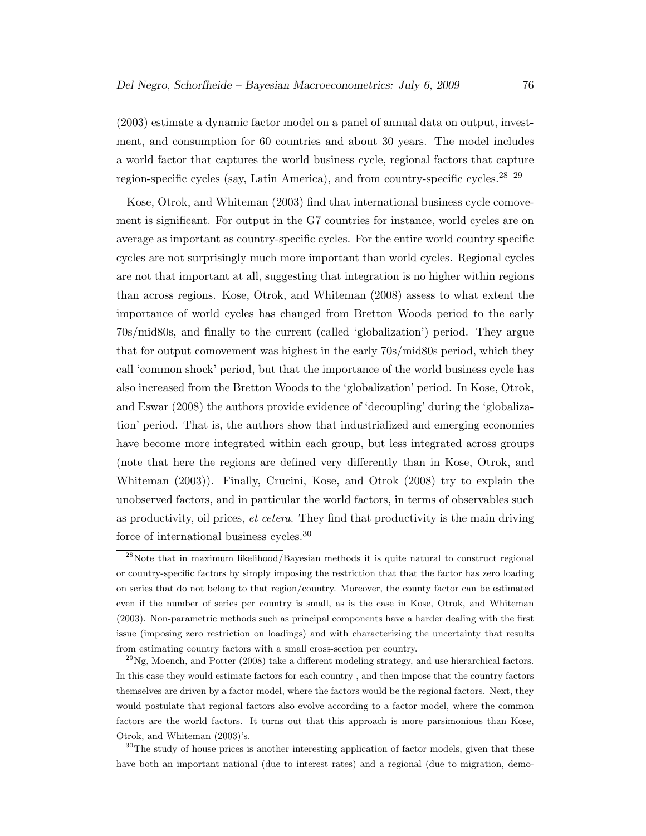(2003) estimate a dynamic factor model on a panel of annual data on output, investment, and consumption for 60 countries and about 30 years. The model includes a world factor that captures the world business cycle, regional factors that capture region-specific cycles (say, Latin America), and from country-specific cycles.<sup>28</sup> <sup>29</sup>

Kose, Otrok, and Whiteman (2003) find that international business cycle comovement is significant. For output in the G7 countries for instance, world cycles are on average as important as country-specific cycles. For the entire world country specific cycles are not surprisingly much more important than world cycles. Regional cycles are not that important at all, suggesting that integration is no higher within regions than across regions. Kose, Otrok, and Whiteman (2008) assess to what extent the importance of world cycles has changed from Bretton Woods period to the early 70s/mid80s, and finally to the current (called 'globalization') period. They argue that for output comovement was highest in the early 70s/mid80s period, which they call 'common shock' period, but that the importance of the world business cycle has also increased from the Bretton Woods to the 'globalization' period. In Kose, Otrok, and Eswar (2008) the authors provide evidence of 'decoupling' during the 'globalization' period. That is, the authors show that industrialized and emerging economies have become more integrated within each group, but less integrated across groups (note that here the regions are defined very differently than in Kose, Otrok, and Whiteman (2003)). Finally, Crucini, Kose, and Otrok (2008) try to explain the unobserved factors, and in particular the world factors, in terms of observables such as productivity, oil prices, et cetera. They find that productivity is the main driving force of international business cycles.<sup>30</sup>

 $^{29}$ Ng, Moench, and Potter (2008) take a different modeling strategy, and use hierarchical factors. In this case they would estimate factors for each country , and then impose that the country factors themselves are driven by a factor model, where the factors would be the regional factors. Next, they would postulate that regional factors also evolve according to a factor model, where the common factors are the world factors. It turns out that this approach is more parsimonious than Kose, Otrok, and Whiteman (2003)'s.

 $30$ The study of house prices is another interesting application of factor models, given that these have both an important national (due to interest rates) and a regional (due to migration, demo-

 $^{28}$ Note that in maximum likelihood/Bayesian methods it is quite natural to construct regional or country-specific factors by simply imposing the restriction that that the factor has zero loading on series that do not belong to that region/country. Moreover, the county factor can be estimated even if the number of series per country is small, as is the case in Kose, Otrok, and Whiteman (2003). Non-parametric methods such as principal components have a harder dealing with the first issue (imposing zero restriction on loadings) and with characterizing the uncertainty that results from estimating country factors with a small cross-section per country.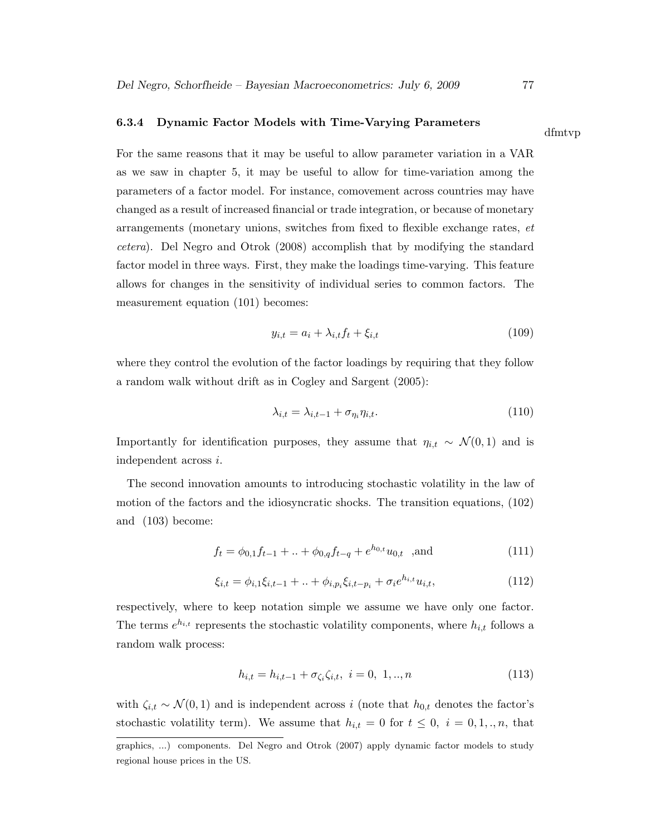## 6.3.4 Dynamic Factor Models with Time-Varying Parameters

For the same reasons that it may be useful to allow parameter variation in a VAR as we saw in chapter 5, it may be useful to allow for time-variation among the parameters of a factor model. For instance, comovement across countries may have changed as a result of increased financial or trade integration, or because of monetary arrangements (monetary unions, switches from fixed to flexible exchange rates, et cetera). Del Negro and Otrok (2008) accomplish that by modifying the standard factor model in three ways. First, they make the loadings time-varying. This feature allows for changes in the sensitivity of individual series to common factors. The measurement equation (101) becomes:

$$
y_{i,t} = a_i + \lambda_{i,t} f_t + \xi_{i,t} \tag{109}
$$

where they control the evolution of the factor loadings by requiring that they follow a random walk without drift as in Cogley and Sargent (2005):

$$
\lambda_{i,t} = \lambda_{i,t-1} + \sigma_{\eta_i} \eta_{i,t}.
$$
\n(110)

Importantly for identification purposes, they assume that  $\eta_{i,t} \sim \mathcal{N}(0, 1)$  and is independent across i.

The second innovation amounts to introducing stochastic volatility in the law of motion of the factors and the idiosyncratic shocks. The transition equations, (102) and (103) become:

$$
f_t = \phi_{0,1} f_{t-1} + \ldots + \phi_{0,q} f_{t-q} + e^{h_{0,t}} u_{0,t} \quad \text{and} \tag{111}
$$

$$
\xi_{i,t} = \phi_{i,1}\xi_{i,t-1} + \ldots + \phi_{i,p_i}\xi_{i,t-p_i} + \sigma_i e^{h_{i,t}} u_{i,t},\tag{112}
$$

respectively, where to keep notation simple we assume we have only one factor. The terms  $e^{h_{i,t}}$  represents the stochastic volatility components, where  $h_{i,t}$  follows a random walk process:

$$
h_{i,t} = h_{i,t-1} + \sigma_{\zeta_i} \zeta_{i,t}, \ i = 0, 1, ..., n
$$
\n(113)

with  $\zeta_{i,t} \sim \mathcal{N}(0,1)$  and is independent across i (note that  $h_{0,t}$  denotes the factor's stochastic volatility term). We assume that  $h_{i,t} = 0$  for  $t \leq 0, i = 0, 1, \ldots, n$ , that

dfmtvp

graphics, ...) components. Del Negro and Otrok (2007) apply dynamic factor models to study regional house prices in the US.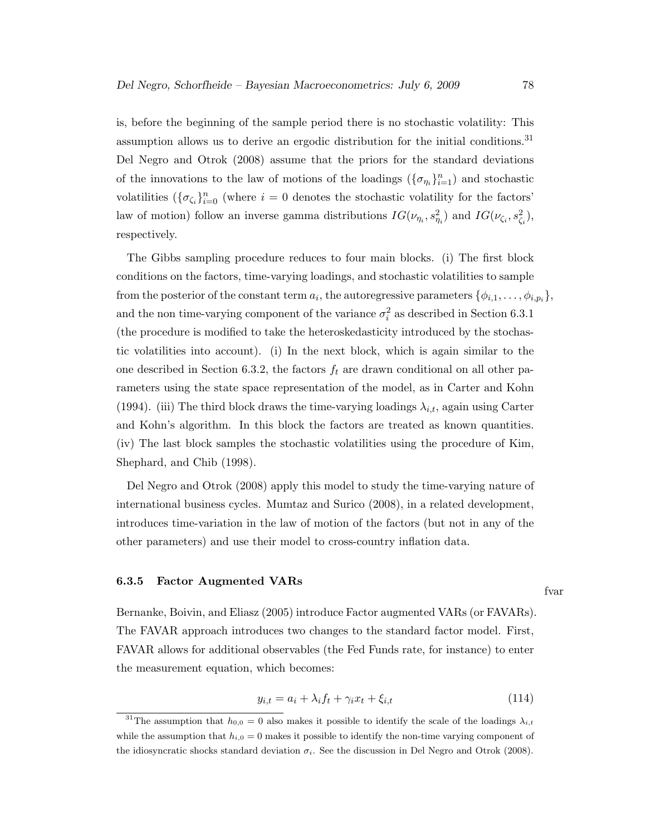is, before the beginning of the sample period there is no stochastic volatility: This assumption allows us to derive an ergodic distribution for the initial conditions.<sup>31</sup> Del Negro and Otrok (2008) assume that the priors for the standard deviations of the innovations to the law of motions of the loadings  $(\{\sigma_{\eta_i}\}_{i=1}^n)$  and stochastic volatilities  $(\{\sigma_{\zeta_i}\}_{i=0}^n)$  (where  $i=0$  denotes the stochastic volatility for the factors' law of motion) follow an inverse gamma distributions  $IG(\nu_{\eta_i}, s_{\eta_i}^2)$  and  $IG(\nu_{\zeta_i}, s_{\zeta_i}^2)$ , respectively.

The Gibbs sampling procedure reduces to four main blocks. (i) The first block conditions on the factors, time-varying loadings, and stochastic volatilities to sample from the posterior of the constant term  $a_i$ , the autoregressive parameters  $\{\phi_{i,1},\ldots,\phi_{i,p_i}\},\$ and the non time-varying component of the variance  $\sigma_i^2$  as described in Section 6.3.1 (the procedure is modified to take the heteroskedasticity introduced by the stochastic volatilities into account). (i) In the next block, which is again similar to the one described in Section 6.3.2, the factors  $f_t$  are drawn conditional on all other parameters using the state space representation of the model, as in Carter and Kohn (1994). (iii) The third block draws the time-varying loadings  $\lambda_{i,t}$ , again using Carter and Kohn's algorithm. In this block the factors are treated as known quantities. (iv) The last block samples the stochastic volatilities using the procedure of Kim, Shephard, and Chib (1998).

Del Negro and Otrok (2008) apply this model to study the time-varying nature of international business cycles. Mumtaz and Surico (2008), in a related development, introduces time-variation in the law of motion of the factors (but not in any of the other parameters) and use their model to cross-country inflation data.

#### 6.3.5 Factor Augmented VARs

Bernanke, Boivin, and Eliasz (2005) introduce Factor augmented VARs (or FAVARs). The FAVAR approach introduces two changes to the standard factor model. First, FAVAR allows for additional observables (the Fed Funds rate, for instance) to enter the measurement equation, which becomes:

$$
y_{i,t} = a_i + \lambda_i f_t + \gamma_i x_t + \xi_{i,t}
$$
\n(114)

fvar

<sup>&</sup>lt;sup>31</sup>The assumption that  $h_{0,0} = 0$  also makes it possible to identify the scale of the loadings  $\lambda_{i,t}$ while the assumption that  $h_{i,0} = 0$  makes it possible to identify the non-time varying component of the idiosyncratic shocks standard deviation  $\sigma_i$ . See the discussion in Del Negro and Otrok (2008).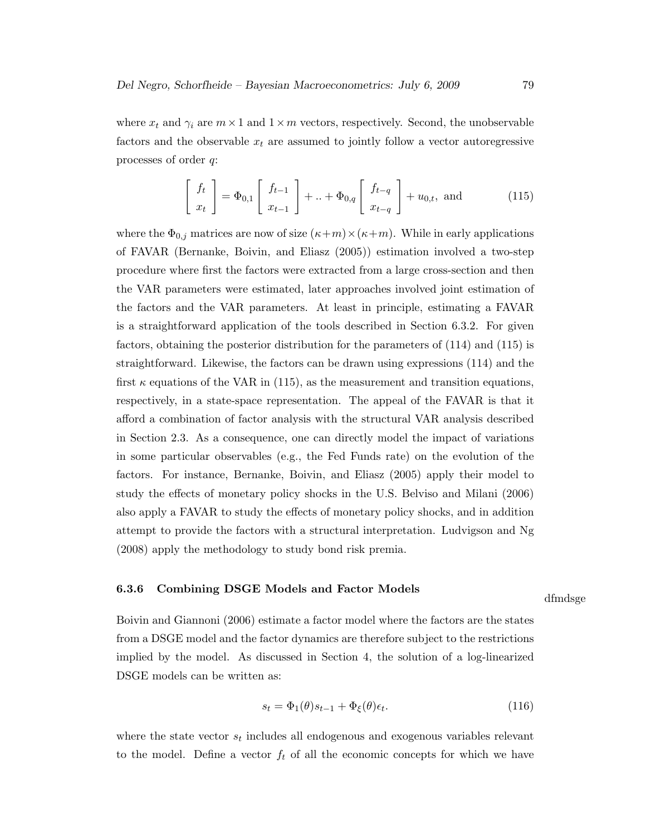where  $x_t$  and  $\gamma_i$  are  $m \times 1$  and  $1 \times m$  vectors, respectively. Second, the unobservable factors and the observable  $x_t$  are assumed to jointly follow a vector autoregressive processes of order q:

$$
\begin{bmatrix} f_t \\ x_t \end{bmatrix} = \Phi_{0,1} \begin{bmatrix} f_{t-1} \\ x_{t-1} \end{bmatrix} + \ldots + \Phi_{0,q} \begin{bmatrix} f_{t-q} \\ x_{t-q} \end{bmatrix} + u_{0,t}, \text{ and } (115)
$$

where the  $\Phi_{0,j}$  matrices are now of size  $(\kappa+m)\times(\kappa+m)$ . While in early applications of FAVAR (Bernanke, Boivin, and Eliasz (2005)) estimation involved a two-step procedure where first the factors were extracted from a large cross-section and then the VAR parameters were estimated, later approaches involved joint estimation of the factors and the VAR parameters. At least in principle, estimating a FAVAR is a straightforward application of the tools described in Section 6.3.2. For given factors, obtaining the posterior distribution for the parameters of (114) and (115) is straightforward. Likewise, the factors can be drawn using expressions (114) and the first  $\kappa$  equations of the VAR in (115), as the measurement and transition equations, respectively, in a state-space representation. The appeal of the FAVAR is that it afford a combination of factor analysis with the structural VAR analysis described in Section 2.3. As a consequence, one can directly model the impact of variations in some particular observables (e.g., the Fed Funds rate) on the evolution of the factors. For instance, Bernanke, Boivin, and Eliasz (2005) apply their model to study the effects of monetary policy shocks in the U.S. Belviso and Milani (2006) also apply a FAVAR to study the effects of monetary policy shocks, and in addition attempt to provide the factors with a structural interpretation. Ludvigson and Ng (2008) apply the methodology to study bond risk premia.

#### 6.3.6 Combining DSGE Models and Factor Models

dfmdsge

Boivin and Giannoni (2006) estimate a factor model where the factors are the states from a DSGE model and the factor dynamics are therefore subject to the restrictions implied by the model. As discussed in Section 4, the solution of a log-linearized DSGE models can be written as:

$$
s_t = \Phi_1(\theta)s_{t-1} + \Phi_\xi(\theta)\epsilon_t.
$$
\n(116)

where the state vector  $s_t$  includes all endogenous and exogenous variables relevant to the model. Define a vector  $f_t$  of all the economic concepts for which we have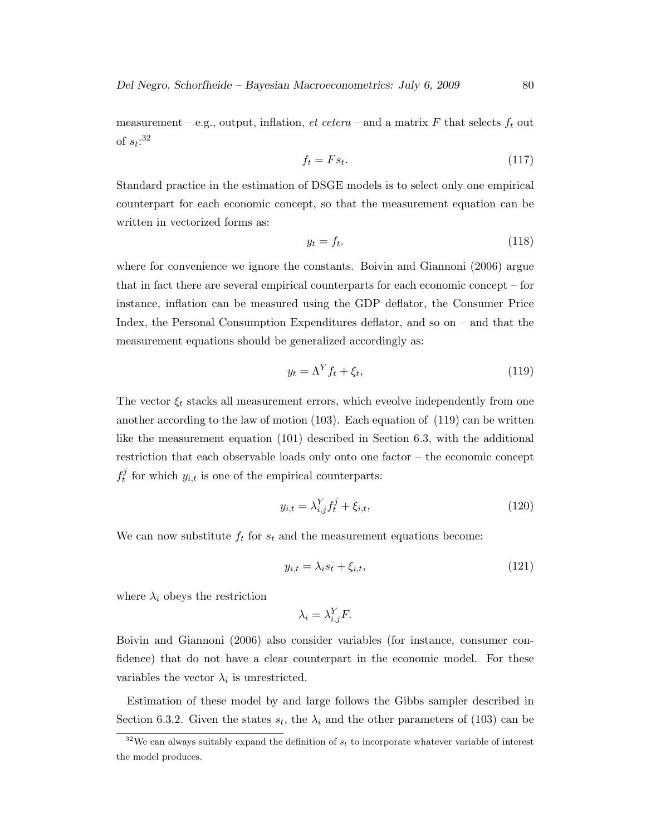measurement – e.g., output, inflation, et cetera – and a matrix F that selects  $f_t$  out of  $s_t$ :<sup>32</sup>

$$
f_t = Fs_t. \tag{117}
$$

Standard practice in the estimation of DSGE models is to select only one empirical counterpart for each economic concept, so that the measurement equation can be written in vectorized forms as:

$$
y_t = f_t. \tag{118}
$$

where for convenience we ignore the constants. Boivin and Giannoni (2006) argue that in fact there are several empirical counterparts for each economic concept – for instance, inflation can be measured using the GDP deflator, the Consumer Price Index, the Personal Consumption Expenditures deflator, and so on – and that the measurement equations should be generalized accordingly as:

$$
y_t = \Lambda^Y f_t + \xi_t,\tag{119}
$$

The vector  $\xi_t$  stacks all measurement errors, which eveolve independently from one another according to the law of motion (103). Each equation of (119) can be written like the measurement equation (101) described in Section 6.3, with the additional restriction that each observable loads only onto one factor – the economic concept f j for which  $y_{i,t}$  is one of the empirical counterparts:

$$
y_{i,t} = \lambda_{i,j}^Y f_t^j + \xi_{i,t},\tag{120}
$$

We can now substitute  $f_t$  for  $s_t$  and the measurement equations become:

$$
y_{i,t} = \lambda_i s_t + \xi_{i,t},\tag{121}
$$

where  $\lambda_i$  obeys the restriction

$$
\lambda_i = \lambda_{i,j}^Y F.
$$

Boivin and Giannoni (2006) also consider variables (for instance, consumer confidence) that do not have a clear counterpart in the economic model. For these variables the vector  $\lambda_i$  is unrestricted.

Estimation of these model by and large follows the Gibbs sampler described in Section 6.3.2. Given the states  $s_t$ , the  $\lambda_i$  and the other parameters of (103) can be

 $32$ We can always suitably expand the definition of  $s_t$  to incorporate whatever variable of interest the model produces.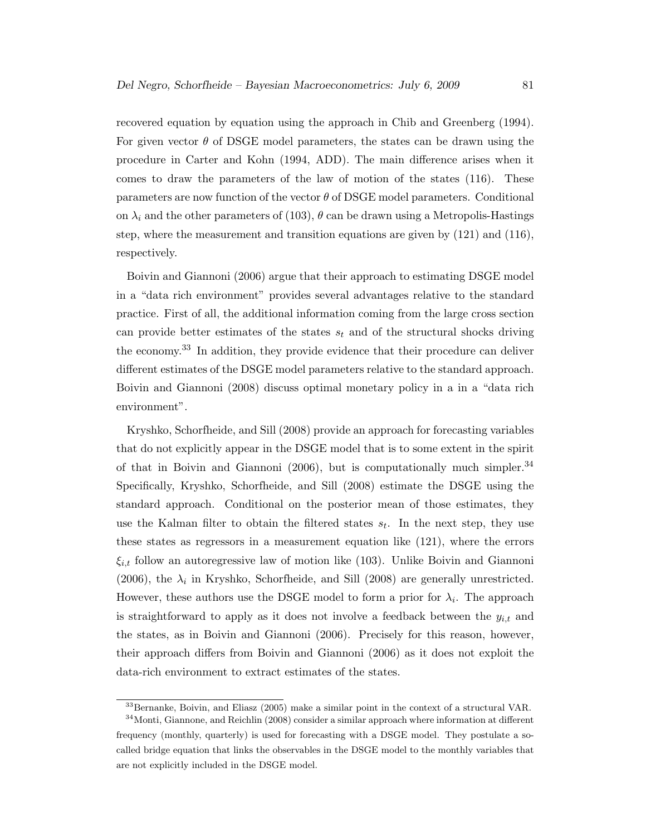recovered equation by equation using the approach in Chib and Greenberg (1994). For given vector  $\theta$  of DSGE model parameters, the states can be drawn using the procedure in Carter and Kohn (1994, ADD). The main difference arises when it comes to draw the parameters of the law of motion of the states (116). These parameters are now function of the vector  $\theta$  of DSGE model parameters. Conditional on  $\lambda_i$  and the other parameters of (103),  $\theta$  can be drawn using a Metropolis-Hastings step, where the measurement and transition equations are given by (121) and (116), respectively.

Boivin and Giannoni (2006) argue that their approach to estimating DSGE model in a "data rich environment" provides several advantages relative to the standard practice. First of all, the additional information coming from the large cross section can provide better estimates of the states  $s_t$  and of the structural shocks driving the economy.<sup>33</sup> In addition, they provide evidence that their procedure can deliver different estimates of the DSGE model parameters relative to the standard approach. Boivin and Giannoni (2008) discuss optimal monetary policy in a in a "data rich environment".

Kryshko, Schorfheide, and Sill (2008) provide an approach for forecasting variables that do not explicitly appear in the DSGE model that is to some extent in the spirit of that in Boivin and Giannoni (2006), but is computationally much simpler.<sup>34</sup> Specifically, Kryshko, Schorfheide, and Sill (2008) estimate the DSGE using the standard approach. Conditional on the posterior mean of those estimates, they use the Kalman filter to obtain the filtered states  $s_t$ . In the next step, they use these states as regressors in a measurement equation like (121), where the errors  $\xi_{i,t}$  follow an autoregressive law of motion like (103). Unlike Boivin and Giannoni (2006), the  $\lambda_i$  in Kryshko, Schorfheide, and Sill (2008) are generally unrestricted. However, these authors use the DSGE model to form a prior for  $\lambda_i$ . The approach is straightforward to apply as it does not involve a feedback between the  $y_{i,t}$  and the states, as in Boivin and Giannoni (2006). Precisely for this reason, however, their approach differs from Boivin and Giannoni (2006) as it does not exploit the data-rich environment to extract estimates of the states.

 $33$ Bernanke, Boivin, and Eliasz (2005) make a similar point in the context of a structural VAR.

<sup>&</sup>lt;sup>34</sup> Monti, Giannone, and Reichlin (2008) consider a similar approach where information at different frequency (monthly, quarterly) is used for forecasting with a DSGE model. They postulate a socalled bridge equation that links the observables in the DSGE model to the monthly variables that are not explicitly included in the DSGE model.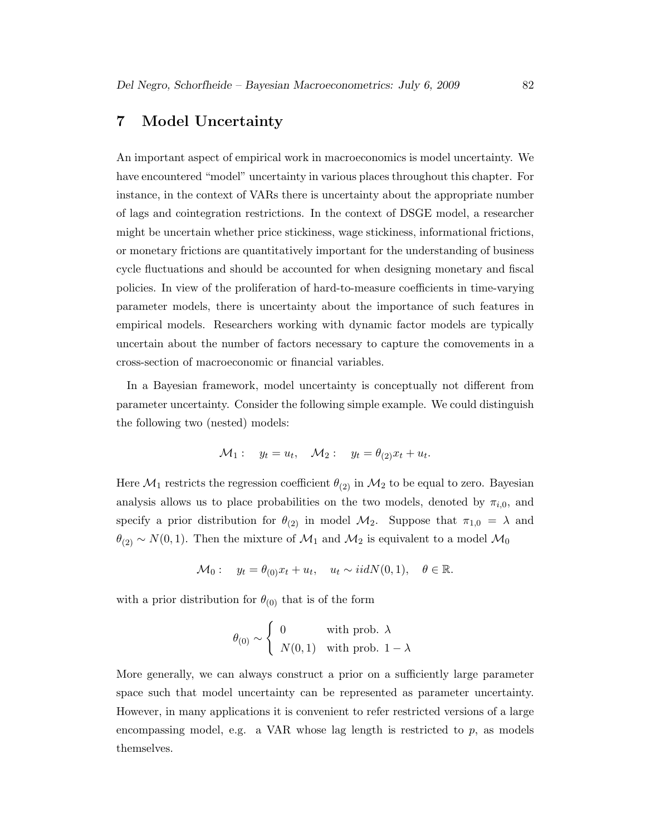## 7 Model Uncertainty

An important aspect of empirical work in macroeconomics is model uncertainty. We have encountered "model" uncertainty in various places throughout this chapter. For instance, in the context of VARs there is uncertainty about the appropriate number of lags and cointegration restrictions. In the context of DSGE model, a researcher might be uncertain whether price stickiness, wage stickiness, informational frictions, or monetary frictions are quantitatively important for the understanding of business cycle fluctuations and should be accounted for when designing monetary and fiscal policies. In view of the proliferation of hard-to-measure coefficients in time-varying parameter models, there is uncertainty about the importance of such features in empirical models. Researchers working with dynamic factor models are typically uncertain about the number of factors necessary to capture the comovements in a cross-section of macroeconomic or financial variables.

In a Bayesian framework, model uncertainty is conceptually not different from parameter uncertainty. Consider the following simple example. We could distinguish the following two (nested) models:

$$
\mathcal{M}_1: \quad y_t = u_t, \quad \mathcal{M}_2: \quad y_t = \theta_{(2)} x_t + u_t.
$$

Here  $\mathcal{M}_1$  restricts the regression coefficient  $\theta_{(2)}$  in  $\mathcal{M}_2$  to be equal to zero. Bayesian analysis allows us to place probabilities on the two models, denoted by  $\pi_{i,0}$ , and specify a prior distribution for  $\theta_{(2)}$  in model  $\mathcal{M}_2$ . Suppose that  $\pi_{1,0} = \lambda$  and  $\theta_{(2)} \sim N(0, 1)$ . Then the mixture of  $\mathcal{M}_1$  and  $\mathcal{M}_2$  is equivalent to a model  $\mathcal{M}_0$ 

$$
\mathcal{M}_0: \quad y_t = \theta_{(0)} x_t + u_t, \quad u_t \sim i i dN(0, 1), \quad \theta \in \mathbb{R}.
$$

with a prior distribution for  $\theta_{(0)}$  that is of the form

$$
\theta_{(0)} \sim \begin{cases} 0 & \text{with prob. } \lambda \\ N(0,1) & \text{with prob. } 1 - \lambda \end{cases}
$$

More generally, we can always construct a prior on a sufficiently large parameter space such that model uncertainty can be represented as parameter uncertainty. However, in many applications it is convenient to refer restricted versions of a large encompassing model, e.g. a VAR whose lag length is restricted to  $p$ , as models themselves.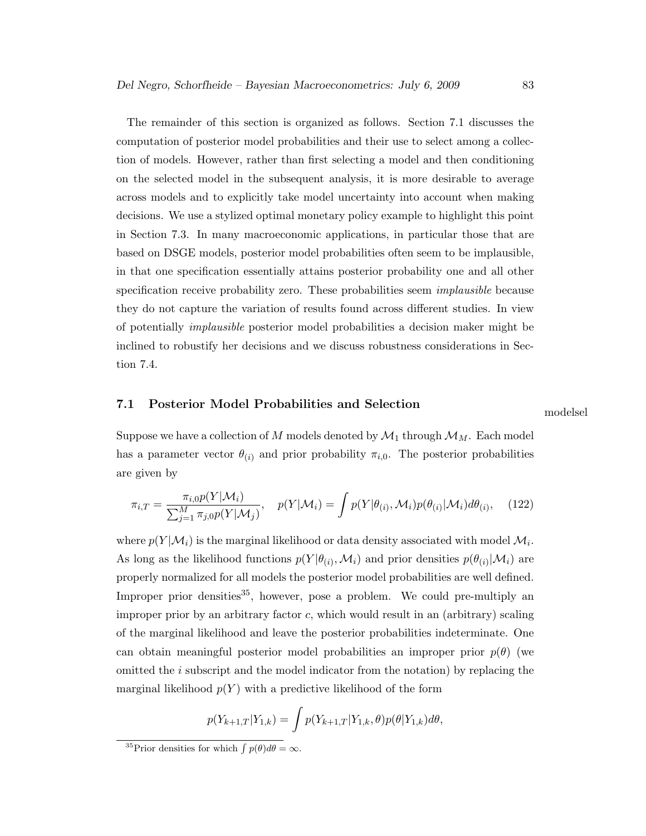The remainder of this section is organized as follows. Section 7.1 discusses the computation of posterior model probabilities and their use to select among a collection of models. However, rather than first selecting a model and then conditioning on the selected model in the subsequent analysis, it is more desirable to average across models and to explicitly take model uncertainty into account when making decisions. We use a stylized optimal monetary policy example to highlight this point in Section 7.3. In many macroeconomic applications, in particular those that are based on DSGE models, posterior model probabilities often seem to be implausible, in that one specification essentially attains posterior probability one and all other specification receive probability zero. These probabilities seem *implausible* because they do not capture the variation of results found across different studies. In view of potentially implausible posterior model probabilities a decision maker might be inclined to robustify her decisions and we discuss robustness considerations in Section 7.4.

# 7.1 Posterior Model Probabilities and Selection modelsel

Suppose we have a collection of M models denoted by  $\mathcal{M}_1$  through  $\mathcal{M}_M$ . Each model has a parameter vector  $\theta_{(i)}$  and prior probability  $\pi_{i,0}$ . The posterior probabilities are given by

$$
\pi_{i,T} = \frac{\pi_{i,0}p(Y|\mathcal{M}_i)}{\sum_{j=1}^M \pi_{j,0}p(Y|\mathcal{M}_j)}, \quad p(Y|\mathcal{M}_i) = \int p(Y|\theta_{(i)}, \mathcal{M}_i)p(\theta_{(i)}|\mathcal{M}_i)d\theta_{(i)}, \quad (122)
$$

where  $p(Y|\mathcal{M}_i)$  is the marginal likelihood or data density associated with model  $\mathcal{M}_i$ . As long as the likelihood functions  $p(Y|\theta_{(i)}, M_i)$  and prior densities  $p(\theta_{(i)} | M_i)$  are properly normalized for all models the posterior model probabilities are well defined. Improper prior densities<sup>35</sup>, however, pose a problem. We could pre-multiply an improper prior by an arbitrary factor  $c$ , which would result in an (arbitrary) scaling of the marginal likelihood and leave the posterior probabilities indeterminate. One can obtain meaningful posterior model probabilities an improper prior  $p(\theta)$  (we omitted the i subscript and the model indicator from the notation) by replacing the marginal likelihood  $p(Y)$  with a predictive likelihood of the form

$$
p(Y_{k+1,T}|Y_{1,k}) = \int p(Y_{k+1,T}|Y_{1,k},\theta)p(\theta|Y_{1,k})d\theta,
$$

<sup>&</sup>lt;sup>35</sup>Prior densities for which  $\int p(\theta) d\theta = \infty$ .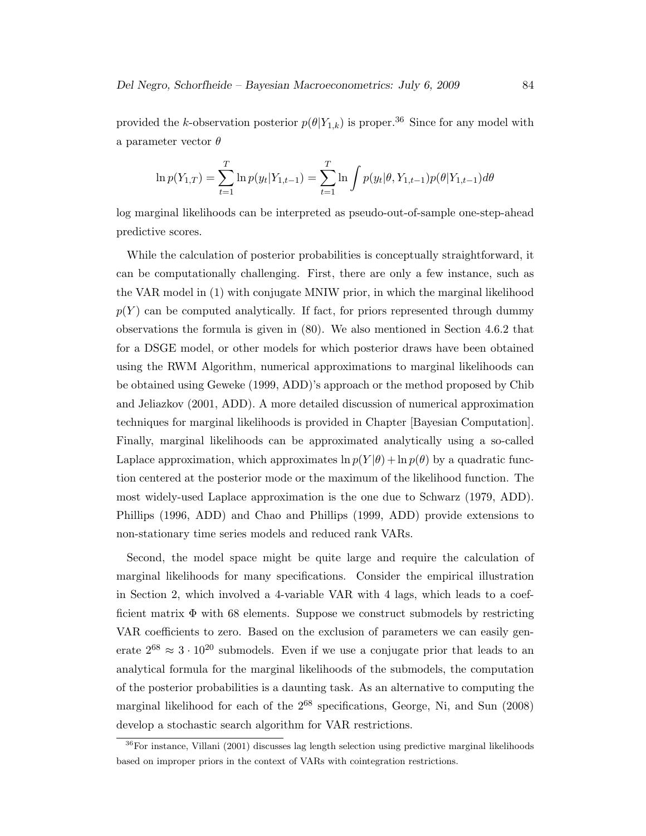provided the k-observation posterior  $p(\theta|Y_{1,k})$  is proper.<sup>36</sup> Since for any model with a parameter vector  $\theta$ 

$$
\ln p(Y_{1,T}) = \sum_{t=1}^{T} \ln p(y_t|Y_{1,t-1}) = \sum_{t=1}^{T} \ln \int p(y_t|\theta, Y_{1,t-1}) p(\theta|Y_{1,t-1}) d\theta
$$

log marginal likelihoods can be interpreted as pseudo-out-of-sample one-step-ahead predictive scores.

While the calculation of posterior probabilities is conceptually straightforward, it can be computationally challenging. First, there are only a few instance, such as the VAR model in (1) with conjugate MNIW prior, in which the marginal likelihood  $p(Y)$  can be computed analytically. If fact, for priors represented through dummy observations the formula is given in (80). We also mentioned in Section 4.6.2 that for a DSGE model, or other models for which posterior draws have been obtained using the RWM Algorithm, numerical approximations to marginal likelihoods can be obtained using Geweke (1999, ADD)'s approach or the method proposed by Chib and Jeliazkov (2001, ADD). A more detailed discussion of numerical approximation techniques for marginal likelihoods is provided in Chapter [Bayesian Computation]. Finally, marginal likelihoods can be approximated analytically using a so-called Laplace approximation, which approximates  $\ln p(Y|\theta) + \ln p(\theta)$  by a quadratic function centered at the posterior mode or the maximum of the likelihood function. The most widely-used Laplace approximation is the one due to Schwarz (1979, ADD). Phillips (1996, ADD) and Chao and Phillips (1999, ADD) provide extensions to non-stationary time series models and reduced rank VARs.

Second, the model space might be quite large and require the calculation of marginal likelihoods for many specifications. Consider the empirical illustration in Section 2, which involved a 4-variable VAR with 4 lags, which leads to a coefficient matrix  $\Phi$  with 68 elements. Suppose we construct submodels by restricting VAR coefficients to zero. Based on the exclusion of parameters we can easily generate  $2^{68} \approx 3 \cdot 10^{20}$  submodels. Even if we use a conjugate prior that leads to an analytical formula for the marginal likelihoods of the submodels, the computation of the posterior probabilities is a daunting task. As an alternative to computing the marginal likelihood for each of the  $2^{68}$  specifications, George, Ni, and Sun (2008) develop a stochastic search algorithm for VAR restrictions.

<sup>&</sup>lt;sup>36</sup>For instance, Villani (2001) discusses lag length selection using predictive marginal likelihoods based on improper priors in the context of VARs with cointegration restrictions.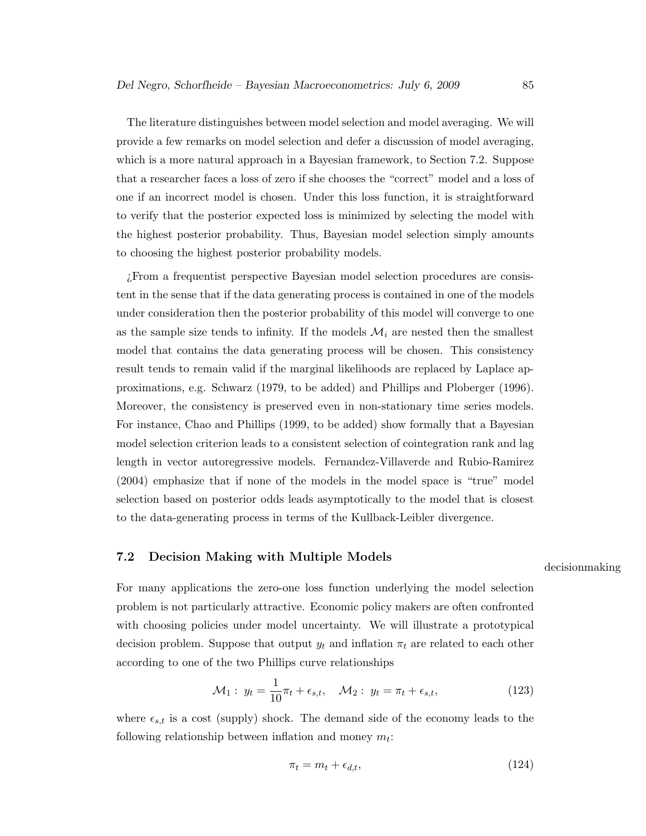The literature distinguishes between model selection and model averaging. We will provide a few remarks on model selection and defer a discussion of model averaging, which is a more natural approach in a Bayesian framework, to Section 7.2. Suppose that a researcher faces a loss of zero if she chooses the "correct" model and a loss of one if an incorrect model is chosen. Under this loss function, it is straightforward to verify that the posterior expected loss is minimized by selecting the model with the highest posterior probability. Thus, Bayesian model selection simply amounts to choosing the highest posterior probability models.

¿From a frequentist perspective Bayesian model selection procedures are consistent in the sense that if the data generating process is contained in one of the models under consideration then the posterior probability of this model will converge to one as the sample size tends to infinity. If the models  $\mathcal{M}_i$  are nested then the smallest model that contains the data generating process will be chosen. This consistency result tends to remain valid if the marginal likelihoods are replaced by Laplace approximations, e.g. Schwarz (1979, to be added) and Phillips and Ploberger (1996). Moreover, the consistency is preserved even in non-stationary time series models. For instance, Chao and Phillips (1999, to be added) show formally that a Bayesian model selection criterion leads to a consistent selection of cointegration rank and lag length in vector autoregressive models. Fernandez-Villaverde and Rubio-Ramirez (2004) emphasize that if none of the models in the model space is "true" model selection based on posterior odds leads asymptotically to the model that is closest to the data-generating process in terms of the Kullback-Leibler divergence.

## 7.2 Decision Making with Multiple Models

decisionmaking

For many applications the zero-one loss function underlying the model selection problem is not particularly attractive. Economic policy makers are often confronted with choosing policies under model uncertainty. We will illustrate a prototypical decision problem. Suppose that output  $y_t$  and inflation  $\pi_t$  are related to each other according to one of the two Phillips curve relationships

$$
\mathcal{M}_1: y_t = \frac{1}{10}\pi_t + \epsilon_{s,t}, \quad \mathcal{M}_2: y_t = \pi_t + \epsilon_{s,t}, \tag{123}
$$

where  $\epsilon_{s,t}$  is a cost (supply) shock. The demand side of the economy leads to the following relationship between inflation and money  $m_t$ :

$$
\pi_t = m_t + \epsilon_{d,t},\tag{124}
$$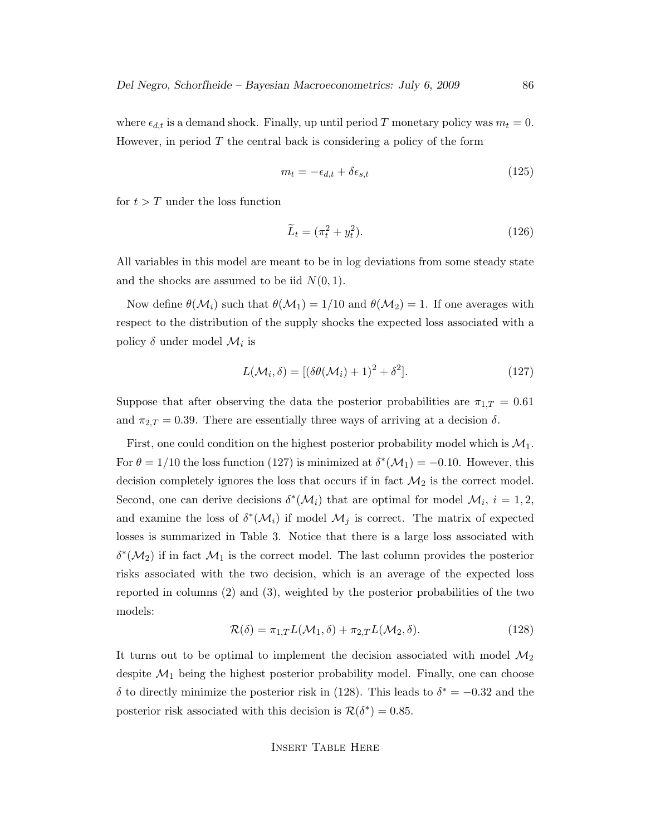where  $\epsilon_{d,t}$  is a demand shock. Finally, up until period T monetary policy was  $m_t = 0$ . However, in period  $T$  the central back is considering a policy of the form

$$
m_t = -\epsilon_{d,t} + \delta \epsilon_{s,t} \tag{125}
$$

for  $t > T$  under the loss function

$$
\widetilde{L}_t = (\pi_t^2 + y_t^2). \tag{126}
$$

All variables in this model are meant to be in log deviations from some steady state and the shocks are assumed to be iid  $N(0, 1)$ .

Now define  $\theta(\mathcal{M}_i)$  such that  $\theta(\mathcal{M}_1) = 1/10$  and  $\theta(\mathcal{M}_2) = 1$ . If one averages with respect to the distribution of the supply shocks the expected loss associated with a policy  $\delta$  under model  $\mathcal{M}_i$  is

$$
L(\mathcal{M}_i, \delta) = [(\delta\theta(\mathcal{M}_i) + 1)^2 + \delta^2].
$$
\n(127)

Suppose that after observing the data the posterior probabilities are  $\pi_{1,T} = 0.61$ and  $\pi_{2,T} = 0.39$ . There are essentially three ways of arriving at a decision  $\delta$ .

First, one could condition on the highest posterior probability model which is  $\mathcal{M}_1$ . For  $\theta = 1/10$  the loss function (127) is minimized at  $\delta^*(\mathcal{M}_1) = -0.10$ . However, this decision completely ignores the loss that occurs if in fact  $\mathcal{M}_2$  is the correct model. Second, one can derive decisions  $\delta^*(\mathcal{M}_i)$  that are optimal for model  $\mathcal{M}_i$ ,  $i = 1, 2$ , and examine the loss of  $\delta^*(\mathcal{M}_i)$  if model  $\mathcal{M}_j$  is correct. The matrix of expected losses is summarized in Table 3. Notice that there is a large loss associated with  $\delta^*(\mathcal{M}_2)$  if in fact  $\mathcal{M}_1$  is the correct model. The last column provides the posterior risks associated with the two decision, which is an average of the expected loss reported in columns (2) and (3), weighted by the posterior probabilities of the two models:

$$
\mathcal{R}(\delta) = \pi_{1,T} L(\mathcal{M}_1, \delta) + \pi_{2,T} L(\mathcal{M}_2, \delta).
$$
 (128)

It turns out to be optimal to implement the decision associated with model  $\mathcal{M}_2$ despite  $\mathcal{M}_1$  being the highest posterior probability model. Finally, one can choose δ to directly minimize the posterior risk in (128). This leads to  $δ^* = -0.32$  and the posterior risk associated with this decision is  $\mathcal{R}(\delta^*) = 0.85$ .

Insert Table Here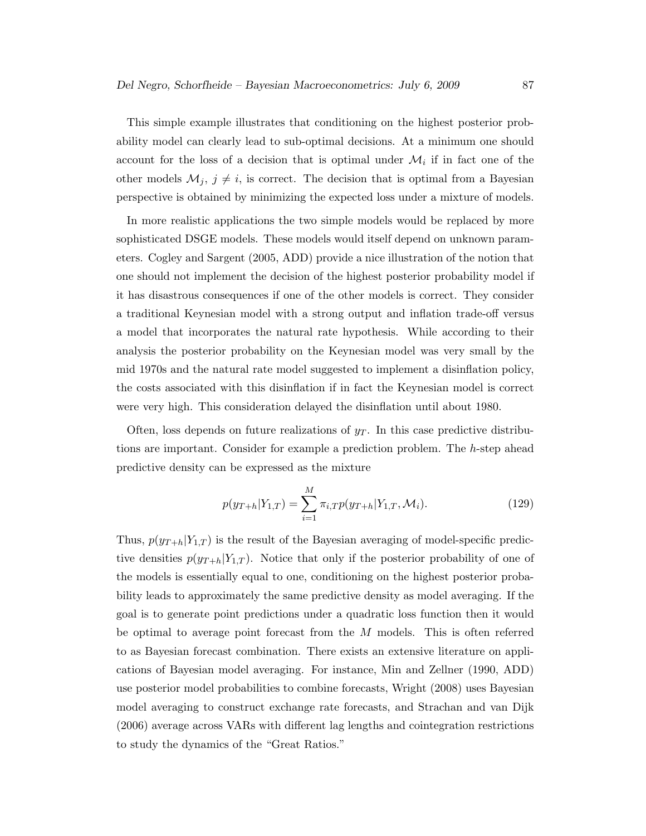This simple example illustrates that conditioning on the highest posterior probability model can clearly lead to sub-optimal decisions. At a minimum one should account for the loss of a decision that is optimal under  $\mathcal{M}_i$  if in fact one of the other models  $\mathcal{M}_j$ ,  $j \neq i$ , is correct. The decision that is optimal from a Bayesian perspective is obtained by minimizing the expected loss under a mixture of models.

In more realistic applications the two simple models would be replaced by more sophisticated DSGE models. These models would itself depend on unknown parameters. Cogley and Sargent (2005, ADD) provide a nice illustration of the notion that one should not implement the decision of the highest posterior probability model if it has disastrous consequences if one of the other models is correct. They consider a traditional Keynesian model with a strong output and inflation trade-off versus a model that incorporates the natural rate hypothesis. While according to their analysis the posterior probability on the Keynesian model was very small by the mid 1970s and the natural rate model suggested to implement a disinflation policy, the costs associated with this disinflation if in fact the Keynesian model is correct were very high. This consideration delayed the disinflation until about 1980.

Often, loss depends on future realizations of  $y<sub>T</sub>$ . In this case predictive distributions are important. Consider for example a prediction problem. The h-step ahead predictive density can be expressed as the mixture

$$
p(y_{T+h}|Y_{1,T}) = \sum_{i=1}^{M} \pi_{i,T} p(y_{T+h}|Y_{1,T}, \mathcal{M}_i).
$$
 (129)

Thus,  $p(y_{T+h}|Y_{1,T})$  is the result of the Bayesian averaging of model-specific predictive densities  $p(y_{T+h}|Y_{1,T})$ . Notice that only if the posterior probability of one of the models is essentially equal to one, conditioning on the highest posterior probability leads to approximately the same predictive density as model averaging. If the goal is to generate point predictions under a quadratic loss function then it would be optimal to average point forecast from the M models. This is often referred to as Bayesian forecast combination. There exists an extensive literature on applications of Bayesian model averaging. For instance, Min and Zellner (1990, ADD) use posterior model probabilities to combine forecasts, Wright (2008) uses Bayesian model averaging to construct exchange rate forecasts, and Strachan and van Dijk (2006) average across VARs with different lag lengths and cointegration restrictions to study the dynamics of the "Great Ratios."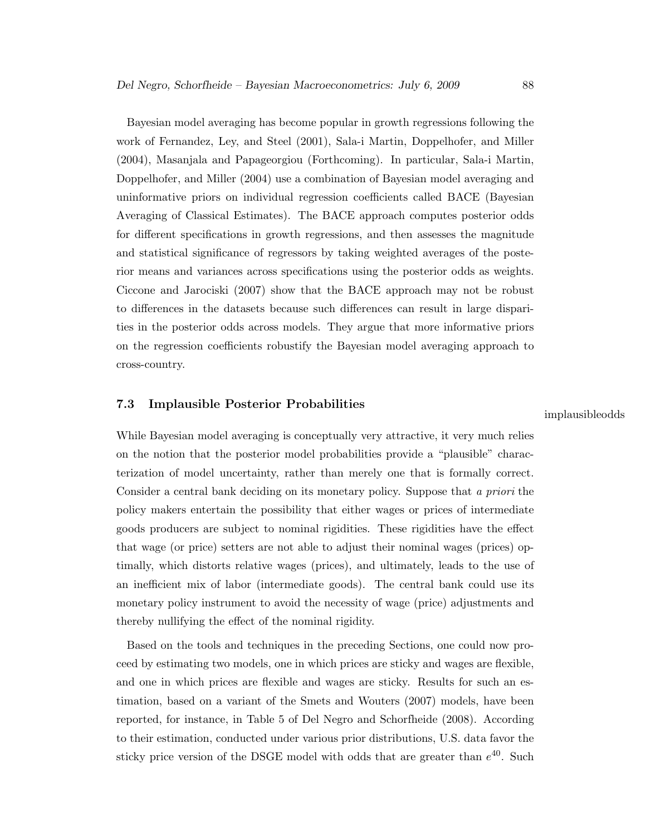Bayesian model averaging has become popular in growth regressions following the work of Fernandez, Ley, and Steel (2001), Sala-i Martin, Doppelhofer, and Miller (2004), Masanjala and Papageorgiou (Forthcoming). In particular, Sala-i Martin, Doppelhofer, and Miller (2004) use a combination of Bayesian model averaging and uninformative priors on individual regression coefficients called BACE (Bayesian Averaging of Classical Estimates). The BACE approach computes posterior odds for different specifications in growth regressions, and then assesses the magnitude and statistical significance of regressors by taking weighted averages of the posterior means and variances across specifications using the posterior odds as weights. Ciccone and Jarociski (2007) show that the BACE approach may not be robust to differences in the datasets because such differences can result in large disparities in the posterior odds across models. They argue that more informative priors on the regression coefficients robustify the Bayesian model averaging approach to cross-country.

### 7.3 Implausible Posterior Probabilities

implausibleodds

While Bayesian model averaging is conceptually very attractive, it very much relies on the notion that the posterior model probabilities provide a "plausible" characterization of model uncertainty, rather than merely one that is formally correct. Consider a central bank deciding on its monetary policy. Suppose that a priori the policy makers entertain the possibility that either wages or prices of intermediate goods producers are subject to nominal rigidities. These rigidities have the effect that wage (or price) setters are not able to adjust their nominal wages (prices) optimally, which distorts relative wages (prices), and ultimately, leads to the use of an inefficient mix of labor (intermediate goods). The central bank could use its monetary policy instrument to avoid the necessity of wage (price) adjustments and thereby nullifying the effect of the nominal rigidity.

Based on the tools and techniques in the preceding Sections, one could now proceed by estimating two models, one in which prices are sticky and wages are flexible, and one in which prices are flexible and wages are sticky. Results for such an estimation, based on a variant of the Smets and Wouters (2007) models, have been reported, for instance, in Table 5 of Del Negro and Schorfheide (2008). According to their estimation, conducted under various prior distributions, U.S. data favor the sticky price version of the DSGE model with odds that are greater than  $e^{40}$ . Such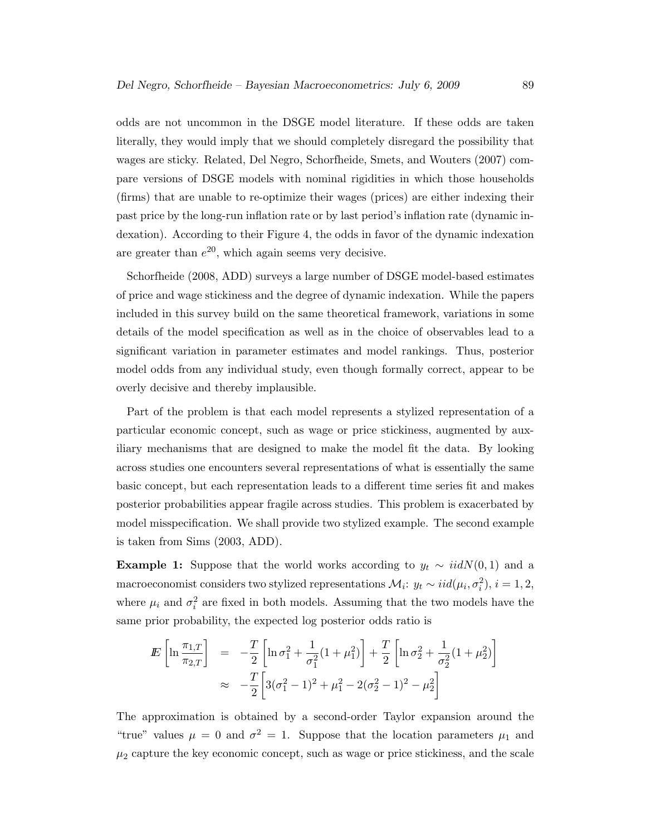odds are not uncommon in the DSGE model literature. If these odds are taken literally, they would imply that we should completely disregard the possibility that wages are sticky. Related, Del Negro, Schorfheide, Smets, and Wouters (2007) compare versions of DSGE models with nominal rigidities in which those households (firms) that are unable to re-optimize their wages (prices) are either indexing their past price by the long-run inflation rate or by last period's inflation rate (dynamic indexation). According to their Figure 4, the odds in favor of the dynamic indexation are greater than  $e^{20}$ , which again seems very decisive.

Schorfheide (2008, ADD) surveys a large number of DSGE model-based estimates of price and wage stickiness and the degree of dynamic indexation. While the papers included in this survey build on the same theoretical framework, variations in some details of the model specification as well as in the choice of observables lead to a significant variation in parameter estimates and model rankings. Thus, posterior model odds from any individual study, even though formally correct, appear to be overly decisive and thereby implausible.

Part of the problem is that each model represents a stylized representation of a particular economic concept, such as wage or price stickiness, augmented by auxiliary mechanisms that are designed to make the model fit the data. By looking across studies one encounters several representations of what is essentially the same basic concept, but each representation leads to a different time series fit and makes posterior probabilities appear fragile across studies. This problem is exacerbated by model misspecification. We shall provide two stylized example. The second example is taken from Sims (2003, ADD).

**Example 1:** Suppose that the world works according to  $y_t \sim \text{iidN}(0, 1)$  and a macroeconomist considers two stylized representations  $\mathcal{M}_i$ :  $y_t \sim iid(\mu_i, \sigma_i^2)$ ,  $i = 1, 2$ , where  $\mu_i$  and  $\sigma_i^2$  are fixed in both models. Assuming that the two models have the same prior probability, the expected log posterior odds ratio is

$$
E\left[\ln \frac{\pi_{1,T}}{\pi_{2,T}}\right] = -\frac{T}{2}\left[\ln \sigma_1^2 + \frac{1}{\sigma_1^2}(1+\mu_1^2)\right] + \frac{T}{2}\left[\ln \sigma_2^2 + \frac{1}{\sigma_2^2}(1+\mu_2^2)\right]
$$
  

$$
\approx -\frac{T}{2}\left[3(\sigma_1^2 - 1)^2 + \mu_1^2 - 2(\sigma_2^2 - 1)^2 - \mu_2^2\right]
$$

The approximation is obtained by a second-order Taylor expansion around the "true" values  $\mu = 0$  and  $\sigma^2 = 1$ . Suppose that the location parameters  $\mu_1$  and  $\mu_2$  capture the key economic concept, such as wage or price stickiness, and the scale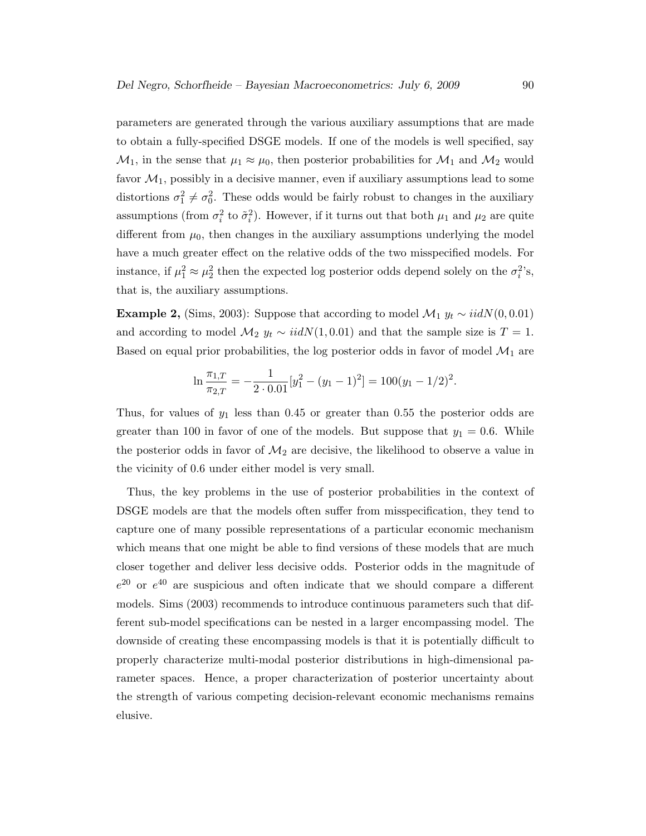parameters are generated through the various auxiliary assumptions that are made to obtain a fully-specified DSGE models. If one of the models is well specified, say  $\mathcal{M}_1$ , in the sense that  $\mu_1 \approx \mu_0$ , then posterior probabilities for  $\mathcal{M}_1$  and  $\mathcal{M}_2$  would favor  $\mathcal{M}_1$ , possibly in a decisive manner, even if auxiliary assumptions lead to some distortions  $\sigma_1^2 \neq \sigma_0^2$ . These odds would be fairly robust to changes in the auxiliary assumptions (from  $\sigma_i^2$  to  $\tilde{\sigma}_i^2$ ). However, if it turns out that both  $\mu_1$  and  $\mu_2$  are quite different from  $\mu_0$ , then changes in the auxiliary assumptions underlying the model have a much greater effect on the relative odds of the two misspecified models. For instance, if  $\mu_1^2 \approx \mu_2^2$  then the expected log posterior odds depend solely on the  $\sigma_i^2$ 's, that is, the auxiliary assumptions.

Example 2, (Sims, 2003): Suppose that according to model  $\mathcal{M}_1$   $y_t \sim \text{iidN}(0, 0.01)$ and according to model  $M_2$  y<sub>t</sub> ~ iidN(1,0.01) and that the sample size is  $T = 1$ . Based on equal prior probabilities, the log posterior odds in favor of model  $\mathcal{M}_1$  are

$$
\ln \frac{\pi_{1,T}}{\pi_{2,T}} = -\frac{1}{2 \cdot 0.01} [y_1^2 - (y_1 - 1)^2] = 100(y_1 - 1/2)^2.
$$

Thus, for values of  $y_1$  less than 0.45 or greater than 0.55 the posterior odds are greater than 100 in favor of one of the models. But suppose that  $y_1 = 0.6$ . While the posterior odds in favor of  $\mathcal{M}_2$  are decisive, the likelihood to observe a value in the vicinity of 0.6 under either model is very small.

Thus, the key problems in the use of posterior probabilities in the context of DSGE models are that the models often suffer from misspecification, they tend to capture one of many possible representations of a particular economic mechanism which means that one might be able to find versions of these models that are much closer together and deliver less decisive odds. Posterior odds in the magnitude of  $e^{20}$  or  $e^{40}$  are suspicious and often indicate that we should compare a different models. Sims (2003) recommends to introduce continuous parameters such that different sub-model specifications can be nested in a larger encompassing model. The downside of creating these encompassing models is that it is potentially difficult to properly characterize multi-modal posterior distributions in high-dimensional parameter spaces. Hence, a proper characterization of posterior uncertainty about the strength of various competing decision-relevant economic mechanisms remains elusive.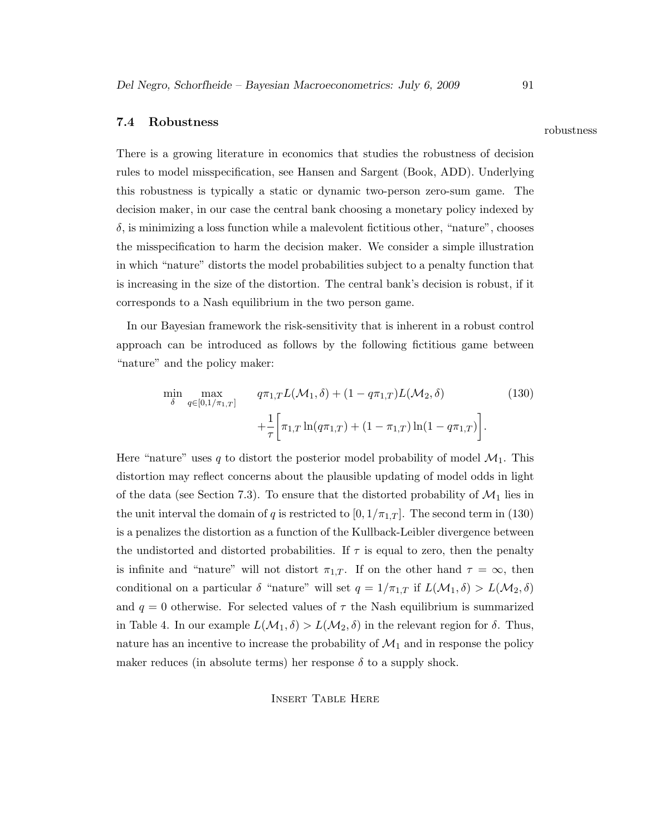# 7.4 Robustness robustness

There is a growing literature in economics that studies the robustness of decision rules to model misspecification, see Hansen and Sargent (Book, ADD). Underlying this robustness is typically a static or dynamic two-person zero-sum game. The decision maker, in our case the central bank choosing a monetary policy indexed by  $\delta$ , is minimizing a loss function while a malevolent fictitious other, "nature", chooses the misspecification to harm the decision maker. We consider a simple illustration in which "nature" distorts the model probabilities subject to a penalty function that is increasing in the size of the distortion. The central bank's decision is robust, if it corresponds to a Nash equilibrium in the two person game.

In our Bayesian framework the risk-sensitivity that is inherent in a robust control approach can be introduced as follows by the following fictitious game between "nature" and the policy maker:

$$
\min_{\delta} \max_{q \in [0, 1/\pi_{1,T}]} \quad q\pi_{1,T} L(\mathcal{M}_1, \delta) + (1 - q\pi_{1,T}) L(\mathcal{M}_2, \delta) \tag{130}
$$
\n
$$
+ \frac{1}{\tau} \bigg[ \pi_{1,T} \ln(q\pi_{1,T}) + (1 - \pi_{1,T}) \ln(1 - q\pi_{1,T}) \bigg].
$$

Here "nature" uses q to distort the posterior model probability of model  $\mathcal{M}_1$ . This distortion may reflect concerns about the plausible updating of model odds in light of the data (see Section 7.3). To ensure that the distorted probability of  $\mathcal{M}_1$  lies in the unit interval the domain of q is restricted to  $[0, 1/\pi_{1,T}]$ . The second term in (130) is a penalizes the distortion as a function of the Kullback-Leibler divergence between the undistorted and distorted probabilities. If  $\tau$  is equal to zero, then the penalty is infinite and "nature" will not distort  $\pi_{1,T}$ . If on the other hand  $\tau = \infty$ , then conditional on a particular  $\delta$  "nature" will set  $q = 1/\pi_{1,T}$  if  $L(\mathcal{M}_1, \delta) > L(\mathcal{M}_2, \delta)$ and  $q = 0$  otherwise. For selected values of  $\tau$  the Nash equilibrium is summarized in Table 4. In our example  $L(\mathcal{M}_1, \delta) > L(\mathcal{M}_2, \delta)$  in the relevant region for  $\delta$ . Thus, nature has an incentive to increase the probability of  $\mathcal{M}_1$  and in response the policy maker reduces (in absolute terms) her response  $\delta$  to a supply shock.

### Insert Table Here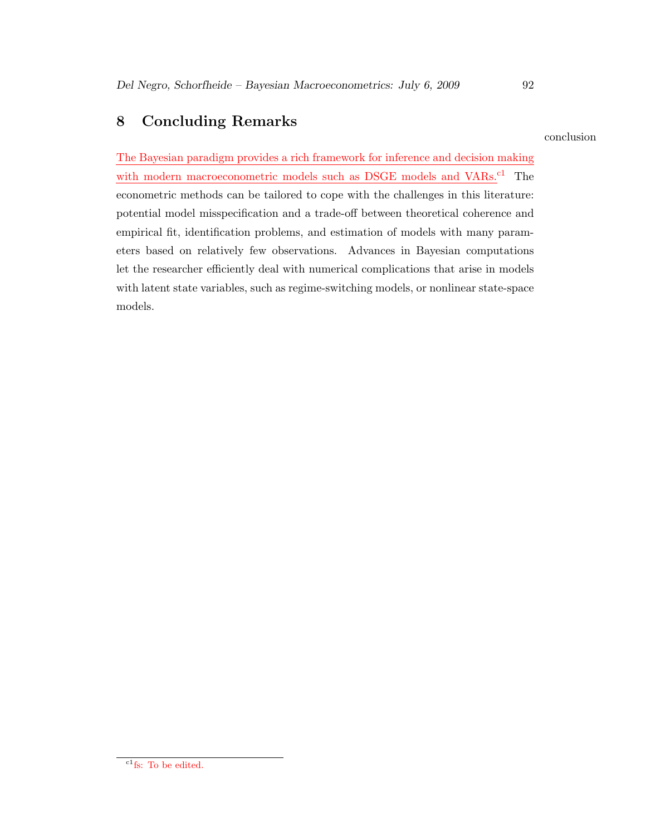# 8 Concluding Remarks

conclusion

The Bayesian paradigm provides a rich framework for inference and decision making with modern macroeconometric models such as DSGE models and VARs.<sup>c1</sup> The econometric methods can be tailored to cope with the challenges in this literature: potential model misspecification and a trade-off between theoretical coherence and empirical fit, identification problems, and estimation of models with many parameters based on relatively few observations. Advances in Bayesian computations let the researcher efficiently deal with numerical complications that arise in models with latent state variables, such as regime-switching models, or nonlinear state-space models.

 $\mathrm{^{c1}fs:}$  To be edited.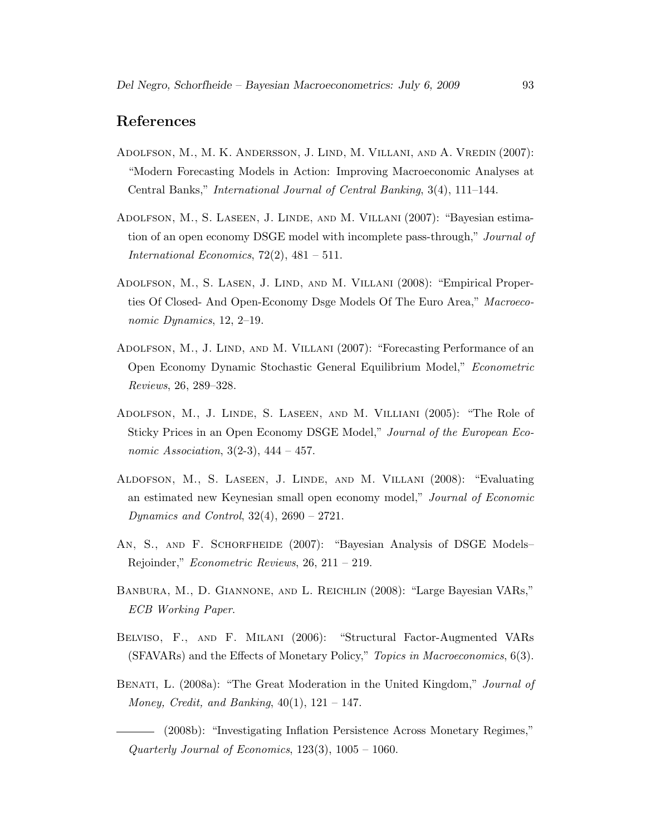# References

- Adolfson, M., M. K. Andersson, J. Lind, M. Villani, and A. Vredin (2007): "Modern Forecasting Models in Action: Improving Macroeconomic Analyses at Central Banks," International Journal of Central Banking, 3(4), 111–144.
- Adolfson, M., S. Laseen, J. Linde, and M. Villani (2007): "Bayesian estimation of an open economy DSGE model with incomplete pass-through," Journal of International Economics,  $72(2)$ ,  $481 - 511$ .
- Adolfson, M., S. Lasen, J. Lind, and M. Villani (2008): "Empirical Properties Of Closed- And Open-Economy Dsge Models Of The Euro Area," Macroeconomic Dynamics, 12, 2–19.
- Adolfson, M., J. Lind, and M. Villani (2007): "Forecasting Performance of an Open Economy Dynamic Stochastic General Equilibrium Model," Econometric Reviews, 26, 289–328.
- Adolfson, M., J. Linde, S. Laseen, and M. Villiani (2005): "The Role of Sticky Prices in an Open Economy DSGE Model," Journal of the European Economic Association,  $3(2-3)$ ,  $444 - 457$ .
- Aldofson, M., S. Laseen, J. Linde, and M. Villani (2008): "Evaluating an estimated new Keynesian small open economy model," Journal of Economic *Dynamics and Control,*  $32(4)$ ,  $2690 - 2721$ .
- An, S., and F. Schorfheide (2007): "Bayesian Analysis of DSGE Models– Rejoinder," Econometric Reviews, 26, 211 – 219.
- Banbura, M., D. Giannone, and L. Reichlin (2008): "Large Bayesian VARs," ECB Working Paper.
- Belviso, F., and F. Milani (2006): "Structural Factor-Augmented VARs (SFAVARs) and the Effects of Monetary Policy," Topics in Macroeconomics, 6(3).
- BENATI, L. (2008a): "The Great Moderation in the United Kingdom," Journal of Money, Credit, and Banking,  $40(1)$ ,  $121 - 147$ .

(2008b): "Investigating Inflation Persistence Across Monetary Regimes," Quarterly Journal of Economics,  $123(3)$ ,  $1005 - 1060$ .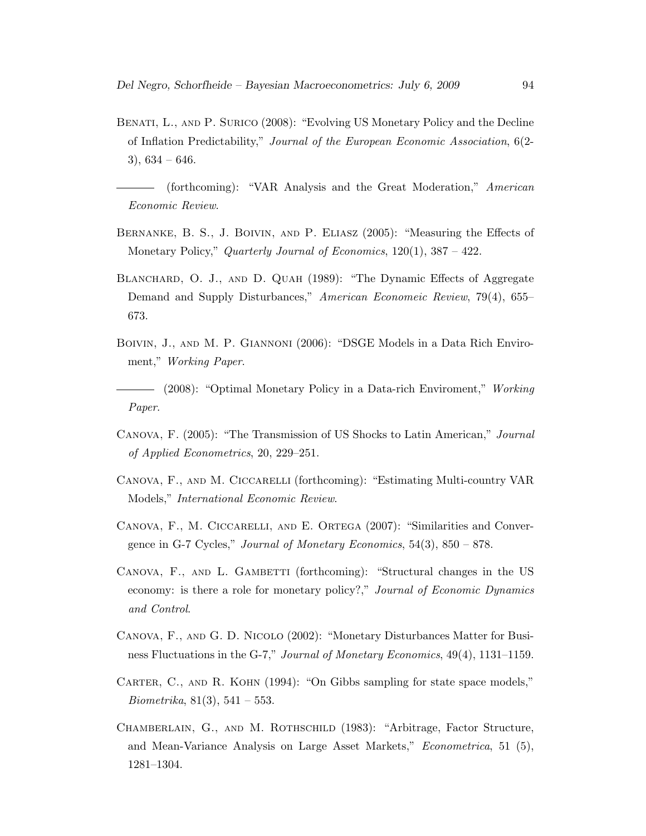- Benati, L., and P. Surico (2008): "Evolving US Monetary Policy and the Decline of Inflation Predictability," Journal of the European Economic Association, 6(2-  $3)$ ,  $634 - 646$ .
- (forthcoming): "VAR Analysis and the Great Moderation," American Economic Review.
- Bernanke, B. S., J. Boivin, and P. Eliasz (2005): "Measuring the Effects of Monetary Policy," Quarterly Journal of Economics, 120(1), 387 – 422.
- BLANCHARD, O. J., AND D. QUAH (1989): "The Dynamic Effects of Aggregate Demand and Supply Disturbances," American Economeic Review, 79(4), 655– 673.
- Boivin, J., and M. P. Giannoni (2006): "DSGE Models in a Data Rich Enviroment," Working Paper.

- (2008): "Optimal Monetary Policy in a Data-rich Enviroment," Working Paper.

- Canova, F. (2005): "The Transmission of US Shocks to Latin American," Journal of Applied Econometrics, 20, 229–251.
- Canova, F., and M. Ciccarelli (forthcoming): "Estimating Multi-country VAR Models," International Economic Review.
- CANOVA, F., M. CICCARELLI, AND E. ORTEGA (2007): "Similarities and Convergence in G-7 Cycles," Journal of Monetary Economics,  $54(3)$ ,  $850 - 878$ .
- CANOVA, F., AND L. GAMBETTI (forthcoming): "Structural changes in the US economy: is there a role for monetary policy?," Journal of Economic Dynamics and Control.
- Canova, F., and G. D. Nicolo (2002): "Monetary Disturbances Matter for Business Fluctuations in the G-7," Journal of Monetary Economics, 49(4), 1131–1159.
- CARTER, C., AND R. KOHN (1994): "On Gibbs sampling for state space models," *Biometrika*,  $81(3)$ ,  $541 - 553$ .
- Chamberlain, G., and M. Rothschild (1983): "Arbitrage, Factor Structure, and Mean-Variance Analysis on Large Asset Markets," Econometrica, 51 (5), 1281–1304.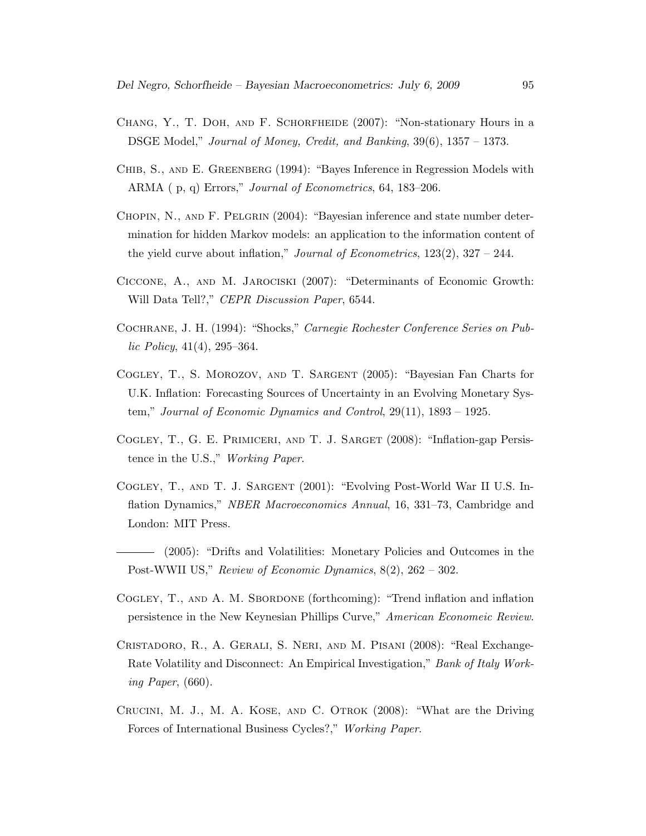- Chang, Y., T. Doh, and F. Schorfheide (2007): "Non-stationary Hours in a DSGE Model," Journal of Money, Credit, and Banking, 39(6), 1357 – 1373.
- Chib, S., and E. Greenberg (1994): "Bayes Inference in Regression Models with ARMA ( p, q) Errors," Journal of Econometrics, 64, 183–206.
- CHOPIN, N., AND F. PELGRIN (2004): "Bayesian inference and state number determination for hidden Markov models: an application to the information content of the yield curve about inflation," *Journal of Econometrics*,  $123(2)$ ,  $327 - 244$ .
- Ciccone, A., and M. Jarociski (2007): "Determinants of Economic Growth: Will Data Tell?," CEPR Discussion Paper, 6544.
- Cochrane, J. H. (1994): "Shocks," Carnegie Rochester Conference Series on Pub $lic \, Policy, \, 41(4), \, 295-364.$
- Cogley, T., S. Morozov, and T. Sargent (2005): "Bayesian Fan Charts for U.K. Inflation: Forecasting Sources of Uncertainty in an Evolving Monetary System," Journal of Economic Dynamics and Control, 29(11), 1893 – 1925.
- COGLEY, T., G. E. PRIMICERI, AND T. J. SARGET (2008): "Inflation-gap Persistence in the U.S.," Working Paper.
- Cogley, T., and T. J. Sargent (2001): "Evolving Post-World War II U.S. Inflation Dynamics," NBER Macroeconomics Annual, 16, 331–73, Cambridge and London: MIT Press.
- (2005): "Drifts and Volatilities: Monetary Policies and Outcomes in the Post-WWII US," Review of Economic Dynamics, 8(2), 262 – 302.
- COGLEY, T., AND A. M. SBORDONE (forthcoming): "Trend inflation and inflation persistence in the New Keynesian Phillips Curve," American Economeic Review.
- Cristadoro, R., A. Gerali, S. Neri, and M. Pisani (2008): "Real Exchange-Rate Volatility and Disconnect: An Empirical Investigation," Bank of Italy Working Paper, (660).
- Crucini, M. J., M. A. Kose, and C. Otrok (2008): "What are the Driving Forces of International Business Cycles?," Working Paper.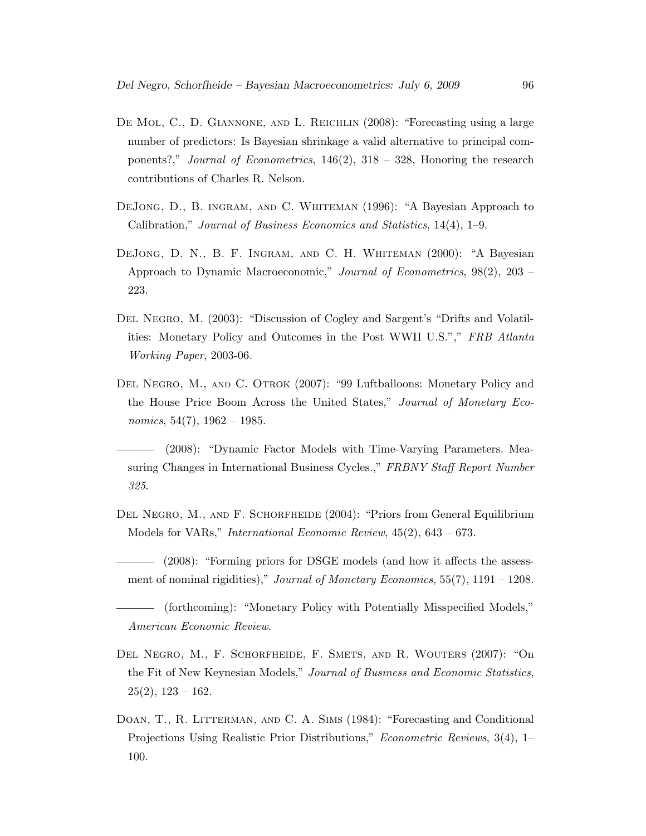- DE MOL, C., D. GIANNONE, AND L. REICHLIN (2008): "Forecasting using a large number of predictors: Is Bayesian shrinkage a valid alternative to principal components?," Journal of Econometrics,  $146(2)$ ,  $318 - 328$ , Honoring the research contributions of Charles R. Nelson.
- DeJong, D., B. ingram, and C. Whiteman (1996): "A Bayesian Approach to Calibration," Journal of Business Economics and Statistics, 14(4), 1–9.
- DeJong, D. N., B. F. Ingram, and C. H. Whiteman (2000): "A Bayesian Approach to Dynamic Macroeconomic," Journal of Econometrics, 98(2), 203 – 223.
- DEL NEGRO, M. (2003): "Discussion of Cogley and Sargent's "Drifts and Volatilities: Monetary Policy and Outcomes in the Post WWII U.S."," FRB Atlanta Working Paper, 2003-06.
- Del Negro, M., and C. Otrok (2007): "99 Luftballoons: Monetary Policy and the House Price Boom Across the United States," Journal of Monetary Economics,  $54(7)$ ,  $1962 - 1985$ .
- (2008): "Dynamic Factor Models with Time-Varying Parameters. Measuring Changes in International Business Cycles.," FRBNY Staff Report Number 325.
- DEL NEGRO, M., AND F. SCHORFHEIDE (2004): "Priors from General Equilibrium Models for VARs," International Economic Review, 45(2), 643 – 673.
- (2008): "Forming priors for DSGE models (and how it affects the assessment of nominal rigidities)," Journal of Monetary Economics, 55(7), 1191 – 1208.
- (forthcoming): "Monetary Policy with Potentially Misspecified Models," American Economic Review.
- Del Negro, M., F. Schorfheide, F. Smets, and R. Wouters (2007): "On the Fit of New Keynesian Models," Journal of Business and Economic Statistics,  $25(2)$ ,  $123 - 162$ .
- DOAN, T., R. LITTERMAN, AND C. A. SIMS (1984): "Forecasting and Conditional Projections Using Realistic Prior Distributions," Econometric Reviews, 3(4), 1– 100.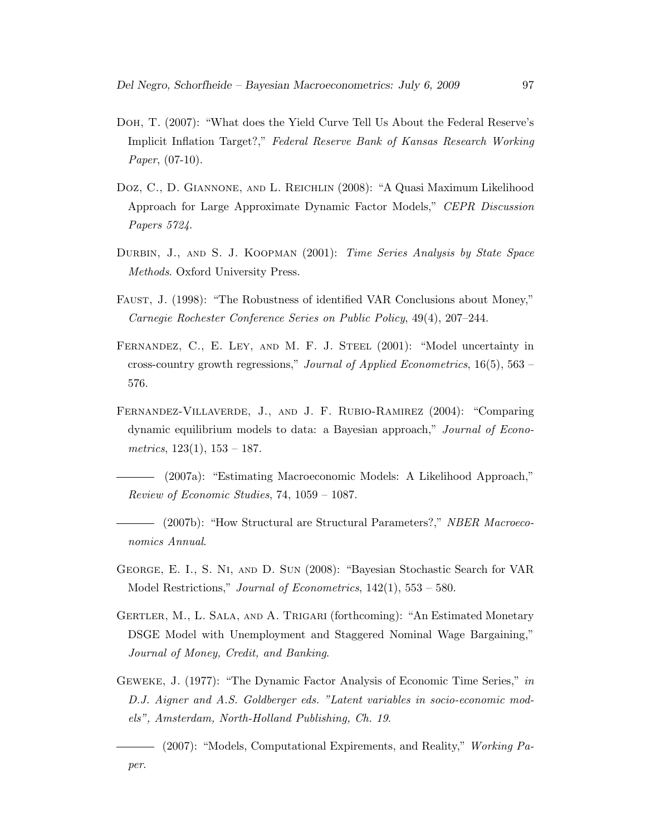- Doh, T. (2007): "What does the Yield Curve Tell Us About the Federal Reserve's Implicit Inflation Target?," Federal Reserve Bank of Kansas Research Working Paper, (07-10).
- Doz, C., D. Giannone, and L. Reichlin (2008): "A Quasi Maximum Likelihood Approach for Large Approximate Dynamic Factor Models," CEPR Discussion Papers 5724.
- DURBIN, J., AND S. J. KOOPMAN (2001): Time Series Analysis by State Space Methods. Oxford University Press.
- Faust, J. (1998): "The Robustness of identified VAR Conclusions about Money," Carnegie Rochester Conference Series on Public Policy, 49(4), 207–244.
- FERNANDEZ, C., E. LEY, AND M. F. J. STEEL (2001): "Model uncertainty in cross-country growth regressions," Journal of Applied Econometrics,  $16(5)$ ,  $563$  – 576.
- Fernandez-Villaverde, J., and J. F. Rubio-Ramirez (2004): "Comparing dynamic equilibrium models to data: a Bayesian approach," Journal of Econometrics,  $123(1)$ ,  $153 - 187$ .

(2007a): "Estimating Macroeconomic Models: A Likelihood Approach," Review of Economic Studies, 74, 1059 – 1087.

- (2007b): "How Structural are Structural Parameters?," NBER Macroeconomics Annual.
- George, E. I., S. Ni, and D. Sun (2008): "Bayesian Stochastic Search for VAR Model Restrictions," Journal of Econometrics, 142(1), 553 – 580.
- Gertler, M., L. Sala, and A. Trigari (forthcoming): "An Estimated Monetary DSGE Model with Unemployment and Staggered Nominal Wage Bargaining," Journal of Money, Credit, and Banking.
- Geweke, J. (1977): "The Dynamic Factor Analysis of Economic Time Series," in D.J. Aigner and A.S. Goldberger eds. "Latent variables in socio-economic models", Amsterdam, North-Holland Publishing, Ch. 19.
- (2007): "Models, Computational Expirements, and Reality," Working Paper.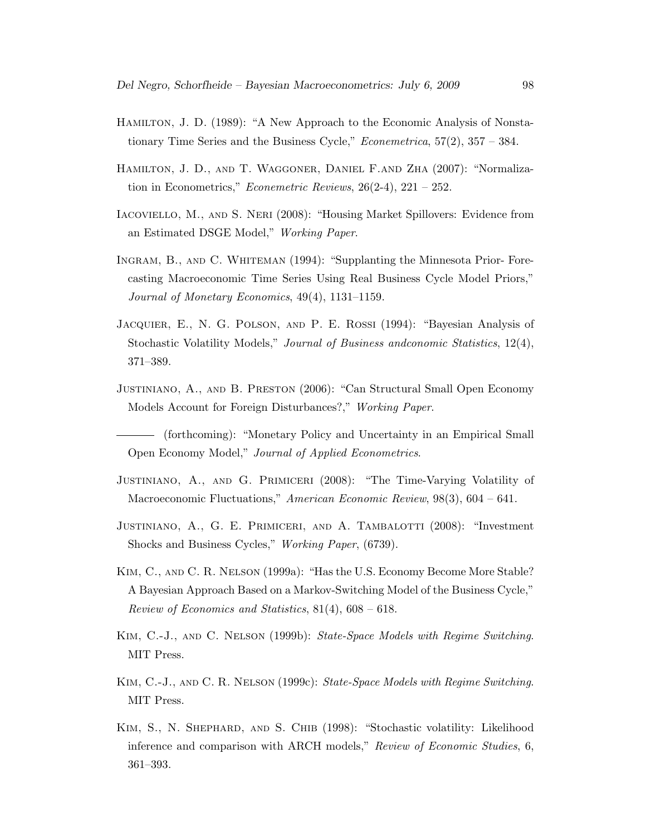- Hamilton, J. D. (1989): "A New Approach to the Economic Analysis of Nonstationary Time Series and the Business Cycle," *Econemetrica*,  $57(2)$ ,  $357 - 384$ .
- Hamilton, J. D., and T. Waggoner, Daniel F.and Zha (2007): "Normalization in Econometrics," Econemetric Reviews,  $26(2-4)$ ,  $221 - 252$ .
- Iacoviello, M., and S. Neri (2008): "Housing Market Spillovers: Evidence from an Estimated DSGE Model," Working Paper.
- Ingram, B., and C. Whiteman (1994): "Supplanting the Minnesota Prior- Forecasting Macroeconomic Time Series Using Real Business Cycle Model Priors," Journal of Monetary Economics, 49(4), 1131–1159.
- Jacquier, E., N. G. Polson, and P. E. Rossi (1994): "Bayesian Analysis of Stochastic Volatility Models," Journal of Business andconomic Statistics, 12(4), 371–389.
- Justiniano, A., and B. Preston (2006): "Can Structural Small Open Economy Models Account for Foreign Disturbances?," Working Paper.
- (forthcoming): "Monetary Policy and Uncertainty in an Empirical Small Open Economy Model," Journal of Applied Econometrics.
- Justiniano, A., and G. Primiceri (2008): "The Time-Varying Volatility of Macroeconomic Fluctuations," American Economic Review, 98(3), 604 – 641.
- JUSTINIANO, A., G. E. PRIMICERI, AND A. TAMBALOTTI (2008): "Investment Shocks and Business Cycles," Working Paper, (6739).
- Kim, C., and C. R. Nelson (1999a): "Has the U.S. Economy Become More Stable? A Bayesian Approach Based on a Markov-Switching Model of the Business Cycle," Review of Economics and Statistics, 81(4), 608 – 618.
- Kim, C.-J., and C. Nelson (1999b): State-Space Models with Regime Switching. MIT Press.
- KIM, C.-J., AND C. R. NELSON (1999c): State-Space Models with Regime Switching. MIT Press.
- Kim, S., N. Shephard, and S. Chib (1998): "Stochastic volatility: Likelihood inference and comparison with ARCH models," Review of Economic Studies, 6, 361–393.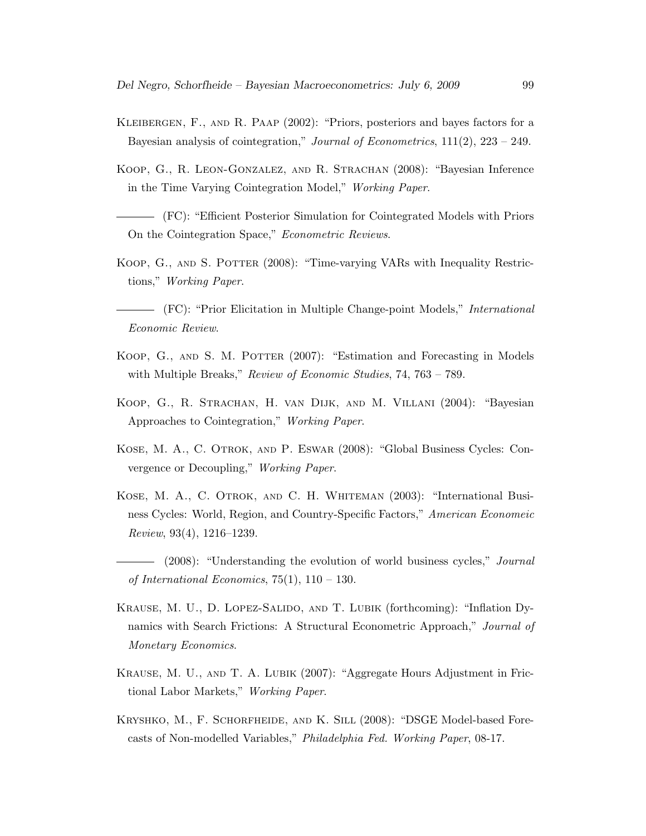- Kleibergen, F., and R. Paap (2002): "Priors, posteriors and bayes factors for a Bayesian analysis of cointegration," Journal of Econometrics,  $111(2)$ ,  $223 - 249$ .
- Koop, G., R. Leon-Gonzalez, and R. Strachan (2008): "Bayesian Inference in the Time Varying Cointegration Model," Working Paper.

(FC): "Efficient Posterior Simulation for Cointegrated Models with Priors On the Cointegration Space," Econometric Reviews.

KOOP, G., AND S. POTTER (2008): "Time-varying VARs with Inequality Restrictions," Working Paper.

(FC): "Prior Elicitation in Multiple Change-point Models," International Economic Review.

- KOOP, G., AND S. M. POTTER (2007): "Estimation and Forecasting in Models with Multiple Breaks," Review of Economic Studies, 74, 763 – 789.
- Koop, G., R. Strachan, H. van Dijk, and M. Villani (2004): "Bayesian Approaches to Cointegration," Working Paper.
- Kose, M. A., C. Otrok, and P. Eswar (2008): "Global Business Cycles: Convergence or Decoupling," Working Paper.
- Kose, M. A., C. Otrok, and C. H. Whiteman (2003): "International Business Cycles: World, Region, and Country-Specific Factors," American Economeic Review, 93(4), 1216–1239.
- (2008): "Understanding the evolution of world business cycles," *Journal* of International Economics,  $75(1)$ ,  $110 - 130$ .
- Krause, M. U., D. Lopez-Salido, and T. Lubik (forthcoming): "Inflation Dynamics with Search Frictions: A Structural Econometric Approach," Journal of Monetary Economics.
- Krause, M. U., and T. A. Lubik (2007): "Aggregate Hours Adjustment in Frictional Labor Markets," Working Paper.
- Kryshko, M., F. Schorfheide, and K. Sill (2008): "DSGE Model-based Forecasts of Non-modelled Variables," Philadelphia Fed. Working Paper, 08-17.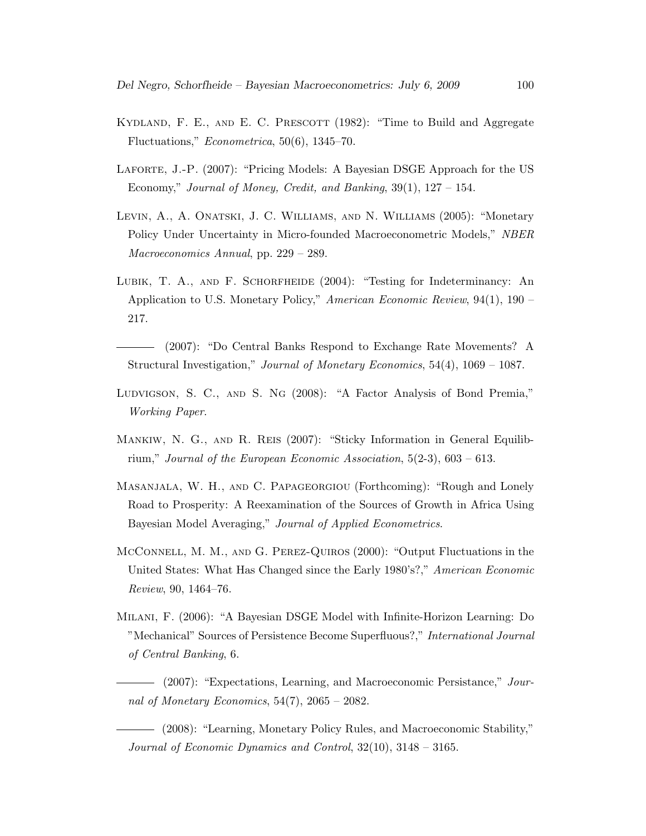- KYDLAND, F. E., AND E. C. PRESCOTT (1982): "Time to Build and Aggregate Fluctuations," Econometrica, 50(6), 1345–70.
- LAFORTE, J.-P. (2007): "Pricing Models: A Bayesian DSGE Approach for the US Economy," Journal of Money, Credit, and Banking,  $39(1)$ ,  $127 - 154$ .
- Levin, A., A. Onatski, J. C. Williams, and N. Williams (2005): "Monetary Policy Under Uncertainty in Micro-founded Macroeconometric Models," NBER Macroeconomics Annual, pp. 229 – 289.
- LUBIK, T. A., AND F. SCHORFHEIDE (2004): "Testing for Indeterminancy: An Application to U.S. Monetary Policy," American Economic Review, 94(1), 190 – 217.
- (2007): "Do Central Banks Respond to Exchange Rate Movements? A Structural Investigation," Journal of Monetary Economics, 54(4), 1069 – 1087.
- Ludvigson, S. C., and S. Ng (2008): "A Factor Analysis of Bond Premia," Working Paper.
- Mankiw, N. G., and R. Reis (2007): "Sticky Information in General Equilibrium," Journal of the European Economic Association,  $5(2-3)$ ,  $603 - 613$ .
- Masanjala, W. H., and C. Papageorgiou (Forthcoming): "Rough and Lonely Road to Prosperity: A Reexamination of the Sources of Growth in Africa Using Bayesian Model Averaging," Journal of Applied Econometrics.
- McConnell, M. M., and G. Perez-Quiros (2000): "Output Fluctuations in the United States: What Has Changed since the Early 1980's?," American Economic Review, 90, 1464–76.
- Milani, F. (2006): "A Bayesian DSGE Model with Infinite-Horizon Learning: Do "Mechanical" Sources of Persistence Become Superfluous?," International Journal of Central Banking, 6.

(2007): "Expectations, Learning, and Macroeconomic Persistance," Journal of Monetary Economics,  $54(7)$ ,  $2065 - 2082$ .

(2008): "Learning, Monetary Policy Rules, and Macroeconomic Stability," Journal of Economic Dynamics and Control, 32(10), 3148 – 3165.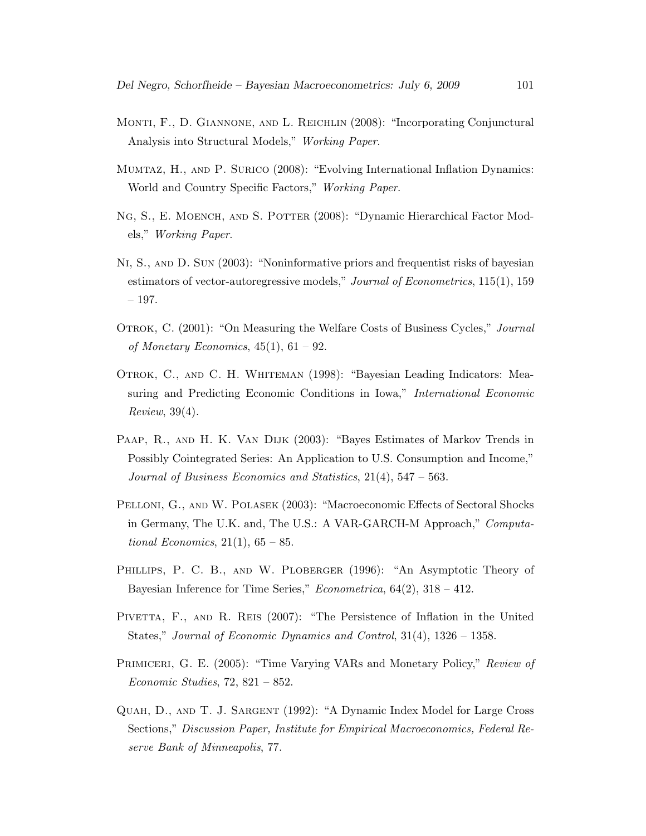- Monti, F., D. Giannone, and L. Reichlin (2008): "Incorporating Conjunctural Analysis into Structural Models," Working Paper.
- Mumtaz, H., and P. Surico (2008): "Evolving International Inflation Dynamics: World and Country Specific Factors," Working Paper.
- NG, S., E. MOENCH, AND S. POTTER (2008): "Dynamic Hierarchical Factor Models," Working Paper.
- Ni, S., and D. Sun (2003): "Noninformative priors and frequentist risks of bayesian estimators of vector-autoregressive models," Journal of Econometrics, 115(1), 159 – 197.
- OTROK, C. (2001): "On Measuring the Welfare Costs of Business Cycles," *Journal* of Monetary Economics,  $45(1)$ ,  $61 - 92$ .
- Otrok, C., and C. H. Whiteman (1998): "Bayesian Leading Indicators: Measuring and Predicting Economic Conditions in Iowa," International Economic Review, 39(4).
- Paap, R., and H. K. Van Dijk (2003): "Bayes Estimates of Markov Trends in Possibly Cointegrated Series: An Application to U.S. Consumption and Income," Journal of Business Economics and Statistics, 21(4), 547 – 563.
- Pelloni, G., and W. Polasek (2003): "Macroeconomic Effects of Sectoral Shocks in Germany, The U.K. and, The U.S.: A VAR-GARCH-M Approach," Computational Economics,  $21(1)$ ,  $65-85$ .
- PHILLIPS, P. C. B., AND W. PLOBERGER (1996): "An Asymptotic Theory of Bayesian Inference for Time Series," *Econometrica*,  $64(2)$ ,  $318 - 412$ .
- PIVETTA, F., AND R. REIS (2007): "The Persistence of Inflation in the United States," Journal of Economic Dynamics and Control, 31(4), 1326 – 1358.
- PRIMICERI, G. E. (2005): "Time Varying VARs and Monetary Policy," Review of Economic Studies, 72, 821 – 852.
- Quah, D., and T. J. Sargent (1992): "A Dynamic Index Model for Large Cross Sections," Discussion Paper, Institute for Empirical Macroeconomics, Federal Reserve Bank of Minneapolis, 77.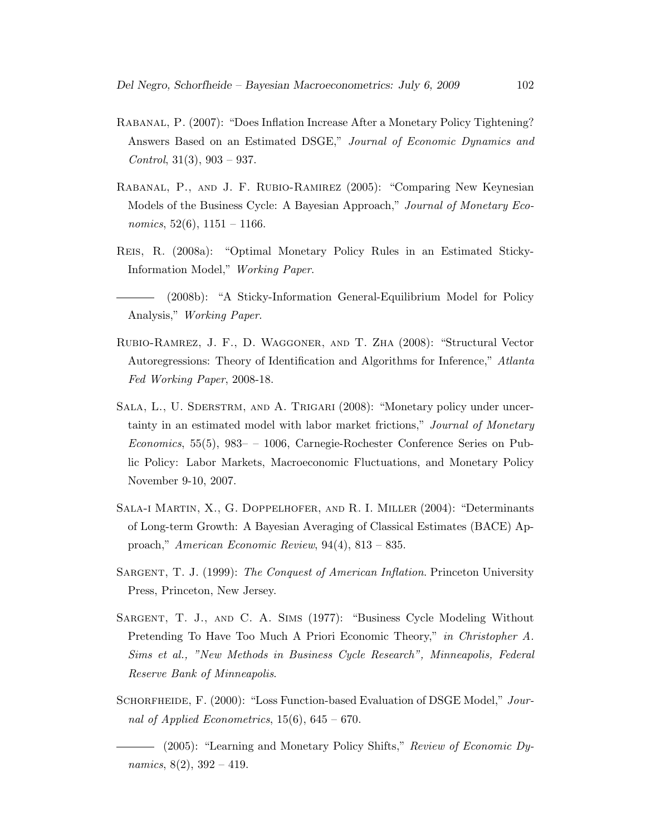- Rabanal, P. (2007): "Does Inflation Increase After a Monetary Policy Tightening? Answers Based on an Estimated DSGE," Journal of Economic Dynamics and Control,  $31(3)$ ,  $903 - 937$ .
- Rabanal, P., and J. F. Rubio-Ramirez (2005): "Comparing New Keynesian Models of the Business Cycle: A Bayesian Approach," Journal of Monetary Economics,  $52(6)$ ,  $1151 - 1166$ .
- Reis, R. (2008a): "Optimal Monetary Policy Rules in an Estimated Sticky-Information Model," Working Paper.
- (2008b): "A Sticky-Information General-Equilibrium Model for Policy Analysis," Working Paper.
- Rubio-Ramrez, J. F., D. Waggoner, and T. Zha (2008): "Structural Vector Autoregressions: Theory of Identification and Algorithms for Inference," Atlanta Fed Working Paper, 2008-18.
- SALA, L., U. SDERSTRM, AND A. TRIGARI (2008): "Monetary policy under uncertainty in an estimated model with labor market frictions," Journal of Monetary Economics, 55(5), 983– – 1006, Carnegie-Rochester Conference Series on Public Policy: Labor Markets, Macroeconomic Fluctuations, and Monetary Policy November 9-10, 2007.
- Sala-i Martin, X., G. Doppelhofer, and R. I. Miller (2004): "Determinants of Long-term Growth: A Bayesian Averaging of Classical Estimates (BACE) Approach," American Economic Review, 94(4), 813 – 835.
- SARGENT, T. J. (1999): The Conquest of American Inflation. Princeton University Press, Princeton, New Jersey.
- Sargent, T. J., and C. A. Sims (1977): "Business Cycle Modeling Without Pretending To Have Too Much A Priori Economic Theory," in Christopher A. Sims et al., "New Methods in Business Cycle Research", Minneapolis, Federal Reserve Bank of Minneapolis.
- SCHORFHEIDE, F. (2000): "Loss Function-based Evaluation of DSGE Model," Journal of Applied Econometrics,  $15(6)$ ,  $645 - 670$ .

<sup>(2005): &</sup>quot;Learning and Monetary Policy Shifts," Review of Economic Dynamics,  $8(2)$ ,  $392 - 419$ .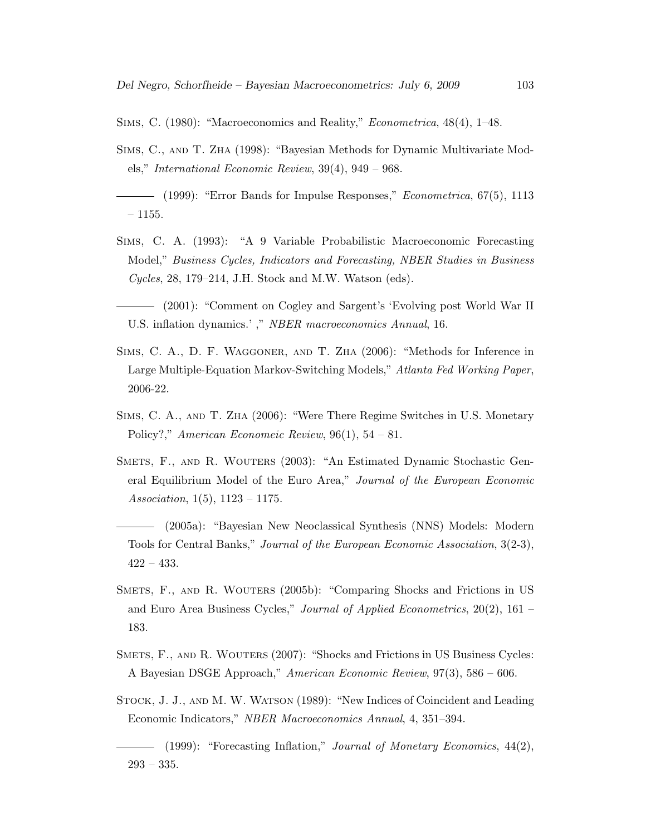Sims, C. (1980): "Macroeconomics and Reality," Econometrica, 48(4), 1–48.

- Sims, C., and T. Zha (1998): "Bayesian Methods for Dynamic Multivariate Models," International Economic Review, 39(4), 949 – 968.
- (1999): "Error Bands for Impulse Responses," Econometrica, 67(5), 1113  $-1155.$
- Sims, C. A. (1993): "A 9 Variable Probabilistic Macroeconomic Forecasting Model," Business Cycles, Indicators and Forecasting, NBER Studies in Business Cycles, 28, 179–214, J.H. Stock and M.W. Watson (eds).
- (2001): "Comment on Cogley and Sargent's 'Evolving post World War II U.S. inflation dynamics.' ," NBER macroeconomics Annual, 16.
- Sims, C. A., D. F. Waggoner, and T. Zha (2006): "Methods for Inference in Large Multiple-Equation Markov-Switching Models," Atlanta Fed Working Paper, 2006-22.
- Sims, C. A., and T. Zha (2006): "Were There Regime Switches in U.S. Monetary Policy?," American Economeic Review,  $96(1)$ ,  $54 - 81$ .
- SMETS, F., AND R. WOUTERS (2003): "An Estimated Dynamic Stochastic General Equilibrium Model of the Euro Area," Journal of the European Economic Association,  $1(5)$ ,  $1123 - 1175$ .
- (2005a): "Bayesian New Neoclassical Synthesis (NNS) Models: Modern Tools for Central Banks," Journal of the European Economic Association, 3(2-3), 422 – 433.
- SMETS, F., AND R. WOUTERS (2005b): "Comparing Shocks and Frictions in US and Euro Area Business Cycles," Journal of Applied Econometrics,  $20(2)$ ,  $161$  – 183.
- Smets, F., and R. Wouters (2007): "Shocks and Frictions in US Business Cycles: A Bayesian DSGE Approach," American Economic Review, 97(3), 586 – 606.
- Stock, J. J., and M. W. Watson (1989): "New Indices of Coincident and Leading Economic Indicators," NBER Macroeconomics Annual, 4, 351–394.
	- (1999): "Forecasting Inflation," Journal of Monetary Economics, 44(2), 293 – 335.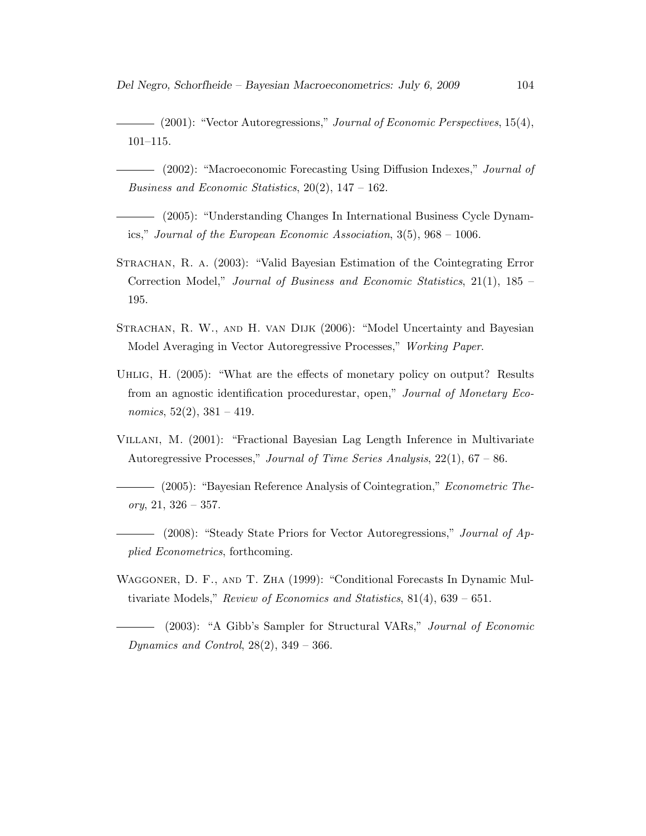$\frac{1}{2001}$ : "Vector Autoregressions," Journal of Economic Perspectives, 15(4), 101–115.

- (2002): "Macroeconomic Forecasting Using Diffusion Indexes," *Journal of* Business and Economic Statistics,  $20(2)$ ,  $147 - 162$ .

(2005): "Understanding Changes In International Business Cycle Dynamics," Journal of the European Economic Association, 3(5), 968 – 1006.

- Strachan, R. a. (2003): "Valid Bayesian Estimation of the Cointegrating Error Correction Model," Journal of Business and Economic Statistics, 21(1), 185 – 195.
- STRACHAN, R. W., AND H. VAN DIJK (2006): "Model Uncertainty and Bayesian Model Averaging in Vector Autoregressive Processes," Working Paper.
- Uhlig, H. (2005): "What are the effects of monetary policy on output? Results from an agnostic identification procedurestar, open," Journal of Monetary Economics,  $52(2)$ ,  $381 - 419$ .
- Villani, M. (2001): "Fractional Bayesian Lag Length Inference in Multivariate Autoregressive Processes," Journal of Time Series Analysis, 22(1), 67 – 86.
- (2005): "Bayesian Reference Analysis of Cointegration," Econometric The- $\textit{ory}, 21, 326 - 357.$
- (2008): "Steady State Priors for Vector Autoregressions," Journal of Applied Econometrics, forthcoming.
- Waggoner, D. F., and T. Zha (1999): "Conditional Forecasts In Dynamic Multivariate Models," Review of Economics and Statistics, 81(4), 639 – 651.
- (2003): "A Gibb's Sampler for Structural VARs," Journal of Economic Dynamics and Control,  $28(2)$ ,  $349 - 366$ .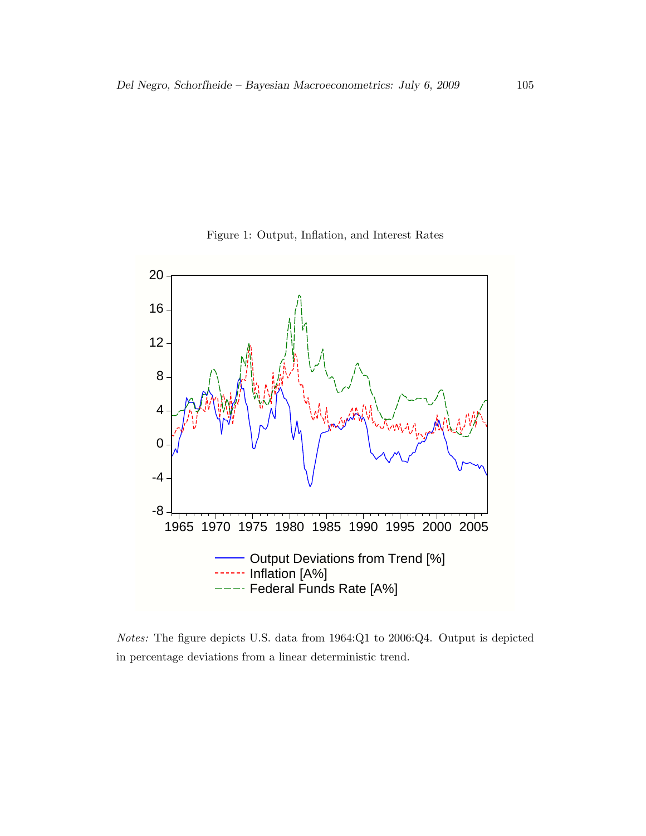



Notes: The figure depicts U.S. data from 1964:Q1 to 2006:Q4. Output is depicted in percentage deviations from a linear deterministic trend.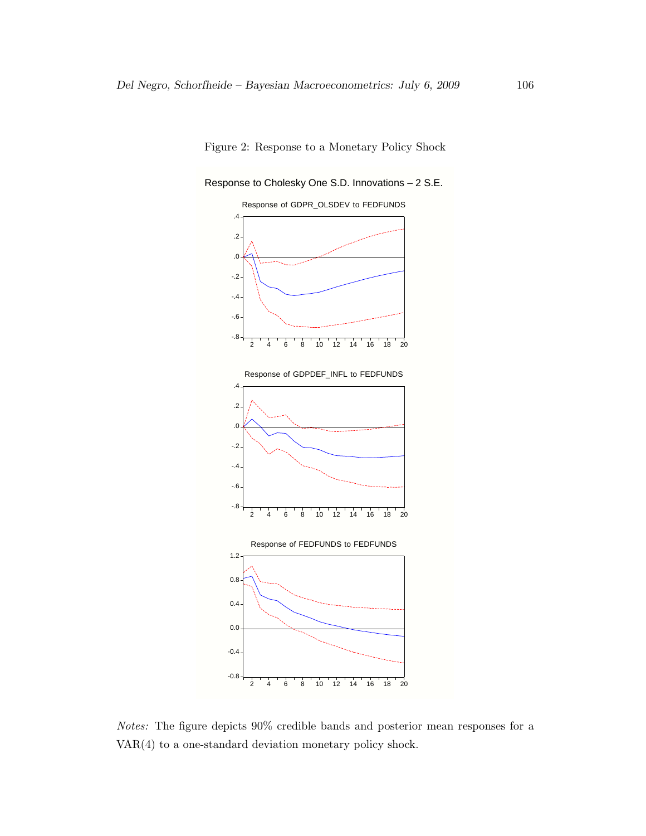



Notes: The figure depicts 90% credible bands and posterior mean responses for a VAR(4) to a one-standard deviation monetary policy shock.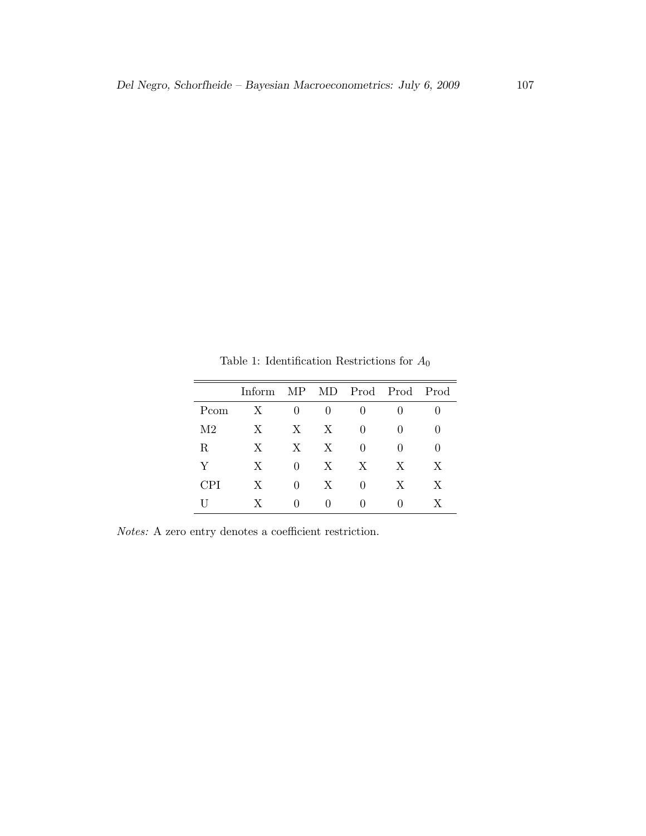|            | Inform | MP               |              | MD Prod Prod Prod |              |              |
|------------|--------|------------------|--------------|-------------------|--------------|--------------|
| Pcom       | X      | $\left( \right)$ | $\mathbf{0}$ | $\theta$          | $\mathbf{0}$ |              |
| M2         | X      | $\boldsymbol{X}$ | X            | 0                 | 0            | $\mathbf{0}$ |
| R          | X      | $\boldsymbol{X}$ | X            | $\Omega$          | 0            | $\theta$     |
| Y          | X      | 0                | X            | X                 | X            | X            |
| <b>CPI</b> | X      | 0                | X            | 0                 | X            | X            |
|            | X      | O                | $\mathbf{0}$ | $\left( \right)$  | 0            | X            |

Table 1: Identification Restrictions for  $\mathcal{A}_0$ 

Notes: A zero entry denotes a coefficient restriction.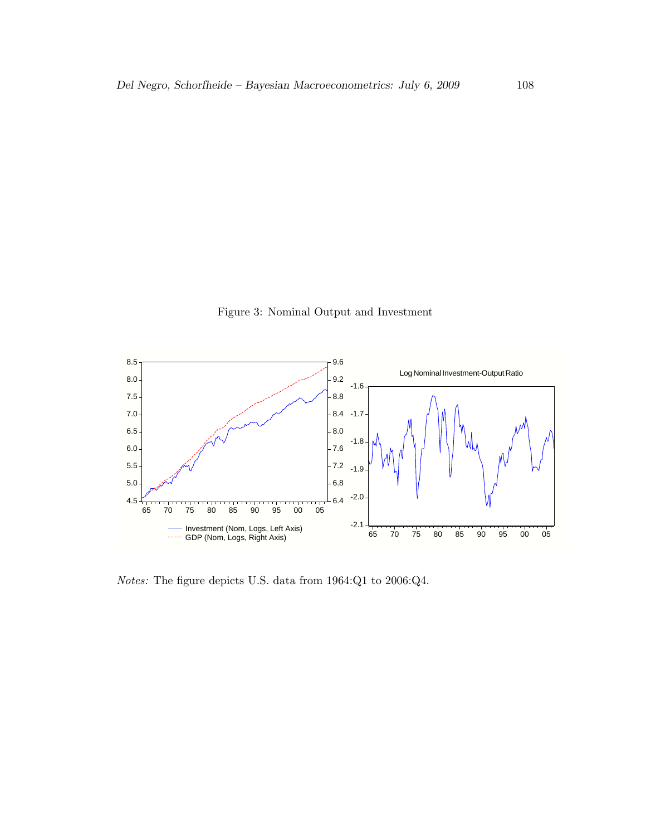Figure 3: Nominal Output and Investment



Notes: The figure depicts U.S. data from 1964:Q1 to 2006:Q4.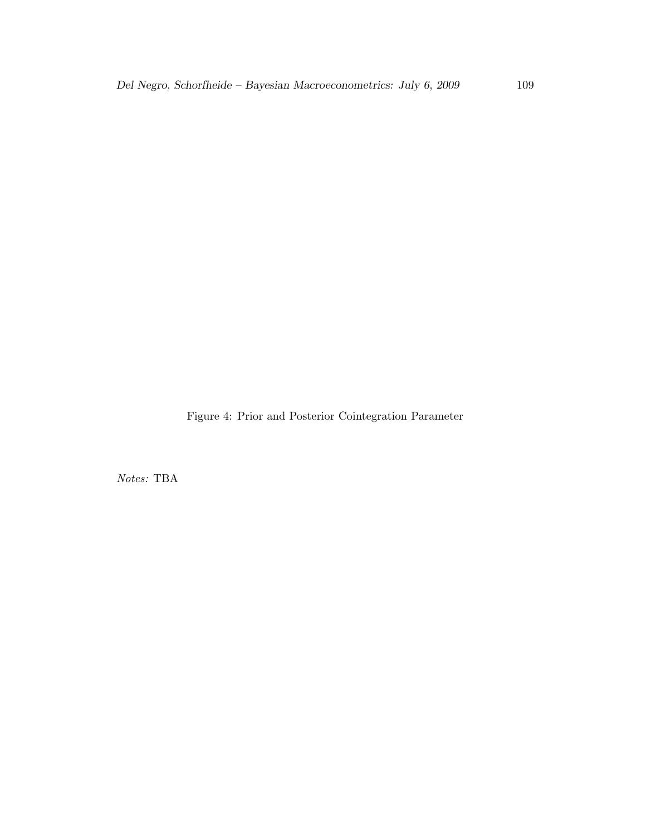Figure 4: Prior and Posterior Cointegration Parameter

Notes: TBA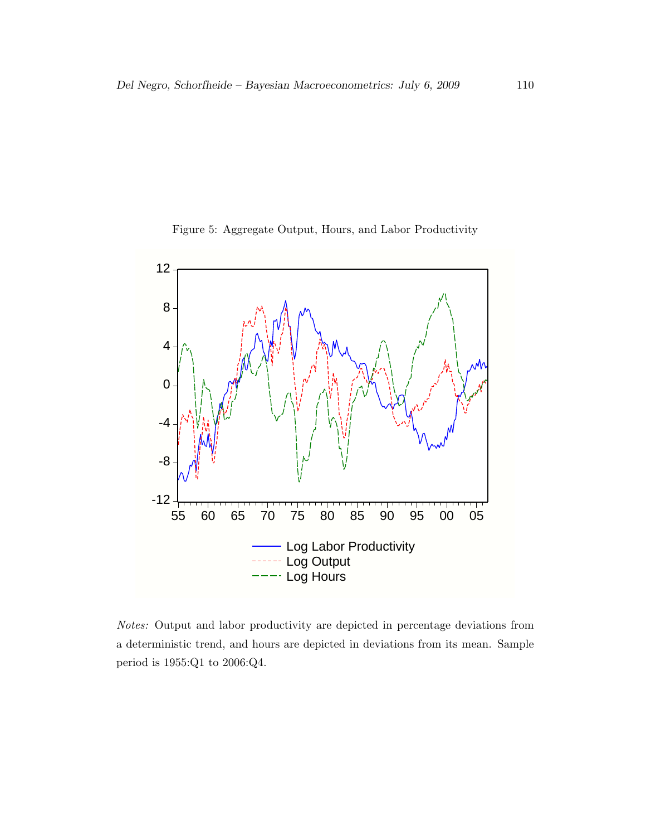



Notes: Output and labor productivity are depicted in percentage deviations from a deterministic trend, and hours are depicted in deviations from its mean. Sample period is 1955:Q1 to 2006:Q4.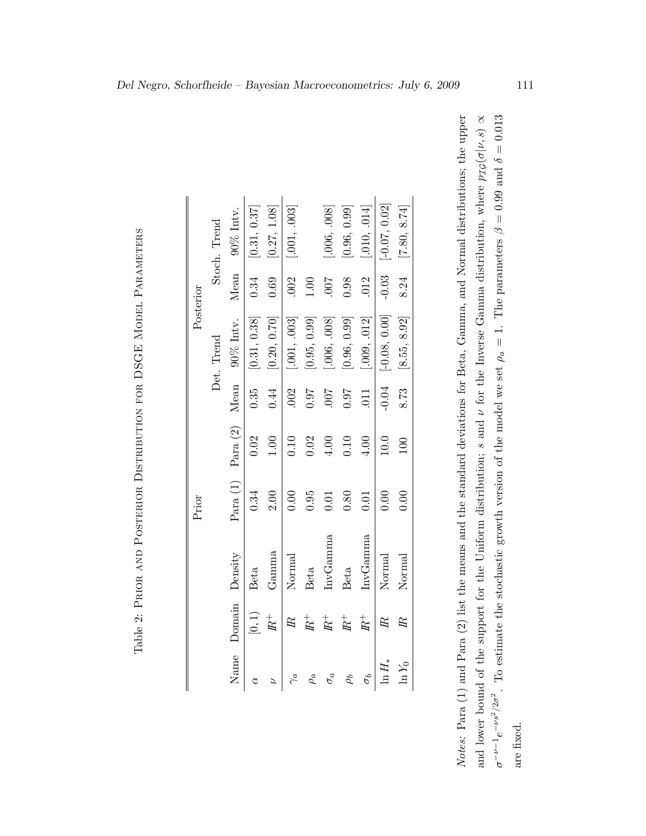|           |              | $90\%$ Intv.          | [0.31, 0.37] | [0.27, 1.08] | [001, 003]             |              | [.006, .008] | [0.96, 0.99] | [010, 014]       | $[-0.07, 0.02]$ | [7.80, 8.74]  |
|-----------|--------------|-----------------------|--------------|--------------|------------------------|--------------|--------------|--------------|------------------|-----------------|---------------|
|           | Stoch. Trend |                       |              |              |                        |              |              |              |                  |                 |               |
| Posterior |              | Mean                  | 0.34         | 0.69         | .002                   | 1.00         | <b>LOO</b> . | 0.98         | 012              | $-0.03$         | 8.24          |
|           |              | $90\%$ Intv.          | [0.31, 0.38] | [0.20, 0.70] | [.001, .003]           | [0.95, 0.99] | [.006, .008] | 0.96, 0.99]  | [.009, .012]     | $[-0.08, 0.00]$ | [8.55, 8.92]  |
|           | Det. Trend   |                       |              |              |                        |              |              |              |                  |                 |               |
|           |              | Mean                  | 0.35         | 0.44         | .002                   | 0.07         | 700.         | 0.07         | $\overline{011}$ | $-0.04$         | 8.73          |
|           |              |                       | 0.02         | 1.00         | 0.10                   | 0.02         | $4.00$       | 0.10         | 4.00             | 10.0            | 100           |
| Prior     |              | Para $(1)$ Para $(2)$ | 0.34         | 2.00         | 0.00                   | 0.95         | 0.01         | 0.80         | 0.01             | 0.00            | 0.00          |
|           |              | Density               | Beta         | Gamma        | Normal                 | Beta         | InvGamma     | Beta         | InvGamma         | Normal          | Normal        |
|           |              | Domain                | $[0,1)$      | $I\!\!R^+$   | $\mathbb{R}$           | $R^+$        | $I\!\!R^+$   | $I\!\!R^+$   | $I\!\!R^+$       | $\mathbb{R}$    | $\mathbb {R}$ |
|           |              | Name                  |              |              | $\widetilde{\gamma}_a$ | $\rho_a$     | $\sigma_a$   | $\rho_b$     | $\sigma_b$       | $\ln H_*$       | $\ln Y_0$     |

Notes: Para (1) and Para (2) list the means and the standard deviations for Beta, Gamma, and Normal distributions; the upper Notes: Para (1) and Para (2) list the means and the standard deviations for Beta, Gamma, and Normal distributions; the upper  $\beta = 0.99$  and  $\delta = 0.013$  $p_{\mathcal{I}\mathcal{G}}(\sigma|\nu, s) \propto$  for the Inverse Gamma distribution, where  $\varnothing$  $\rho_a = 1$ . The parameters . To estimate the stochastic growth version of the model we set νand lower bound of the support for the Uniform distribution; s and  $2/2\sigma^2$  $\sigma^{-\nu-1}e^{-\nu s}$ are fixed.

Table 2: Prior and Posterior Distribution for DSGE Model Parameters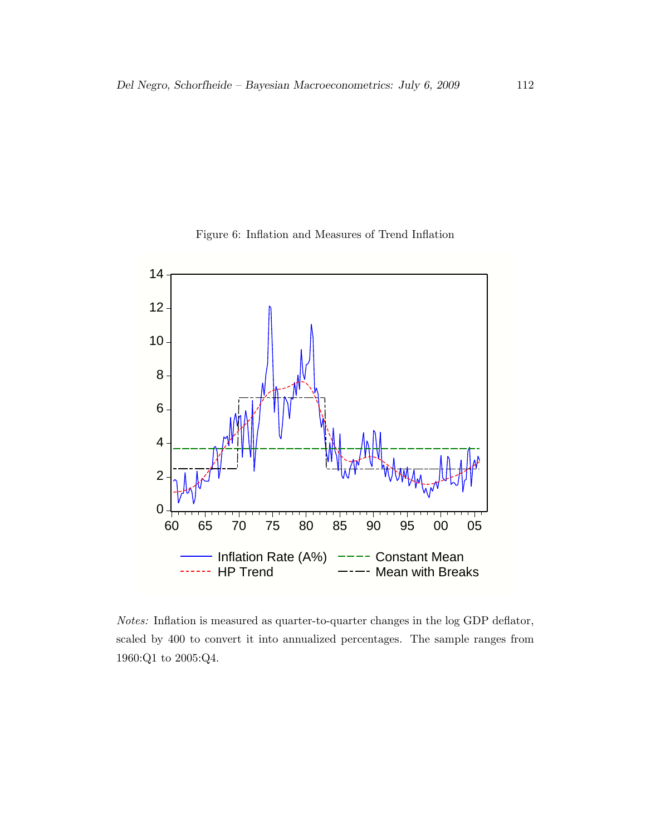



Notes: Inflation is measured as quarter-to-quarter changes in the log GDP deflator, scaled by 400 to convert it into annualized percentages. The sample ranges from 1960:Q1 to 2005:Q4.